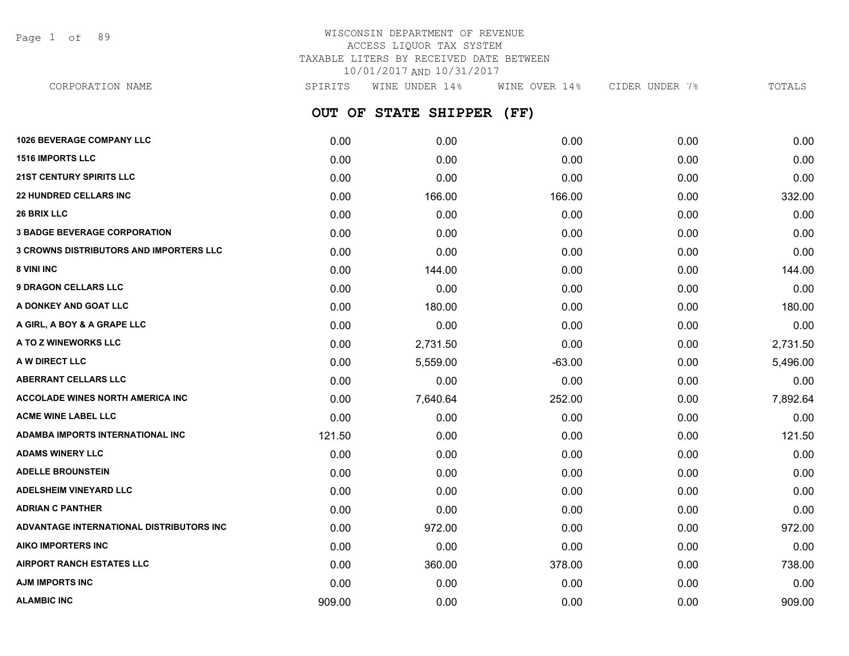Page 1 of 89

## WISCONSIN DEPARTMENT OF REVENUE ACCESS LIQUOR TAX SYSTEM TAXABLE LITERS BY RECEIVED DATE BETWEEN 10/01/2017 AND 10/31/2017

**OUT OF STATE SHIPPER (FF) 1026 BEVERAGE COMPANY LLC** 0.00 0.00 0.00 0.00 0.00 **1516 IMPORTS LLC** 0.00 0.00 0.00 0.00 0.00 **21ST CENTURY SPIRITS LLC** 0.00 0.00 0.00 0.00 0.00 **22 HUNDRED CELLARS INC** 0.00 166.00 166.00 0.00 332.00 **26 BRIX LLC** 0.00 0.00 0.00 0.00 0.00 **3 BADGE BEVERAGE CORPORATION** 0.00 0.00 0.00 0.00 0.00 **3 CROWNS DISTRIBUTORS AND IMPORTERS LLC** 0.00 0.00 0.00 0.00 0.00 **8 VINI INC** 0.00 144.00 0.00 0.00 144.00 **9 DRAGON CELLARS LLC** 0.00 0.00 0.00 0.00 0.00 **A DONKEY AND GOAT LLC** 0.00 180.00 0.00 0.00 180.00 **A GIRL, A BOY & A GRAPE LLC** 0.00 0.00 0.00 0.00 0.00 **A TO Z WINEWORKS LLC** 0.00 2,731.50 0.00 0.00 2,731.50 **A W DIRECT LLC** 5,559.00 -63.00 5,496.00 **ABERRANT CELLARS LLC** 0.00 0.00 0.00 0.00 0.00 CORPORATION NAME SPIRITS WINE UNDER 14% WINE OVER 14% CIDER UNDER 7% TOTALS

**ACCOLADE WINES NORTH AMERICA INC** 0.00 7,640.64 252.00 0.00 7,892.64 **ACME WINE LABEL LLC** 0.00 0.00 0.00 0.00 0.00 **ADAMBA IMPORTS INTERNATIONAL INC** 121.50 0.00 0.00 0.00 121.50 **ADAMS WINERY LLC** 0.00 0.00 0.00 0.00 0.00 **ADELLE BROUNSTEIN** 0.00 0.00 0.00 0.00 0.00 **ADELSHEIM VINEYARD LLC** 0.00 0.00 0.00 0.00 0.00 **ADRIAN C PANTHER** 0.00 0.00 0.00 0.00 0.00 **ADVANTAGE INTERNATIONAL DISTRIBUTORS INC** 0.00 972.00 0.00 0.00 972.00 **AIKO IMPORTERS INC** 0.00 0.00 0.00 0.00 0.00 **AIRPORT RANCH ESTATES LLC** 0.00 360.00 378.00 0.00 738.00 **AJM IMPORTS INC** 0.00 0.00 0.00 0.00 0.00 **ALAMBIC INC** 909.00 0.00 0.00 0.00 909.00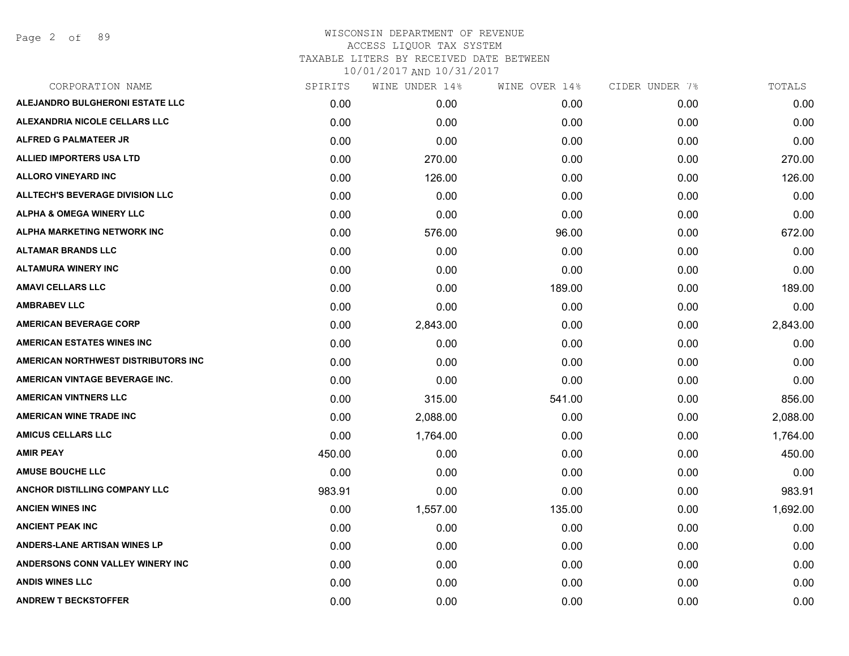Page 2 of 89

| CORPORATION NAME                       | SPIRITS | WINE UNDER 14% | WINE OVER 14% | CIDER UNDER 7% | TOTALS   |
|----------------------------------------|---------|----------------|---------------|----------------|----------|
| ALEJANDRO BULGHERONI ESTATE LLC        | 0.00    | 0.00           | 0.00          | 0.00           | 0.00     |
| ALEXANDRIA NICOLE CELLARS LLC          | 0.00    | 0.00           | 0.00          | 0.00           | 0.00     |
| <b>ALFRED G PALMATEER JR</b>           | 0.00    | 0.00           | 0.00          | 0.00           | 0.00     |
| <b>ALLIED IMPORTERS USA LTD</b>        | 0.00    | 270.00         | 0.00          | 0.00           | 270.00   |
| <b>ALLORO VINEYARD INC</b>             | 0.00    | 126.00         | 0.00          | 0.00           | 126.00   |
| <b>ALLTECH'S BEVERAGE DIVISION LLC</b> | 0.00    | 0.00           | 0.00          | 0.00           | 0.00     |
| <b>ALPHA &amp; OMEGA WINERY LLC</b>    | 0.00    | 0.00           | 0.00          | 0.00           | 0.00     |
| ALPHA MARKETING NETWORK INC            | 0.00    | 576.00         | 96.00         | 0.00           | 672.00   |
| <b>ALTAMAR BRANDS LLC</b>              | 0.00    | 0.00           | 0.00          | 0.00           | 0.00     |
| <b>ALTAMURA WINERY INC</b>             | 0.00    | 0.00           | 0.00          | 0.00           | 0.00     |
| <b>AMAVI CELLARS LLC</b>               | 0.00    | 0.00           | 189.00        | 0.00           | 189.00   |
| <b>AMBRABEV LLC</b>                    | 0.00    | 0.00           | 0.00          | 0.00           | 0.00     |
| <b>AMERICAN BEVERAGE CORP</b>          | 0.00    | 2,843.00       | 0.00          | 0.00           | 2,843.00 |
| <b>AMERICAN ESTATES WINES INC</b>      | 0.00    | 0.00           | 0.00          | 0.00           | 0.00     |
| AMERICAN NORTHWEST DISTRIBUTORS INC    | 0.00    | 0.00           | 0.00          | 0.00           | 0.00     |
| AMERICAN VINTAGE BEVERAGE INC.         | 0.00    | 0.00           | 0.00          | 0.00           | 0.00     |
| <b>AMERICAN VINTNERS LLC</b>           | 0.00    | 315.00         | 541.00        | 0.00           | 856.00   |
| <b>AMERICAN WINE TRADE INC</b>         | 0.00    | 2,088.00       | 0.00          | 0.00           | 2,088.00 |
| <b>AMICUS CELLARS LLC</b>              | 0.00    | 1,764.00       | 0.00          | 0.00           | 1,764.00 |
| <b>AMIR PEAY</b>                       | 450.00  | 0.00           | 0.00          | 0.00           | 450.00   |
| <b>AMUSE BOUCHE LLC</b>                | 0.00    | 0.00           | 0.00          | 0.00           | 0.00     |
| ANCHOR DISTILLING COMPANY LLC          | 983.91  | 0.00           | 0.00          | 0.00           | 983.91   |
| <b>ANCIEN WINES INC</b>                | 0.00    | 1,557.00       | 135.00        | 0.00           | 1,692.00 |
| <b>ANCIENT PEAK INC</b>                | 0.00    | 0.00           | 0.00          | 0.00           | 0.00     |
| <b>ANDERS-LANE ARTISAN WINES LP</b>    | 0.00    | 0.00           | 0.00          | 0.00           | 0.00     |
| ANDERSONS CONN VALLEY WINERY INC       | 0.00    | 0.00           | 0.00          | 0.00           | 0.00     |
| <b>ANDIS WINES LLC</b>                 | 0.00    | 0.00           | 0.00          | 0.00           | 0.00     |
| <b>ANDREW T BECKSTOFFER</b>            | 0.00    | 0.00           | 0.00          | 0.00           | 0.00     |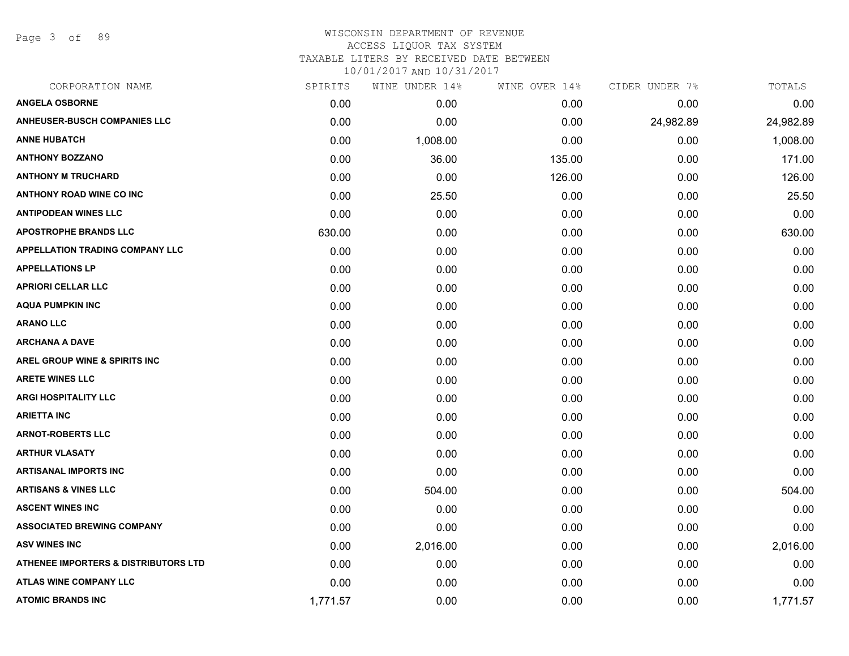Page 3 of 89

## WISCONSIN DEPARTMENT OF REVENUE ACCESS LIQUOR TAX SYSTEM TAXABLE LITERS BY RECEIVED DATE BETWEEN

| CORPORATION NAME                                | SPIRITS  | WINE UNDER 14% | WINE OVER 14% | CIDER UNDER 7% | TOTALS    |
|-------------------------------------------------|----------|----------------|---------------|----------------|-----------|
| <b>ANGELA OSBORNE</b>                           | 0.00     | 0.00           | 0.00          | 0.00           | 0.00      |
| <b>ANHEUSER-BUSCH COMPANIES LLC</b>             | 0.00     | 0.00           | 0.00          | 24,982.89      | 24,982.89 |
| <b>ANNE HUBATCH</b>                             | 0.00     | 1,008.00       | 0.00          | 0.00           | 1,008.00  |
| <b>ANTHONY BOZZANO</b>                          | 0.00     | 36.00          | 135.00        | 0.00           | 171.00    |
| <b>ANTHONY M TRUCHARD</b>                       | 0.00     | 0.00           | 126.00        | 0.00           | 126.00    |
| <b>ANTHONY ROAD WINE CO INC</b>                 | 0.00     | 25.50          | 0.00          | 0.00           | 25.50     |
| <b>ANTIPODEAN WINES LLC</b>                     | 0.00     | 0.00           | 0.00          | 0.00           | 0.00      |
| <b>APOSTROPHE BRANDS LLC</b>                    | 630.00   | 0.00           | 0.00          | 0.00           | 630.00    |
| <b>APPELLATION TRADING COMPANY LLC</b>          | 0.00     | 0.00           | 0.00          | 0.00           | 0.00      |
| <b>APPELLATIONS LP</b>                          | 0.00     | 0.00           | 0.00          | 0.00           | 0.00      |
| <b>APRIORI CELLAR LLC</b>                       | 0.00     | 0.00           | 0.00          | 0.00           | 0.00      |
| <b>AQUA PUMPKIN INC</b>                         | 0.00     | 0.00           | 0.00          | 0.00           | 0.00      |
| <b>ARANO LLC</b>                                | 0.00     | 0.00           | 0.00          | 0.00           | 0.00      |
| <b>ARCHANA A DAVE</b>                           | 0.00     | 0.00           | 0.00          | 0.00           | 0.00      |
| AREL GROUP WINE & SPIRITS INC                   | 0.00     | 0.00           | 0.00          | 0.00           | 0.00      |
| <b>ARETE WINES LLC</b>                          | 0.00     | 0.00           | 0.00          | 0.00           | 0.00      |
| <b>ARGI HOSPITALITY LLC</b>                     | 0.00     | 0.00           | 0.00          | 0.00           | 0.00      |
| <b>ARIETTA INC</b>                              | 0.00     | 0.00           | 0.00          | 0.00           | 0.00      |
| <b>ARNOT-ROBERTS LLC</b>                        | 0.00     | 0.00           | 0.00          | 0.00           | 0.00      |
| <b>ARTHUR VLASATY</b>                           | 0.00     | 0.00           | 0.00          | 0.00           | 0.00      |
| <b>ARTISANAL IMPORTS INC</b>                    | 0.00     | 0.00           | 0.00          | 0.00           | 0.00      |
| <b>ARTISANS &amp; VINES LLC</b>                 | 0.00     | 504.00         | 0.00          | 0.00           | 504.00    |
| <b>ASCENT WINES INC</b>                         | 0.00     | 0.00           | 0.00          | 0.00           | 0.00      |
| <b>ASSOCIATED BREWING COMPANY</b>               | 0.00     | 0.00           | 0.00          | 0.00           | 0.00      |
| <b>ASV WINES INC</b>                            | 0.00     | 2,016.00       | 0.00          | 0.00           | 2,016.00  |
| <b>ATHENEE IMPORTERS &amp; DISTRIBUTORS LTD</b> | 0.00     | 0.00           | 0.00          | 0.00           | 0.00      |
| <b>ATLAS WINE COMPANY LLC</b>                   | 0.00     | 0.00           | 0.00          | 0.00           | 0.00      |
| <b>ATOMIC BRANDS INC</b>                        | 1,771.57 | 0.00           | 0.00          | 0.00           | 1,771.57  |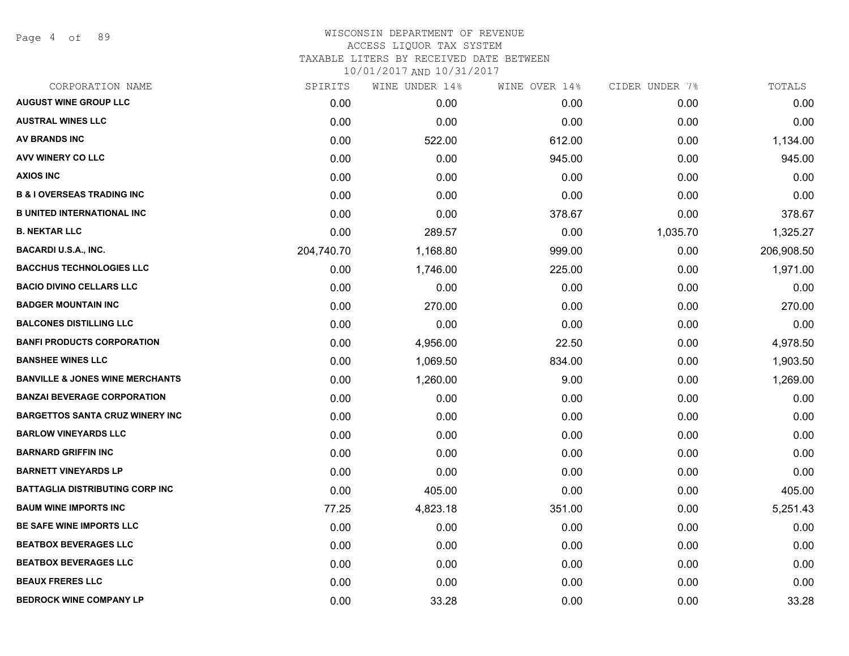Page 4 of 89

## WISCONSIN DEPARTMENT OF REVENUE ACCESS LIQUOR TAX SYSTEM TAXABLE LITERS BY RECEIVED DATE BETWEEN

| CORPORATION NAME                           | SPIRITS    | WINE UNDER 14% | WINE OVER 14% | CIDER UNDER 7% | TOTALS     |
|--------------------------------------------|------------|----------------|---------------|----------------|------------|
| <b>AUGUST WINE GROUP LLC</b>               | 0.00       | 0.00           | 0.00          | 0.00           | 0.00       |
| <b>AUSTRAL WINES LLC</b>                   | 0.00       | 0.00           | 0.00          | 0.00           | 0.00       |
| <b>AV BRANDS INC</b>                       | 0.00       | 522.00         | 612.00        | 0.00           | 1,134.00   |
| AVV WINERY CO LLC                          | 0.00       | 0.00           | 945.00        | 0.00           | 945.00     |
| <b>AXIOS INC</b>                           | 0.00       | 0.00           | 0.00          | 0.00           | 0.00       |
| <b>B &amp; I OVERSEAS TRADING INC</b>      | 0.00       | 0.00           | 0.00          | 0.00           | 0.00       |
| <b>B UNITED INTERNATIONAL INC</b>          | 0.00       | 0.00           | 378.67        | 0.00           | 378.67     |
| <b>B. NEKTAR LLC</b>                       | 0.00       | 289.57         | 0.00          | 1,035.70       | 1,325.27   |
| <b>BACARDI U.S.A., INC.</b>                | 204,740.70 | 1,168.80       | 999.00        | 0.00           | 206,908.50 |
| <b>BACCHUS TECHNOLOGIES LLC</b>            | 0.00       | 1,746.00       | 225.00        | 0.00           | 1,971.00   |
| <b>BACIO DIVINO CELLARS LLC</b>            | 0.00       | 0.00           | 0.00          | 0.00           | 0.00       |
| <b>BADGER MOUNTAIN INC</b>                 | 0.00       | 270.00         | 0.00          | 0.00           | 270.00     |
| <b>BALCONES DISTILLING LLC</b>             | 0.00       | 0.00           | 0.00          | 0.00           | 0.00       |
| <b>BANFI PRODUCTS CORPORATION</b>          | 0.00       | 4,956.00       | 22.50         | 0.00           | 4,978.50   |
| <b>BANSHEE WINES LLC</b>                   | 0.00       | 1,069.50       | 834.00        | 0.00           | 1,903.50   |
| <b>BANVILLE &amp; JONES WINE MERCHANTS</b> | 0.00       | 1,260.00       | 9.00          | 0.00           | 1,269.00   |
| <b>BANZAI BEVERAGE CORPORATION</b>         | 0.00       | 0.00           | 0.00          | 0.00           | 0.00       |
| <b>BARGETTOS SANTA CRUZ WINERY INC</b>     | 0.00       | 0.00           | 0.00          | 0.00           | 0.00       |
| <b>BARLOW VINEYARDS LLC</b>                | 0.00       | 0.00           | 0.00          | 0.00           | 0.00       |
| <b>BARNARD GRIFFIN INC</b>                 | 0.00       | 0.00           | 0.00          | 0.00           | 0.00       |
| <b>BARNETT VINEYARDS LP</b>                | 0.00       | 0.00           | 0.00          | 0.00           | 0.00       |
| <b>BATTAGLIA DISTRIBUTING CORP INC</b>     | 0.00       | 405.00         | 0.00          | 0.00           | 405.00     |
| <b>BAUM WINE IMPORTS INC</b>               | 77.25      | 4,823.18       | 351.00        | 0.00           | 5,251.43   |
| BE SAFE WINE IMPORTS LLC                   | 0.00       | 0.00           | 0.00          | 0.00           | 0.00       |
| <b>BEATBOX BEVERAGES LLC</b>               | 0.00       | 0.00           | 0.00          | 0.00           | 0.00       |
| <b>BEATBOX BEVERAGES LLC</b>               | 0.00       | 0.00           | 0.00          | 0.00           | 0.00       |
| <b>BEAUX FRERES LLC</b>                    | 0.00       | 0.00           | 0.00          | 0.00           | 0.00       |
| <b>BEDROCK WINE COMPANY LP</b>             | 0.00       | 33.28          | 0.00          | 0.00           | 33.28      |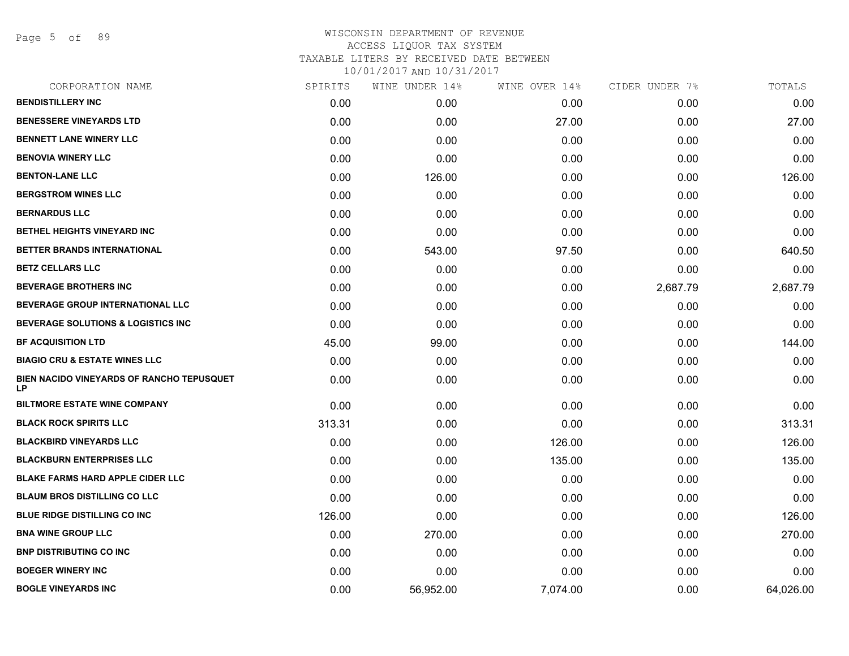Page 5 of 89

# WISCONSIN DEPARTMENT OF REVENUE ACCESS LIQUOR TAX SYSTEM TAXABLE LITERS BY RECEIVED DATE BETWEEN

| CORPORATION NAME                                       | SPIRITS | WINE UNDER 14% | WINE OVER 14% | CIDER UNDER 7% | TOTALS    |
|--------------------------------------------------------|---------|----------------|---------------|----------------|-----------|
| <b>BENDISTILLERY INC</b>                               | 0.00    | 0.00           | 0.00          | 0.00           | 0.00      |
| <b>BENESSERE VINEYARDS LTD</b>                         | 0.00    | 0.00           | 27.00         | 0.00           | 27.00     |
| <b>BENNETT LANE WINERY LLC</b>                         | 0.00    | 0.00           | 0.00          | 0.00           | 0.00      |
| <b>BENOVIA WINERY LLC</b>                              | 0.00    | 0.00           | 0.00          | 0.00           | 0.00      |
| <b>BENTON-LANE LLC</b>                                 | 0.00    | 126.00         | 0.00          | 0.00           | 126.00    |
| <b>BERGSTROM WINES LLC</b>                             | 0.00    | 0.00           | 0.00          | 0.00           | 0.00      |
| <b>BERNARDUS LLC</b>                                   | 0.00    | 0.00           | 0.00          | 0.00           | 0.00      |
| BETHEL HEIGHTS VINEYARD INC                            | 0.00    | 0.00           | 0.00          | 0.00           | 0.00      |
| BETTER BRANDS INTERNATIONAL                            | 0.00    | 543.00         | 97.50         | 0.00           | 640.50    |
| <b>BETZ CELLARS LLC</b>                                | 0.00    | 0.00           | 0.00          | 0.00           | 0.00      |
| <b>BEVERAGE BROTHERS INC</b>                           | 0.00    | 0.00           | 0.00          | 2,687.79       | 2,687.79  |
| BEVERAGE GROUP INTERNATIONAL LLC                       | 0.00    | 0.00           | 0.00          | 0.00           | 0.00      |
| BEVERAGE SOLUTIONS & LOGISTICS INC                     | 0.00    | 0.00           | 0.00          | 0.00           | 0.00      |
| <b>BF ACQUISITION LTD</b>                              | 45.00   | 99.00          | 0.00          | 0.00           | 144.00    |
| <b>BIAGIO CRU &amp; ESTATE WINES LLC</b>               | 0.00    | 0.00           | 0.00          | 0.00           | 0.00      |
| BIEN NACIDO VINEYARDS OF RANCHO TEPUSQUET<br><b>LP</b> | 0.00    | 0.00           | 0.00          | 0.00           | 0.00      |
| <b>BILTMORE ESTATE WINE COMPANY</b>                    | 0.00    | 0.00           | 0.00          | 0.00           | 0.00      |
| <b>BLACK ROCK SPIRITS LLC</b>                          | 313.31  | 0.00           | 0.00          | 0.00           | 313.31    |
| <b>BLACKBIRD VINEYARDS LLC</b>                         | 0.00    | 0.00           | 126.00        | 0.00           | 126.00    |
| <b>BLACKBURN ENTERPRISES LLC</b>                       | 0.00    | 0.00           | 135.00        | 0.00           | 135.00    |
| <b>BLAKE FARMS HARD APPLE CIDER LLC</b>                | 0.00    | 0.00           | 0.00          | 0.00           | 0.00      |
| <b>BLAUM BROS DISTILLING CO LLC</b>                    | 0.00    | 0.00           | 0.00          | 0.00           | 0.00      |
| <b>BLUE RIDGE DISTILLING CO INC.</b>                   | 126.00  | 0.00           | 0.00          | 0.00           | 126.00    |
| <b>BNA WINE GROUP LLC</b>                              | 0.00    | 270.00         | 0.00          | 0.00           | 270.00    |
| <b>BNP DISTRIBUTING CO INC</b>                         | 0.00    | 0.00           | 0.00          | 0.00           | 0.00      |
| <b>BOEGER WINERY INC</b>                               | 0.00    | 0.00           | 0.00          | 0.00           | 0.00      |
| <b>BOGLE VINEYARDS INC</b>                             | 0.00    | 56,952.00      | 7,074.00      | 0.00           | 64,026.00 |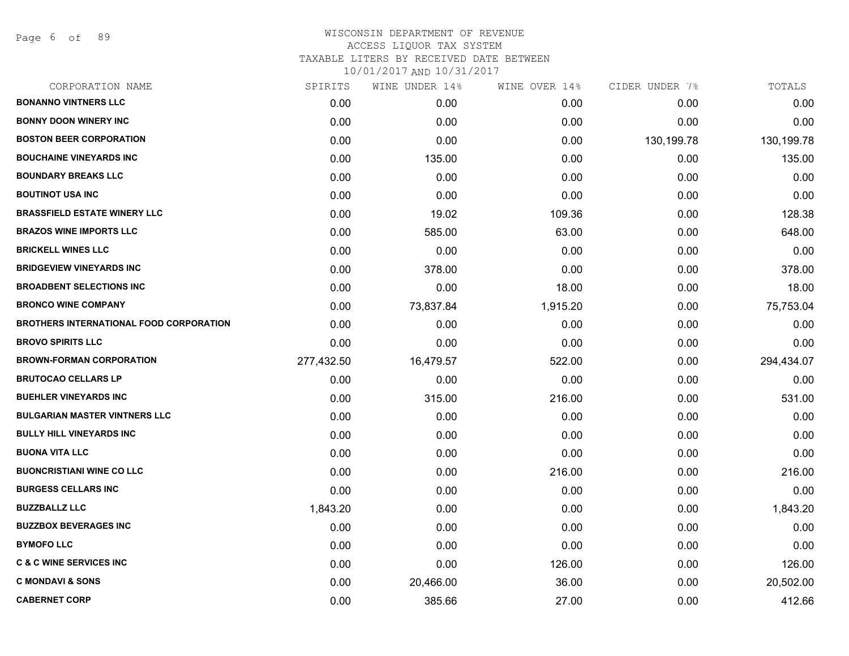Page 6 of 89

| CORPORATION NAME                               | SPIRITS    | WINE UNDER 14% | WINE OVER 14% | CIDER UNDER 7% | TOTALS     |
|------------------------------------------------|------------|----------------|---------------|----------------|------------|
| <b>BONANNO VINTNERS LLC</b>                    | 0.00       | 0.00           | 0.00          | 0.00           | 0.00       |
| <b>BONNY DOON WINERY INC</b>                   | 0.00       | 0.00           | 0.00          | 0.00           | 0.00       |
| <b>BOSTON BEER CORPORATION</b>                 | 0.00       | 0.00           | 0.00          | 130,199.78     | 130,199.78 |
| <b>BOUCHAINE VINEYARDS INC</b>                 | 0.00       | 135.00         | 0.00          | 0.00           | 135.00     |
| <b>BOUNDARY BREAKS LLC</b>                     | 0.00       | 0.00           | 0.00          | 0.00           | 0.00       |
| <b>BOUTINOT USA INC</b>                        | 0.00       | 0.00           | 0.00          | 0.00           | 0.00       |
| <b>BRASSFIELD ESTATE WINERY LLC</b>            | 0.00       | 19.02          | 109.36        | 0.00           | 128.38     |
| <b>BRAZOS WINE IMPORTS LLC</b>                 | 0.00       | 585.00         | 63.00         | 0.00           | 648.00     |
| <b>BRICKELL WINES LLC</b>                      | 0.00       | 0.00           | 0.00          | 0.00           | 0.00       |
| <b>BRIDGEVIEW VINEYARDS INC</b>                | 0.00       | 378.00         | 0.00          | 0.00           | 378.00     |
| <b>BROADBENT SELECTIONS INC</b>                | 0.00       | 0.00           | 18.00         | 0.00           | 18.00      |
| <b>BRONCO WINE COMPANY</b>                     | 0.00       | 73,837.84      | 1,915.20      | 0.00           | 75,753.04  |
| <b>BROTHERS INTERNATIONAL FOOD CORPORATION</b> | 0.00       | 0.00           | 0.00          | 0.00           | 0.00       |
| <b>BROVO SPIRITS LLC</b>                       | 0.00       | 0.00           | 0.00          | 0.00           | 0.00       |
| <b>BROWN-FORMAN CORPORATION</b>                | 277,432.50 | 16,479.57      | 522.00        | 0.00           | 294,434.07 |
| <b>BRUTOCAO CELLARS LP</b>                     | 0.00       | 0.00           | 0.00          | 0.00           | 0.00       |
| <b>BUEHLER VINEYARDS INC</b>                   | 0.00       | 315.00         | 216.00        | 0.00           | 531.00     |
| <b>BULGARIAN MASTER VINTNERS LLC</b>           | 0.00       | 0.00           | 0.00          | 0.00           | 0.00       |
| <b>BULLY HILL VINEYARDS INC</b>                | 0.00       | 0.00           | 0.00          | 0.00           | 0.00       |
| <b>BUONA VITA LLC</b>                          | 0.00       | 0.00           | 0.00          | 0.00           | 0.00       |
| <b>BUONCRISTIANI WINE CO LLC</b>               | 0.00       | 0.00           | 216.00        | 0.00           | 216.00     |
| <b>BURGESS CELLARS INC</b>                     | 0.00       | 0.00           | 0.00          | 0.00           | 0.00       |
| <b>BUZZBALLZ LLC</b>                           | 1,843.20   | 0.00           | 0.00          | 0.00           | 1,843.20   |
| <b>BUZZBOX BEVERAGES INC</b>                   | 0.00       | 0.00           | 0.00          | 0.00           | 0.00       |
| <b>BYMOFO LLC</b>                              | 0.00       | 0.00           | 0.00          | 0.00           | 0.00       |
| <b>C &amp; C WINE SERVICES INC</b>             | 0.00       | 0.00           | 126.00        | 0.00           | 126.00     |
| <b>C MONDAVI &amp; SONS</b>                    | 0.00       | 20,466.00      | 36.00         | 0.00           | 20,502.00  |
| <b>CABERNET CORP</b>                           | 0.00       | 385.66         | 27.00         | 0.00           | 412.66     |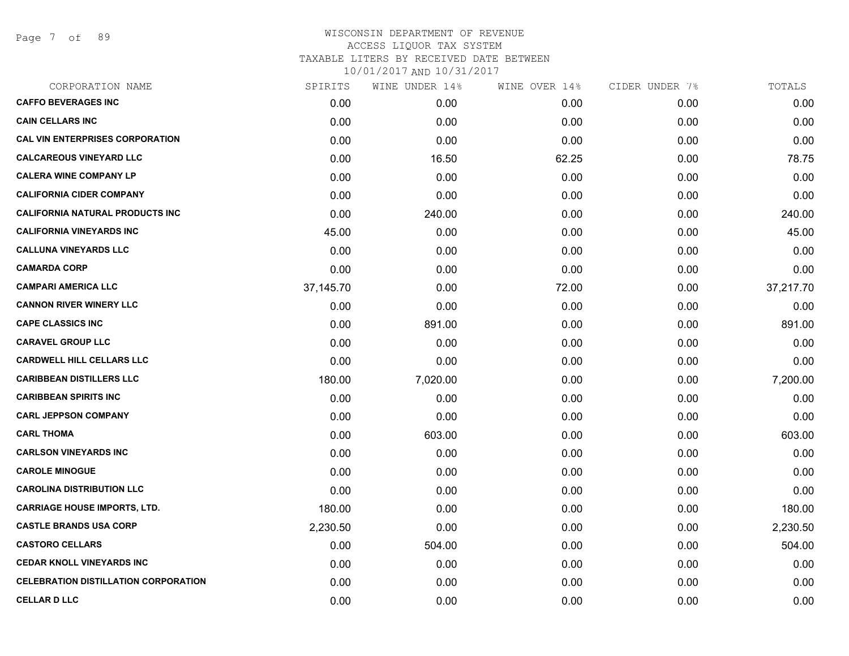Page 7 of 89

| CORPORATION NAME                            | SPIRITS   | WINE UNDER 14% | WINE OVER 14% | CIDER UNDER 7% | TOTALS    |
|---------------------------------------------|-----------|----------------|---------------|----------------|-----------|
| <b>CAFFO BEVERAGES INC</b>                  | 0.00      | 0.00           | 0.00          | 0.00           | 0.00      |
| <b>CAIN CELLARS INC</b>                     | 0.00      | 0.00           | 0.00          | 0.00           | 0.00      |
| <b>CAL VIN ENTERPRISES CORPORATION</b>      | 0.00      | 0.00           | 0.00          | 0.00           | 0.00      |
| <b>CALCAREOUS VINEYARD LLC</b>              | 0.00      | 16.50          | 62.25         | 0.00           | 78.75     |
| <b>CALERA WINE COMPANY LP</b>               | 0.00      | 0.00           | 0.00          | 0.00           | 0.00      |
| <b>CALIFORNIA CIDER COMPANY</b>             | 0.00      | 0.00           | 0.00          | 0.00           | 0.00      |
| <b>CALIFORNIA NATURAL PRODUCTS INC</b>      | 0.00      | 240.00         | 0.00          | 0.00           | 240.00    |
| <b>CALIFORNIA VINEYARDS INC</b>             | 45.00     | 0.00           | 0.00          | 0.00           | 45.00     |
| <b>CALLUNA VINEYARDS LLC</b>                | 0.00      | 0.00           | 0.00          | 0.00           | 0.00      |
| <b>CAMARDA CORP</b>                         | 0.00      | 0.00           | 0.00          | 0.00           | 0.00      |
| <b>CAMPARI AMERICA LLC</b>                  | 37,145.70 | 0.00           | 72.00         | 0.00           | 37,217.70 |
| <b>CANNON RIVER WINERY LLC</b>              | 0.00      | 0.00           | 0.00          | 0.00           | 0.00      |
| <b>CAPE CLASSICS INC</b>                    | 0.00      | 891.00         | 0.00          | 0.00           | 891.00    |
| <b>CARAVEL GROUP LLC</b>                    | 0.00      | 0.00           | 0.00          | 0.00           | 0.00      |
| <b>CARDWELL HILL CELLARS LLC</b>            | 0.00      | 0.00           | 0.00          | 0.00           | 0.00      |
| <b>CARIBBEAN DISTILLERS LLC</b>             | 180.00    | 7,020.00       | 0.00          | 0.00           | 7,200.00  |
| <b>CARIBBEAN SPIRITS INC</b>                | 0.00      | 0.00           | 0.00          | 0.00           | 0.00      |
| <b>CARL JEPPSON COMPANY</b>                 | 0.00      | 0.00           | 0.00          | 0.00           | 0.00      |
| <b>CARL THOMA</b>                           | 0.00      | 603.00         | 0.00          | 0.00           | 603.00    |
| <b>CARLSON VINEYARDS INC</b>                | 0.00      | 0.00           | 0.00          | 0.00           | 0.00      |
| <b>CAROLE MINOGUE</b>                       | 0.00      | 0.00           | 0.00          | 0.00           | 0.00      |
| <b>CAROLINA DISTRIBUTION LLC</b>            | 0.00      | 0.00           | 0.00          | 0.00           | 0.00      |
| <b>CARRIAGE HOUSE IMPORTS, LTD.</b>         | 180.00    | 0.00           | 0.00          | 0.00           | 180.00    |
| <b>CASTLE BRANDS USA CORP</b>               | 2,230.50  | 0.00           | 0.00          | 0.00           | 2,230.50  |
| <b>CASTORO CELLARS</b>                      | 0.00      | 504.00         | 0.00          | 0.00           | 504.00    |
| <b>CEDAR KNOLL VINEYARDS INC</b>            | 0.00      | 0.00           | 0.00          | 0.00           | 0.00      |
| <b>CELEBRATION DISTILLATION CORPORATION</b> | 0.00      | 0.00           | 0.00          | 0.00           | 0.00      |
| <b>CELLAR D LLC</b>                         | 0.00      | 0.00           | 0.00          | 0.00           | 0.00      |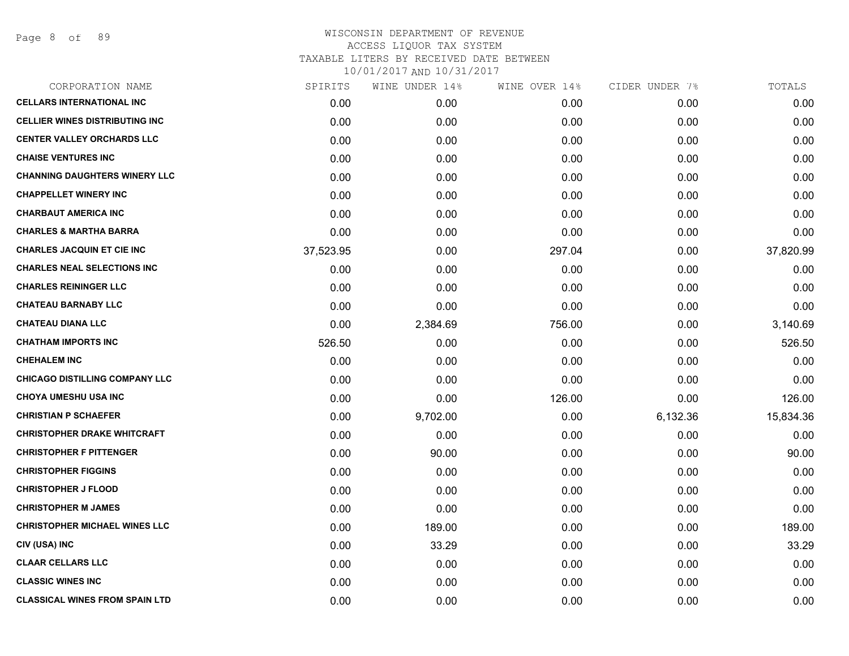| CORPORATION NAME                       | SPIRITS   | WINE UNDER 14% | WINE OVER 14% | CIDER UNDER 7% | TOTALS    |
|----------------------------------------|-----------|----------------|---------------|----------------|-----------|
| <b>CELLARS INTERNATIONAL INC</b>       | 0.00      | 0.00           | 0.00          | 0.00           | 0.00      |
| <b>CELLIER WINES DISTRIBUTING INC.</b> | 0.00      | 0.00           | 0.00          | 0.00           | 0.00      |
| <b>CENTER VALLEY ORCHARDS LLC</b>      | 0.00      | 0.00           | 0.00          | 0.00           | 0.00      |
| <b>CHAISE VENTURES INC</b>             | 0.00      | 0.00           | 0.00          | 0.00           | 0.00      |
| <b>CHANNING DAUGHTERS WINERY LLC</b>   | 0.00      | 0.00           | 0.00          | 0.00           | 0.00      |
| <b>CHAPPELLET WINERY INC</b>           | 0.00      | 0.00           | 0.00          | 0.00           | 0.00      |
| <b>CHARBAUT AMERICA INC</b>            | 0.00      | 0.00           | 0.00          | 0.00           | 0.00      |
| <b>CHARLES &amp; MARTHA BARRA</b>      | 0.00      | 0.00           | 0.00          | 0.00           | 0.00      |
| <b>CHARLES JACQUIN ET CIE INC</b>      | 37,523.95 | 0.00           | 297.04        | 0.00           | 37,820.99 |
| <b>CHARLES NEAL SELECTIONS INC</b>     | 0.00      | 0.00           | 0.00          | 0.00           | 0.00      |
| <b>CHARLES REININGER LLC</b>           | 0.00      | 0.00           | 0.00          | 0.00           | 0.00      |
| <b>CHATEAU BARNABY LLC</b>             | 0.00      | 0.00           | 0.00          | 0.00           | 0.00      |
| <b>CHATEAU DIANA LLC</b>               | 0.00      | 2,384.69       | 756.00        | 0.00           | 3,140.69  |
| <b>CHATHAM IMPORTS INC</b>             | 526.50    | 0.00           | 0.00          | 0.00           | 526.50    |
| <b>CHEHALEM INC</b>                    | 0.00      | 0.00           | 0.00          | 0.00           | 0.00      |
| <b>CHICAGO DISTILLING COMPANY LLC</b>  | 0.00      | 0.00           | 0.00          | 0.00           | 0.00      |
| <b>CHOYA UMESHU USA INC</b>            | 0.00      | 0.00           | 126.00        | 0.00           | 126.00    |
| <b>CHRISTIAN P SCHAEFER</b>            | 0.00      | 9,702.00       | 0.00          | 6,132.36       | 15,834.36 |
| <b>CHRISTOPHER DRAKE WHITCRAFT</b>     | 0.00      | 0.00           | 0.00          | 0.00           | 0.00      |
| <b>CHRISTOPHER F PITTENGER</b>         | 0.00      | 90.00          | 0.00          | 0.00           | 90.00     |
| <b>CHRISTOPHER FIGGINS</b>             | 0.00      | 0.00           | 0.00          | 0.00           | 0.00      |
| <b>CHRISTOPHER J FLOOD</b>             | 0.00      | 0.00           | 0.00          | 0.00           | 0.00      |
| <b>CHRISTOPHER M JAMES</b>             | 0.00      | 0.00           | 0.00          | 0.00           | 0.00      |
| <b>CHRISTOPHER MICHAEL WINES LLC</b>   | 0.00      | 189.00         | 0.00          | 0.00           | 189.00    |
| CIV (USA) INC                          | 0.00      | 33.29          | 0.00          | 0.00           | 33.29     |
| <b>CLAAR CELLARS LLC</b>               | 0.00      | 0.00           | 0.00          | 0.00           | 0.00      |
| <b>CLASSIC WINES INC</b>               | 0.00      | 0.00           | 0.00          | 0.00           | 0.00      |
| <b>CLASSICAL WINES FROM SPAIN LTD</b>  | 0.00      | 0.00           | 0.00          | 0.00           | 0.00      |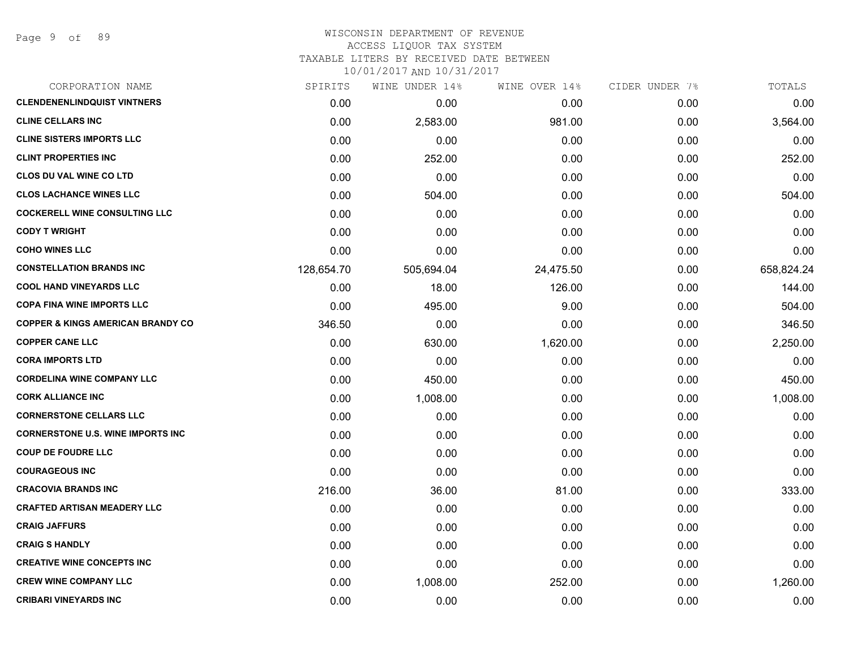Page 9 of 89

# WISCONSIN DEPARTMENT OF REVENUE ACCESS LIQUOR TAX SYSTEM

TAXABLE LITERS BY RECEIVED DATE BETWEEN

| CORPORATION NAME                             | SPIRITS    | WINE UNDER 14% | WINE OVER 14% | CIDER UNDER 7% | TOTALS     |
|----------------------------------------------|------------|----------------|---------------|----------------|------------|
| <b>CLENDENENLINDQUIST VINTNERS</b>           | 0.00       | 0.00           | 0.00          | 0.00           | 0.00       |
| <b>CLINE CELLARS INC</b>                     | 0.00       | 2,583.00       | 981.00        | 0.00           | 3,564.00   |
| <b>CLINE SISTERS IMPORTS LLC</b>             | 0.00       | 0.00           | 0.00          | 0.00           | 0.00       |
| <b>CLINT PROPERTIES INC</b>                  | 0.00       | 252.00         | 0.00          | 0.00           | 252.00     |
| <b>CLOS DU VAL WINE CO LTD</b>               | 0.00       | 0.00           | 0.00          | 0.00           | 0.00       |
| <b>CLOS LACHANCE WINES LLC</b>               | 0.00       | 504.00         | 0.00          | 0.00           | 504.00     |
| <b>COCKERELL WINE CONSULTING LLC</b>         | 0.00       | 0.00           | 0.00          | 0.00           | 0.00       |
| <b>CODY T WRIGHT</b>                         | 0.00       | 0.00           | 0.00          | 0.00           | 0.00       |
| <b>COHO WINES LLC</b>                        | 0.00       | 0.00           | 0.00          | 0.00           | 0.00       |
| <b>CONSTELLATION BRANDS INC</b>              | 128,654.70 | 505,694.04     | 24,475.50     | 0.00           | 658,824.24 |
| <b>COOL HAND VINEYARDS LLC</b>               | 0.00       | 18.00          | 126.00        | 0.00           | 144.00     |
| <b>COPA FINA WINE IMPORTS LLC</b>            | 0.00       | 495.00         | 9.00          | 0.00           | 504.00     |
| <b>COPPER &amp; KINGS AMERICAN BRANDY CO</b> | 346.50     | 0.00           | 0.00          | 0.00           | 346.50     |
| <b>COPPER CANE LLC</b>                       | 0.00       | 630.00         | 1,620.00      | 0.00           | 2,250.00   |
| <b>CORA IMPORTS LTD</b>                      | 0.00       | 0.00           | 0.00          | 0.00           | 0.00       |
| <b>CORDELINA WINE COMPANY LLC</b>            | 0.00       | 450.00         | 0.00          | 0.00           | 450.00     |
| <b>CORK ALLIANCE INC</b>                     | 0.00       | 1,008.00       | 0.00          | 0.00           | 1,008.00   |
| <b>CORNERSTONE CELLARS LLC</b>               | 0.00       | 0.00           | 0.00          | 0.00           | 0.00       |
| <b>CORNERSTONE U.S. WINE IMPORTS INC</b>     | 0.00       | 0.00           | 0.00          | 0.00           | 0.00       |
| <b>COUP DE FOUDRE LLC</b>                    | 0.00       | 0.00           | 0.00          | 0.00           | 0.00       |
| <b>COURAGEOUS INC</b>                        | 0.00       | 0.00           | 0.00          | 0.00           | 0.00       |
| <b>CRACOVIA BRANDS INC</b>                   | 216.00     | 36.00          | 81.00         | 0.00           | 333.00     |
| <b>CRAFTED ARTISAN MEADERY LLC</b>           | 0.00       | 0.00           | 0.00          | 0.00           | 0.00       |
| <b>CRAIG JAFFURS</b>                         | 0.00       | 0.00           | 0.00          | 0.00           | 0.00       |
| <b>CRAIG S HANDLY</b>                        | 0.00       | 0.00           | 0.00          | 0.00           | 0.00       |
| <b>CREATIVE WINE CONCEPTS INC</b>            | 0.00       | 0.00           | 0.00          | 0.00           | 0.00       |
| <b>CREW WINE COMPANY LLC</b>                 | 0.00       | 1,008.00       | 252.00        | 0.00           | 1,260.00   |
| <b>CRIBARI VINEYARDS INC</b>                 | 0.00       | 0.00           | 0.00          | 0.00           | 0.00       |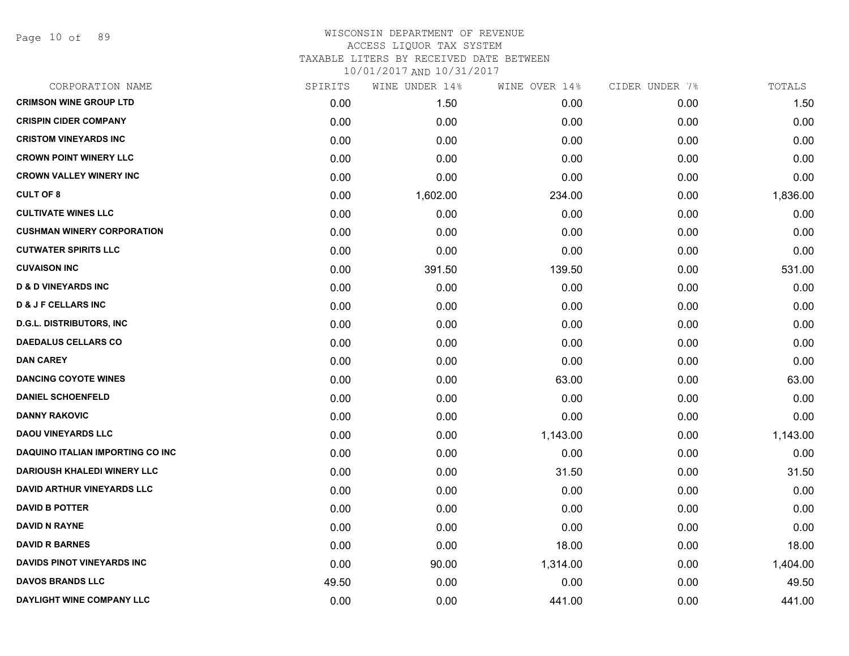Page 10 of 89

| CORPORATION NAME                   | SPIRITS | WINE UNDER 14% | WINE OVER 14% | CIDER UNDER 7% | TOTALS   |
|------------------------------------|---------|----------------|---------------|----------------|----------|
| <b>CRIMSON WINE GROUP LTD</b>      | 0.00    | 1.50           | 0.00          | 0.00           | 1.50     |
| <b>CRISPIN CIDER COMPANY</b>       | 0.00    | 0.00           | 0.00          | 0.00           | 0.00     |
| <b>CRISTOM VINEYARDS INC</b>       | 0.00    | 0.00           | 0.00          | 0.00           | 0.00     |
| <b>CROWN POINT WINERY LLC</b>      | 0.00    | 0.00           | 0.00          | 0.00           | 0.00     |
| <b>CROWN VALLEY WINERY INC</b>     | 0.00    | 0.00           | 0.00          | 0.00           | 0.00     |
| <b>CULT OF 8</b>                   | 0.00    | 1,602.00       | 234.00        | 0.00           | 1,836.00 |
| <b>CULTIVATE WINES LLC</b>         | 0.00    | 0.00           | 0.00          | 0.00           | 0.00     |
| <b>CUSHMAN WINERY CORPORATION</b>  | 0.00    | 0.00           | 0.00          | 0.00           | 0.00     |
| <b>CUTWATER SPIRITS LLC</b>        | 0.00    | 0.00           | 0.00          | 0.00           | 0.00     |
| <b>CUVAISON INC</b>                | 0.00    | 391.50         | 139.50        | 0.00           | 531.00   |
| <b>D &amp; D VINEYARDS INC</b>     | 0.00    | 0.00           | 0.00          | 0.00           | 0.00     |
| <b>D &amp; J F CELLARS INC</b>     | 0.00    | 0.00           | 0.00          | 0.00           | 0.00     |
| <b>D.G.L. DISTRIBUTORS, INC</b>    | 0.00    | 0.00           | 0.00          | 0.00           | 0.00     |
| <b>DAEDALUS CELLARS CO</b>         | 0.00    | 0.00           | 0.00          | 0.00           | 0.00     |
| <b>DAN CAREY</b>                   | 0.00    | 0.00           | 0.00          | 0.00           | 0.00     |
| <b>DANCING COYOTE WINES</b>        | 0.00    | 0.00           | 63.00         | 0.00           | 63.00    |
| <b>DANIEL SCHOENFELD</b>           | 0.00    | 0.00           | 0.00          | 0.00           | 0.00     |
| <b>DANNY RAKOVIC</b>               | 0.00    | 0.00           | 0.00          | 0.00           | 0.00     |
| <b>DAOU VINEYARDS LLC</b>          | 0.00    | 0.00           | 1,143.00      | 0.00           | 1,143.00 |
| DAQUINO ITALIAN IMPORTING CO INC   | 0.00    | 0.00           | 0.00          | 0.00           | 0.00     |
| <b>DARIOUSH KHALEDI WINERY LLC</b> | 0.00    | 0.00           | 31.50         | 0.00           | 31.50    |
| <b>DAVID ARTHUR VINEYARDS LLC</b>  | 0.00    | 0.00           | 0.00          | 0.00           | 0.00     |
| <b>DAVID B POTTER</b>              | 0.00    | 0.00           | 0.00          | 0.00           | 0.00     |
| <b>DAVID N RAYNE</b>               | 0.00    | 0.00           | 0.00          | 0.00           | 0.00     |
| <b>DAVID R BARNES</b>              | 0.00    | 0.00           | 18.00         | 0.00           | 18.00    |
| DAVIDS PINOT VINEYARDS INC         | 0.00    | 90.00          | 1,314.00      | 0.00           | 1,404.00 |
| <b>DAVOS BRANDS LLC</b>            | 49.50   | 0.00           | 0.00          | 0.00           | 49.50    |
| DAYLIGHT WINE COMPANY LLC          | 0.00    | 0.00           | 441.00        | 0.00           | 441.00   |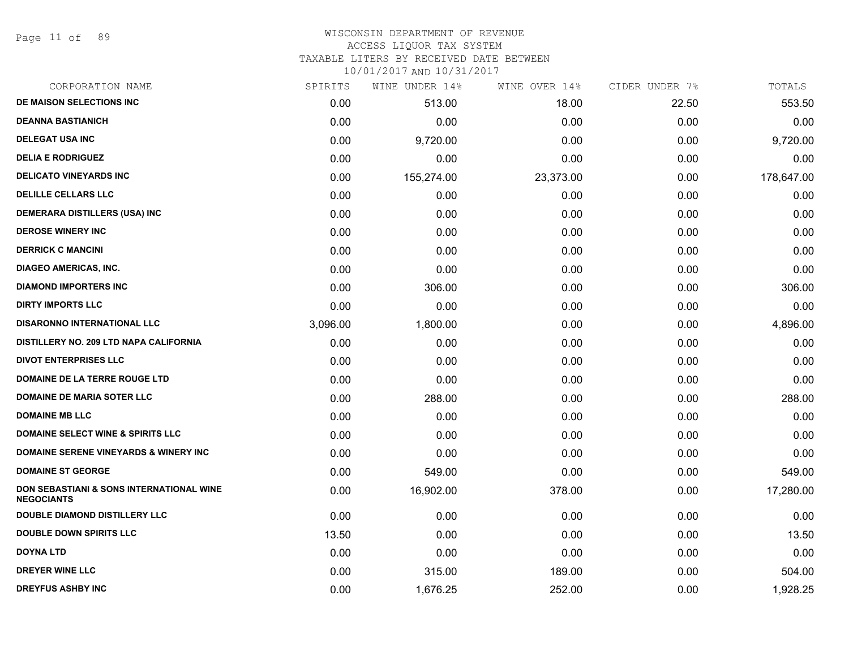#### WISCONSIN DEPARTMENT OF REVENUE ACCESS LIQUOR TAX SYSTEM

TAXABLE LITERS BY RECEIVED DATE BETWEEN

| CORPORATION NAME                                                         | SPIRITS  | WINE UNDER 14% | WINE OVER 14% | CIDER UNDER 7% | TOTALS     |
|--------------------------------------------------------------------------|----------|----------------|---------------|----------------|------------|
| DE MAISON SELECTIONS INC                                                 | 0.00     | 513.00         | 18.00         | 22.50          | 553.50     |
| <b>DEANNA BASTIANICH</b>                                                 | 0.00     | 0.00           | 0.00          | 0.00           | 0.00       |
| <b>DELEGAT USA INC</b>                                                   | 0.00     | 9,720.00       | 0.00          | 0.00           | 9,720.00   |
| <b>DELIA E RODRIGUEZ</b>                                                 | 0.00     | 0.00           | 0.00          | 0.00           | 0.00       |
| <b>DELICATO VINEYARDS INC</b>                                            | 0.00     | 155,274.00     | 23,373.00     | 0.00           | 178,647.00 |
| <b>DELILLE CELLARS LLC</b>                                               | 0.00     | 0.00           | 0.00          | 0.00           | 0.00       |
| DEMERARA DISTILLERS (USA) INC                                            | 0.00     | 0.00           | 0.00          | 0.00           | 0.00       |
| <b>DEROSE WINERY INC</b>                                                 | 0.00     | 0.00           | 0.00          | 0.00           | 0.00       |
| <b>DERRICK C MANCINI</b>                                                 | 0.00     | 0.00           | 0.00          | 0.00           | 0.00       |
| <b>DIAGEO AMERICAS, INC.</b>                                             | 0.00     | 0.00           | 0.00          | 0.00           | 0.00       |
| <b>DIAMOND IMPORTERS INC</b>                                             | 0.00     | 306.00         | 0.00          | 0.00           | 306.00     |
| <b>DIRTY IMPORTS LLC</b>                                                 | 0.00     | 0.00           | 0.00          | 0.00           | 0.00       |
| <b>DISARONNO INTERNATIONAL LLC</b>                                       | 3,096.00 | 1,800.00       | 0.00          | 0.00           | 4,896.00   |
| DISTILLERY NO. 209 LTD NAPA CALIFORNIA                                   | 0.00     | 0.00           | 0.00          | 0.00           | 0.00       |
| <b>DIVOT ENTERPRISES LLC</b>                                             | 0.00     | 0.00           | 0.00          | 0.00           | 0.00       |
| DOMAINE DE LA TERRE ROUGE LTD                                            | 0.00     | 0.00           | 0.00          | 0.00           | 0.00       |
| <b>DOMAINE DE MARIA SOTER LLC</b>                                        | 0.00     | 288.00         | 0.00          | 0.00           | 288.00     |
| <b>DOMAINE MB LLC</b>                                                    | 0.00     | 0.00           | 0.00          | 0.00           | 0.00       |
| <b>DOMAINE SELECT WINE &amp; SPIRITS LLC</b>                             | 0.00     | 0.00           | 0.00          | 0.00           | 0.00       |
| <b>DOMAINE SERENE VINEYARDS &amp; WINERY INC</b>                         | 0.00     | 0.00           | 0.00          | 0.00           | 0.00       |
| <b>DOMAINE ST GEORGE</b>                                                 | 0.00     | 549.00         | 0.00          | 0.00           | 549.00     |
| <b>DON SEBASTIANI &amp; SONS INTERNATIONAL WINE</b><br><b>NEGOCIANTS</b> | 0.00     | 16,902.00      | 378.00        | 0.00           | 17,280.00  |
| DOUBLE DIAMOND DISTILLERY LLC                                            | 0.00     | 0.00           | 0.00          | 0.00           | 0.00       |
| <b>DOUBLE DOWN SPIRITS LLC</b>                                           | 13.50    | 0.00           | 0.00          | 0.00           | 13.50      |
| <b>DOYNA LTD</b>                                                         | 0.00     | 0.00           | 0.00          | 0.00           | 0.00       |
| <b>DREYER WINE LLC</b>                                                   | 0.00     | 315.00         | 189.00        | 0.00           | 504.00     |
| <b>DREYFUS ASHBY INC</b>                                                 | 0.00     | 1,676.25       | 252.00        | 0.00           | 1,928.25   |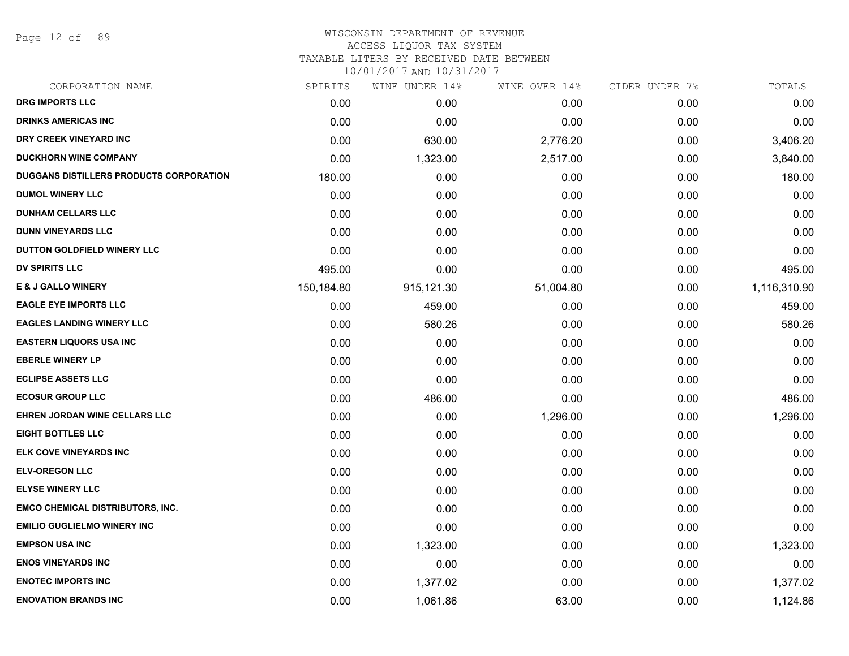Page 12 of 89

#### WISCONSIN DEPARTMENT OF REVENUE ACCESS LIQUOR TAX SYSTEM

TAXABLE LITERS BY RECEIVED DATE BETWEEN

| CORPORATION NAME                        | SPIRITS    | WINE UNDER 14% | WINE OVER 14% | CIDER UNDER 7% | TOTALS       |
|-----------------------------------------|------------|----------------|---------------|----------------|--------------|
| <b>DRG IMPORTS LLC</b>                  | 0.00       | 0.00           | 0.00          | 0.00           | 0.00         |
| <b>DRINKS AMERICAS INC</b>              | 0.00       | 0.00           | 0.00          | 0.00           | 0.00         |
| DRY CREEK VINEYARD INC                  | 0.00       | 630.00         | 2,776.20      | 0.00           | 3,406.20     |
| <b>DUCKHORN WINE COMPANY</b>            | 0.00       | 1,323.00       | 2,517.00      | 0.00           | 3,840.00     |
| DUGGANS DISTILLERS PRODUCTS CORPORATION | 180.00     | 0.00           | 0.00          | 0.00           | 180.00       |
| <b>DUMOL WINERY LLC</b>                 | 0.00       | 0.00           | 0.00          | 0.00           | 0.00         |
| <b>DUNHAM CELLARS LLC</b>               | 0.00       | 0.00           | 0.00          | 0.00           | 0.00         |
| <b>DUNN VINEYARDS LLC</b>               | 0.00       | 0.00           | 0.00          | 0.00           | 0.00         |
| DUTTON GOLDFIELD WINERY LLC             | 0.00       | 0.00           | 0.00          | 0.00           | 0.00         |
| <b>DV SPIRITS LLC</b>                   | 495.00     | 0.00           | 0.00          | 0.00           | 495.00       |
| <b>E &amp; J GALLO WINERY</b>           | 150,184.80 | 915,121.30     | 51,004.80     | 0.00           | 1,116,310.90 |
| <b>EAGLE EYE IMPORTS LLC</b>            | 0.00       | 459.00         | 0.00          | 0.00           | 459.00       |
| <b>EAGLES LANDING WINERY LLC</b>        | 0.00       | 580.26         | 0.00          | 0.00           | 580.26       |
| <b>EASTERN LIQUORS USA INC</b>          | 0.00       | 0.00           | 0.00          | 0.00           | 0.00         |
| <b>EBERLE WINERY LP</b>                 | 0.00       | 0.00           | 0.00          | 0.00           | 0.00         |
| <b>ECLIPSE ASSETS LLC</b>               | 0.00       | 0.00           | 0.00          | 0.00           | 0.00         |
| <b>ECOSUR GROUP LLC</b>                 | 0.00       | 486.00         | 0.00          | 0.00           | 486.00       |
| EHREN JORDAN WINE CELLARS LLC           | 0.00       | 0.00           | 1,296.00      | 0.00           | 1,296.00     |
| <b>EIGHT BOTTLES LLC</b>                | 0.00       | 0.00           | 0.00          | 0.00           | 0.00         |
| ELK COVE VINEYARDS INC                  | 0.00       | 0.00           | 0.00          | 0.00           | 0.00         |
| <b>ELV-OREGON LLC</b>                   | 0.00       | 0.00           | 0.00          | 0.00           | 0.00         |
| <b>ELYSE WINERY LLC</b>                 | 0.00       | 0.00           | 0.00          | 0.00           | 0.00         |
| <b>EMCO CHEMICAL DISTRIBUTORS, INC.</b> | 0.00       | 0.00           | 0.00          | 0.00           | 0.00         |
| <b>EMILIO GUGLIELMO WINERY INC</b>      | 0.00       | 0.00           | 0.00          | 0.00           | 0.00         |
| <b>EMPSON USA INC</b>                   | 0.00       | 1,323.00       | 0.00          | 0.00           | 1,323.00     |
| <b>ENOS VINEYARDS INC</b>               | 0.00       | 0.00           | 0.00          | 0.00           | 0.00         |
| <b>ENOTEC IMPORTS INC</b>               | 0.00       | 1,377.02       | 0.00          | 0.00           | 1,377.02     |
| <b>ENOVATION BRANDS INC</b>             | 0.00       | 1,061.86       | 63.00         | 0.00           | 1,124.86     |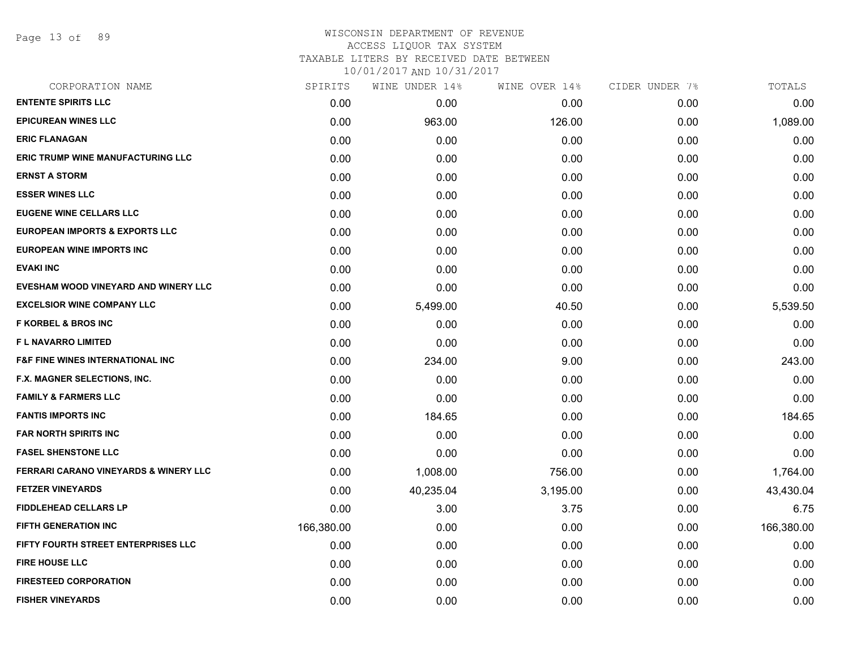Page 13 of 89

#### WISCONSIN DEPARTMENT OF REVENUE ACCESS LIQUOR TAX SYSTEM TAXABLE LITERS BY RECEIVED DATE BETWEEN

| CORPORATION NAME                            | SPIRITS    | WINE UNDER 14% | WINE OVER 14% | CIDER UNDER 7% | TOTALS     |
|---------------------------------------------|------------|----------------|---------------|----------------|------------|
| <b>ENTENTE SPIRITS LLC</b>                  | 0.00       | 0.00           | 0.00          | 0.00           | 0.00       |
| <b>EPICUREAN WINES LLC</b>                  | 0.00       | 963.00         | 126.00        | 0.00           | 1,089.00   |
| <b>ERIC FLANAGAN</b>                        | 0.00       | 0.00           | 0.00          | 0.00           | 0.00       |
| <b>ERIC TRUMP WINE MANUFACTURING LLC</b>    | 0.00       | 0.00           | 0.00          | 0.00           | 0.00       |
| <b>ERNST A STORM</b>                        | 0.00       | 0.00           | 0.00          | 0.00           | 0.00       |
| <b>ESSER WINES LLC</b>                      | 0.00       | 0.00           | 0.00          | 0.00           | 0.00       |
| <b>EUGENE WINE CELLARS LLC</b>              | 0.00       | 0.00           | 0.00          | 0.00           | 0.00       |
| <b>EUROPEAN IMPORTS &amp; EXPORTS LLC</b>   | 0.00       | 0.00           | 0.00          | 0.00           | 0.00       |
| <b>EUROPEAN WINE IMPORTS INC</b>            | 0.00       | 0.00           | 0.00          | 0.00           | 0.00       |
| <b>EVAKI INC</b>                            | 0.00       | 0.00           | 0.00          | 0.00           | 0.00       |
| EVESHAM WOOD VINEYARD AND WINERY LLC        | 0.00       | 0.00           | 0.00          | 0.00           | 0.00       |
| <b>EXCELSIOR WINE COMPANY LLC</b>           | 0.00       | 5,499.00       | 40.50         | 0.00           | 5,539.50   |
| <b>F KORBEL &amp; BROS INC</b>              | 0.00       | 0.00           | 0.00          | 0.00           | 0.00       |
| <b>FL NAVARRO LIMITED</b>                   | 0.00       | 0.00           | 0.00          | 0.00           | 0.00       |
| <b>F&amp;F FINE WINES INTERNATIONAL INC</b> | 0.00       | 234.00         | 9.00          | 0.00           | 243.00     |
| F.X. MAGNER SELECTIONS, INC.                | 0.00       | 0.00           | 0.00          | 0.00           | 0.00       |
| <b>FAMILY &amp; FARMERS LLC</b>             | 0.00       | 0.00           | 0.00          | 0.00           | 0.00       |
| <b>FANTIS IMPORTS INC</b>                   | 0.00       | 184.65         | 0.00          | 0.00           | 184.65     |
| <b>FAR NORTH SPIRITS INC</b>                | 0.00       | 0.00           | 0.00          | 0.00           | 0.00       |
| <b>FASEL SHENSTONE LLC</b>                  | 0.00       | 0.00           | 0.00          | 0.00           | 0.00       |
| FERRARI CARANO VINEYARDS & WINERY LLC       | 0.00       | 1,008.00       | 756.00        | 0.00           | 1,764.00   |
| <b>FETZER VINEYARDS</b>                     | 0.00       | 40,235.04      | 3,195.00      | 0.00           | 43,430.04  |
| <b>FIDDLEHEAD CELLARS LP</b>                | 0.00       | 3.00           | 3.75          | 0.00           | 6.75       |
| <b>FIFTH GENERATION INC</b>                 | 166,380.00 | 0.00           | 0.00          | 0.00           | 166,380.00 |
| FIFTY FOURTH STREET ENTERPRISES LLC         | 0.00       | 0.00           | 0.00          | 0.00           | 0.00       |
| <b>FIRE HOUSE LLC</b>                       | 0.00       | 0.00           | 0.00          | 0.00           | 0.00       |
| <b>FIRESTEED CORPORATION</b>                | 0.00       | 0.00           | 0.00          | 0.00           | 0.00       |
| <b>FISHER VINEYARDS</b>                     | 0.00       | 0.00           | 0.00          | 0.00           | 0.00       |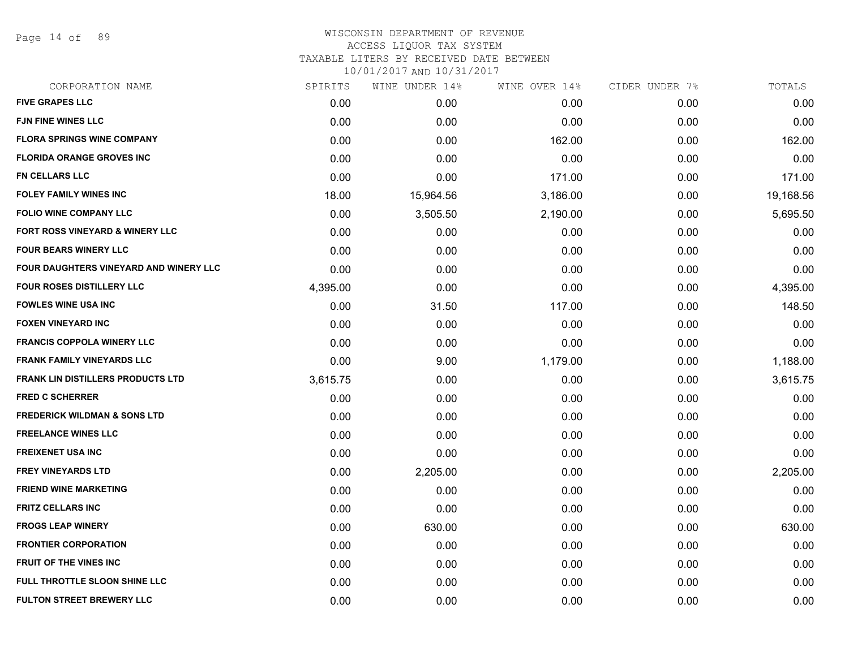Page 14 of 89

## WISCONSIN DEPARTMENT OF REVENUE ACCESS LIQUOR TAX SYSTEM TAXABLE LITERS BY RECEIVED DATE BETWEEN

| CORPORATION NAME                         | SPIRITS  | WINE UNDER 14% | WINE OVER 14% | CIDER UNDER 7% | TOTALS    |
|------------------------------------------|----------|----------------|---------------|----------------|-----------|
| <b>FIVE GRAPES LLC</b>                   | 0.00     | 0.00           | 0.00          | 0.00           | 0.00      |
| <b>FJN FINE WINES LLC</b>                | 0.00     | 0.00           | 0.00          | 0.00           | 0.00      |
| <b>FLORA SPRINGS WINE COMPANY</b>        | 0.00     | 0.00           | 162.00        | 0.00           | 162.00    |
| <b>FLORIDA ORANGE GROVES INC</b>         | 0.00     | 0.00           | 0.00          | 0.00           | 0.00      |
| FN CELLARS LLC                           | 0.00     | 0.00           | 171.00        | 0.00           | 171.00    |
| <b>FOLEY FAMILY WINES INC</b>            | 18.00    | 15,964.56      | 3,186.00      | 0.00           | 19,168.56 |
| <b>FOLIO WINE COMPANY LLC</b>            | 0.00     | 3,505.50       | 2,190.00      | 0.00           | 5,695.50  |
| FORT ROSS VINEYARD & WINERY LLC          | 0.00     | 0.00           | 0.00          | 0.00           | 0.00      |
| <b>FOUR BEARS WINERY LLC</b>             | 0.00     | 0.00           | 0.00          | 0.00           | 0.00      |
| FOUR DAUGHTERS VINEYARD AND WINERY LLC   | 0.00     | 0.00           | 0.00          | 0.00           | 0.00      |
| <b>FOUR ROSES DISTILLERY LLC</b>         | 4,395.00 | 0.00           | 0.00          | 0.00           | 4,395.00  |
| <b>FOWLES WINE USA INC</b>               | 0.00     | 31.50          | 117.00        | 0.00           | 148.50    |
| <b>FOXEN VINEYARD INC</b>                | 0.00     | 0.00           | 0.00          | 0.00           | 0.00      |
| <b>FRANCIS COPPOLA WINERY LLC</b>        | 0.00     | 0.00           | 0.00          | 0.00           | 0.00      |
| <b>FRANK FAMILY VINEYARDS LLC</b>        | 0.00     | 9.00           | 1,179.00      | 0.00           | 1,188.00  |
| <b>FRANK LIN DISTILLERS PRODUCTS LTD</b> | 3,615.75 | 0.00           | 0.00          | 0.00           | 3,615.75  |
| <b>FRED C SCHERRER</b>                   | 0.00     | 0.00           | 0.00          | 0.00           | 0.00      |
| <b>FREDERICK WILDMAN &amp; SONS LTD</b>  | 0.00     | 0.00           | 0.00          | 0.00           | 0.00      |
| <b>FREELANCE WINES LLC</b>               | 0.00     | 0.00           | 0.00          | 0.00           | 0.00      |
| <b>FREIXENET USA INC</b>                 | 0.00     | 0.00           | 0.00          | 0.00           | 0.00      |
| <b>FREY VINEYARDS LTD</b>                | 0.00     | 2,205.00       | 0.00          | 0.00           | 2,205.00  |
| <b>FRIEND WINE MARKETING</b>             | 0.00     | 0.00           | 0.00          | 0.00           | 0.00      |
| <b>FRITZ CELLARS INC</b>                 | 0.00     | 0.00           | 0.00          | 0.00           | 0.00      |
| <b>FROGS LEAP WINERY</b>                 | 0.00     | 630.00         | 0.00          | 0.00           | 630.00    |
| <b>FRONTIER CORPORATION</b>              | 0.00     | 0.00           | 0.00          | 0.00           | 0.00      |
| <b>FRUIT OF THE VINES INC</b>            | 0.00     | 0.00           | 0.00          | 0.00           | 0.00      |
| FULL THROTTLE SLOON SHINE LLC            | 0.00     | 0.00           | 0.00          | 0.00           | 0.00      |
| <b>FULTON STREET BREWERY LLC</b>         | 0.00     | 0.00           | 0.00          | 0.00           | 0.00      |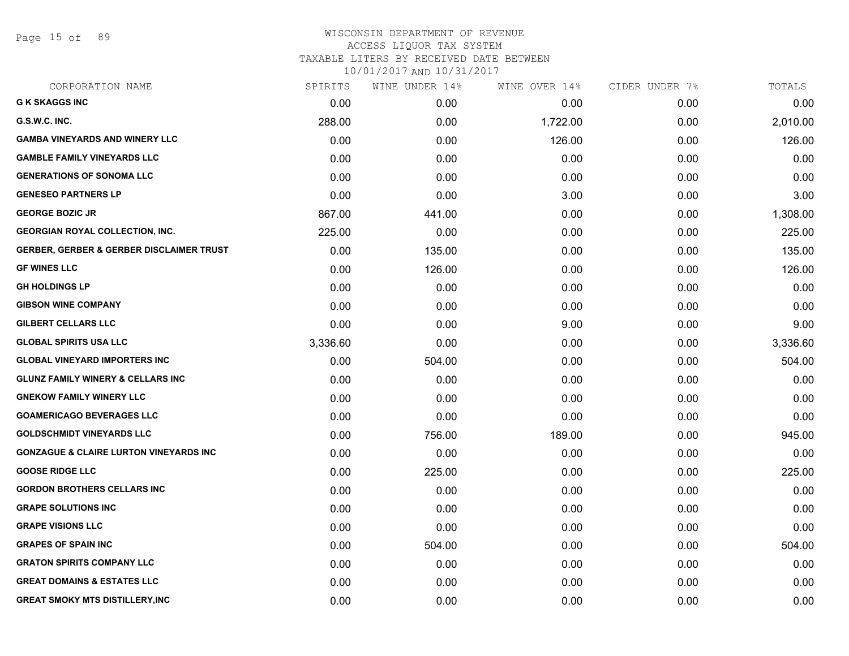Page 15 of 89

| CORPORATION NAME                                    | SPIRITS  | WINE UNDER 14% | WINE OVER 14% | CIDER UNDER 7% | TOTALS   |
|-----------------------------------------------------|----------|----------------|---------------|----------------|----------|
| <b>G K SKAGGS INC</b>                               | 0.00     | 0.00           | 0.00          | 0.00           | 0.00     |
| G.S.W.C. INC.                                       | 288.00   | 0.00           | 1,722.00      | 0.00           | 2,010.00 |
| <b>GAMBA VINEYARDS AND WINERY LLC</b>               | 0.00     | 0.00           | 126.00        | 0.00           | 126.00   |
| <b>GAMBLE FAMILY VINEYARDS LLC</b>                  | 0.00     | 0.00           | 0.00          | 0.00           | 0.00     |
| <b>GENERATIONS OF SONOMA LLC</b>                    | 0.00     | 0.00           | 0.00          | 0.00           | 0.00     |
| <b>GENESEO PARTNERS LP</b>                          | 0.00     | 0.00           | 3.00          | 0.00           | 3.00     |
| <b>GEORGE BOZIC JR</b>                              | 867.00   | 441.00         | 0.00          | 0.00           | 1,308.00 |
| <b>GEORGIAN ROYAL COLLECTION, INC.</b>              | 225.00   | 0.00           | 0.00          | 0.00           | 225.00   |
| <b>GERBER, GERBER &amp; GERBER DISCLAIMER TRUST</b> | 0.00     | 135.00         | 0.00          | 0.00           | 135.00   |
| <b>GF WINES LLC</b>                                 | 0.00     | 126.00         | 0.00          | 0.00           | 126.00   |
| <b>GH HOLDINGS LP</b>                               | 0.00     | 0.00           | 0.00          | 0.00           | 0.00     |
| <b>GIBSON WINE COMPANY</b>                          | 0.00     | 0.00           | 0.00          | 0.00           | 0.00     |
| <b>GILBERT CELLARS LLC</b>                          | 0.00     | 0.00           | 9.00          | 0.00           | 9.00     |
| <b>GLOBAL SPIRITS USA LLC</b>                       | 3,336.60 | 0.00           | 0.00          | 0.00           | 3,336.60 |
| <b>GLOBAL VINEYARD IMPORTERS INC</b>                | 0.00     | 504.00         | 0.00          | 0.00           | 504.00   |
| <b>GLUNZ FAMILY WINERY &amp; CELLARS INC</b>        | 0.00     | 0.00           | 0.00          | 0.00           | 0.00     |
| <b>GNEKOW FAMILY WINERY LLC</b>                     | 0.00     | 0.00           | 0.00          | 0.00           | 0.00     |
| <b>GOAMERICAGO BEVERAGES LLC</b>                    | 0.00     | 0.00           | 0.00          | 0.00           | 0.00     |
| <b>GOLDSCHMIDT VINEYARDS LLC</b>                    | 0.00     | 756.00         | 189.00        | 0.00           | 945.00   |
| <b>GONZAGUE &amp; CLAIRE LURTON VINEYARDS INC</b>   | 0.00     | 0.00           | 0.00          | 0.00           | 0.00     |
| <b>GOOSE RIDGE LLC</b>                              | 0.00     | 225.00         | 0.00          | 0.00           | 225.00   |
| <b>GORDON BROTHERS CELLARS INC</b>                  | 0.00     | 0.00           | 0.00          | 0.00           | 0.00     |
| <b>GRAPE SOLUTIONS INC</b>                          | 0.00     | 0.00           | 0.00          | 0.00           | 0.00     |
| <b>GRAPE VISIONS LLC</b>                            | 0.00     | 0.00           | 0.00          | 0.00           | 0.00     |
| <b>GRAPES OF SPAIN INC</b>                          | 0.00     | 504.00         | 0.00          | 0.00           | 504.00   |
| <b>GRATON SPIRITS COMPANY LLC</b>                   | 0.00     | 0.00           | 0.00          | 0.00           | 0.00     |
| <b>GREAT DOMAINS &amp; ESTATES LLC</b>              | 0.00     | 0.00           | 0.00          | 0.00           | 0.00     |
| <b>GREAT SMOKY MTS DISTILLERY, INC</b>              | 0.00     | 0.00           | 0.00          | 0.00           | 0.00     |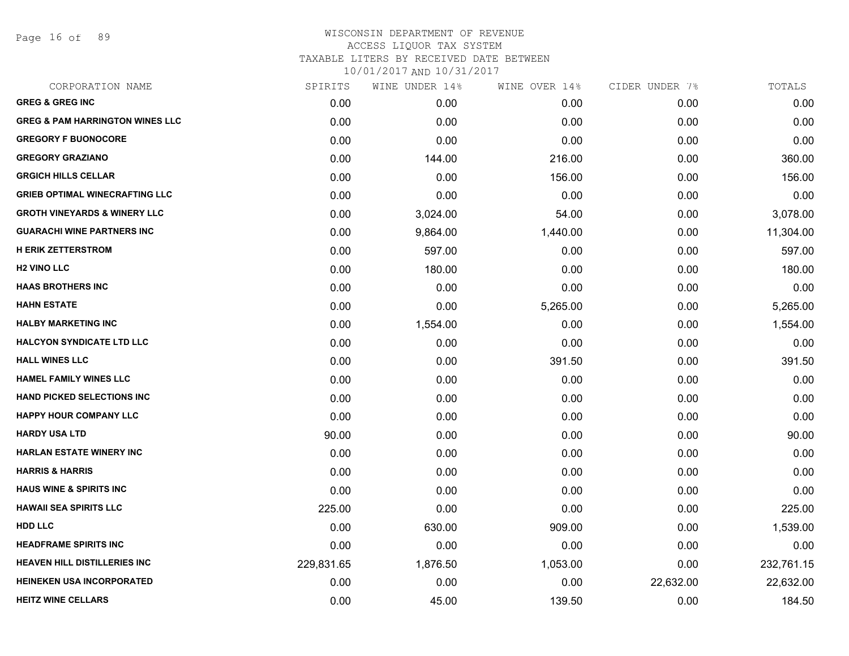Page 16 of 89

| CORPORATION NAME                           | SPIRITS    | WINE UNDER 14% | WINE OVER 14% | CIDER UNDER 7% | TOTALS     |
|--------------------------------------------|------------|----------------|---------------|----------------|------------|
| <b>GREG &amp; GREG INC</b>                 | 0.00       | 0.00           | 0.00          | 0.00           | 0.00       |
| <b>GREG &amp; PAM HARRINGTON WINES LLC</b> | 0.00       | 0.00           | 0.00          | 0.00           | 0.00       |
| <b>GREGORY F BUONOCORE</b>                 | 0.00       | 0.00           | 0.00          | 0.00           | 0.00       |
| <b>GREGORY GRAZIANO</b>                    | 0.00       | 144.00         | 216.00        | 0.00           | 360.00     |
| <b>GRGICH HILLS CELLAR</b>                 | 0.00       | 0.00           | 156.00        | 0.00           | 156.00     |
| <b>GRIEB OPTIMAL WINECRAFTING LLC</b>      | 0.00       | 0.00           | 0.00          | 0.00           | 0.00       |
| <b>GROTH VINEYARDS &amp; WINERY LLC</b>    | 0.00       | 3,024.00       | 54.00         | 0.00           | 3,078.00   |
| <b>GUARACHI WINE PARTNERS INC</b>          | 0.00       | 9,864.00       | 1,440.00      | 0.00           | 11,304.00  |
| <b>H ERIK ZETTERSTROM</b>                  | 0.00       | 597.00         | 0.00          | 0.00           | 597.00     |
| <b>H2 VINO LLC</b>                         | 0.00       | 180.00         | 0.00          | 0.00           | 180.00     |
| <b>HAAS BROTHERS INC</b>                   | 0.00       | 0.00           | 0.00          | 0.00           | 0.00       |
| <b>HAHN ESTATE</b>                         | 0.00       | 0.00           | 5,265.00      | 0.00           | 5,265.00   |
| <b>HALBY MARKETING INC</b>                 | 0.00       | 1,554.00       | 0.00          | 0.00           | 1,554.00   |
| <b>HALCYON SYNDICATE LTD LLC</b>           | 0.00       | 0.00           | 0.00          | 0.00           | 0.00       |
| <b>HALL WINES LLC</b>                      | 0.00       | 0.00           | 391.50        | 0.00           | 391.50     |
| <b>HAMEL FAMILY WINES LLC</b>              | 0.00       | 0.00           | 0.00          | 0.00           | 0.00       |
| <b>HAND PICKED SELECTIONS INC</b>          | 0.00       | 0.00           | 0.00          | 0.00           | 0.00       |
| <b>HAPPY HOUR COMPANY LLC</b>              | 0.00       | 0.00           | 0.00          | 0.00           | 0.00       |
| <b>HARDY USA LTD</b>                       | 90.00      | 0.00           | 0.00          | 0.00           | 90.00      |
| <b>HARLAN ESTATE WINERY INC</b>            | 0.00       | 0.00           | 0.00          | 0.00           | 0.00       |
| <b>HARRIS &amp; HARRIS</b>                 | 0.00       | 0.00           | 0.00          | 0.00           | 0.00       |
| <b>HAUS WINE &amp; SPIRITS INC</b>         | 0.00       | 0.00           | 0.00          | 0.00           | 0.00       |
| <b>HAWAII SEA SPIRITS LLC</b>              | 225.00     | 0.00           | 0.00          | 0.00           | 225.00     |
| <b>HDD LLC</b>                             | 0.00       | 630.00         | 909.00        | 0.00           | 1,539.00   |
| <b>HEADFRAME SPIRITS INC</b>               | 0.00       | 0.00           | 0.00          | 0.00           | 0.00       |
| <b>HEAVEN HILL DISTILLERIES INC</b>        | 229,831.65 | 1,876.50       | 1,053.00      | 0.00           | 232,761.15 |
| <b>HEINEKEN USA INCORPORATED</b>           | 0.00       | 0.00           | 0.00          | 22,632.00      | 22,632.00  |
| <b>HEITZ WINE CELLARS</b>                  | 0.00       | 45.00          | 139.50        | 0.00           | 184.50     |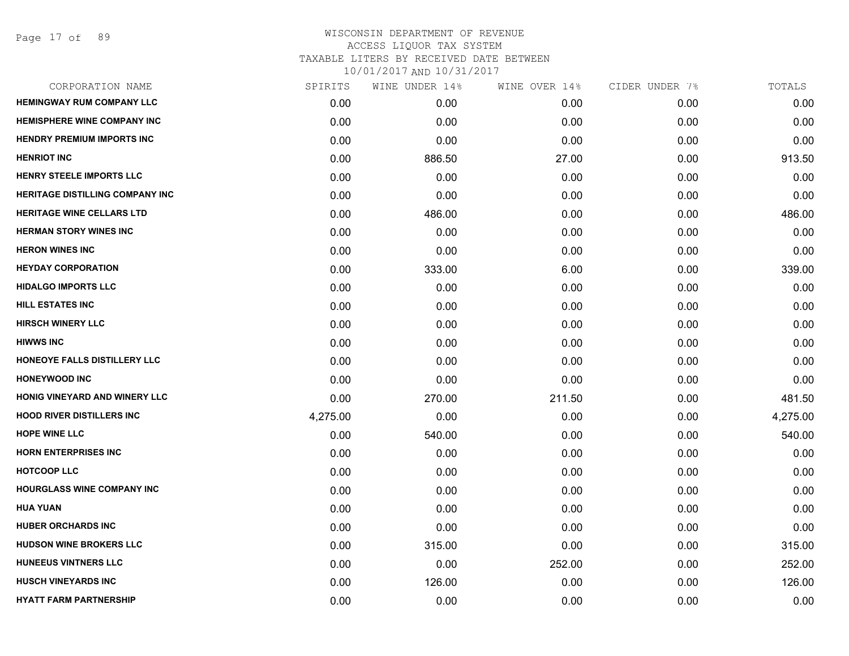| CORPORATION NAME                  | SPIRITS  | WINE UNDER 14% | WINE OVER 14% | CIDER UNDER 7% | TOTALS   |
|-----------------------------------|----------|----------------|---------------|----------------|----------|
| <b>HEMINGWAY RUM COMPANY LLC</b>  | 0.00     | 0.00           | 0.00          | 0.00           | 0.00     |
| HEMISPHERE WINE COMPANY INC       | 0.00     | 0.00           | 0.00          | 0.00           | 0.00     |
| <b>HENDRY PREMIUM IMPORTS INC</b> | 0.00     | 0.00           | 0.00          | 0.00           | 0.00     |
| <b>HENRIOT INC</b>                | 0.00     | 886.50         | 27.00         | 0.00           | 913.50   |
| HENRY STEELE IMPORTS LLC          | 0.00     | 0.00           | 0.00          | 0.00           | 0.00     |
| HERITAGE DISTILLING COMPANY INC   | 0.00     | 0.00           | 0.00          | 0.00           | 0.00     |
| <b>HERITAGE WINE CELLARS LTD</b>  | 0.00     | 486.00         | 0.00          | 0.00           | 486.00   |
| <b>HERMAN STORY WINES INC</b>     | 0.00     | 0.00           | 0.00          | 0.00           | 0.00     |
| <b>HERON WINES INC</b>            | 0.00     | 0.00           | 0.00          | 0.00           | 0.00     |
| <b>HEYDAY CORPORATION</b>         | 0.00     | 333.00         | 6.00          | 0.00           | 339.00   |
| <b>HIDALGO IMPORTS LLC</b>        | 0.00     | 0.00           | 0.00          | 0.00           | 0.00     |
| <b>HILL ESTATES INC</b>           | 0.00     | 0.00           | 0.00          | 0.00           | 0.00     |
| <b>HIRSCH WINERY LLC</b>          | 0.00     | 0.00           | 0.00          | 0.00           | 0.00     |
| <b>HIWWS INC</b>                  | 0.00     | 0.00           | 0.00          | 0.00           | 0.00     |
| HONEOYE FALLS DISTILLERY LLC      | 0.00     | 0.00           | 0.00          | 0.00           | 0.00     |
| <b>HONEYWOOD INC</b>              | 0.00     | 0.00           | 0.00          | 0.00           | 0.00     |
| HONIG VINEYARD AND WINERY LLC     | 0.00     | 270.00         | 211.50        | 0.00           | 481.50   |
| <b>HOOD RIVER DISTILLERS INC</b>  | 4,275.00 | 0.00           | 0.00          | 0.00           | 4,275.00 |
| <b>HOPE WINE LLC</b>              | 0.00     | 540.00         | 0.00          | 0.00           | 540.00   |
| <b>HORN ENTERPRISES INC</b>       | 0.00     | 0.00           | 0.00          | 0.00           | 0.00     |
| <b>HOTCOOP LLC</b>                | 0.00     | 0.00           | 0.00          | 0.00           | 0.00     |
| <b>HOURGLASS WINE COMPANY INC</b> | 0.00     | 0.00           | 0.00          | 0.00           | 0.00     |
| <b>HUA YUAN</b>                   | 0.00     | 0.00           | 0.00          | 0.00           | 0.00     |
| <b>HUBER ORCHARDS INC</b>         | 0.00     | 0.00           | 0.00          | 0.00           | 0.00     |
| <b>HUDSON WINE BROKERS LLC</b>    | 0.00     | 315.00         | 0.00          | 0.00           | 315.00   |
| <b>HUNEEUS VINTNERS LLC</b>       | 0.00     | 0.00           | 252.00        | 0.00           | 252.00   |
| <b>HUSCH VINEYARDS INC</b>        | 0.00     | 126.00         | 0.00          | 0.00           | 126.00   |
| <b>HYATT FARM PARTNERSHIP</b>     | 0.00     | 0.00           | 0.00          | 0.00           | 0.00     |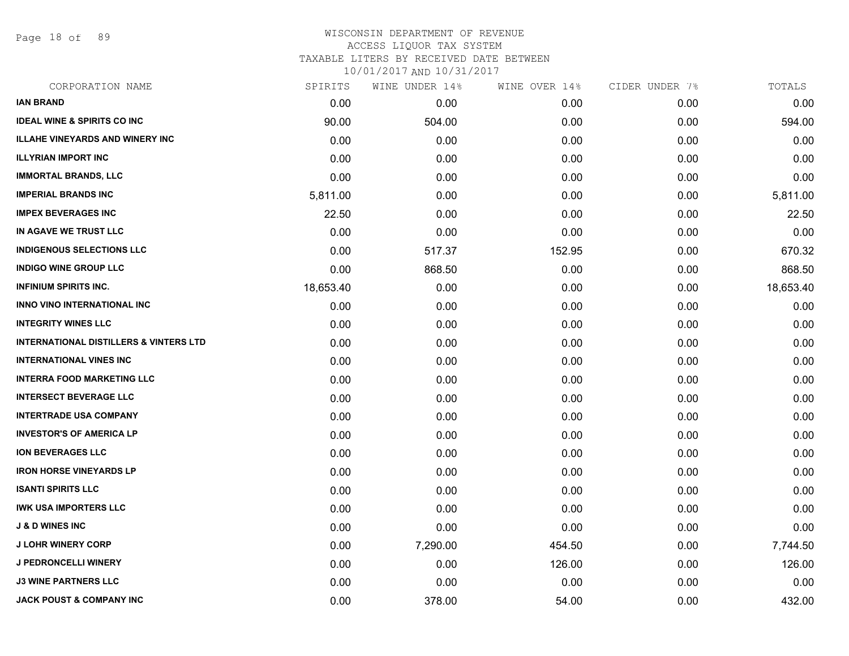Page 18 of 89

## WISCONSIN DEPARTMENT OF REVENUE ACCESS LIQUOR TAX SYSTEM TAXABLE LITERS BY RECEIVED DATE BETWEEN

| CORPORATION NAME                                  | SPIRITS   | WINE UNDER 14% | WINE OVER 14% | CIDER UNDER 7% | TOTALS    |
|---------------------------------------------------|-----------|----------------|---------------|----------------|-----------|
| <b>IAN BRAND</b>                                  | 0.00      | 0.00           | 0.00          | 0.00           | 0.00      |
| <b>IDEAL WINE &amp; SPIRITS CO INC</b>            | 90.00     | 504.00         | 0.00          | 0.00           | 594.00    |
| <b>ILLAHE VINEYARDS AND WINERY INC</b>            | 0.00      | 0.00           | 0.00          | 0.00           | 0.00      |
| <b>ILLYRIAN IMPORT INC</b>                        | 0.00      | 0.00           | 0.00          | 0.00           | 0.00      |
| <b>IMMORTAL BRANDS, LLC</b>                       | 0.00      | 0.00           | 0.00          | 0.00           | 0.00      |
| <b>IMPERIAL BRANDS INC</b>                        | 5,811.00  | 0.00           | 0.00          | 0.00           | 5,811.00  |
| <b>IMPEX BEVERAGES INC</b>                        | 22.50     | 0.00           | 0.00          | 0.00           | 22.50     |
| IN AGAVE WE TRUST LLC                             | 0.00      | 0.00           | 0.00          | 0.00           | 0.00      |
| <b>INDIGENOUS SELECTIONS LLC</b>                  | 0.00      | 517.37         | 152.95        | 0.00           | 670.32    |
| <b>INDIGO WINE GROUP LLC</b>                      | 0.00      | 868.50         | 0.00          | 0.00           | 868.50    |
| <b>INFINIUM SPIRITS INC.</b>                      | 18,653.40 | 0.00           | 0.00          | 0.00           | 18,653.40 |
| INNO VINO INTERNATIONAL INC                       | 0.00      | 0.00           | 0.00          | 0.00           | 0.00      |
| <b>INTEGRITY WINES LLC</b>                        | 0.00      | 0.00           | 0.00          | 0.00           | 0.00      |
| <b>INTERNATIONAL DISTILLERS &amp; VINTERS LTD</b> | 0.00      | 0.00           | 0.00          | 0.00           | 0.00      |
| <b>INTERNATIONAL VINES INC</b>                    | 0.00      | 0.00           | 0.00          | 0.00           | 0.00      |
| <b>INTERRA FOOD MARKETING LLC</b>                 | 0.00      | 0.00           | 0.00          | 0.00           | 0.00      |
| <b>INTERSECT BEVERAGE LLC</b>                     | 0.00      | 0.00           | 0.00          | 0.00           | 0.00      |
| <b>INTERTRADE USA COMPANY</b>                     | 0.00      | 0.00           | 0.00          | 0.00           | 0.00      |
| <b>INVESTOR'S OF AMERICA LP</b>                   | 0.00      | 0.00           | 0.00          | 0.00           | 0.00      |
| <b>ION BEVERAGES LLC</b>                          | 0.00      | 0.00           | 0.00          | 0.00           | 0.00      |
| <b>IRON HORSE VINEYARDS LP</b>                    | 0.00      | 0.00           | 0.00          | 0.00           | 0.00      |
| <b>ISANTI SPIRITS LLC</b>                         | 0.00      | 0.00           | 0.00          | 0.00           | 0.00      |
| <b>IWK USA IMPORTERS LLC</b>                      | 0.00      | 0.00           | 0.00          | 0.00           | 0.00      |
| <b>J &amp; D WINES INC</b>                        | 0.00      | 0.00           | 0.00          | 0.00           | 0.00      |
| <b>J LOHR WINERY CORP</b>                         | 0.00      | 7,290.00       | 454.50        | 0.00           | 7,744.50  |
| <b>J PEDRONCELLI WINERY</b>                       | 0.00      | 0.00           | 126.00        | 0.00           | 126.00    |
| <b>J3 WINE PARTNERS LLC</b>                       | 0.00      | 0.00           | 0.00          | 0.00           | 0.00      |
| <b>JACK POUST &amp; COMPANY INC</b>               | 0.00      | 378.00         | 54.00         | 0.00           | 432.00    |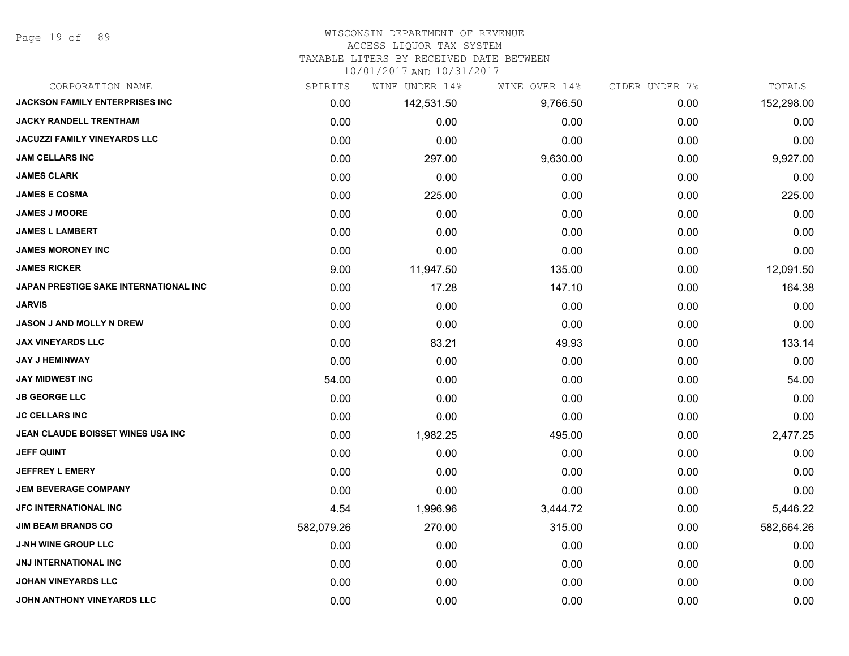Page 19 of 89

#### WISCONSIN DEPARTMENT OF REVENUE

#### ACCESS LIQUOR TAX SYSTEM

TAXABLE LITERS BY RECEIVED DATE BETWEEN

| CORPORATION NAME                      | SPIRITS    | WINE UNDER 14% | WINE OVER 14% | CIDER UNDER 7% | TOTALS     |
|---------------------------------------|------------|----------------|---------------|----------------|------------|
| <b>JACKSON FAMILY ENTERPRISES INC</b> | 0.00       | 142,531.50     | 9,766.50      | 0.00           | 152,298.00 |
| <b>JACKY RANDELL TRENTHAM</b>         | 0.00       | 0.00           | 0.00          | 0.00           | 0.00       |
| <b>JACUZZI FAMILY VINEYARDS LLC</b>   | 0.00       | 0.00           | 0.00          | 0.00           | 0.00       |
| <b>JAM CELLARS INC</b>                | 0.00       | 297.00         | 9,630.00      | 0.00           | 9,927.00   |
| <b>JAMES CLARK</b>                    | 0.00       | 0.00           | 0.00          | 0.00           | 0.00       |
| <b>JAMES E COSMA</b>                  | 0.00       | 225.00         | 0.00          | 0.00           | 225.00     |
| <b>JAMES J MOORE</b>                  | 0.00       | 0.00           | 0.00          | 0.00           | 0.00       |
| <b>JAMES L LAMBERT</b>                | 0.00       | 0.00           | 0.00          | 0.00           | 0.00       |
| <b>JAMES MORONEY INC</b>              | 0.00       | 0.00           | 0.00          | 0.00           | 0.00       |
| <b>JAMES RICKER</b>                   | 9.00       | 11,947.50      | 135.00        | 0.00           | 12,091.50  |
| JAPAN PRESTIGE SAKE INTERNATIONAL INC | 0.00       | 17.28          | 147.10        | 0.00           | 164.38     |
| <b>JARVIS</b>                         | 0.00       | 0.00           | 0.00          | 0.00           | 0.00       |
| <b>JASON J AND MOLLY N DREW</b>       | 0.00       | 0.00           | 0.00          | 0.00           | 0.00       |
| <b>JAX VINEYARDS LLC</b>              | 0.00       | 83.21          | 49.93         | 0.00           | 133.14     |
| <b>JAY J HEMINWAY</b>                 | 0.00       | 0.00           | 0.00          | 0.00           | 0.00       |
| <b>JAY MIDWEST INC</b>                | 54.00      | 0.00           | 0.00          | 0.00           | 54.00      |
| <b>JB GEORGE LLC</b>                  | 0.00       | 0.00           | 0.00          | 0.00           | 0.00       |
| <b>JC CELLARS INC</b>                 | 0.00       | 0.00           | 0.00          | 0.00           | 0.00       |
| JEAN CLAUDE BOISSET WINES USA INC     | 0.00       | 1,982.25       | 495.00        | 0.00           | 2,477.25   |
| <b>JEFF QUINT</b>                     | 0.00       | 0.00           | 0.00          | 0.00           | 0.00       |
| <b>JEFFREY L EMERY</b>                | 0.00       | 0.00           | 0.00          | 0.00           | 0.00       |
| <b>JEM BEVERAGE COMPANY</b>           | 0.00       | 0.00           | 0.00          | 0.00           | 0.00       |
| <b>JFC INTERNATIONAL INC</b>          | 4.54       | 1,996.96       | 3,444.72      | 0.00           | 5,446.22   |
| <b>JIM BEAM BRANDS CO</b>             | 582,079.26 | 270.00         | 315.00        | 0.00           | 582,664.26 |
| <b>J-NH WINE GROUP LLC</b>            | 0.00       | 0.00           | 0.00          | 0.00           | 0.00       |
| <b>JNJ INTERNATIONAL INC</b>          | 0.00       | 0.00           | 0.00          | 0.00           | 0.00       |
| <b>JOHAN VINEYARDS LLC</b>            | 0.00       | 0.00           | 0.00          | 0.00           | 0.00       |
| JOHN ANTHONY VINEYARDS LLC            | 0.00       | 0.00           | 0.00          | 0.00           | 0.00       |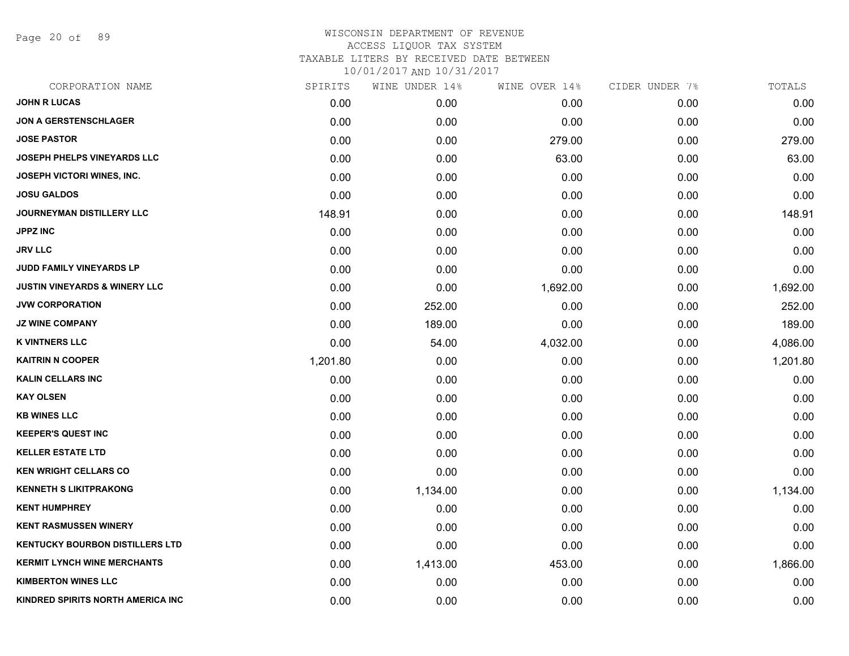Page 20 of 89

| CORPORATION NAME                         | SPIRITS  | WINE UNDER 14% | WINE OVER 14% | CIDER UNDER 7% | TOTALS   |
|------------------------------------------|----------|----------------|---------------|----------------|----------|
| <b>JOHN R LUCAS</b>                      | 0.00     | 0.00           | 0.00          | 0.00           | 0.00     |
| <b>JON A GERSTENSCHLAGER</b>             | 0.00     | 0.00           | 0.00          | 0.00           | 0.00     |
| <b>JOSE PASTOR</b>                       | 0.00     | 0.00           | 279.00        | 0.00           | 279.00   |
| <b>JOSEPH PHELPS VINEYARDS LLC</b>       | 0.00     | 0.00           | 63.00         | 0.00           | 63.00    |
| JOSEPH VICTORI WINES, INC.               | 0.00     | 0.00           | 0.00          | 0.00           | 0.00     |
| <b>JOSU GALDOS</b>                       | 0.00     | 0.00           | 0.00          | 0.00           | 0.00     |
| <b>JOURNEYMAN DISTILLERY LLC</b>         | 148.91   | 0.00           | 0.00          | 0.00           | 148.91   |
| <b>JPPZ INC</b>                          | 0.00     | 0.00           | 0.00          | 0.00           | 0.00     |
| <b>JRV LLC</b>                           | 0.00     | 0.00           | 0.00          | 0.00           | 0.00     |
| <b>JUDD FAMILY VINEYARDS LP</b>          | 0.00     | 0.00           | 0.00          | 0.00           | 0.00     |
| <b>JUSTIN VINEYARDS &amp; WINERY LLC</b> | 0.00     | 0.00           | 1,692.00      | 0.00           | 1,692.00 |
| <b>JVW CORPORATION</b>                   | 0.00     | 252.00         | 0.00          | 0.00           | 252.00   |
| <b>JZ WINE COMPANY</b>                   | 0.00     | 189.00         | 0.00          | 0.00           | 189.00   |
| <b>K VINTNERS LLC</b>                    | 0.00     | 54.00          | 4,032.00      | 0.00           | 4,086.00 |
| <b>KAITRIN N COOPER</b>                  | 1,201.80 | 0.00           | 0.00          | 0.00           | 1,201.80 |
| <b>KALIN CELLARS INC</b>                 | 0.00     | 0.00           | 0.00          | 0.00           | 0.00     |
| <b>KAY OLSEN</b>                         | 0.00     | 0.00           | 0.00          | 0.00           | 0.00     |
| <b>KB WINES LLC</b>                      | 0.00     | 0.00           | 0.00          | 0.00           | 0.00     |
| <b>KEEPER'S QUEST INC</b>                | 0.00     | 0.00           | 0.00          | 0.00           | 0.00     |
| <b>KELLER ESTATE LTD</b>                 | 0.00     | 0.00           | 0.00          | 0.00           | 0.00     |
| <b>KEN WRIGHT CELLARS CO</b>             | 0.00     | 0.00           | 0.00          | 0.00           | 0.00     |
| <b>KENNETH S LIKITPRAKONG</b>            | 0.00     | 1,134.00       | 0.00          | 0.00           | 1,134.00 |
| <b>KENT HUMPHREY</b>                     | 0.00     | 0.00           | 0.00          | 0.00           | 0.00     |
| <b>KENT RASMUSSEN WINERY</b>             | 0.00     | 0.00           | 0.00          | 0.00           | 0.00     |
| <b>KENTUCKY BOURBON DISTILLERS LTD</b>   | 0.00     | 0.00           | 0.00          | 0.00           | 0.00     |
| <b>KERMIT LYNCH WINE MERCHANTS</b>       | 0.00     | 1,413.00       | 453.00        | 0.00           | 1,866.00 |
| <b>KIMBERTON WINES LLC</b>               | 0.00     | 0.00           | 0.00          | 0.00           | 0.00     |
| KINDRED SPIRITS NORTH AMERICA INC        | 0.00     | 0.00           | 0.00          | 0.00           | 0.00     |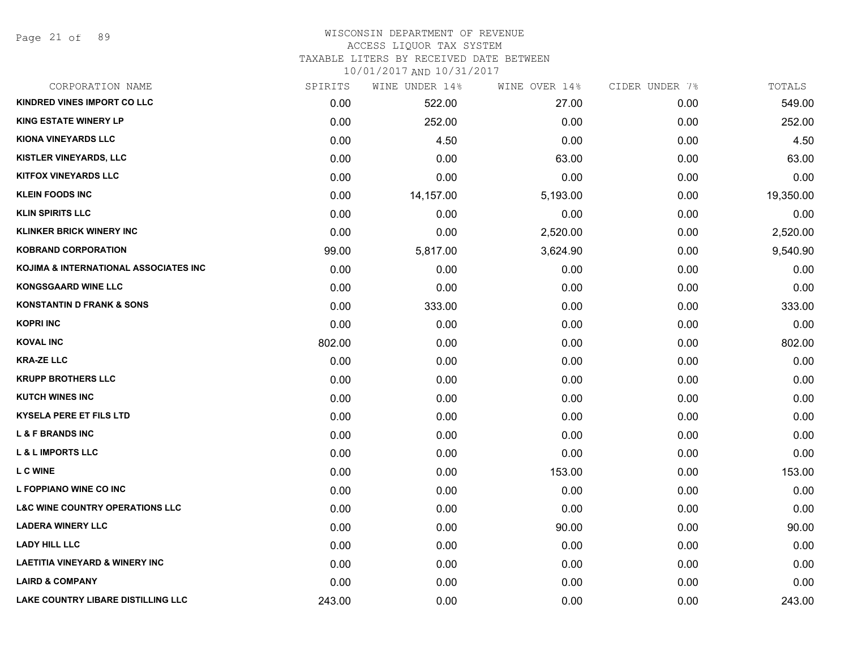Page 21 of 89

#### WISCONSIN DEPARTMENT OF REVENUE ACCESS LIQUOR TAX SYSTEM

TAXABLE LITERS BY RECEIVED DATE BETWEEN

| CORPORATION NAME                                 | SPIRITS | WINE UNDER 14% | WINE OVER 14% | CIDER UNDER 7% | TOTALS    |
|--------------------------------------------------|---------|----------------|---------------|----------------|-----------|
| <b>KINDRED VINES IMPORT CO LLC</b>               | 0.00    | 522.00         | 27.00         | 0.00           | 549.00    |
| <b>KING ESTATE WINERY LP</b>                     | 0.00    | 252.00         | 0.00          | 0.00           | 252.00    |
| <b>KIONA VINEYARDS LLC</b>                       | 0.00    | 4.50           | 0.00          | 0.00           | 4.50      |
| KISTLER VINEYARDS, LLC                           | 0.00    | 0.00           | 63.00         | 0.00           | 63.00     |
| <b>KITFOX VINEYARDS LLC</b>                      | 0.00    | 0.00           | 0.00          | 0.00           | 0.00      |
| <b>KLEIN FOODS INC</b>                           | 0.00    | 14,157.00      | 5,193.00      | 0.00           | 19,350.00 |
| <b>KLIN SPIRITS LLC</b>                          | 0.00    | 0.00           | 0.00          | 0.00           | 0.00      |
| <b>KLINKER BRICK WINERY INC</b>                  | 0.00    | 0.00           | 2,520.00      | 0.00           | 2,520.00  |
| <b>KOBRAND CORPORATION</b>                       | 99.00   | 5,817.00       | 3,624.90      | 0.00           | 9,540.90  |
| <b>KOJIMA &amp; INTERNATIONAL ASSOCIATES INC</b> | 0.00    | 0.00           | 0.00          | 0.00           | 0.00      |
| <b>KONGSGAARD WINE LLC</b>                       | 0.00    | 0.00           | 0.00          | 0.00           | 0.00      |
| <b>KONSTANTIN D FRANK &amp; SONS</b>             | 0.00    | 333.00         | 0.00          | 0.00           | 333.00    |
| <b>KOPRI INC</b>                                 | 0.00    | 0.00           | 0.00          | 0.00           | 0.00      |
| <b>KOVAL INC</b>                                 | 802.00  | 0.00           | 0.00          | 0.00           | 802.00    |
| <b>KRA-ZE LLC</b>                                | 0.00    | 0.00           | 0.00          | 0.00           | 0.00      |
| <b>KRUPP BROTHERS LLC</b>                        | 0.00    | 0.00           | 0.00          | 0.00           | 0.00      |
| <b>KUTCH WINES INC</b>                           | 0.00    | 0.00           | 0.00          | 0.00           | 0.00      |
| <b>KYSELA PERE ET FILS LTD</b>                   | 0.00    | 0.00           | 0.00          | 0.00           | 0.00      |
| <b>L &amp; F BRANDS INC</b>                      | 0.00    | 0.00           | 0.00          | 0.00           | 0.00      |
| <b>L &amp; L IMPORTS LLC</b>                     | 0.00    | 0.00           | 0.00          | 0.00           | 0.00      |
| <b>LC WINE</b>                                   | 0.00    | 0.00           | 153.00        | 0.00           | 153.00    |
| L FOPPIANO WINE CO INC                           | 0.00    | 0.00           | 0.00          | 0.00           | 0.00      |
| <b>L&amp;C WINE COUNTRY OPERATIONS LLC</b>       | 0.00    | 0.00           | 0.00          | 0.00           | 0.00      |
| <b>LADERA WINERY LLC</b>                         | 0.00    | 0.00           | 90.00         | 0.00           | 90.00     |
| <b>LADY HILL LLC</b>                             | 0.00    | 0.00           | 0.00          | 0.00           | 0.00      |
| <b>LAETITIA VINEYARD &amp; WINERY INC</b>        | 0.00    | 0.00           | 0.00          | 0.00           | 0.00      |
| <b>LAIRD &amp; COMPANY</b>                       | 0.00    | 0.00           | 0.00          | 0.00           | 0.00      |
| <b>LAKE COUNTRY LIBARE DISTILLING LLC</b>        | 243.00  | 0.00           | 0.00          | 0.00           | 243.00    |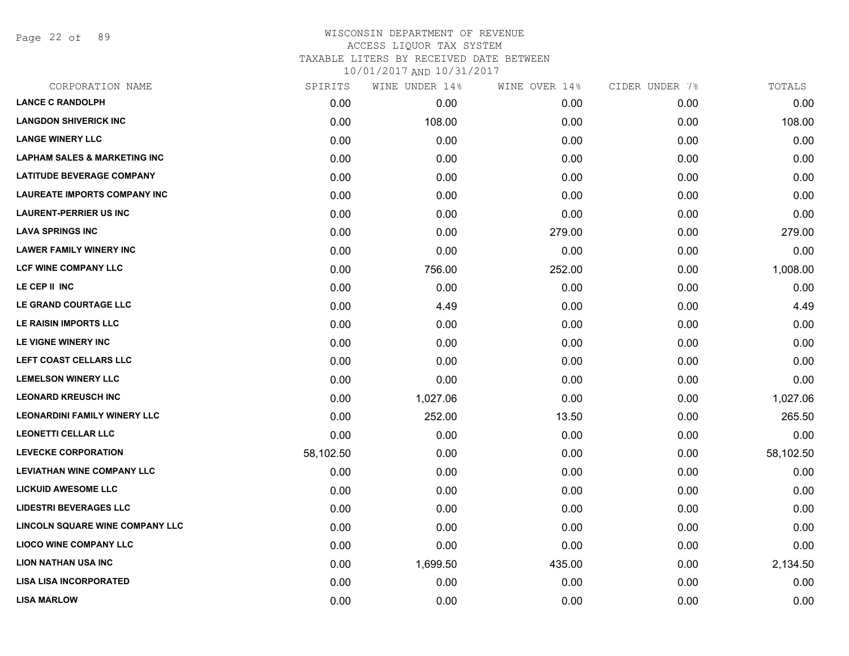Page 22 of 89

| CORPORATION NAME                        | SPIRITS   | WINE UNDER 14% | WINE OVER 14% | CIDER UNDER 7% | TOTALS    |
|-----------------------------------------|-----------|----------------|---------------|----------------|-----------|
| <b>LANCE C RANDOLPH</b>                 | 0.00      | 0.00           | 0.00          | 0.00           | 0.00      |
| <b>LANGDON SHIVERICK INC</b>            | 0.00      | 108.00         | 0.00          | 0.00           | 108.00    |
| <b>LANGE WINERY LLC</b>                 | 0.00      | 0.00           | 0.00          | 0.00           | 0.00      |
| <b>LAPHAM SALES &amp; MARKETING INC</b> | 0.00      | 0.00           | 0.00          | 0.00           | 0.00      |
| <b>LATITUDE BEVERAGE COMPANY</b>        | 0.00      | 0.00           | 0.00          | 0.00           | 0.00      |
| <b>LAUREATE IMPORTS COMPANY INC</b>     | 0.00      | 0.00           | 0.00          | 0.00           | 0.00      |
| <b>LAURENT-PERRIER US INC</b>           | 0.00      | 0.00           | 0.00          | 0.00           | 0.00      |
| <b>LAVA SPRINGS INC</b>                 | 0.00      | 0.00           | 279.00        | 0.00           | 279.00    |
| <b>LAWER FAMILY WINERY INC</b>          | 0.00      | 0.00           | 0.00          | 0.00           | 0.00      |
| <b>LCF WINE COMPANY LLC</b>             | 0.00      | 756.00         | 252.00        | 0.00           | 1,008.00  |
| LE CEP II INC                           | 0.00      | 0.00           | 0.00          | 0.00           | 0.00      |
| LE GRAND COURTAGE LLC                   | 0.00      | 4.49           | 0.00          | 0.00           | 4.49      |
| LE RAISIN IMPORTS LLC                   | 0.00      | 0.00           | 0.00          | 0.00           | 0.00      |
| LE VIGNE WINERY INC                     | 0.00      | 0.00           | 0.00          | 0.00           | 0.00      |
| LEFT COAST CELLARS LLC                  | 0.00      | 0.00           | 0.00          | 0.00           | 0.00      |
| <b>LEMELSON WINERY LLC</b>              | 0.00      | 0.00           | 0.00          | 0.00           | 0.00      |
| <b>LEONARD KREUSCH INC</b>              | 0.00      | 1,027.06       | 0.00          | 0.00           | 1,027.06  |
| <b>LEONARDINI FAMILY WINERY LLC</b>     | 0.00      | 252.00         | 13.50         | 0.00           | 265.50    |
| <b>LEONETTI CELLAR LLC</b>              | 0.00      | 0.00           | 0.00          | 0.00           | 0.00      |
| <b>LEVECKE CORPORATION</b>              | 58,102.50 | 0.00           | 0.00          | 0.00           | 58,102.50 |
| <b>LEVIATHAN WINE COMPANY LLC</b>       | 0.00      | 0.00           | 0.00          | 0.00           | 0.00      |
| <b>LICKUID AWESOME LLC</b>              | 0.00      | 0.00           | 0.00          | 0.00           | 0.00      |
| <b>LIDESTRI BEVERAGES LLC</b>           | 0.00      | 0.00           | 0.00          | 0.00           | 0.00      |
| <b>LINCOLN SQUARE WINE COMPANY LLC</b>  | 0.00      | 0.00           | 0.00          | 0.00           | 0.00      |
| <b>LIOCO WINE COMPANY LLC</b>           | 0.00      | 0.00           | 0.00          | 0.00           | 0.00      |
| <b>LION NATHAN USA INC</b>              | 0.00      | 1,699.50       | 435.00        | 0.00           | 2,134.50  |
| <b>LISA LISA INCORPORATED</b>           | 0.00      | 0.00           | 0.00          | 0.00           | 0.00      |
| <b>LISA MARLOW</b>                      | 0.00      | 0.00           | 0.00          | 0.00           | 0.00      |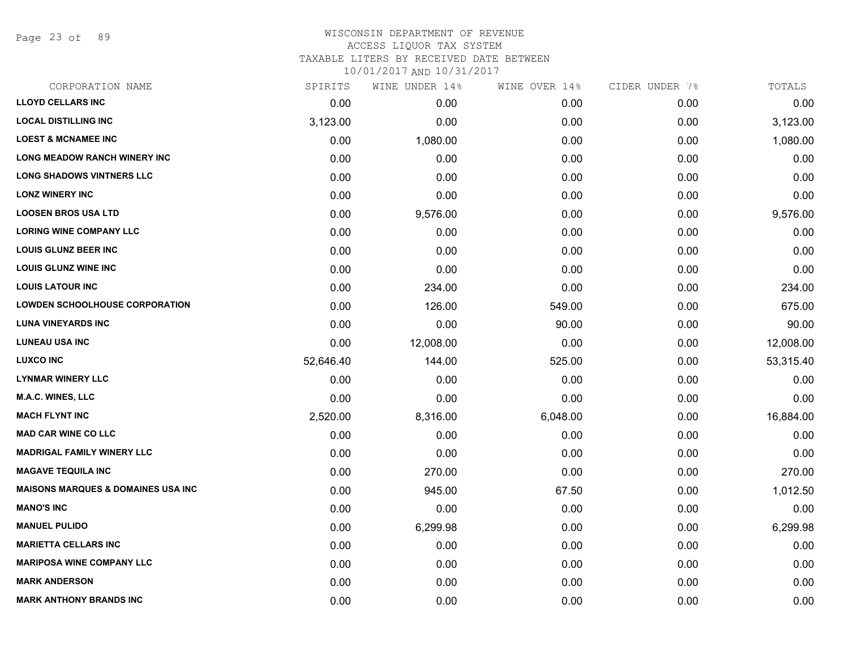Page 23 of 89

## WISCONSIN DEPARTMENT OF REVENUE ACCESS LIQUOR TAX SYSTEM

TAXABLE LITERS BY RECEIVED DATE BETWEEN

| CORPORATION NAME                              | SPIRITS   | WINE UNDER 14% | WINE OVER 14% | CIDER UNDER 7% | TOTALS    |
|-----------------------------------------------|-----------|----------------|---------------|----------------|-----------|
| <b>LLOYD CELLARS INC</b>                      | 0.00      | 0.00           | 0.00          | 0.00           | 0.00      |
| <b>LOCAL DISTILLING INC</b>                   | 3,123.00  | 0.00           | 0.00          | 0.00           | 3,123.00  |
| <b>LOEST &amp; MCNAMEE INC</b>                | 0.00      | 1,080.00       | 0.00          | 0.00           | 1,080.00  |
| <b>LONG MEADOW RANCH WINERY INC</b>           | 0.00      | 0.00           | 0.00          | 0.00           | 0.00      |
| <b>LONG SHADOWS VINTNERS LLC</b>              | 0.00      | 0.00           | 0.00          | 0.00           | 0.00      |
| <b>LONZ WINERY INC</b>                        | 0.00      | 0.00           | 0.00          | 0.00           | 0.00      |
| <b>LOOSEN BROS USA LTD</b>                    | 0.00      | 9,576.00       | 0.00          | 0.00           | 9,576.00  |
| <b>LORING WINE COMPANY LLC</b>                | 0.00      | 0.00           | 0.00          | 0.00           | 0.00      |
| <b>LOUIS GLUNZ BEER INC</b>                   | 0.00      | 0.00           | 0.00          | 0.00           | 0.00      |
| <b>LOUIS GLUNZ WINE INC</b>                   | 0.00      | 0.00           | 0.00          | 0.00           | 0.00      |
| <b>LOUIS LATOUR INC</b>                       | 0.00      | 234.00         | 0.00          | 0.00           | 234.00    |
| <b>LOWDEN SCHOOLHOUSE CORPORATION</b>         | 0.00      | 126.00         | 549.00        | 0.00           | 675.00    |
| <b>LUNA VINEYARDS INC</b>                     | 0.00      | 0.00           | 90.00         | 0.00           | 90.00     |
| <b>LUNEAU USA INC</b>                         | 0.00      | 12,008.00      | 0.00          | 0.00           | 12,008.00 |
| <b>LUXCO INC</b>                              | 52,646.40 | 144.00         | 525.00        | 0.00           | 53,315.40 |
| <b>LYNMAR WINERY LLC</b>                      | 0.00      | 0.00           | 0.00          | 0.00           | 0.00      |
| <b>M.A.C. WINES, LLC</b>                      | 0.00      | 0.00           | 0.00          | 0.00           | 0.00      |
| <b>MACH FLYNT INC</b>                         | 2,520.00  | 8,316.00       | 6,048.00      | 0.00           | 16,884.00 |
| <b>MAD CAR WINE CO LLC</b>                    | 0.00      | 0.00           | 0.00          | 0.00           | 0.00      |
| <b>MADRIGAL FAMILY WINERY LLC</b>             | 0.00      | 0.00           | 0.00          | 0.00           | 0.00      |
| <b>MAGAVE TEQUILA INC</b>                     | 0.00      | 270.00         | 0.00          | 0.00           | 270.00    |
| <b>MAISONS MARQUES &amp; DOMAINES USA INC</b> | 0.00      | 945.00         | 67.50         | 0.00           | 1,012.50  |
| <b>MANO'S INC</b>                             | 0.00      | 0.00           | 0.00          | 0.00           | 0.00      |
| <b>MANUEL PULIDO</b>                          | 0.00      | 6,299.98       | 0.00          | 0.00           | 6,299.98  |
| <b>MARIETTA CELLARS INC</b>                   | 0.00      | 0.00           | 0.00          | 0.00           | 0.00      |
| <b>MARIPOSA WINE COMPANY LLC</b>              | 0.00      | 0.00           | 0.00          | 0.00           | 0.00      |
| <b>MARK ANDERSON</b>                          | 0.00      | 0.00           | 0.00          | 0.00           | 0.00      |
| <b>MARK ANTHONY BRANDS INC</b>                | 0.00      | 0.00           | 0.00          | 0.00           | 0.00      |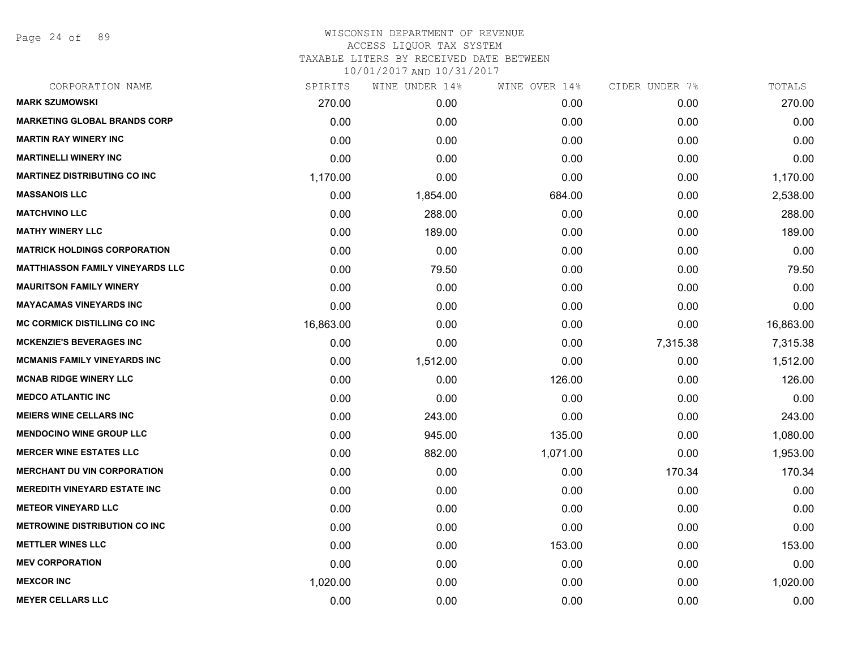Page 24 of 89

| SPIRITS   | WINE UNDER 14% | WINE OVER 14% | CIDER UNDER 7% | TOTALS    |
|-----------|----------------|---------------|----------------|-----------|
| 270.00    | 0.00           | 0.00          | 0.00           | 270.00    |
| 0.00      | 0.00           | 0.00          | 0.00           | 0.00      |
| 0.00      | 0.00           | 0.00          | 0.00           | 0.00      |
| 0.00      | 0.00           | 0.00          | 0.00           | 0.00      |
| 1,170.00  | 0.00           | 0.00          | 0.00           | 1,170.00  |
| 0.00      | 1,854.00       | 684.00        | 0.00           | 2,538.00  |
| 0.00      | 288.00         | 0.00          | 0.00           | 288.00    |
| 0.00      | 189.00         | 0.00          | 0.00           | 189.00    |
| 0.00      | 0.00           | 0.00          | 0.00           | 0.00      |
| 0.00      | 79.50          | 0.00          | 0.00           | 79.50     |
| 0.00      | 0.00           | 0.00          | 0.00           | 0.00      |
| 0.00      | 0.00           | 0.00          | 0.00           | 0.00      |
| 16,863.00 | 0.00           | 0.00          | 0.00           | 16,863.00 |
| 0.00      | 0.00           | 0.00          | 7,315.38       | 7,315.38  |
| 0.00      | 1,512.00       | 0.00          | 0.00           | 1,512.00  |
| 0.00      | 0.00           | 126.00        | 0.00           | 126.00    |
| 0.00      | 0.00           | 0.00          | 0.00           | 0.00      |
| 0.00      | 243.00         | 0.00          | 0.00           | 243.00    |
| 0.00      | 945.00         | 135.00        | 0.00           | 1,080.00  |
| 0.00      | 882.00         | 1,071.00      | 0.00           | 1,953.00  |
| 0.00      | 0.00           | 0.00          | 170.34         | 170.34    |
| 0.00      | 0.00           | 0.00          | 0.00           | 0.00      |
| 0.00      | 0.00           | 0.00          | 0.00           | 0.00      |
| 0.00      | 0.00           | 0.00          | 0.00           | 0.00      |
| 0.00      | 0.00           | 153.00        | 0.00           | 153.00    |
| 0.00      | 0.00           | 0.00          | 0.00           | 0.00      |
| 1,020.00  | 0.00           | 0.00          | 0.00           | 1,020.00  |
| 0.00      | 0.00           | 0.00          | 0.00           | 0.00      |
|           |                |               |                |           |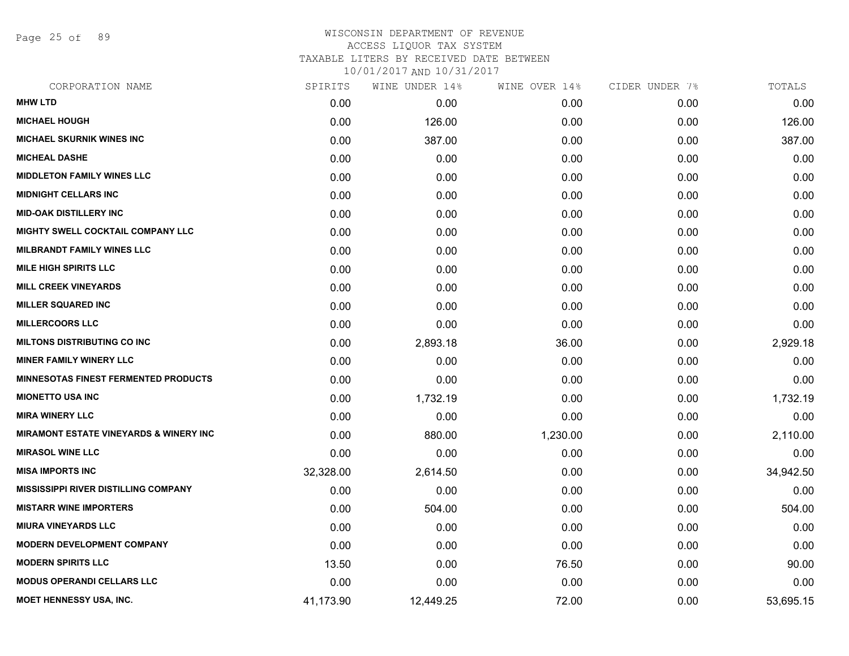Page 25 of 89

# WISCONSIN DEPARTMENT OF REVENUE ACCESS LIQUOR TAX SYSTEM TAXABLE LITERS BY RECEIVED DATE BETWEEN

| CORPORATION NAME                                  | SPIRITS   | WINE UNDER 14% | WINE OVER 14% | CIDER UNDER 7% | TOTALS    |
|---------------------------------------------------|-----------|----------------|---------------|----------------|-----------|
| <b>MHW LTD</b>                                    | 0.00      | 0.00           | 0.00          | 0.00           | 0.00      |
| <b>MICHAEL HOUGH</b>                              | 0.00      | 126.00         | 0.00          | 0.00           | 126.00    |
| <b>MICHAEL SKURNIK WINES INC</b>                  | 0.00      | 387.00         | 0.00          | 0.00           | 387.00    |
| <b>MICHEAL DASHE</b>                              | 0.00      | 0.00           | 0.00          | 0.00           | 0.00      |
| <b>MIDDLETON FAMILY WINES LLC</b>                 | 0.00      | 0.00           | 0.00          | 0.00           | 0.00      |
| <b>MIDNIGHT CELLARS INC</b>                       | 0.00      | 0.00           | 0.00          | 0.00           | 0.00      |
| <b>MID-OAK DISTILLERY INC</b>                     | 0.00      | 0.00           | 0.00          | 0.00           | 0.00      |
| MIGHTY SWELL COCKTAIL COMPANY LLC                 | 0.00      | 0.00           | 0.00          | 0.00           | 0.00      |
| <b>MILBRANDT FAMILY WINES LLC</b>                 | 0.00      | 0.00           | 0.00          | 0.00           | 0.00      |
| <b>MILE HIGH SPIRITS LLC</b>                      | 0.00      | 0.00           | 0.00          | 0.00           | 0.00      |
| <b>MILL CREEK VINEYARDS</b>                       | 0.00      | 0.00           | 0.00          | 0.00           | 0.00      |
| <b>MILLER SQUARED INC</b>                         | 0.00      | 0.00           | 0.00          | 0.00           | 0.00      |
| <b>MILLERCOORS LLC</b>                            | 0.00      | 0.00           | 0.00          | 0.00           | 0.00      |
| <b>MILTONS DISTRIBUTING CO INC</b>                | 0.00      | 2,893.18       | 36.00         | 0.00           | 2,929.18  |
| <b>MINER FAMILY WINERY LLC</b>                    | 0.00      | 0.00           | 0.00          | 0.00           | 0.00      |
| <b>MINNESOTAS FINEST FERMENTED PRODUCTS</b>       | 0.00      | 0.00           | 0.00          | 0.00           | 0.00      |
| <b>MIONETTO USA INC</b>                           | 0.00      | 1,732.19       | 0.00          | 0.00           | 1,732.19  |
| <b>MIRA WINERY LLC</b>                            | 0.00      | 0.00           | 0.00          | 0.00           | 0.00      |
| <b>MIRAMONT ESTATE VINEYARDS &amp; WINERY INC</b> | 0.00      | 880.00         | 1,230.00      | 0.00           | 2,110.00  |
| <b>MIRASOL WINE LLC</b>                           | 0.00      | 0.00           | 0.00          | 0.00           | 0.00      |
| <b>MISA IMPORTS INC</b>                           | 32,328.00 | 2,614.50       | 0.00          | 0.00           | 34,942.50 |
| <b>MISSISSIPPI RIVER DISTILLING COMPANY</b>       | 0.00      | 0.00           | 0.00          | 0.00           | 0.00      |
| <b>MISTARR WINE IMPORTERS</b>                     | 0.00      | 504.00         | 0.00          | 0.00           | 504.00    |
| <b>MIURA VINEYARDS LLC</b>                        | 0.00      | 0.00           | 0.00          | 0.00           | 0.00      |
| <b>MODERN DEVELOPMENT COMPANY</b>                 | 0.00      | 0.00           | 0.00          | 0.00           | 0.00      |
| <b>MODERN SPIRITS LLC</b>                         | 13.50     | 0.00           | 76.50         | 0.00           | 90.00     |
| <b>MODUS OPERANDI CELLARS LLC</b>                 | 0.00      | 0.00           | 0.00          | 0.00           | 0.00      |
| <b>MOET HENNESSY USA, INC.</b>                    | 41,173.90 | 12,449.25      | 72.00         | 0.00           | 53,695.15 |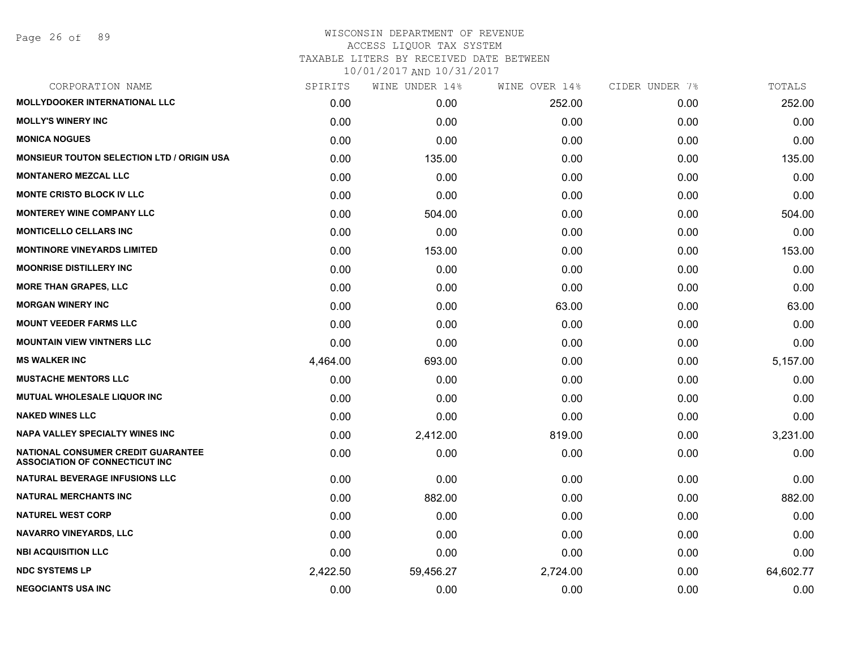## WISCONSIN DEPARTMENT OF REVENUE ACCESS LIQUOR TAX SYSTEM

TAXABLE LITERS BY RECEIVED DATE BETWEEN

| CORPORATION NAME                                                                   | SPIRITS  | WINE UNDER 14% | WINE OVER 14% | CIDER UNDER 7% | TOTALS    |
|------------------------------------------------------------------------------------|----------|----------------|---------------|----------------|-----------|
| <b>MOLLYDOOKER INTERNATIONAL LLC</b>                                               | 0.00     | 0.00           | 252.00        | 0.00           | 252.00    |
| <b>MOLLY'S WINERY INC</b>                                                          | 0.00     | 0.00           | 0.00          | 0.00           | 0.00      |
| <b>MONICA NOGUES</b>                                                               | 0.00     | 0.00           | 0.00          | 0.00           | 0.00      |
| <b>MONSIEUR TOUTON SELECTION LTD / ORIGIN USA</b>                                  | 0.00     | 135.00         | 0.00          | 0.00           | 135.00    |
| <b>MONTANERO MEZCAL LLC</b>                                                        | 0.00     | 0.00           | 0.00          | 0.00           | 0.00      |
| MONTE CRISTO BLOCK IV LLC                                                          | 0.00     | 0.00           | 0.00          | 0.00           | 0.00      |
| <b>MONTEREY WINE COMPANY LLC</b>                                                   | 0.00     | 504.00         | 0.00          | 0.00           | 504.00    |
| <b>MONTICELLO CELLARS INC</b>                                                      | 0.00     | 0.00           | 0.00          | 0.00           | 0.00      |
| <b>MONTINORE VINEYARDS LIMITED</b>                                                 | 0.00     | 153.00         | 0.00          | 0.00           | 153.00    |
| <b>MOONRISE DISTILLERY INC</b>                                                     | 0.00     | 0.00           | 0.00          | 0.00           | 0.00      |
| <b>MORE THAN GRAPES, LLC</b>                                                       | 0.00     | 0.00           | 0.00          | 0.00           | 0.00      |
| <b>MORGAN WINERY INC</b>                                                           | 0.00     | 0.00           | 63.00         | 0.00           | 63.00     |
| <b>MOUNT VEEDER FARMS LLC</b>                                                      | 0.00     | 0.00           | 0.00          | 0.00           | 0.00      |
| <b>MOUNTAIN VIEW VINTNERS LLC</b>                                                  | 0.00     | 0.00           | 0.00          | 0.00           | 0.00      |
| <b>MS WALKER INC</b>                                                               | 4,464.00 | 693.00         | 0.00          | 0.00           | 5,157.00  |
| <b>MUSTACHE MENTORS LLC</b>                                                        | 0.00     | 0.00           | 0.00          | 0.00           | 0.00      |
| MUTUAL WHOLESALE LIQUOR INC                                                        | 0.00     | 0.00           | 0.00          | 0.00           | 0.00      |
| <b>NAKED WINES LLC</b>                                                             | 0.00     | 0.00           | 0.00          | 0.00           | 0.00      |
| <b>NAPA VALLEY SPECIALTY WINES INC</b>                                             | 0.00     | 2,412.00       | 819.00        | 0.00           | 3,231.00  |
| <b>NATIONAL CONSUMER CREDIT GUARANTEE</b><br><b>ASSOCIATION OF CONNECTICUT INC</b> | 0.00     | 0.00           | 0.00          | 0.00           | 0.00      |
| NATURAL BEVERAGE INFUSIONS LLC                                                     | 0.00     | 0.00           | 0.00          | 0.00           | 0.00      |
| <b>NATURAL MERCHANTS INC</b>                                                       | 0.00     | 882.00         | 0.00          | 0.00           | 882.00    |
| <b>NATUREL WEST CORP</b>                                                           | 0.00     | 0.00           | 0.00          | 0.00           | 0.00      |
| <b>NAVARRO VINEYARDS, LLC</b>                                                      | 0.00     | 0.00           | 0.00          | 0.00           | 0.00      |
| <b>NBI ACQUISITION LLC</b>                                                         | 0.00     | 0.00           | 0.00          | 0.00           | 0.00      |
| <b>NDC SYSTEMS LP</b>                                                              | 2,422.50 | 59,456.27      | 2,724.00      | 0.00           | 64,602.77 |
| <b>NEGOCIANTS USA INC</b>                                                          | 0.00     | 0.00           | 0.00          | 0.00           | 0.00      |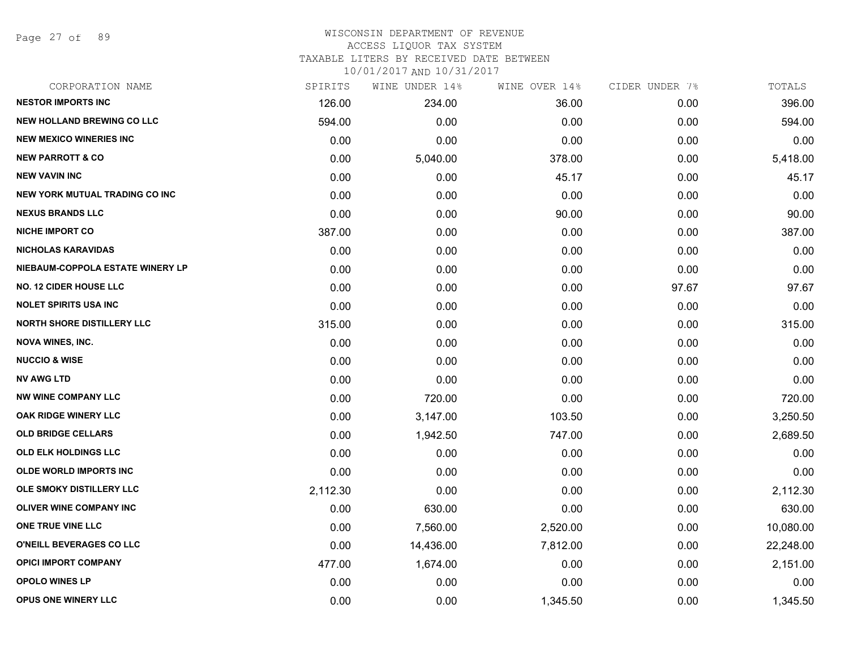Page 27 of 89

#### WISCONSIN DEPARTMENT OF REVENUE ACCESS LIQUOR TAX SYSTEM

TAXABLE LITERS BY RECEIVED DATE BETWEEN

| CORPORATION NAME                  | SPIRITS  | WINE UNDER 14% | WINE OVER 14% | CIDER UNDER 7% | TOTALS    |
|-----------------------------------|----------|----------------|---------------|----------------|-----------|
| <b>NESTOR IMPORTS INC</b>         | 126.00   | 234.00         | 36.00         | 0.00           | 396.00    |
| <b>NEW HOLLAND BREWING CO LLC</b> | 594.00   | 0.00           | 0.00          | 0.00           | 594.00    |
| <b>NEW MEXICO WINERIES INC</b>    | 0.00     | 0.00           | 0.00          | 0.00           | 0.00      |
| <b>NEW PARROTT &amp; CO</b>       | 0.00     | 5,040.00       | 378.00        | 0.00           | 5,418.00  |
| <b>NEW VAVIN INC</b>              | 0.00     | 0.00           | 45.17         | 0.00           | 45.17     |
| NEW YORK MUTUAL TRADING CO INC    | 0.00     | 0.00           | 0.00          | 0.00           | 0.00      |
| <b>NEXUS BRANDS LLC</b>           | 0.00     | 0.00           | 90.00         | 0.00           | 90.00     |
| <b>NICHE IMPORT CO</b>            | 387.00   | 0.00           | 0.00          | 0.00           | 387.00    |
| <b>NICHOLAS KARAVIDAS</b>         | 0.00     | 0.00           | 0.00          | 0.00           | 0.00      |
| NIEBAUM-COPPOLA ESTATE WINERY LP  | 0.00     | 0.00           | 0.00          | 0.00           | 0.00      |
| <b>NO. 12 CIDER HOUSE LLC</b>     | 0.00     | 0.00           | 0.00          | 97.67          | 97.67     |
| <b>NOLET SPIRITS USA INC</b>      | 0.00     | 0.00           | 0.00          | 0.00           | 0.00      |
| <b>NORTH SHORE DISTILLERY LLC</b> | 315.00   | 0.00           | 0.00          | 0.00           | 315.00    |
| <b>NOVA WINES, INC.</b>           | 0.00     | 0.00           | 0.00          | 0.00           | 0.00      |
| <b>NUCCIO &amp; WISE</b>          | 0.00     | 0.00           | 0.00          | 0.00           | 0.00      |
| <b>NV AWG LTD</b>                 | 0.00     | 0.00           | 0.00          | 0.00           | 0.00      |
| <b>NW WINE COMPANY LLC</b>        | 0.00     | 720.00         | 0.00          | 0.00           | 720.00    |
| OAK RIDGE WINERY LLC              | 0.00     | 3,147.00       | 103.50        | 0.00           | 3,250.50  |
| <b>OLD BRIDGE CELLARS</b>         | 0.00     | 1,942.50       | 747.00        | 0.00           | 2,689.50  |
| <b>OLD ELK HOLDINGS LLC</b>       | 0.00     | 0.00           | 0.00          | 0.00           | 0.00      |
| <b>OLDE WORLD IMPORTS INC</b>     | 0.00     | 0.00           | 0.00          | 0.00           | 0.00      |
| OLE SMOKY DISTILLERY LLC          | 2,112.30 | 0.00           | 0.00          | 0.00           | 2,112.30  |
| <b>OLIVER WINE COMPANY INC</b>    | 0.00     | 630.00         | 0.00          | 0.00           | 630.00    |
| ONE TRUE VINE LLC                 | 0.00     | 7,560.00       | 2,520.00      | 0.00           | 10,080.00 |
| O'NEILL BEVERAGES CO LLC          | 0.00     | 14,436.00      | 7,812.00      | 0.00           | 22,248.00 |
| <b>OPICI IMPORT COMPANY</b>       | 477.00   | 1,674.00       | 0.00          | 0.00           | 2,151.00  |
| <b>OPOLO WINES LP</b>             | 0.00     | 0.00           | 0.00          | 0.00           | 0.00      |
| <b>OPUS ONE WINERY LLC</b>        | 0.00     | 0.00           | 1,345.50      | 0.00           | 1,345.50  |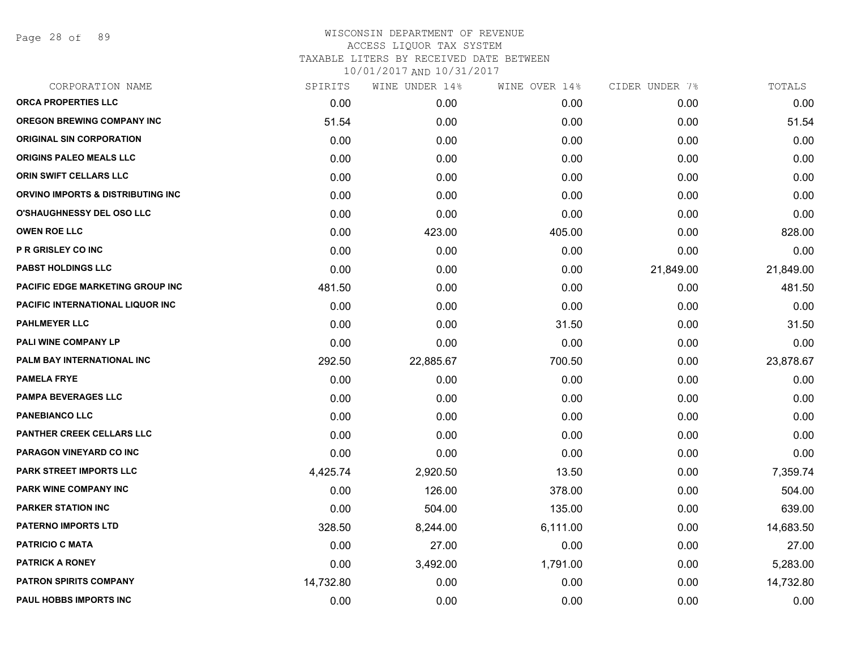Page 28 of 89

| CORPORATION NAME                  | SPIRITS   | WINE UNDER 14% | WINE OVER 14% | CIDER UNDER 7% | TOTALS    |
|-----------------------------------|-----------|----------------|---------------|----------------|-----------|
| <b>ORCA PROPERTIES LLC</b>        | 0.00      | 0.00           | 0.00          | 0.00           | 0.00      |
| <b>OREGON BREWING COMPANY INC</b> | 51.54     | 0.00           | 0.00          | 0.00           | 51.54     |
| <b>ORIGINAL SIN CORPORATION</b>   | 0.00      | 0.00           | 0.00          | 0.00           | 0.00      |
| ORIGINS PALEO MEALS LLC           | 0.00      | 0.00           | 0.00          | 0.00           | 0.00      |
| ORIN SWIFT CELLARS LLC            | 0.00      | 0.00           | 0.00          | 0.00           | 0.00      |
| ORVINO IMPORTS & DISTRIBUTING INC | 0.00      | 0.00           | 0.00          | 0.00           | 0.00      |
| <b>O'SHAUGHNESSY DEL OSO LLC</b>  | 0.00      | 0.00           | 0.00          | 0.00           | 0.00      |
| <b>OWEN ROE LLC</b>               | 0.00      | 423.00         | 405.00        | 0.00           | 828.00    |
| P R GRISLEY CO INC                | 0.00      | 0.00           | 0.00          | 0.00           | 0.00      |
| <b>PABST HOLDINGS LLC</b>         | 0.00      | 0.00           | 0.00          | 21,849.00      | 21,849.00 |
| PACIFIC EDGE MARKETING GROUP INC  | 481.50    | 0.00           | 0.00          | 0.00           | 481.50    |
| PACIFIC INTERNATIONAL LIQUOR INC  | 0.00      | 0.00           | 0.00          | 0.00           | 0.00      |
| <b>PAHLMEYER LLC</b>              | 0.00      | 0.00           | 31.50         | 0.00           | 31.50     |
| PALI WINE COMPANY LP              | 0.00      | 0.00           | 0.00          | 0.00           | 0.00      |
| PALM BAY INTERNATIONAL INC        | 292.50    | 22,885.67      | 700.50        | 0.00           | 23,878.67 |
| <b>PAMELA FRYE</b>                | 0.00      | 0.00           | 0.00          | 0.00           | 0.00      |
| <b>PAMPA BEVERAGES LLC</b>        | 0.00      | 0.00           | 0.00          | 0.00           | 0.00      |
| <b>PANEBIANCO LLC</b>             | 0.00      | 0.00           | 0.00          | 0.00           | 0.00      |
| PANTHER CREEK CELLARS LLC         | 0.00      | 0.00           | 0.00          | 0.00           | 0.00      |
| PARAGON VINEYARD CO INC           | 0.00      | 0.00           | 0.00          | 0.00           | 0.00      |
| <b>PARK STREET IMPORTS LLC</b>    | 4,425.74  | 2,920.50       | 13.50         | 0.00           | 7,359.74  |
| <b>PARK WINE COMPANY INC</b>      | 0.00      | 126.00         | 378.00        | 0.00           | 504.00    |
| <b>PARKER STATION INC</b>         | 0.00      | 504.00         | 135.00        | 0.00           | 639.00    |
| <b>PATERNO IMPORTS LTD</b>        | 328.50    | 8,244.00       | 6,111.00      | 0.00           | 14,683.50 |
| <b>PATRICIO C MATA</b>            | 0.00      | 27.00          | 0.00          | 0.00           | 27.00     |
| <b>PATRICK A RONEY</b>            | 0.00      | 3,492.00       | 1,791.00      | 0.00           | 5,283.00  |
| <b>PATRON SPIRITS COMPANY</b>     | 14,732.80 | 0.00           | 0.00          | 0.00           | 14,732.80 |
| PAUL HOBBS IMPORTS INC            | 0.00      | 0.00           | 0.00          | 0.00           | 0.00      |
|                                   |           |                |               |                |           |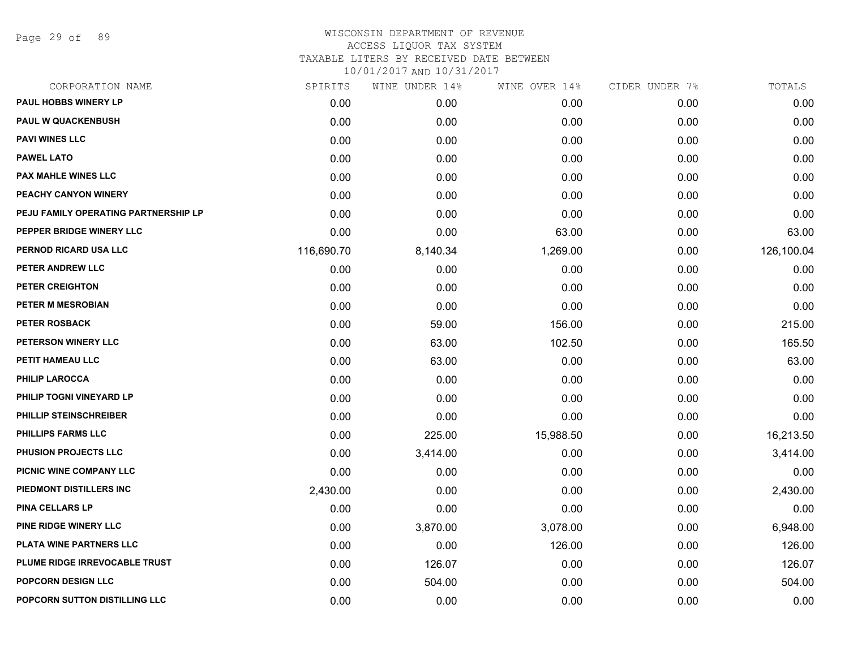Page 29 of 89

#### WISCONSIN DEPARTMENT OF REVENUE ACCESS LIQUOR TAX SYSTEM TAXABLE LITERS BY RECEIVED DATE BETWEEN

| CORPORATION NAME                     | SPIRITS    | WINE UNDER 14% | WINE OVER 14% | CIDER UNDER 7% | TOTALS     |
|--------------------------------------|------------|----------------|---------------|----------------|------------|
| PAUL HOBBS WINERY LP                 | 0.00       | 0.00           | 0.00          | 0.00           | 0.00       |
| <b>PAUL W QUACKENBUSH</b>            | 0.00       | 0.00           | 0.00          | 0.00           | 0.00       |
| <b>PAVI WINES LLC</b>                | 0.00       | 0.00           | 0.00          | 0.00           | 0.00       |
| <b>PAWEL LATO</b>                    | 0.00       | 0.00           | 0.00          | 0.00           | 0.00       |
| PAX MAHLE WINES LLC                  | 0.00       | 0.00           | 0.00          | 0.00           | 0.00       |
| PEACHY CANYON WINERY                 | 0.00       | 0.00           | 0.00          | 0.00           | 0.00       |
| PEJU FAMILY OPERATING PARTNERSHIP LP | 0.00       | 0.00           | 0.00          | 0.00           | 0.00       |
| PEPPER BRIDGE WINERY LLC             | 0.00       | 0.00           | 63.00         | 0.00           | 63.00      |
| PERNOD RICARD USA LLC                | 116,690.70 | 8,140.34       | 1,269.00      | 0.00           | 126,100.04 |
| PETER ANDREW LLC                     | 0.00       | 0.00           | 0.00          | 0.00           | 0.00       |
| PETER CREIGHTON                      | 0.00       | 0.00           | 0.00          | 0.00           | 0.00       |
| PETER M MESROBIAN                    | 0.00       | 0.00           | 0.00          | 0.00           | 0.00       |
| <b>PETER ROSBACK</b>                 | 0.00       | 59.00          | 156.00        | 0.00           | 215.00     |
| PETERSON WINERY LLC                  | 0.00       | 63.00          | 102.50        | 0.00           | 165.50     |
| PETIT HAMEAU LLC                     | 0.00       | 63.00          | 0.00          | 0.00           | 63.00      |
| <b>PHILIP LAROCCA</b>                | 0.00       | 0.00           | 0.00          | 0.00           | 0.00       |
| PHILIP TOGNI VINEYARD LP             | 0.00       | 0.00           | 0.00          | 0.00           | 0.00       |
| PHILLIP STEINSCHREIBER               | 0.00       | 0.00           | 0.00          | 0.00           | 0.00       |
| PHILLIPS FARMS LLC                   | 0.00       | 225.00         | 15,988.50     | 0.00           | 16,213.50  |
| <b>PHUSION PROJECTS LLC</b>          | 0.00       | 3,414.00       | 0.00          | 0.00           | 3,414.00   |
| PICNIC WINE COMPANY LLC              | 0.00       | 0.00           | 0.00          | 0.00           | 0.00       |
| PIEDMONT DISTILLERS INC              | 2,430.00   | 0.00           | 0.00          | 0.00           | 2,430.00   |
| <b>PINA CELLARS LP</b>               | 0.00       | 0.00           | 0.00          | 0.00           | 0.00       |
| PINE RIDGE WINERY LLC                | 0.00       | 3,870.00       | 3,078.00      | 0.00           | 6,948.00   |
| PLATA WINE PARTNERS LLC              | 0.00       | 0.00           | 126.00        | 0.00           | 126.00     |
| PLUME RIDGE IRREVOCABLE TRUST        | 0.00       | 126.07         | 0.00          | 0.00           | 126.07     |
| POPCORN DESIGN LLC                   | 0.00       | 504.00         | 0.00          | 0.00           | 504.00     |
| POPCORN SUTTON DISTILLING LLC        | 0.00       | 0.00           | 0.00          | 0.00           | 0.00       |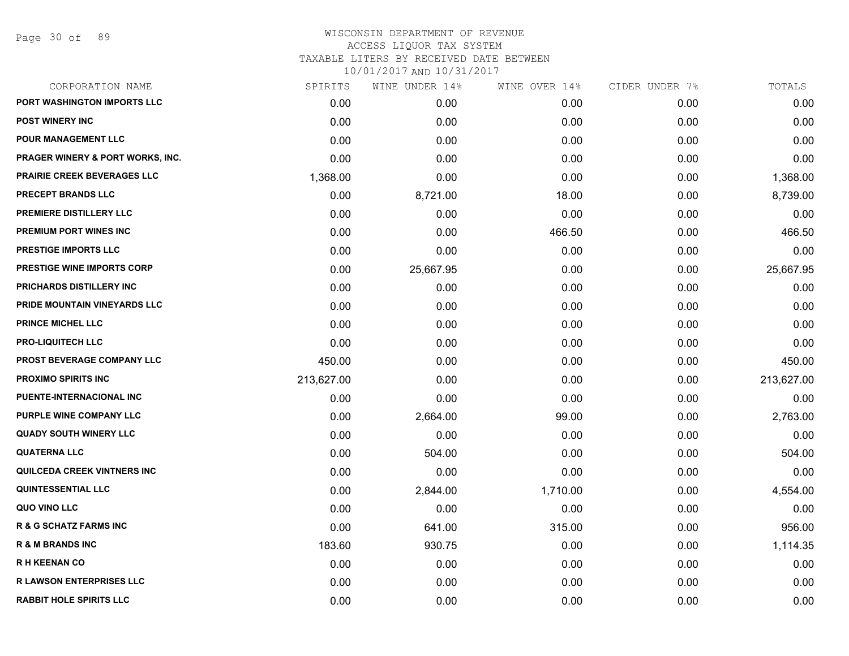| CORPORATION NAME                            | SPIRITS    | WINE UNDER 14% | WINE OVER 14% | CIDER UNDER 7% | TOTALS     |
|---------------------------------------------|------------|----------------|---------------|----------------|------------|
| PORT WASHINGTON IMPORTS LLC                 | 0.00       | 0.00           | 0.00          | 0.00           | 0.00       |
| <b>POST WINERY INC</b>                      | 0.00       | 0.00           | 0.00          | 0.00           | 0.00       |
| POUR MANAGEMENT LLC                         | 0.00       | 0.00           | 0.00          | 0.00           | 0.00       |
| <b>PRAGER WINERY &amp; PORT WORKS, INC.</b> | 0.00       | 0.00           | 0.00          | 0.00           | 0.00       |
| <b>PRAIRIE CREEK BEVERAGES LLC</b>          | 1,368.00   | 0.00           | 0.00          | 0.00           | 1,368.00   |
| PRECEPT BRANDS LLC                          | 0.00       | 8,721.00       | 18.00         | 0.00           | 8,739.00   |
| PREMIERE DISTILLERY LLC                     | 0.00       | 0.00           | 0.00          | 0.00           | 0.00       |
| <b>PREMIUM PORT WINES INC</b>               | 0.00       | 0.00           | 466.50        | 0.00           | 466.50     |
| <b>PRESTIGE IMPORTS LLC</b>                 | 0.00       | 0.00           | 0.00          | 0.00           | 0.00       |
| <b>PRESTIGE WINE IMPORTS CORP</b>           | 0.00       | 25,667.95      | 0.00          | 0.00           | 25,667.95  |
| PRICHARDS DISTILLERY INC                    | 0.00       | 0.00           | 0.00          | 0.00           | 0.00       |
| PRIDE MOUNTAIN VINEYARDS LLC                | 0.00       | 0.00           | 0.00          | 0.00           | 0.00       |
| <b>PRINCE MICHEL LLC</b>                    | 0.00       | 0.00           | 0.00          | 0.00           | 0.00       |
| <b>PRO-LIQUITECH LLC</b>                    | 0.00       | 0.00           | 0.00          | 0.00           | 0.00       |
| PROST BEVERAGE COMPANY LLC                  | 450.00     | 0.00           | 0.00          | 0.00           | 450.00     |
| <b>PROXIMO SPIRITS INC</b>                  | 213,627.00 | 0.00           | 0.00          | 0.00           | 213,627.00 |
| PUENTE-INTERNACIONAL INC                    | 0.00       | 0.00           | 0.00          | 0.00           | 0.00       |
| PURPLE WINE COMPANY LLC                     | 0.00       | 2,664.00       | 99.00         | 0.00           | 2,763.00   |
| <b>QUADY SOUTH WINERY LLC</b>               | 0.00       | 0.00           | 0.00          | 0.00           | 0.00       |
| <b>QUATERNA LLC</b>                         | 0.00       | 504.00         | 0.00          | 0.00           | 504.00     |
| QUILCEDA CREEK VINTNERS INC                 | 0.00       | 0.00           | 0.00          | 0.00           | 0.00       |
| <b>QUINTESSENTIAL LLC</b>                   | 0.00       | 2,844.00       | 1,710.00      | 0.00           | 4,554.00   |
| QUO VINO LLC                                | 0.00       | 0.00           | 0.00          | 0.00           | 0.00       |
| <b>R &amp; G SCHATZ FARMS INC</b>           | 0.00       | 641.00         | 315.00        | 0.00           | 956.00     |
| <b>R &amp; M BRANDS INC</b>                 | 183.60     | 930.75         | 0.00          | 0.00           | 1,114.35   |
| <b>RH KEENAN CO</b>                         | 0.00       | 0.00           | 0.00          | 0.00           | 0.00       |
| <b>R LAWSON ENTERPRISES LLC</b>             | 0.00       | 0.00           | 0.00          | 0.00           | 0.00       |
| <b>RABBIT HOLE SPIRITS LLC</b>              | 0.00       | 0.00           | 0.00          | 0.00           | 0.00       |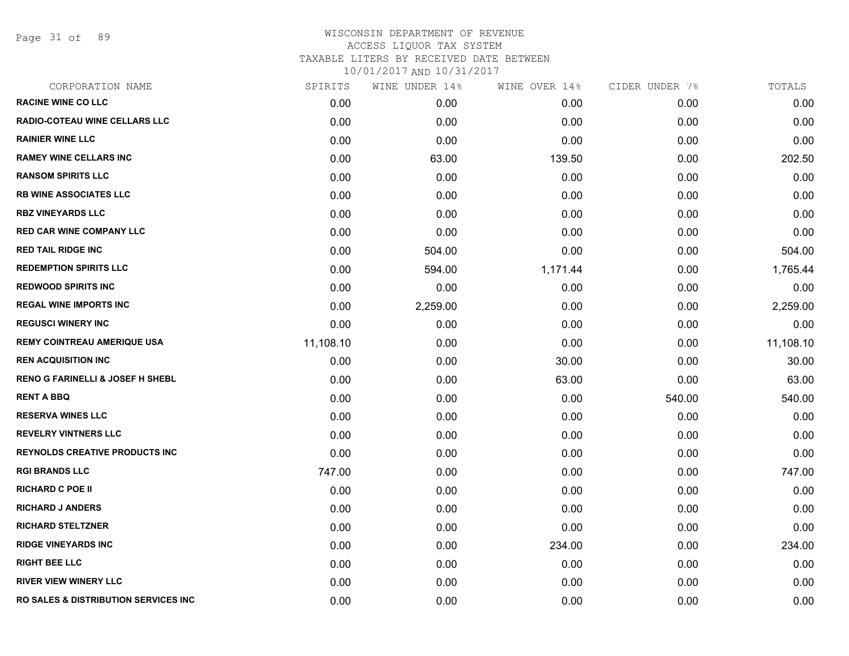Page 31 of 89

# WISCONSIN DEPARTMENT OF REVENUE ACCESS LIQUOR TAX SYSTEM TAXABLE LITERS BY RECEIVED DATE BETWEEN

| CORPORATION NAME                                 | SPIRITS   | WINE UNDER 14% | WINE OVER 14% | CIDER UNDER 7% | TOTALS    |
|--------------------------------------------------|-----------|----------------|---------------|----------------|-----------|
| <b>RACINE WINE CO LLC</b>                        | 0.00      | 0.00           | 0.00          | 0.00           | 0.00      |
| <b>RADIO-COTEAU WINE CELLARS LLC</b>             | 0.00      | 0.00           | 0.00          | 0.00           | 0.00      |
| <b>RAINIER WINE LLC</b>                          | 0.00      | 0.00           | 0.00          | 0.00           | 0.00      |
| <b>RAMEY WINE CELLARS INC</b>                    | 0.00      | 63.00          | 139.50        | 0.00           | 202.50    |
| <b>RANSOM SPIRITS LLC</b>                        | 0.00      | 0.00           | 0.00          | 0.00           | 0.00      |
| <b>RB WINE ASSOCIATES LLC</b>                    | 0.00      | 0.00           | 0.00          | 0.00           | 0.00      |
| <b>RBZ VINEYARDS LLC</b>                         | 0.00      | 0.00           | 0.00          | 0.00           | 0.00      |
| <b>RED CAR WINE COMPANY LLC</b>                  | 0.00      | 0.00           | 0.00          | 0.00           | 0.00      |
| <b>RED TAIL RIDGE INC</b>                        | 0.00      | 504.00         | 0.00          | 0.00           | 504.00    |
| <b>REDEMPTION SPIRITS LLC</b>                    | 0.00      | 594.00         | 1,171.44      | 0.00           | 1,765.44  |
| <b>REDWOOD SPIRITS INC</b>                       | 0.00      | 0.00           | 0.00          | 0.00           | 0.00      |
| <b>REGAL WINE IMPORTS INC</b>                    | 0.00      | 2,259.00       | 0.00          | 0.00           | 2,259.00  |
| <b>REGUSCI WINERY INC</b>                        | 0.00      | 0.00           | 0.00          | 0.00           | 0.00      |
| <b>REMY COINTREAU AMERIQUE USA</b>               | 11,108.10 | 0.00           | 0.00          | 0.00           | 11,108.10 |
| <b>REN ACQUISITION INC</b>                       | 0.00      | 0.00           | 30.00         | 0.00           | 30.00     |
| <b>RENO G FARINELLI &amp; JOSEF H SHEBL</b>      | 0.00      | 0.00           | 63.00         | 0.00           | 63.00     |
| <b>RENT A BBQ</b>                                | 0.00      | 0.00           | 0.00          | 540.00         | 540.00    |
| <b>RESERVA WINES LLC</b>                         | 0.00      | 0.00           | 0.00          | 0.00           | 0.00      |
| <b>REVELRY VINTNERS LLC</b>                      | 0.00      | 0.00           | 0.00          | 0.00           | 0.00      |
| <b>REYNOLDS CREATIVE PRODUCTS INC.</b>           | 0.00      | 0.00           | 0.00          | 0.00           | 0.00      |
| <b>RGI BRANDS LLC</b>                            | 747.00    | 0.00           | 0.00          | 0.00           | 747.00    |
| <b>RICHARD C POE II</b>                          | 0.00      | 0.00           | 0.00          | 0.00           | 0.00      |
| <b>RICHARD J ANDERS</b>                          | 0.00      | 0.00           | 0.00          | 0.00           | 0.00      |
| <b>RICHARD STELTZNER</b>                         | 0.00      | 0.00           | 0.00          | 0.00           | 0.00      |
| <b>RIDGE VINEYARDS INC</b>                       | 0.00      | 0.00           | 234.00        | 0.00           | 234.00    |
| <b>RIGHT BEE LLC</b>                             | 0.00      | 0.00           | 0.00          | 0.00           | 0.00      |
| <b>RIVER VIEW WINERY LLC</b>                     | 0.00      | 0.00           | 0.00          | 0.00           | 0.00      |
| <b>RO SALES &amp; DISTRIBUTION SERVICES INC.</b> | 0.00      | 0.00           | 0.00          | 0.00           | 0.00      |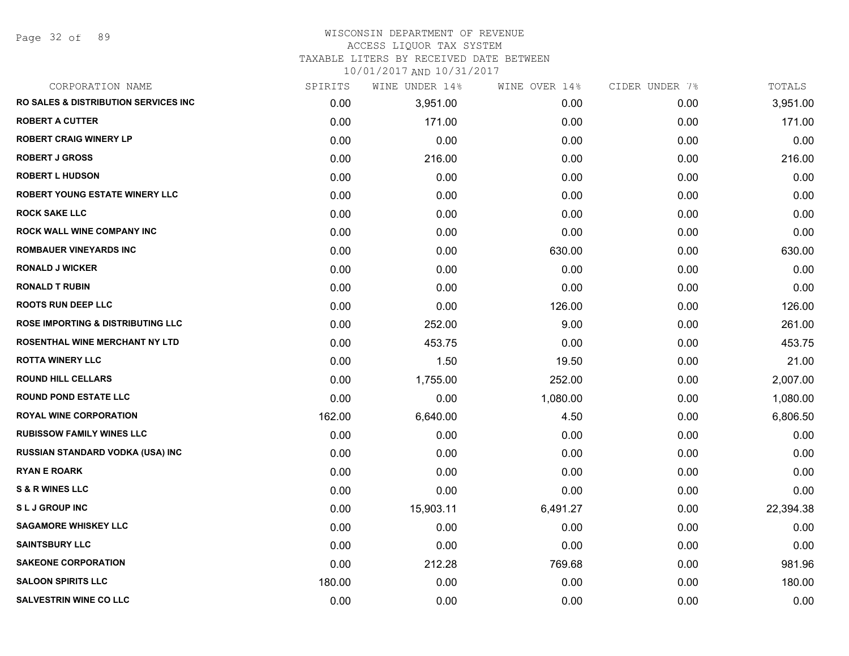Page 32 of 89

#### WISCONSIN DEPARTMENT OF REVENUE ACCESS LIQUOR TAX SYSTEM

TAXABLE LITERS BY RECEIVED DATE BETWEEN

| CORPORATION NAME                                 | SPIRITS | WINE UNDER 14% | WINE OVER 14% | CIDER UNDER 7% | TOTALS    |
|--------------------------------------------------|---------|----------------|---------------|----------------|-----------|
| <b>RO SALES &amp; DISTRIBUTION SERVICES INC.</b> | 0.00    | 3,951.00       | 0.00          | 0.00           | 3,951.00  |
| <b>ROBERT A CUTTER</b>                           | 0.00    | 171.00         | 0.00          | 0.00           | 171.00    |
| <b>ROBERT CRAIG WINERY LP</b>                    | 0.00    | 0.00           | 0.00          | 0.00           | 0.00      |
| <b>ROBERT J GROSS</b>                            | 0.00    | 216.00         | 0.00          | 0.00           | 216.00    |
| <b>ROBERT L HUDSON</b>                           | 0.00    | 0.00           | 0.00          | 0.00           | 0.00      |
| <b>ROBERT YOUNG ESTATE WINERY LLC</b>            | 0.00    | 0.00           | 0.00          | 0.00           | 0.00      |
| <b>ROCK SAKE LLC</b>                             | 0.00    | 0.00           | 0.00          | 0.00           | 0.00      |
| <b>ROCK WALL WINE COMPANY INC</b>                | 0.00    | 0.00           | 0.00          | 0.00           | 0.00      |
| <b>ROMBAUER VINEYARDS INC</b>                    | 0.00    | 0.00           | 630.00        | 0.00           | 630.00    |
| <b>RONALD J WICKER</b>                           | 0.00    | 0.00           | 0.00          | 0.00           | 0.00      |
| <b>RONALD T RUBIN</b>                            | 0.00    | 0.00           | 0.00          | 0.00           | 0.00      |
| <b>ROOTS RUN DEEP LLC</b>                        | 0.00    | 0.00           | 126.00        | 0.00           | 126.00    |
| <b>ROSE IMPORTING &amp; DISTRIBUTING LLC</b>     | 0.00    | 252.00         | 9.00          | 0.00           | 261.00    |
| <b>ROSENTHAL WINE MERCHANT NY LTD</b>            | 0.00    | 453.75         | 0.00          | 0.00           | 453.75    |
| <b>ROTTA WINERY LLC</b>                          | 0.00    | 1.50           | 19.50         | 0.00           | 21.00     |
| <b>ROUND HILL CELLARS</b>                        | 0.00    | 1,755.00       | 252.00        | 0.00           | 2,007.00  |
| <b>ROUND POND ESTATE LLC</b>                     | 0.00    | 0.00           | 1,080.00      | 0.00           | 1,080.00  |
| <b>ROYAL WINE CORPORATION</b>                    | 162.00  | 6,640.00       | 4.50          | 0.00           | 6,806.50  |
| <b>RUBISSOW FAMILY WINES LLC</b>                 | 0.00    | 0.00           | 0.00          | 0.00           | 0.00      |
| <b>RUSSIAN STANDARD VODKA (USA) INC</b>          | 0.00    | 0.00           | 0.00          | 0.00           | 0.00      |
| <b>RYAN E ROARK</b>                              | 0.00    | 0.00           | 0.00          | 0.00           | 0.00      |
| <b>S &amp; R WINES LLC</b>                       | 0.00    | 0.00           | 0.00          | 0.00           | 0.00      |
| <b>SLJ GROUP INC</b>                             | 0.00    | 15,903.11      | 6,491.27      | 0.00           | 22,394.38 |
| <b>SAGAMORE WHISKEY LLC</b>                      | 0.00    | 0.00           | 0.00          | 0.00           | 0.00      |
| <b>SAINTSBURY LLC</b>                            | 0.00    | 0.00           | 0.00          | 0.00           | 0.00      |
| <b>SAKEONE CORPORATION</b>                       | 0.00    | 212.28         | 769.68        | 0.00           | 981.96    |
| <b>SALOON SPIRITS LLC</b>                        | 180.00  | 0.00           | 0.00          | 0.00           | 180.00    |
| <b>SALVESTRIN WINE CO LLC</b>                    | 0.00    | 0.00           | 0.00          | 0.00           | 0.00      |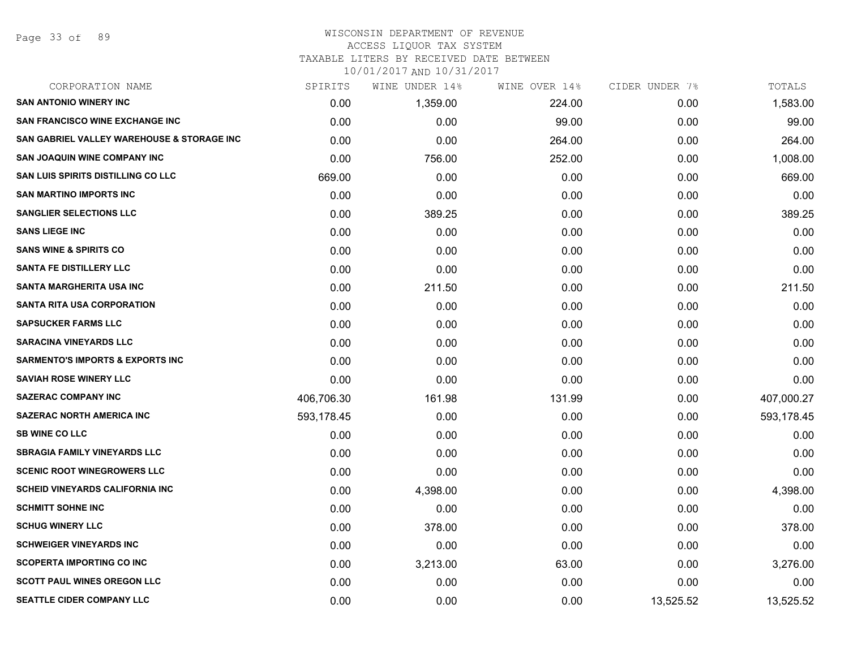#### WISCONSIN DEPARTMENT OF REVENUE ACCESS LIQUOR TAX SYSTEM

TAXABLE LITERS BY RECEIVED DATE BETWEEN

| CORPORATION NAME                            | SPIRITS    | WINE UNDER 14% | WINE OVER 14% | CIDER UNDER 7% | TOTALS     |
|---------------------------------------------|------------|----------------|---------------|----------------|------------|
| <b>SAN ANTONIO WINERY INC</b>               | 0.00       | 1,359.00       | 224.00        | 0.00           | 1,583.00   |
| <b>SAN FRANCISCO WINE EXCHANGE INC</b>      | 0.00       | 0.00           | 99.00         | 0.00           | 99.00      |
| SAN GABRIEL VALLEY WAREHOUSE & STORAGE INC  | 0.00       | 0.00           | 264.00        | 0.00           | 264.00     |
| <b>SAN JOAQUIN WINE COMPANY INC</b>         | 0.00       | 756.00         | 252.00        | 0.00           | 1,008.00   |
| SAN LUIS SPIRITS DISTILLING CO LLC          | 669.00     | 0.00           | 0.00          | 0.00           | 669.00     |
| <b>SAN MARTINO IMPORTS INC</b>              | 0.00       | 0.00           | 0.00          | 0.00           | 0.00       |
| <b>SANGLIER SELECTIONS LLC</b>              | 0.00       | 389.25         | 0.00          | 0.00           | 389.25     |
| <b>SANS LIEGE INC</b>                       | 0.00       | 0.00           | 0.00          | 0.00           | 0.00       |
| <b>SANS WINE &amp; SPIRITS CO</b>           | 0.00       | 0.00           | 0.00          | 0.00           | 0.00       |
| <b>SANTA FE DISTILLERY LLC</b>              | 0.00       | 0.00           | 0.00          | 0.00           | 0.00       |
| <b>SANTA MARGHERITA USA INC</b>             | 0.00       | 211.50         | 0.00          | 0.00           | 211.50     |
| <b>SANTA RITA USA CORPORATION</b>           | 0.00       | 0.00           | 0.00          | 0.00           | 0.00       |
| <b>SAPSUCKER FARMS LLC</b>                  | 0.00       | 0.00           | 0.00          | 0.00           | 0.00       |
| <b>SARACINA VINEYARDS LLC</b>               | 0.00       | 0.00           | 0.00          | 0.00           | 0.00       |
| <b>SARMENTO'S IMPORTS &amp; EXPORTS INC</b> | 0.00       | 0.00           | 0.00          | 0.00           | 0.00       |
| <b>SAVIAH ROSE WINERY LLC</b>               | 0.00       | 0.00           | 0.00          | 0.00           | 0.00       |
| <b>SAZERAC COMPANY INC</b>                  | 406,706.30 | 161.98         | 131.99        | 0.00           | 407,000.27 |
| <b>SAZERAC NORTH AMERICA INC</b>            | 593,178.45 | 0.00           | 0.00          | 0.00           | 593,178.45 |
| <b>SB WINE CO LLC</b>                       | 0.00       | 0.00           | 0.00          | 0.00           | 0.00       |
| <b>SBRAGIA FAMILY VINEYARDS LLC</b>         | 0.00       | 0.00           | 0.00          | 0.00           | 0.00       |
| <b>SCENIC ROOT WINEGROWERS LLC</b>          | 0.00       | 0.00           | 0.00          | 0.00           | 0.00       |
| <b>SCHEID VINEYARDS CALIFORNIA INC</b>      | 0.00       | 4,398.00       | 0.00          | 0.00           | 4,398.00   |
| <b>SCHMITT SOHNE INC</b>                    | 0.00       | 0.00           | 0.00          | 0.00           | 0.00       |
| <b>SCHUG WINERY LLC</b>                     | 0.00       | 378.00         | 0.00          | 0.00           | 378.00     |
| <b>SCHWEIGER VINEYARDS INC</b>              | 0.00       | 0.00           | 0.00          | 0.00           | 0.00       |
| <b>SCOPERTA IMPORTING CO INC</b>            | 0.00       | 3,213.00       | 63.00         | 0.00           | 3,276.00   |
| <b>SCOTT PAUL WINES OREGON LLC</b>          | 0.00       | 0.00           | 0.00          | 0.00           | 0.00       |
| SEATTLE CIDER COMPANY LLC                   | 0.00       | 0.00           | 0.00          | 13,525.52      | 13,525.52  |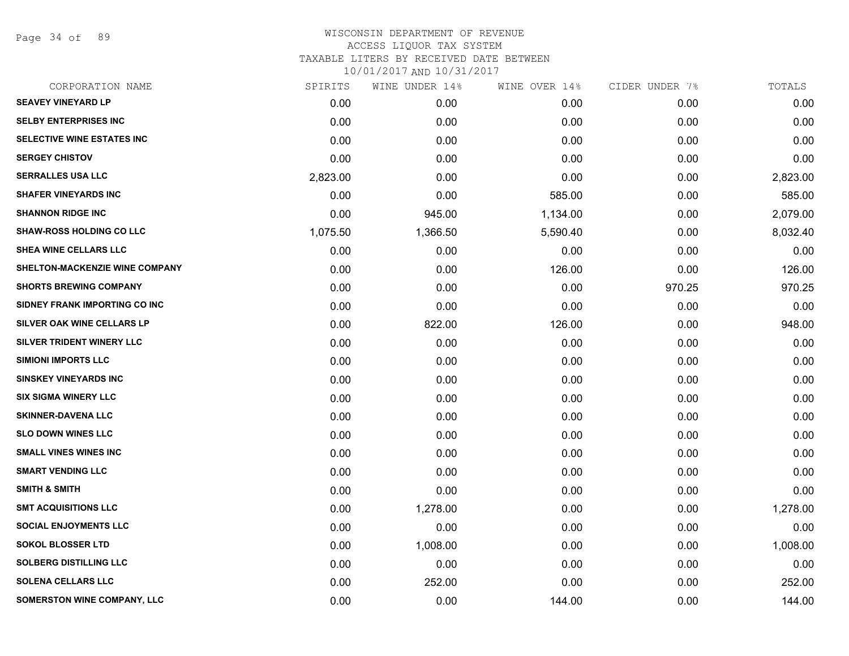Page 34 of 89

| CORPORATION NAME                | SPIRITS  | WINE UNDER 14% | WINE OVER 14% | CIDER UNDER 7% | TOTALS   |
|---------------------------------|----------|----------------|---------------|----------------|----------|
| <b>SEAVEY VINEYARD LP</b>       | 0.00     | 0.00           | 0.00          | 0.00           | 0.00     |
| <b>SELBY ENTERPRISES INC</b>    | 0.00     | 0.00           | 0.00          | 0.00           | 0.00     |
| SELECTIVE WINE ESTATES INC      | 0.00     | 0.00           | 0.00          | 0.00           | 0.00     |
| <b>SERGEY CHISTOV</b>           | 0.00     | 0.00           | 0.00          | 0.00           | 0.00     |
| <b>SERRALLES USA LLC</b>        | 2,823.00 | 0.00           | 0.00          | 0.00           | 2,823.00 |
| <b>SHAFER VINEYARDS INC</b>     | 0.00     | 0.00           | 585.00        | 0.00           | 585.00   |
| <b>SHANNON RIDGE INC</b>        | 0.00     | 945.00         | 1,134.00      | 0.00           | 2,079.00 |
| <b>SHAW-ROSS HOLDING CO LLC</b> | 1,075.50 | 1,366.50       | 5,590.40      | 0.00           | 8,032.40 |
| <b>SHEA WINE CELLARS LLC</b>    | 0.00     | 0.00           | 0.00          | 0.00           | 0.00     |
| SHELTON-MACKENZIE WINE COMPANY  | 0.00     | 0.00           | 126.00        | 0.00           | 126.00   |
| <b>SHORTS BREWING COMPANY</b>   | 0.00     | 0.00           | 0.00          | 970.25         | 970.25   |
| SIDNEY FRANK IMPORTING CO INC   | 0.00     | 0.00           | 0.00          | 0.00           | 0.00     |
| SILVER OAK WINE CELLARS LP      | 0.00     | 822.00         | 126.00        | 0.00           | 948.00   |
| SILVER TRIDENT WINERY LLC       | 0.00     | 0.00           | 0.00          | 0.00           | 0.00     |
| <b>SIMIONI IMPORTS LLC</b>      | 0.00     | 0.00           | 0.00          | 0.00           | 0.00     |
| <b>SINSKEY VINEYARDS INC</b>    | 0.00     | 0.00           | 0.00          | 0.00           | 0.00     |
| <b>SIX SIGMA WINERY LLC</b>     | 0.00     | 0.00           | 0.00          | 0.00           | 0.00     |
| <b>SKINNER-DAVENA LLC</b>       | 0.00     | 0.00           | 0.00          | 0.00           | 0.00     |
| <b>SLO DOWN WINES LLC</b>       | 0.00     | 0.00           | 0.00          | 0.00           | 0.00     |
| <b>SMALL VINES WINES INC</b>    | 0.00     | 0.00           | 0.00          | 0.00           | 0.00     |
| <b>SMART VENDING LLC</b>        | 0.00     | 0.00           | 0.00          | 0.00           | 0.00     |
| <b>SMITH &amp; SMITH</b>        | 0.00     | 0.00           | 0.00          | 0.00           | 0.00     |
| <b>SMT ACQUISITIONS LLC</b>     | 0.00     | 1,278.00       | 0.00          | 0.00           | 1,278.00 |
| <b>SOCIAL ENJOYMENTS LLC</b>    | 0.00     | 0.00           | 0.00          | 0.00           | 0.00     |
| <b>SOKOL BLOSSER LTD</b>        | 0.00     | 1,008.00       | 0.00          | 0.00           | 1,008.00 |
| <b>SOLBERG DISTILLING LLC</b>   | 0.00     | 0.00           | 0.00          | 0.00           | 0.00     |
| <b>SOLENA CELLARS LLC</b>       | 0.00     | 252.00         | 0.00          | 0.00           | 252.00   |
| SOMERSTON WINE COMPANY, LLC     | 0.00     | 0.00           | 144.00        | 0.00           | 144.00   |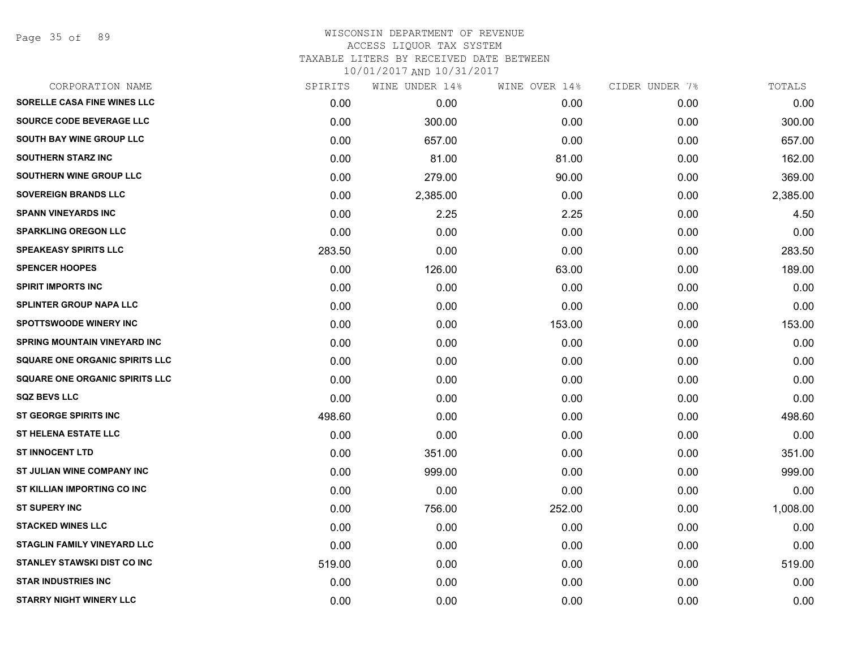Page 35 of 89

# WISCONSIN DEPARTMENT OF REVENUE ACCESS LIQUOR TAX SYSTEM

TAXABLE LITERS BY RECEIVED DATE BETWEEN

| CORPORATION NAME                      | SPIRITS | WINE UNDER 14% | WINE OVER 14% | CIDER UNDER 7% | TOTALS   |
|---------------------------------------|---------|----------------|---------------|----------------|----------|
| SORELLE CASA FINE WINES LLC           | 0.00    | 0.00           | 0.00          | 0.00           | 0.00     |
| SOURCE CODE BEVERAGE LLC              | 0.00    | 300.00         | 0.00          | 0.00           | 300.00   |
| <b>SOUTH BAY WINE GROUP LLC</b>       | 0.00    | 657.00         | 0.00          | 0.00           | 657.00   |
| <b>SOUTHERN STARZ INC</b>             | 0.00    | 81.00          | 81.00         | 0.00           | 162.00   |
| SOUTHERN WINE GROUP LLC               | 0.00    | 279.00         | 90.00         | 0.00           | 369.00   |
| <b>SOVEREIGN BRANDS LLC</b>           | 0.00    | 2,385.00       | 0.00          | 0.00           | 2,385.00 |
| <b>SPANN VINEYARDS INC</b>            | 0.00    | 2.25           | 2.25          | 0.00           | 4.50     |
| <b>SPARKLING OREGON LLC</b>           | 0.00    | 0.00           | 0.00          | 0.00           | 0.00     |
| <b>SPEAKEASY SPIRITS LLC</b>          | 283.50  | 0.00           | 0.00          | 0.00           | 283.50   |
| <b>SPENCER HOOPES</b>                 | 0.00    | 126.00         | 63.00         | 0.00           | 189.00   |
| <b>SPIRIT IMPORTS INC</b>             | 0.00    | 0.00           | 0.00          | 0.00           | 0.00     |
| <b>SPLINTER GROUP NAPA LLC</b>        | 0.00    | 0.00           | 0.00          | 0.00           | 0.00     |
| <b>SPOTTSWOODE WINERY INC</b>         | 0.00    | 0.00           | 153.00        | 0.00           | 153.00   |
| <b>SPRING MOUNTAIN VINEYARD INC</b>   | 0.00    | 0.00           | 0.00          | 0.00           | 0.00     |
| <b>SQUARE ONE ORGANIC SPIRITS LLC</b> | 0.00    | 0.00           | 0.00          | 0.00           | 0.00     |
| <b>SQUARE ONE ORGANIC SPIRITS LLC</b> | 0.00    | 0.00           | 0.00          | 0.00           | 0.00     |
| <b>SQZ BEVS LLC</b>                   | 0.00    | 0.00           | 0.00          | 0.00           | 0.00     |
| <b>ST GEORGE SPIRITS INC</b>          | 498.60  | 0.00           | 0.00          | 0.00           | 498.60   |
| <b>ST HELENA ESTATE LLC</b>           | 0.00    | 0.00           | 0.00          | 0.00           | 0.00     |
| <b>ST INNOCENT LTD</b>                | 0.00    | 351.00         | 0.00          | 0.00           | 351.00   |
| ST JULIAN WINE COMPANY INC            | 0.00    | 999.00         | 0.00          | 0.00           | 999.00   |
| ST KILLIAN IMPORTING CO INC           | 0.00    | 0.00           | 0.00          | 0.00           | 0.00     |
| <b>ST SUPERY INC</b>                  | 0.00    | 756.00         | 252.00        | 0.00           | 1,008.00 |
| <b>STACKED WINES LLC</b>              | 0.00    | 0.00           | 0.00          | 0.00           | 0.00     |
| <b>STAGLIN FAMILY VINEYARD LLC</b>    | 0.00    | 0.00           | 0.00          | 0.00           | 0.00     |
| STANLEY STAWSKI DIST CO INC           | 519.00  | 0.00           | 0.00          | 0.00           | 519.00   |
| <b>STAR INDUSTRIES INC</b>            | 0.00    | 0.00           | 0.00          | 0.00           | 0.00     |
| <b>STARRY NIGHT WINERY LLC</b>        | 0.00    | 0.00           | 0.00          | 0.00           | 0.00     |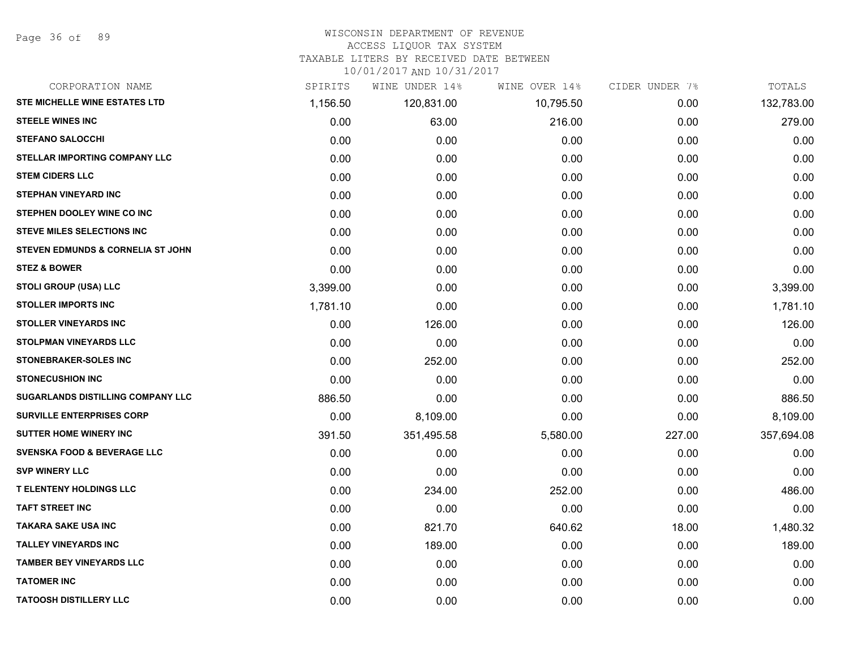#### WISCONSIN DEPARTMENT OF REVENUE

#### ACCESS LIQUOR TAX SYSTEM

TAXABLE LITERS BY RECEIVED DATE BETWEEN

| CORPORATION NAME                       | SPIRITS  | WINE UNDER 14% | WINE OVER 14% | CIDER UNDER 7% | TOTALS     |
|----------------------------------------|----------|----------------|---------------|----------------|------------|
| STE MICHELLE WINE ESTATES LTD          | 1,156.50 | 120,831.00     | 10,795.50     | 0.00           | 132,783.00 |
| <b>STEELE WINES INC</b>                | 0.00     | 63.00          | 216.00        | 0.00           | 279.00     |
| <b>STEFANO SALOCCHI</b>                | 0.00     | 0.00           | 0.00          | 0.00           | 0.00       |
| <b>STELLAR IMPORTING COMPANY LLC</b>   | 0.00     | 0.00           | 0.00          | 0.00           | 0.00       |
| <b>STEM CIDERS LLC</b>                 | 0.00     | 0.00           | 0.00          | 0.00           | 0.00       |
| <b>STEPHAN VINEYARD INC</b>            | 0.00     | 0.00           | 0.00          | 0.00           | 0.00       |
| STEPHEN DOOLEY WINE CO INC             | 0.00     | 0.00           | 0.00          | 0.00           | 0.00       |
| <b>STEVE MILES SELECTIONS INC</b>      | 0.00     | 0.00           | 0.00          | 0.00           | 0.00       |
| STEVEN EDMUNDS & CORNELIA ST JOHN      | 0.00     | 0.00           | 0.00          | 0.00           | 0.00       |
| <b>STEZ &amp; BOWER</b>                | 0.00     | 0.00           | 0.00          | 0.00           | 0.00       |
| STOLI GROUP (USA) LLC                  | 3,399.00 | 0.00           | 0.00          | 0.00           | 3,399.00   |
| <b>STOLLER IMPORTS INC</b>             | 1,781.10 | 0.00           | 0.00          | 0.00           | 1,781.10   |
| <b>STOLLER VINEYARDS INC</b>           | 0.00     | 126.00         | 0.00          | 0.00           | 126.00     |
| <b>STOLPMAN VINEYARDS LLC</b>          | 0.00     | 0.00           | 0.00          | 0.00           | 0.00       |
| <b>STONEBRAKER-SOLES INC</b>           | 0.00     | 252.00         | 0.00          | 0.00           | 252.00     |
| <b>STONECUSHION INC</b>                | 0.00     | 0.00           | 0.00          | 0.00           | 0.00       |
| SUGARLANDS DISTILLING COMPANY LLC      | 886.50   | 0.00           | 0.00          | 0.00           | 886.50     |
| <b>SURVILLE ENTERPRISES CORP</b>       | 0.00     | 8,109.00       | 0.00          | 0.00           | 8,109.00   |
| <b>SUTTER HOME WINERY INC</b>          | 391.50   | 351,495.58     | 5,580.00      | 227.00         | 357,694.08 |
| <b>SVENSKA FOOD &amp; BEVERAGE LLC</b> | 0.00     | 0.00           | 0.00          | 0.00           | 0.00       |
| <b>SVP WINERY LLC</b>                  | 0.00     | 0.00           | 0.00          | 0.00           | 0.00       |
| <b>T ELENTENY HOLDINGS LLC</b>         | 0.00     | 234.00         | 252.00        | 0.00           | 486.00     |
| <b>TAFT STREET INC</b>                 | 0.00     | 0.00           | 0.00          | 0.00           | 0.00       |
| <b>TAKARA SAKE USA INC</b>             | 0.00     | 821.70         | 640.62        | 18.00          | 1,480.32   |
| <b>TALLEY VINEYARDS INC</b>            | 0.00     | 189.00         | 0.00          | 0.00           | 189.00     |
| <b>TAMBER BEY VINEYARDS LLC</b>        | 0.00     | 0.00           | 0.00          | 0.00           | 0.00       |
| <b>TATOMER INC</b>                     | 0.00     | 0.00           | 0.00          | 0.00           | 0.00       |
| <b>TATOOSH DISTILLERY LLC</b>          | 0.00     | 0.00           | 0.00          | 0.00           | 0.00       |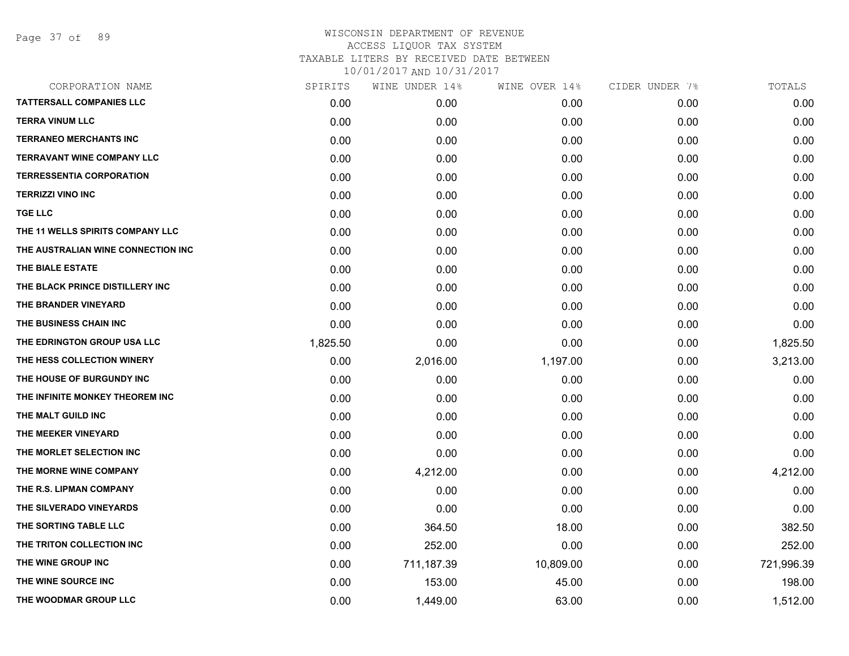Page 37 of 89

| CORPORATION NAME                   | SPIRITS  | WINE UNDER 14% | WINE OVER 14% | CIDER UNDER 7% | TOTALS     |
|------------------------------------|----------|----------------|---------------|----------------|------------|
| <b>TATTERSALL COMPANIES LLC</b>    | 0.00     | 0.00           | 0.00          | 0.00           | 0.00       |
| <b>TERRA VINUM LLC</b>             | 0.00     | 0.00           | 0.00          | 0.00           | 0.00       |
| <b>TERRANEO MERCHANTS INC</b>      | 0.00     | 0.00           | 0.00          | 0.00           | 0.00       |
| <b>TERRAVANT WINE COMPANY LLC</b>  | 0.00     | 0.00           | 0.00          | 0.00           | 0.00       |
| <b>TERRESSENTIA CORPORATION</b>    | 0.00     | 0.00           | 0.00          | 0.00           | 0.00       |
| <b>TERRIZZI VINO INC</b>           | 0.00     | 0.00           | 0.00          | 0.00           | 0.00       |
| <b>TGE LLC</b>                     | 0.00     | 0.00           | 0.00          | 0.00           | 0.00       |
| THE 11 WELLS SPIRITS COMPANY LLC   | 0.00     | 0.00           | 0.00          | 0.00           | 0.00       |
| THE AUSTRALIAN WINE CONNECTION INC | 0.00     | 0.00           | 0.00          | 0.00           | 0.00       |
| THE BIALE ESTATE                   | 0.00     | 0.00           | 0.00          | 0.00           | 0.00       |
| THE BLACK PRINCE DISTILLERY INC    | 0.00     | 0.00           | 0.00          | 0.00           | 0.00       |
| THE BRANDER VINEYARD               | 0.00     | 0.00           | 0.00          | 0.00           | 0.00       |
| THE BUSINESS CHAIN INC             | 0.00     | 0.00           | 0.00          | 0.00           | 0.00       |
| THE EDRINGTON GROUP USA LLC        | 1,825.50 | 0.00           | 0.00          | 0.00           | 1,825.50   |
| THE HESS COLLECTION WINERY         | 0.00     | 2,016.00       | 1,197.00      | 0.00           | 3,213.00   |
| THE HOUSE OF BURGUNDY INC          | 0.00     | 0.00           | 0.00          | 0.00           | 0.00       |
| THE INFINITE MONKEY THEOREM INC    | 0.00     | 0.00           | 0.00          | 0.00           | 0.00       |
| THE MALT GUILD INC                 | 0.00     | 0.00           | 0.00          | 0.00           | 0.00       |
| THE MEEKER VINEYARD                | 0.00     | 0.00           | 0.00          | 0.00           | 0.00       |
| THE MORLET SELECTION INC           | 0.00     | 0.00           | 0.00          | 0.00           | 0.00       |
| THE MORNE WINE COMPANY             | 0.00     | 4,212.00       | 0.00          | 0.00           | 4,212.00   |
| THE R.S. LIPMAN COMPANY            | 0.00     | 0.00           | 0.00          | 0.00           | 0.00       |
| THE SILVERADO VINEYARDS            | 0.00     | 0.00           | 0.00          | 0.00           | 0.00       |
| THE SORTING TABLE LLC              | 0.00     | 364.50         | 18.00         | 0.00           | 382.50     |
| THE TRITON COLLECTION INC          | 0.00     | 252.00         | 0.00          | 0.00           | 252.00     |
| THE WINE GROUP INC                 | 0.00     | 711,187.39     | 10,809.00     | 0.00           | 721,996.39 |
| THE WINE SOURCE INC                | 0.00     | 153.00         | 45.00         | 0.00           | 198.00     |
| THE WOODMAR GROUP LLC              | 0.00     | 1,449.00       | 63.00         | 0.00           | 1,512.00   |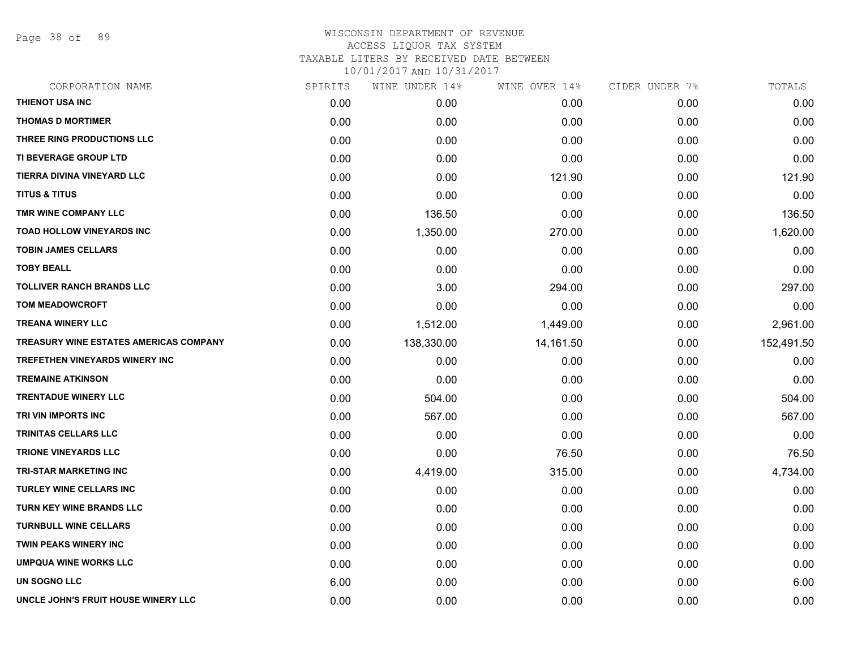Page 38 of 89

| CORPORATION NAME                              | SPIRITS | WINE UNDER 14% | WINE OVER 14% | CIDER UNDER 7% | TOTALS     |
|-----------------------------------------------|---------|----------------|---------------|----------------|------------|
| THIENOT USA INC                               | 0.00    | 0.00           | 0.00          | 0.00           | 0.00       |
| <b>THOMAS D MORTIMER</b>                      | 0.00    | 0.00           | 0.00          | 0.00           | 0.00       |
| THREE RING PRODUCTIONS LLC                    | 0.00    | 0.00           | 0.00          | 0.00           | 0.00       |
| <b>TI BEVERAGE GROUP LTD</b>                  | 0.00    | 0.00           | 0.00          | 0.00           | 0.00       |
| TIERRA DIVINA VINEYARD LLC                    | 0.00    | 0.00           | 121.90        | 0.00           | 121.90     |
| <b>TITUS &amp; TITUS</b>                      | 0.00    | 0.00           | 0.00          | 0.00           | 0.00       |
| TMR WINE COMPANY LLC                          | 0.00    | 136.50         | 0.00          | 0.00           | 136.50     |
| <b>TOAD HOLLOW VINEYARDS INC</b>              | 0.00    | 1,350.00       | 270.00        | 0.00           | 1,620.00   |
| <b>TOBIN JAMES CELLARS</b>                    | 0.00    | 0.00           | 0.00          | 0.00           | 0.00       |
| <b>TOBY BEALL</b>                             | 0.00    | 0.00           | 0.00          | 0.00           | 0.00       |
| <b>TOLLIVER RANCH BRANDS LLC</b>              | 0.00    | 3.00           | 294.00        | 0.00           | 297.00     |
| <b>TOM MEADOWCROFT</b>                        | 0.00    | 0.00           | 0.00          | 0.00           | 0.00       |
| <b>TREANA WINERY LLC</b>                      | 0.00    | 1,512.00       | 1,449.00      | 0.00           | 2,961.00   |
| <b>TREASURY WINE ESTATES AMERICAS COMPANY</b> | 0.00    | 138,330.00     | 14,161.50     | 0.00           | 152,491.50 |
| TREFETHEN VINEYARDS WINERY INC                | 0.00    | 0.00           | 0.00          | 0.00           | 0.00       |
| <b>TREMAINE ATKINSON</b>                      | 0.00    | 0.00           | 0.00          | 0.00           | 0.00       |
| <b>TRENTADUE WINERY LLC</b>                   | 0.00    | 504.00         | 0.00          | 0.00           | 504.00     |
| TRI VIN IMPORTS INC                           | 0.00    | 567.00         | 0.00          | 0.00           | 567.00     |
| TRINITAS CELLARS LLC                          | 0.00    | 0.00           | 0.00          | 0.00           | 0.00       |
| <b>TRIONE VINEYARDS LLC</b>                   | 0.00    | 0.00           | 76.50         | 0.00           | 76.50      |
| <b>TRI-STAR MARKETING INC</b>                 | 0.00    | 4,419.00       | 315.00        | 0.00           | 4,734.00   |
| <b>TURLEY WINE CELLARS INC</b>                | 0.00    | 0.00           | 0.00          | 0.00           | 0.00       |
| TURN KEY WINE BRANDS LLC                      | 0.00    | 0.00           | 0.00          | 0.00           | 0.00       |
| <b>TURNBULL WINE CELLARS</b>                  | 0.00    | 0.00           | 0.00          | 0.00           | 0.00       |
| <b>TWIN PEAKS WINERY INC</b>                  | 0.00    | 0.00           | 0.00          | 0.00           | 0.00       |
| <b>UMPQUA WINE WORKS LLC</b>                  | 0.00    | 0.00           | 0.00          | 0.00           | 0.00       |
| <b>UN SOGNO LLC</b>                           | 6.00    | 0.00           | 0.00          | 0.00           | 6.00       |
| UNCLE JOHN'S FRUIT HOUSE WINERY LLC           | 0.00    | 0.00           | 0.00          | 0.00           | 0.00       |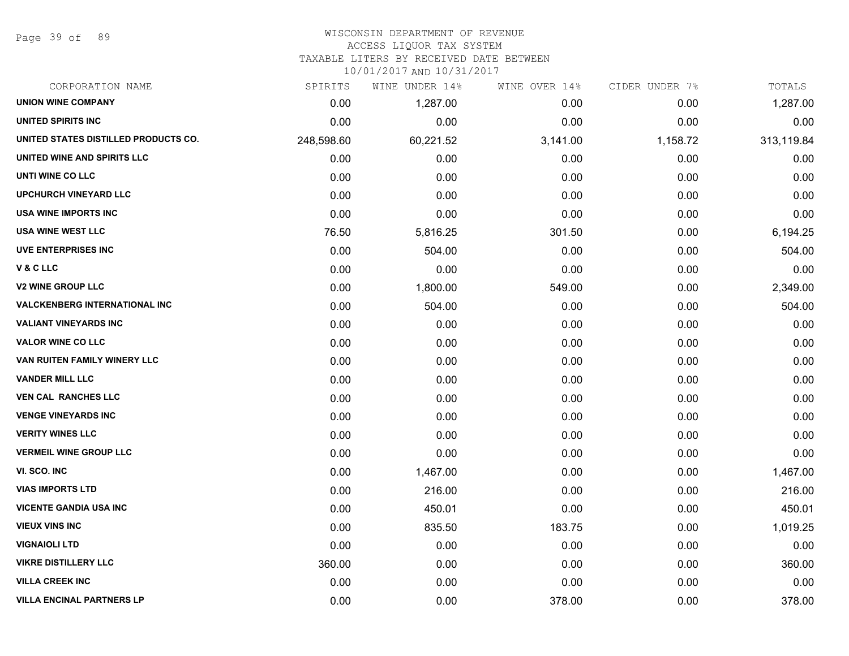Page 39 of 89

### WISCONSIN DEPARTMENT OF REVENUE ACCESS LIQUOR TAX SYSTEM

TAXABLE LITERS BY RECEIVED DATE BETWEEN

| CORPORATION NAME                     | SPIRITS    | WINE UNDER 14% | WINE OVER 14% | CIDER UNDER 7% | TOTALS     |
|--------------------------------------|------------|----------------|---------------|----------------|------------|
| <b>UNION WINE COMPANY</b>            | 0.00       | 1,287.00       | 0.00          | 0.00           | 1,287.00   |
| <b>UNITED SPIRITS INC</b>            | 0.00       | 0.00           | 0.00          | 0.00           | 0.00       |
| UNITED STATES DISTILLED PRODUCTS CO. | 248,598.60 | 60,221.52      | 3,141.00      | 1,158.72       | 313,119.84 |
| UNITED WINE AND SPIRITS LLC          | 0.00       | 0.00           | 0.00          | 0.00           | 0.00       |
| UNTI WINE CO LLC                     | 0.00       | 0.00           | 0.00          | 0.00           | 0.00       |
| <b>UPCHURCH VINEYARD LLC</b>         | 0.00       | 0.00           | 0.00          | 0.00           | 0.00       |
| USA WINE IMPORTS INC                 | 0.00       | 0.00           | 0.00          | 0.00           | 0.00       |
| <b>USA WINE WEST LLC</b>             | 76.50      | 5,816.25       | 301.50        | 0.00           | 6,194.25   |
| <b>UVE ENTERPRISES INC</b>           | 0.00       | 504.00         | 0.00          | 0.00           | 504.00     |
| V & C LLC                            | 0.00       | 0.00           | 0.00          | 0.00           | 0.00       |
| <b>V2 WINE GROUP LLC</b>             | 0.00       | 1,800.00       | 549.00        | 0.00           | 2,349.00   |
| <b>VALCKENBERG INTERNATIONAL INC</b> | 0.00       | 504.00         | 0.00          | 0.00           | 504.00     |
| <b>VALIANT VINEYARDS INC</b>         | 0.00       | 0.00           | 0.00          | 0.00           | 0.00       |
| <b>VALOR WINE CO LLC</b>             | 0.00       | 0.00           | 0.00          | 0.00           | 0.00       |
| VAN RUITEN FAMILY WINERY LLC         | 0.00       | 0.00           | 0.00          | 0.00           | 0.00       |
| <b>VANDER MILL LLC</b>               | 0.00       | 0.00           | 0.00          | 0.00           | 0.00       |
| <b>VEN CAL RANCHES LLC</b>           | 0.00       | 0.00           | 0.00          | 0.00           | 0.00       |
| <b>VENGE VINEYARDS INC</b>           | 0.00       | 0.00           | 0.00          | 0.00           | 0.00       |
| <b>VERITY WINES LLC</b>              | 0.00       | 0.00           | 0.00          | 0.00           | 0.00       |
| <b>VERMEIL WINE GROUP LLC</b>        | 0.00       | 0.00           | 0.00          | 0.00           | 0.00       |
| VI. SCO. INC                         | 0.00       | 1,467.00       | 0.00          | 0.00           | 1,467.00   |
| <b>VIAS IMPORTS LTD</b>              | 0.00       | 216.00         | 0.00          | 0.00           | 216.00     |
| <b>VICENTE GANDIA USA INC</b>        | 0.00       | 450.01         | 0.00          | 0.00           | 450.01     |
| <b>VIEUX VINS INC</b>                | 0.00       | 835.50         | 183.75        | 0.00           | 1,019.25   |
| <b>VIGNAIOLI LTD</b>                 | 0.00       | 0.00           | 0.00          | 0.00           | 0.00       |
| <b>VIKRE DISTILLERY LLC</b>          | 360.00     | 0.00           | 0.00          | 0.00           | 360.00     |
| <b>VILLA CREEK INC</b>               | 0.00       | 0.00           | 0.00          | 0.00           | 0.00       |
| <b>VILLA ENCINAL PARTNERS LP</b>     | 0.00       | 0.00           | 378.00        | 0.00           | 378.00     |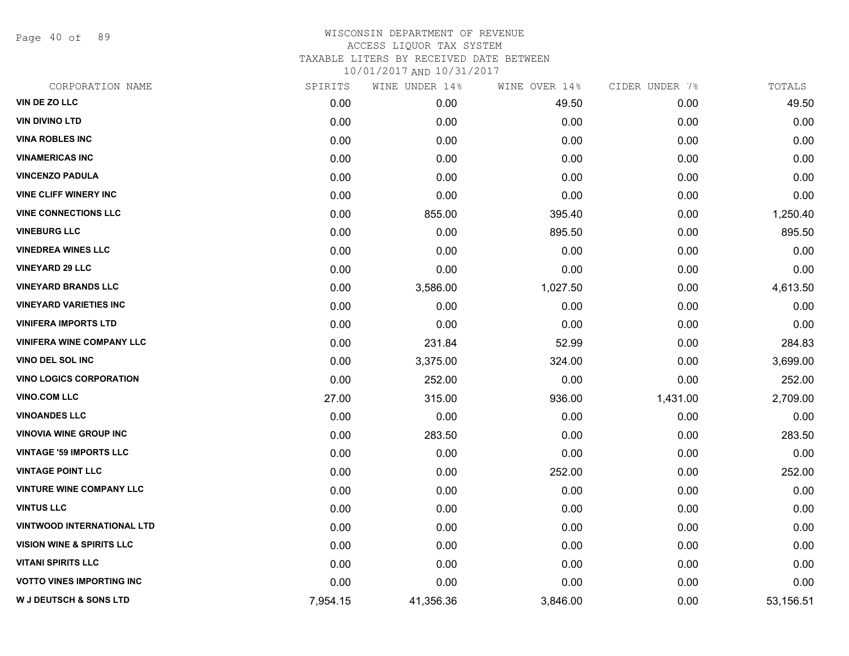Page 40 of 89

### WISCONSIN DEPARTMENT OF REVENUE ACCESS LIQUOR TAX SYSTEM TAXABLE LITERS BY RECEIVED DATE BETWEEN

| CORPORATION NAME                     | SPIRITS  | WINE UNDER 14% | WINE OVER 14% | CIDER UNDER 7% | TOTALS    |
|--------------------------------------|----------|----------------|---------------|----------------|-----------|
| VIN DE ZO LLC                        | 0.00     | 0.00           | 49.50         | 0.00           | 49.50     |
| <b>VIN DIVINO LTD</b>                | 0.00     | 0.00           | 0.00          | 0.00           | 0.00      |
| <b>VINA ROBLES INC</b>               | 0.00     | 0.00           | 0.00          | 0.00           | 0.00      |
| <b>VINAMERICAS INC</b>               | 0.00     | 0.00           | 0.00          | 0.00           | 0.00      |
| <b>VINCENZO PADULA</b>               | 0.00     | 0.00           | 0.00          | 0.00           | 0.00      |
| <b>VINE CLIFF WINERY INC</b>         | 0.00     | 0.00           | 0.00          | 0.00           | 0.00      |
| <b>VINE CONNECTIONS LLC</b>          | 0.00     | 855.00         | 395.40        | 0.00           | 1,250.40  |
| <b>VINEBURG LLC</b>                  | 0.00     | 0.00           | 895.50        | 0.00           | 895.50    |
| <b>VINEDREA WINES LLC</b>            | 0.00     | 0.00           | 0.00          | 0.00           | 0.00      |
| <b>VINEYARD 29 LLC</b>               | 0.00     | 0.00           | 0.00          | 0.00           | 0.00      |
| <b>VINEYARD BRANDS LLC</b>           | 0.00     | 3,586.00       | 1,027.50      | 0.00           | 4,613.50  |
| <b>VINEYARD VARIETIES INC</b>        | 0.00     | 0.00           | 0.00          | 0.00           | 0.00      |
| <b>VINIFERA IMPORTS LTD</b>          | 0.00     | 0.00           | 0.00          | 0.00           | 0.00      |
| <b>VINIFERA WINE COMPANY LLC</b>     | 0.00     | 231.84         | 52.99         | 0.00           | 284.83    |
| <b>VINO DEL SOL INC</b>              | 0.00     | 3,375.00       | 324.00        | 0.00           | 3,699.00  |
| <b>VINO LOGICS CORPORATION</b>       | 0.00     | 252.00         | 0.00          | 0.00           | 252.00    |
| <b>VINO.COM LLC</b>                  | 27.00    | 315.00         | 936.00        | 1,431.00       | 2,709.00  |
| <b>VINOANDES LLC</b>                 | 0.00     | 0.00           | 0.00          | 0.00           | 0.00      |
| <b>VINOVIA WINE GROUP INC</b>        | 0.00     | 283.50         | 0.00          | 0.00           | 283.50    |
| <b>VINTAGE '59 IMPORTS LLC</b>       | 0.00     | 0.00           | 0.00          | 0.00           | 0.00      |
| <b>VINTAGE POINT LLC</b>             | 0.00     | 0.00           | 252.00        | 0.00           | 252.00    |
| <b>VINTURE WINE COMPANY LLC</b>      | 0.00     | 0.00           | 0.00          | 0.00           | 0.00      |
| <b>VINTUS LLC</b>                    | 0.00     | 0.00           | 0.00          | 0.00           | 0.00      |
| <b>VINTWOOD INTERNATIONAL LTD</b>    | 0.00     | 0.00           | 0.00          | 0.00           | 0.00      |
| <b>VISION WINE &amp; SPIRITS LLC</b> | 0.00     | 0.00           | 0.00          | 0.00           | 0.00      |
| <b>VITANI SPIRITS LLC</b>            | 0.00     | 0.00           | 0.00          | 0.00           | 0.00      |
| <b>VOTTO VINES IMPORTING INC</b>     | 0.00     | 0.00           | 0.00          | 0.00           | 0.00      |
| <b>W J DEUTSCH &amp; SONS LTD</b>    | 7,954.15 | 41,356.36      | 3,846.00      | 0.00           | 53,156.51 |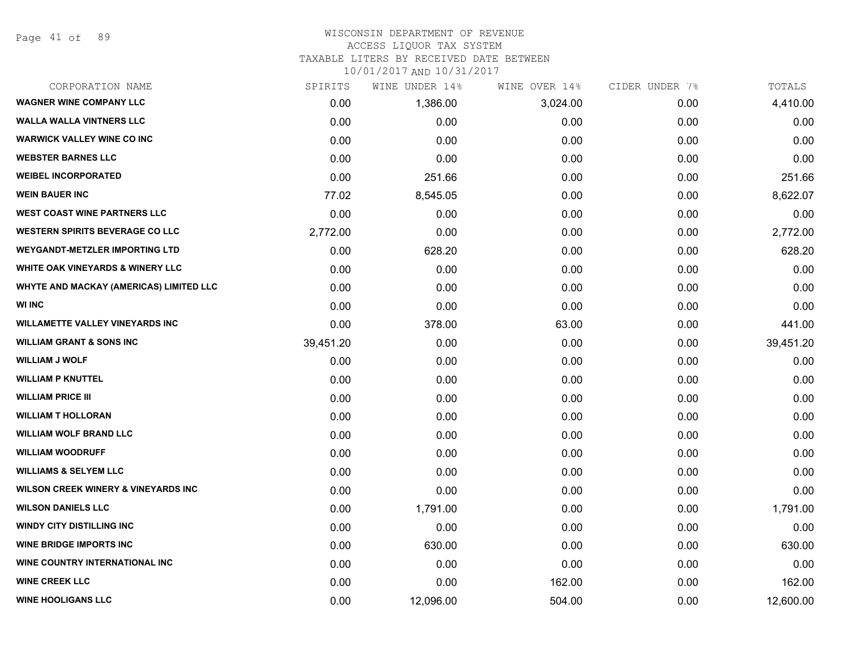Page 41 of 89

# WISCONSIN DEPARTMENT OF REVENUE

### ACCESS LIQUOR TAX SYSTEM

TAXABLE LITERS BY RECEIVED DATE BETWEEN

| CORPORATION NAME                               | SPIRITS   | WINE UNDER 14% | WINE OVER 14% | CIDER UNDER 7% | TOTALS    |
|------------------------------------------------|-----------|----------------|---------------|----------------|-----------|
| <b>WAGNER WINE COMPANY LLC</b>                 | 0.00      | 1,386.00       | 3,024.00      | 0.00           | 4,410.00  |
| <b>WALLA WALLA VINTNERS LLC</b>                | 0.00      | 0.00           | 0.00          | 0.00           | 0.00      |
| <b>WARWICK VALLEY WINE CO INC</b>              | 0.00      | 0.00           | 0.00          | 0.00           | 0.00      |
| <b>WEBSTER BARNES LLC</b>                      | 0.00      | 0.00           | 0.00          | 0.00           | 0.00      |
| <b>WEIBEL INCORPORATED</b>                     | 0.00      | 251.66         | 0.00          | 0.00           | 251.66    |
| <b>WEIN BAUER INC</b>                          | 77.02     | 8,545.05       | 0.00          | 0.00           | 8,622.07  |
| <b>WEST COAST WINE PARTNERS LLC</b>            | 0.00      | 0.00           | 0.00          | 0.00           | 0.00      |
| <b>WESTERN SPIRITS BEVERAGE CO LLC</b>         | 2,772.00  | 0.00           | 0.00          | 0.00           | 2,772.00  |
| <b>WEYGANDT-METZLER IMPORTING LTD</b>          | 0.00      | 628.20         | 0.00          | 0.00           | 628.20    |
| <b>WHITE OAK VINEYARDS &amp; WINERY LLC</b>    | 0.00      | 0.00           | 0.00          | 0.00           | 0.00      |
| WHYTE AND MACKAY (AMERICAS) LIMITED LLC        | 0.00      | 0.00           | 0.00          | 0.00           | 0.00      |
| <b>WI INC</b>                                  | 0.00      | 0.00           | 0.00          | 0.00           | 0.00      |
| <b>WILLAMETTE VALLEY VINEYARDS INC</b>         | 0.00      | 378.00         | 63.00         | 0.00           | 441.00    |
| <b>WILLIAM GRANT &amp; SONS INC</b>            | 39,451.20 | 0.00           | 0.00          | 0.00           | 39,451.20 |
| <b>WILLIAM J WOLF</b>                          | 0.00      | 0.00           | 0.00          | 0.00           | 0.00      |
| <b>WILLIAM P KNUTTEL</b>                       | 0.00      | 0.00           | 0.00          | 0.00           | 0.00      |
| <b>WILLIAM PRICE III</b>                       | 0.00      | 0.00           | 0.00          | 0.00           | 0.00      |
| <b>WILLIAM T HOLLORAN</b>                      | 0.00      | 0.00           | 0.00          | 0.00           | 0.00      |
| <b>WILLIAM WOLF BRAND LLC</b>                  | 0.00      | 0.00           | 0.00          | 0.00           | 0.00      |
| <b>WILLIAM WOODRUFF</b>                        | 0.00      | 0.00           | 0.00          | 0.00           | 0.00      |
| <b>WILLIAMS &amp; SELYEM LLC</b>               | 0.00      | 0.00           | 0.00          | 0.00           | 0.00      |
| <b>WILSON CREEK WINERY &amp; VINEYARDS INC</b> | 0.00      | 0.00           | 0.00          | 0.00           | 0.00      |
| <b>WILSON DANIELS LLC</b>                      | 0.00      | 1,791.00       | 0.00          | 0.00           | 1,791.00  |
| <b>WINDY CITY DISTILLING INC</b>               | 0.00      | 0.00           | 0.00          | 0.00           | 0.00      |
| <b>WINE BRIDGE IMPORTS INC</b>                 | 0.00      | 630.00         | 0.00          | 0.00           | 630.00    |
| WINE COUNTRY INTERNATIONAL INC                 | 0.00      | 0.00           | 0.00          | 0.00           | 0.00      |
| <b>WINE CREEK LLC</b>                          | 0.00      | 0.00           | 162.00        | 0.00           | 162.00    |
| <b>WINE HOOLIGANS LLC</b>                      | 0.00      | 12,096.00      | 504.00        | 0.00           | 12,600.00 |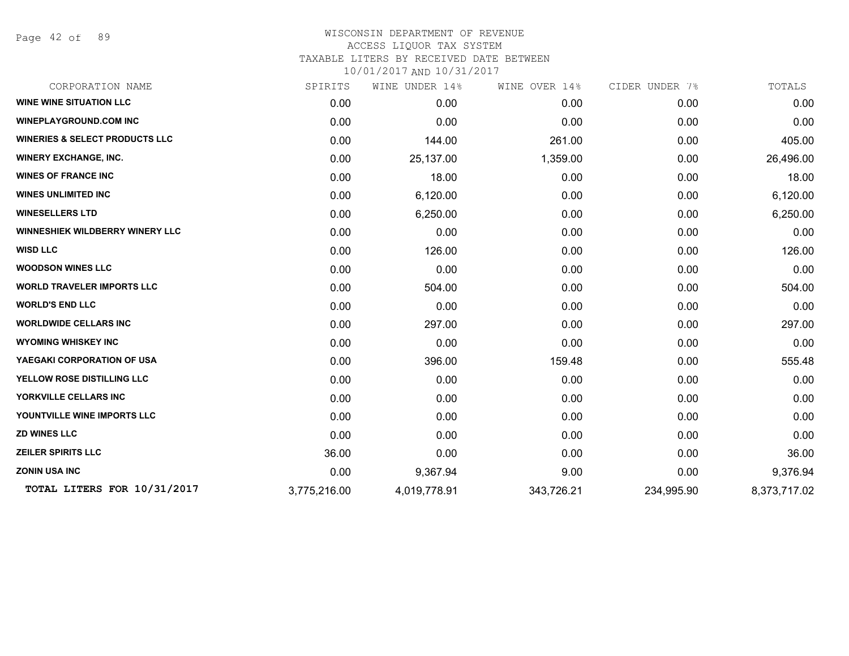Page 42 of 89

| CORPORATION NAME                          | SPIRITS      | WINE UNDER 14% | WINE OVER 14% | CIDER UNDER 7% | TOTALS       |
|-------------------------------------------|--------------|----------------|---------------|----------------|--------------|
| <b>WINE WINE SITUATION LLC</b>            | 0.00         | 0.00           | 0.00          | 0.00           | 0.00         |
| <b>WINEPLAYGROUND.COM INC</b>             | 0.00         | 0.00           | 0.00          | 0.00           | 0.00         |
| <b>WINERIES &amp; SELECT PRODUCTS LLC</b> | 0.00         | 144.00         | 261.00        | 0.00           | 405.00       |
| <b>WINERY EXCHANGE, INC.</b>              | 0.00         | 25,137.00      | 1,359.00      | 0.00           | 26,496.00    |
| <b>WINES OF FRANCE INC</b>                | 0.00         | 18.00          | 0.00          | 0.00           | 18.00        |
| <b>WINES UNLIMITED INC</b>                | 0.00         | 6,120.00       | 0.00          | 0.00           | 6,120.00     |
| <b>WINESELLERS LTD</b>                    | 0.00         | 6,250.00       | 0.00          | 0.00           | 6,250.00     |
| <b>WINNESHIEK WILDBERRY WINERY LLC</b>    | 0.00         | 0.00           | 0.00          | 0.00           | 0.00         |
| <b>WISD LLC</b>                           | 0.00         | 126.00         | 0.00          | 0.00           | 126.00       |
| <b>WOODSON WINES LLC</b>                  | 0.00         | 0.00           | 0.00          | 0.00           | 0.00         |
| <b>WORLD TRAVELER IMPORTS LLC</b>         | 0.00         | 504.00         | 0.00          | 0.00           | 504.00       |
| <b>WORLD'S END LLC</b>                    | 0.00         | 0.00           | 0.00          | 0.00           | 0.00         |
| <b>WORLDWIDE CELLARS INC</b>              | 0.00         | 297.00         | 0.00          | 0.00           | 297.00       |
| <b>WYOMING WHISKEY INC</b>                | 0.00         | 0.00           | 0.00          | 0.00           | 0.00         |
| YAEGAKI CORPORATION OF USA                | 0.00         | 396.00         | 159.48        | 0.00           | 555.48       |
| YELLOW ROSE DISTILLING LLC                | 0.00         | 0.00           | 0.00          | 0.00           | 0.00         |
| YORKVILLE CELLARS INC                     | 0.00         | 0.00           | 0.00          | 0.00           | 0.00         |
| YOUNTVILLE WINE IMPORTS LLC               | 0.00         | 0.00           | 0.00          | 0.00           | 0.00         |
| <b>ZD WINES LLC</b>                       | 0.00         | 0.00           | 0.00          | 0.00           | 0.00         |
| <b>ZEILER SPIRITS LLC</b>                 | 36.00        | 0.00           | 0.00          | 0.00           | 36.00        |
| <b>ZONIN USA INC</b>                      | 0.00         | 9,367.94       | 9.00          | 0.00           | 9,376.94     |
| TOTAL LITERS FOR 10/31/2017               | 3,775,216.00 | 4,019,778.91   | 343,726.21    | 234,995.90     | 8,373,717.02 |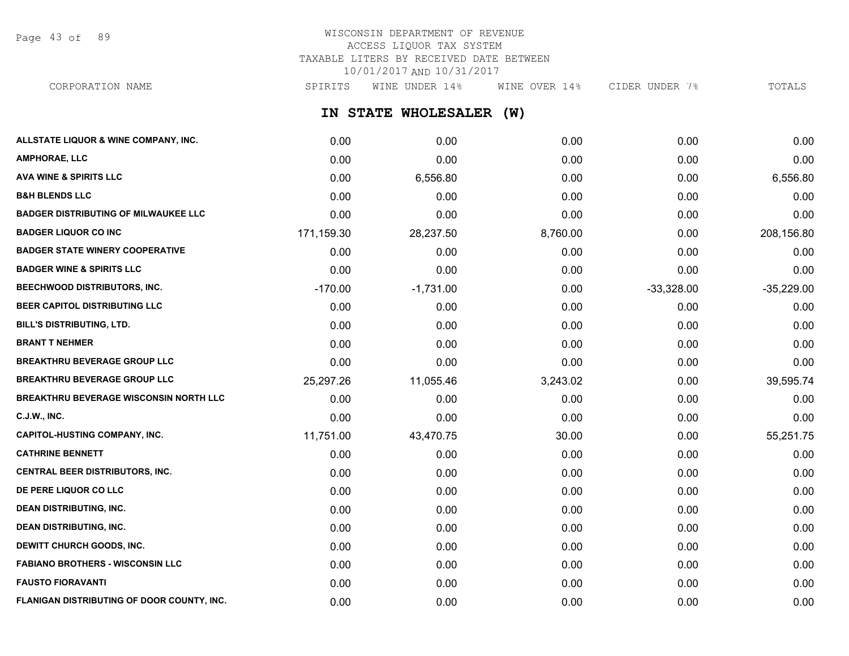Page 43 of 89

# WISCONSIN DEPARTMENT OF REVENUE ACCESS LIQUOR TAX SYSTEM TAXABLE LITERS BY RECEIVED DATE BETWEEN 10/01/2017 AND 10/31/2017

**IN STATE WHOLESALER (W) ALLSTATE LIQUOR & WINE COMPANY, INC.** 0.00 0.00 0.00 0.00 0.00 **AMPHORAE, LLC** 0.00 0.00 0.00 0.00 0.00 **AVA WINE & SPIRITS LLC** 0.00 6,556.80 0.00 0.00 6,556.80 **B&H BLENDS LLC** 0.00 0.00 0.00 0.00 0.00 **BADGER DISTRIBUTING OF MILWAUKEE LLC** 0.00 0.00 0.00 0.00 0.00 **BADGER LIQUOR CO INC** 171,159.30 28,237.50 8,760.00 0.00 208,156.80 **BADGER STATE WINERY COOPERATIVE** 0.00 0.00 0.00 0.00 0.00 **BADGER WINE & SPIRITS LLC** 0.00 0.00 0.00 0.00 0.00 **BEECHWOOD DISTRIBUTORS, INC.** The control of the control of the control of the control of the control of the control of the control of the control of the control of the control of the control of the control of the control **BEER CAPITOL DISTRIBUTING LLC** 0.00 0.00 0.00 0.00 0.00 **BILL'S DISTRIBUTING, LTD.** 0.00 0.00 0.00 0.00 0.00 **BRANT T NEHMER** 0.00 0.00 0.00 0.00 0.00 **BREAKTHRU BEVERAGE GROUP LLC**  $0.00$   $0.00$   $0.00$   $0.00$   $0.00$   $0.00$   $0.00$   $0.00$   $0.00$   $0.00$   $0.00$   $0.00$ **BREAKTHRU BEVERAGE GROUP LLC** 25,297.26 11,055.46 3,243.02 0.00 39,595.74 **BREAKTHRU BEVERAGE WISCONSIN NORTH LLC** 0.00 0.00 0.00 0.00 0.00 **C.J.W., INC.** 6.00 **0.00 0.00 0.00 0.00 0.00 0.00 0.00 0.00 0.00 0.00 0.00 0.00 0.00** CORPORATION NAME SPIRITS WINE UNDER 14% WINE OVER 14% CIDER UNDER 7% TOTALS

| <b>CAPITOL-HUSTING COMPANY, INC.</b>       | 11,751.00 | 43,470.75 | 30.00 | 0.00 | 55,251.75 |
|--------------------------------------------|-----------|-----------|-------|------|-----------|
| <b>CATHRINE BENNETT</b>                    | 0.00      | 0.00      | 0.00  | 0.00 | 0.00      |
| <b>CENTRAL BEER DISTRIBUTORS, INC.</b>     | 0.00      | 0.00      | 0.00  | 0.00 | 0.00      |
| <b>DE PERE LIQUOR CO LLC</b>               | 0.00      | 0.00      | 0.00  | 0.00 | 0.00      |
| <b>DEAN DISTRIBUTING, INC.</b>             | 0.00      | 0.00      | 0.00  | 0.00 | 0.00      |
| <b>DEAN DISTRIBUTING, INC.</b>             | 0.00      | 0.00      | 0.00  | 0.00 | 0.00      |
| <b>DEWITT CHURCH GOODS, INC.</b>           | 0.00      | 0.00      | 0.00  | 0.00 | 0.00      |
| <b>FABIANO BROTHERS - WISCONSIN LLC</b>    | 0.00      | 0.00      | 0.00  | 0.00 | 0.00      |
| <b>FAUSTO FIORAVANTI</b>                   | 0.00      | 0.00      | 0.00  | 0.00 | 0.00      |
| FLANIGAN DISTRIBUTING OF DOOR COUNTY, INC. | 0.00      | 0.00      | 0.00  | 0.00 | 0.00      |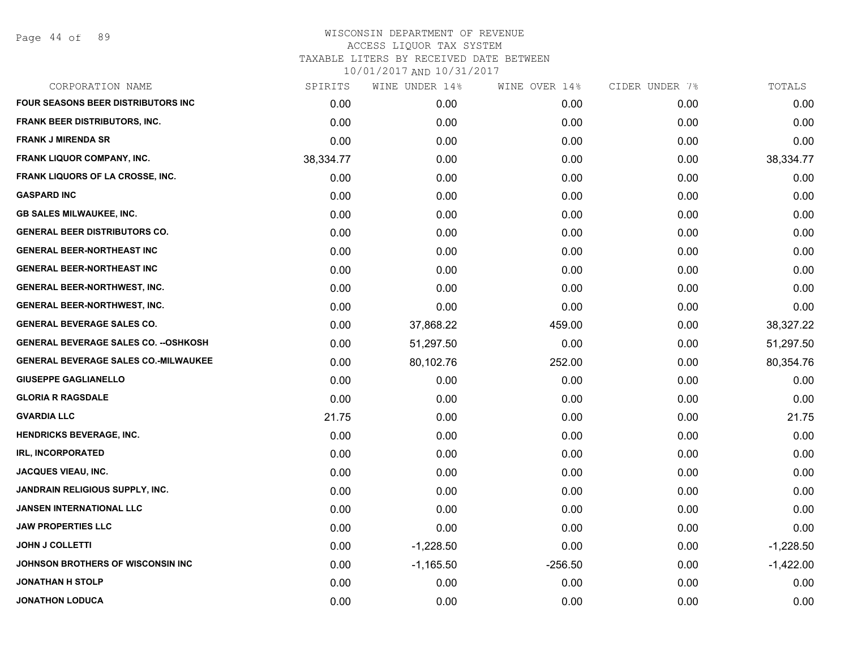Page 44 of 89

| CORPORATION NAME                             | SPIRITS   | WINE UNDER 14% | WINE OVER 14% | CIDER UNDER 7% | TOTALS      |
|----------------------------------------------|-----------|----------------|---------------|----------------|-------------|
| <b>FOUR SEASONS BEER DISTRIBUTORS INC.</b>   | 0.00      | 0.00           | 0.00          | 0.00           | 0.00        |
| <b>FRANK BEER DISTRIBUTORS, INC.</b>         | 0.00      | 0.00           | 0.00          | 0.00           | 0.00        |
| <b>FRANK J MIRENDA SR</b>                    | 0.00      | 0.00           | 0.00          | 0.00           | 0.00        |
| FRANK LIQUOR COMPANY, INC.                   | 38,334.77 | 0.00           | 0.00          | 0.00           | 38,334.77   |
| FRANK LIQUORS OF LA CROSSE, INC.             | 0.00      | 0.00           | 0.00          | 0.00           | 0.00        |
| <b>GASPARD INC</b>                           | 0.00      | 0.00           | 0.00          | 0.00           | 0.00        |
| <b>GB SALES MILWAUKEE, INC.</b>              | 0.00      | 0.00           | 0.00          | 0.00           | 0.00        |
| <b>GENERAL BEER DISTRIBUTORS CO.</b>         | 0.00      | 0.00           | 0.00          | 0.00           | 0.00        |
| <b>GENERAL BEER-NORTHEAST INC</b>            | 0.00      | 0.00           | 0.00          | 0.00           | 0.00        |
| <b>GENERAL BEER-NORTHEAST INC</b>            | 0.00      | 0.00           | 0.00          | 0.00           | 0.00        |
| <b>GENERAL BEER-NORTHWEST, INC.</b>          | 0.00      | 0.00           | 0.00          | 0.00           | 0.00        |
| <b>GENERAL BEER-NORTHWEST, INC.</b>          | 0.00      | 0.00           | 0.00          | 0.00           | 0.00        |
| <b>GENERAL BEVERAGE SALES CO.</b>            | 0.00      | 37,868.22      | 459.00        | 0.00           | 38,327.22   |
| <b>GENERAL BEVERAGE SALES CO. -- OSHKOSH</b> | 0.00      | 51,297.50      | 0.00          | 0.00           | 51,297.50   |
| <b>GENERAL BEVERAGE SALES CO.-MILWAUKEE</b>  | 0.00      | 80,102.76      | 252.00        | 0.00           | 80,354.76   |
| <b>GIUSEPPE GAGLIANELLO</b>                  | 0.00      | 0.00           | 0.00          | 0.00           | 0.00        |
| <b>GLORIA R RAGSDALE</b>                     | 0.00      | 0.00           | 0.00          | 0.00           | 0.00        |
| <b>GVARDIA LLC</b>                           | 21.75     | 0.00           | 0.00          | 0.00           | 21.75       |
| <b>HENDRICKS BEVERAGE, INC.</b>              | 0.00      | 0.00           | 0.00          | 0.00           | 0.00        |
| <b>IRL, INCORPORATED</b>                     | 0.00      | 0.00           | 0.00          | 0.00           | 0.00        |
| <b>JACQUES VIEAU, INC.</b>                   | 0.00      | 0.00           | 0.00          | 0.00           | 0.00        |
| <b>JANDRAIN RELIGIOUS SUPPLY, INC.</b>       | 0.00      | 0.00           | 0.00          | 0.00           | 0.00        |
| <b>JANSEN INTERNATIONAL LLC</b>              | 0.00      | 0.00           | 0.00          | 0.00           | 0.00        |
| <b>JAW PROPERTIES LLC</b>                    | 0.00      | 0.00           | 0.00          | 0.00           | 0.00        |
| <b>JOHN J COLLETTI</b>                       | 0.00      | $-1,228.50$    | 0.00          | 0.00           | $-1,228.50$ |
| JOHNSON BROTHERS OF WISCONSIN INC            | 0.00      | $-1,165.50$    | $-256.50$     | 0.00           | $-1,422.00$ |
| <b>JONATHAN H STOLP</b>                      | 0.00      | 0.00           | 0.00          | 0.00           | 0.00        |
| <b>JONATHON LODUCA</b>                       | 0.00      | 0.00           | 0.00          | 0.00           | 0.00        |
|                                              |           |                |               |                |             |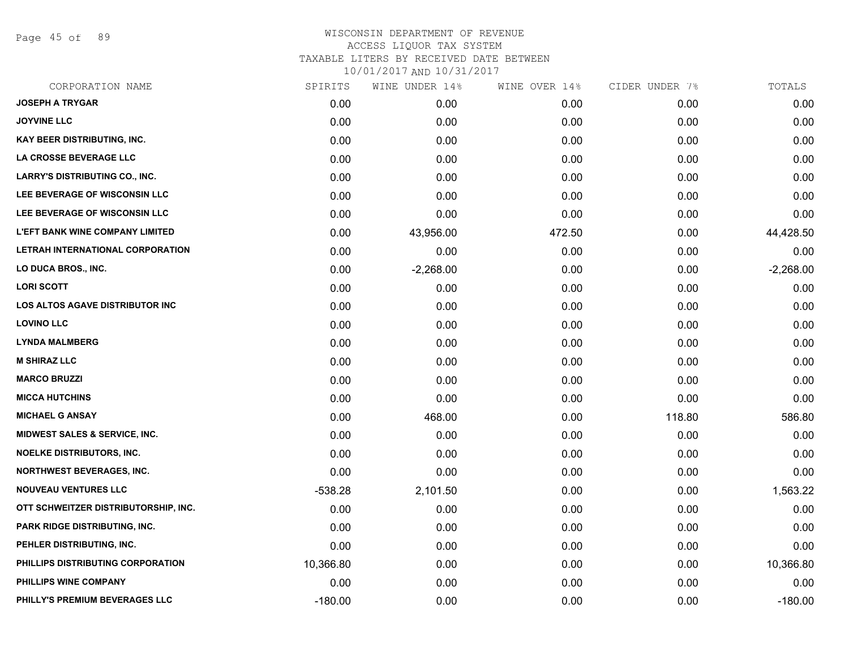Page 45 of 89

| CORPORATION NAME                         | SPIRITS   | WINE UNDER 14% | WINE OVER 14% | CIDER UNDER 7% | TOTALS      |
|------------------------------------------|-----------|----------------|---------------|----------------|-------------|
| <b>JOSEPH A TRYGAR</b>                   | 0.00      | 0.00           | 0.00          | 0.00           | 0.00        |
| <b>JOYVINE LLC</b>                       | 0.00      | 0.00           | 0.00          | 0.00           | 0.00        |
| KAY BEER DISTRIBUTING, INC.              | 0.00      | 0.00           | 0.00          | 0.00           | 0.00        |
| LA CROSSE BEVERAGE LLC                   | 0.00      | 0.00           | 0.00          | 0.00           | 0.00        |
| <b>LARRY'S DISTRIBUTING CO., INC.</b>    | 0.00      | 0.00           | 0.00          | 0.00           | 0.00        |
| LEE BEVERAGE OF WISCONSIN LLC            | 0.00      | 0.00           | 0.00          | 0.00           | 0.00        |
| LEE BEVERAGE OF WISCONSIN LLC            | 0.00      | 0.00           | 0.00          | 0.00           | 0.00        |
| <b>L'EFT BANK WINE COMPANY LIMITED</b>   | 0.00      | 43,956.00      | 472.50        | 0.00           | 44,428.50   |
| LETRAH INTERNATIONAL CORPORATION         | 0.00      | 0.00           | 0.00          | 0.00           | 0.00        |
| <b>LO DUCA BROS., INC.</b>               | 0.00      | $-2,268.00$    | 0.00          | 0.00           | $-2,268.00$ |
| <b>LORI SCOTT</b>                        | 0.00      | 0.00           | 0.00          | 0.00           | 0.00        |
| LOS ALTOS AGAVE DISTRIBUTOR INC          | 0.00      | 0.00           | 0.00          | 0.00           | 0.00        |
| <b>LOVINO LLC</b>                        | 0.00      | 0.00           | 0.00          | 0.00           | 0.00        |
| <b>LYNDA MALMBERG</b>                    | 0.00      | 0.00           | 0.00          | 0.00           | 0.00        |
| <b>M SHIRAZ LLC</b>                      | 0.00      | 0.00           | 0.00          | 0.00           | 0.00        |
| <b>MARCO BRUZZI</b>                      | 0.00      | 0.00           | 0.00          | 0.00           | 0.00        |
| <b>MICCA HUTCHINS</b>                    | 0.00      | 0.00           | 0.00          | 0.00           | 0.00        |
| <b>MICHAEL G ANSAY</b>                   | 0.00      | 468.00         | 0.00          | 118.80         | 586.80      |
| <b>MIDWEST SALES &amp; SERVICE, INC.</b> | 0.00      | 0.00           | 0.00          | 0.00           | 0.00        |
| <b>NOELKE DISTRIBUTORS, INC.</b>         | 0.00      | 0.00           | 0.00          | 0.00           | 0.00        |
| <b>NORTHWEST BEVERAGES, INC.</b>         | 0.00      | 0.00           | 0.00          | 0.00           | 0.00        |
| <b>NOUVEAU VENTURES LLC</b>              | $-538.28$ | 2,101.50       | 0.00          | 0.00           | 1,563.22    |
| OTT SCHWEITZER DISTRIBUTORSHIP, INC.     | 0.00      | 0.00           | 0.00          | 0.00           | 0.00        |
| PARK RIDGE DISTRIBUTING, INC.            | 0.00      | 0.00           | 0.00          | 0.00           | 0.00        |
| PEHLER DISTRIBUTING, INC.                | 0.00      | 0.00           | 0.00          | 0.00           | 0.00        |
| PHILLIPS DISTRIBUTING CORPORATION        | 10,366.80 | 0.00           | 0.00          | 0.00           | 10,366.80   |
| PHILLIPS WINE COMPANY                    | 0.00      | 0.00           | 0.00          | 0.00           | 0.00        |
| PHILLY'S PREMIUM BEVERAGES LLC           | $-180.00$ | 0.00           | 0.00          | 0.00           | $-180.00$   |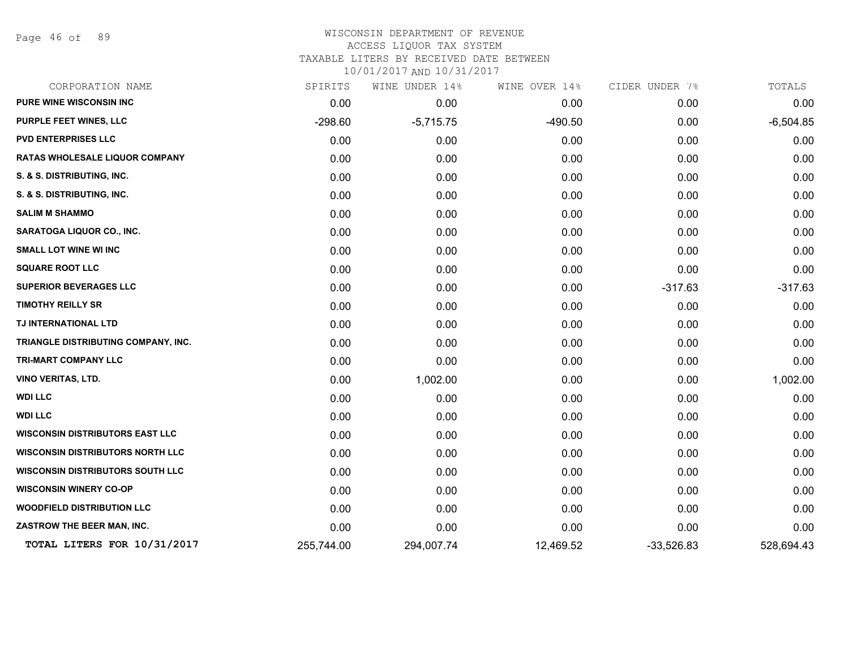Page 46 of 89

## WISCONSIN DEPARTMENT OF REVENUE ACCESS LIQUOR TAX SYSTEM

TAXABLE LITERS BY RECEIVED DATE BETWEEN

| CORPORATION NAME                        | SPIRITS    | WINE UNDER 14% | WINE OVER 14% | CIDER UNDER 7% | TOTALS      |
|-----------------------------------------|------------|----------------|---------------|----------------|-------------|
| <b>PURE WINE WISCONSIN INC</b>          | 0.00       | 0.00           | 0.00          | 0.00           | 0.00        |
| PURPLE FEET WINES, LLC                  | $-298.60$  | $-5,715.75$    | $-490.50$     | 0.00           | $-6,504.85$ |
| <b>PVD ENTERPRISES LLC</b>              | 0.00       | 0.00           | 0.00          | 0.00           | 0.00        |
| <b>RATAS WHOLESALE LIQUOR COMPANY</b>   | 0.00       | 0.00           | 0.00          | 0.00           | 0.00        |
| S. & S. DISTRIBUTING, INC.              | 0.00       | 0.00           | 0.00          | 0.00           | 0.00        |
| S. & S. DISTRIBUTING, INC.              | 0.00       | 0.00           | 0.00          | 0.00           | 0.00        |
| <b>SALIM M SHAMMO</b>                   | 0.00       | 0.00           | 0.00          | 0.00           | 0.00        |
| SARATOGA LIQUOR CO., INC.               | 0.00       | 0.00           | 0.00          | 0.00           | 0.00        |
| <b>SMALL LOT WINE WI INC</b>            | 0.00       | 0.00           | 0.00          | 0.00           | 0.00        |
| <b>SQUARE ROOT LLC</b>                  | 0.00       | 0.00           | 0.00          | 0.00           | 0.00        |
| <b>SUPERIOR BEVERAGES LLC</b>           | 0.00       | 0.00           | 0.00          | $-317.63$      | $-317.63$   |
| <b>TIMOTHY REILLY SR</b>                | 0.00       | 0.00           | 0.00          | 0.00           | 0.00        |
| TJ INTERNATIONAL LTD                    | 0.00       | 0.00           | 0.00          | 0.00           | 0.00        |
| TRIANGLE DISTRIBUTING COMPANY, INC.     | 0.00       | 0.00           | 0.00          | 0.00           | 0.00        |
| <b>TRI-MART COMPANY LLC</b>             | 0.00       | 0.00           | 0.00          | 0.00           | 0.00        |
| <b>VINO VERITAS, LTD.</b>               | 0.00       | 1,002.00       | 0.00          | 0.00           | 1,002.00    |
| <b>WDI LLC</b>                          | 0.00       | 0.00           | 0.00          | 0.00           | 0.00        |
| <b>WDI LLC</b>                          | 0.00       | 0.00           | 0.00          | 0.00           | 0.00        |
| <b>WISCONSIN DISTRIBUTORS EAST LLC</b>  | 0.00       | 0.00           | 0.00          | 0.00           | 0.00        |
| <b>WISCONSIN DISTRIBUTORS NORTH LLC</b> | 0.00       | 0.00           | 0.00          | 0.00           | 0.00        |
| <b>WISCONSIN DISTRIBUTORS SOUTH LLC</b> | 0.00       | 0.00           | 0.00          | 0.00           | 0.00        |
| <b>WISCONSIN WINERY CO-OP</b>           | 0.00       | 0.00           | 0.00          | 0.00           | 0.00        |
| <b>WOODFIELD DISTRIBUTION LLC</b>       | 0.00       | 0.00           | 0.00          | 0.00           | 0.00        |
| ZASTROW THE BEER MAN, INC.              | 0.00       | 0.00           | 0.00          | 0.00           | 0.00        |
| TOTAL LITERS FOR 10/31/2017             | 255,744.00 | 294,007.74     | 12,469.52     | $-33,526.83$   | 528,694.43  |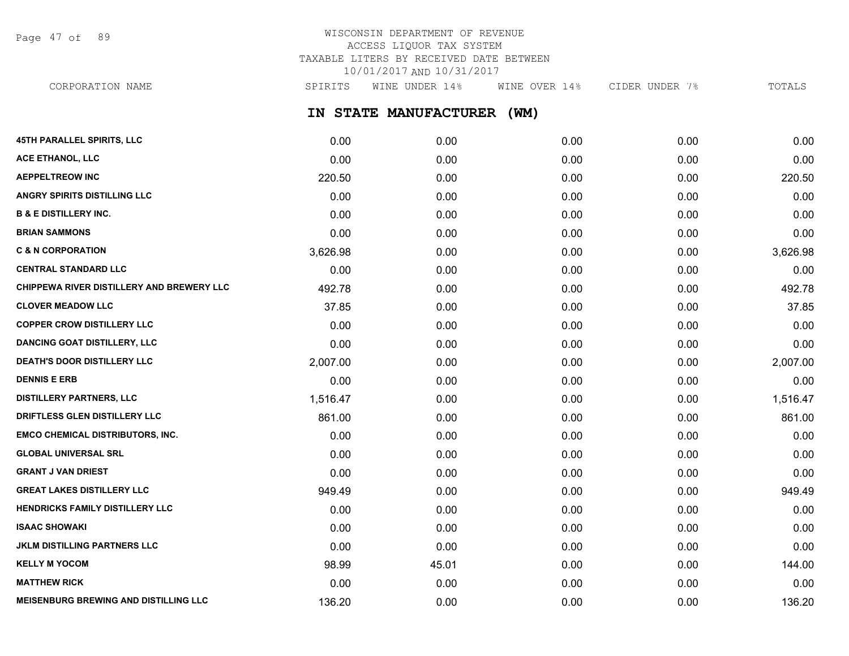Page 47 of 89

# WISCONSIN DEPARTMENT OF REVENUE ACCESS LIQUOR TAX SYSTEM TAXABLE LITERS BY RECEIVED DATE BETWEEN 10/01/2017 AND 10/31/2017

CORPORATION NAME SPIRITS WINE UNDER 14% WINE OVER 14% CIDER UNDER 7% TOTALS

## **IN STATE MANUFACTURER (WM)**

| 45TH PARALLEL SPIRITS, LLC                   | 0.00     | 0.00  | 0.00 | 0.00 | 0.00     |
|----------------------------------------------|----------|-------|------|------|----------|
| ACE ETHANOL, LLC                             | 0.00     | 0.00  | 0.00 | 0.00 | 0.00     |
| <b>AEPPELTREOW INC</b>                       | 220.50   | 0.00  | 0.00 | 0.00 | 220.50   |
| <b>ANGRY SPIRITS DISTILLING LLC</b>          | 0.00     | 0.00  | 0.00 | 0.00 | 0.00     |
| <b>B &amp; E DISTILLERY INC.</b>             | 0.00     | 0.00  | 0.00 | 0.00 | 0.00     |
| <b>BRIAN SAMMONS</b>                         | 0.00     | 0.00  | 0.00 | 0.00 | 0.00     |
| <b>C &amp; N CORPORATION</b>                 | 3,626.98 | 0.00  | 0.00 | 0.00 | 3,626.98 |
| <b>CENTRAL STANDARD LLC</b>                  | 0.00     | 0.00  | 0.00 | 0.00 | 0.00     |
| CHIPPEWA RIVER DISTILLERY AND BREWERY LLC    | 492.78   | 0.00  | 0.00 | 0.00 | 492.78   |
| <b>CLOVER MEADOW LLC</b>                     | 37.85    | 0.00  | 0.00 | 0.00 | 37.85    |
| <b>COPPER CROW DISTILLERY LLC</b>            | 0.00     | 0.00  | 0.00 | 0.00 | 0.00     |
| <b>DANCING GOAT DISTILLERY, LLC</b>          | 0.00     | 0.00  | 0.00 | 0.00 | 0.00     |
| DEATH'S DOOR DISTILLERY LLC                  | 2,007.00 | 0.00  | 0.00 | 0.00 | 2,007.00 |
| <b>DENNIS E ERB</b>                          | 0.00     | 0.00  | 0.00 | 0.00 | 0.00     |
| <b>DISTILLERY PARTNERS, LLC</b>              | 1,516.47 | 0.00  | 0.00 | 0.00 | 1,516.47 |
| DRIFTLESS GLEN DISTILLERY LLC                | 861.00   | 0.00  | 0.00 | 0.00 | 861.00   |
| <b>EMCO CHEMICAL DISTRIBUTORS, INC.</b>      | 0.00     | 0.00  | 0.00 | 0.00 | 0.00     |
| <b>GLOBAL UNIVERSAL SRL</b>                  | 0.00     | 0.00  | 0.00 | 0.00 | 0.00     |
| <b>GRANT J VAN DRIEST</b>                    | 0.00     | 0.00  | 0.00 | 0.00 | 0.00     |
| <b>GREAT LAKES DISTILLERY LLC</b>            | 949.49   | 0.00  | 0.00 | 0.00 | 949.49   |
| <b>HENDRICKS FAMILY DISTILLERY LLC</b>       | 0.00     | 0.00  | 0.00 | 0.00 | 0.00     |
| <b>ISAAC SHOWAKI</b>                         | 0.00     | 0.00  | 0.00 | 0.00 | 0.00     |
| <b>JKLM DISTILLING PARTNERS LLC</b>          | 0.00     | 0.00  | 0.00 | 0.00 | 0.00     |
| <b>KELLY M YOCOM</b>                         | 98.99    | 45.01 | 0.00 | 0.00 | 144.00   |
| <b>MATTHEW RICK</b>                          | 0.00     | 0.00  | 0.00 | 0.00 | 0.00     |
| <b>MEISENBURG BREWING AND DISTILLING LLC</b> | 136.20   | 0.00  | 0.00 | 0.00 | 136.20   |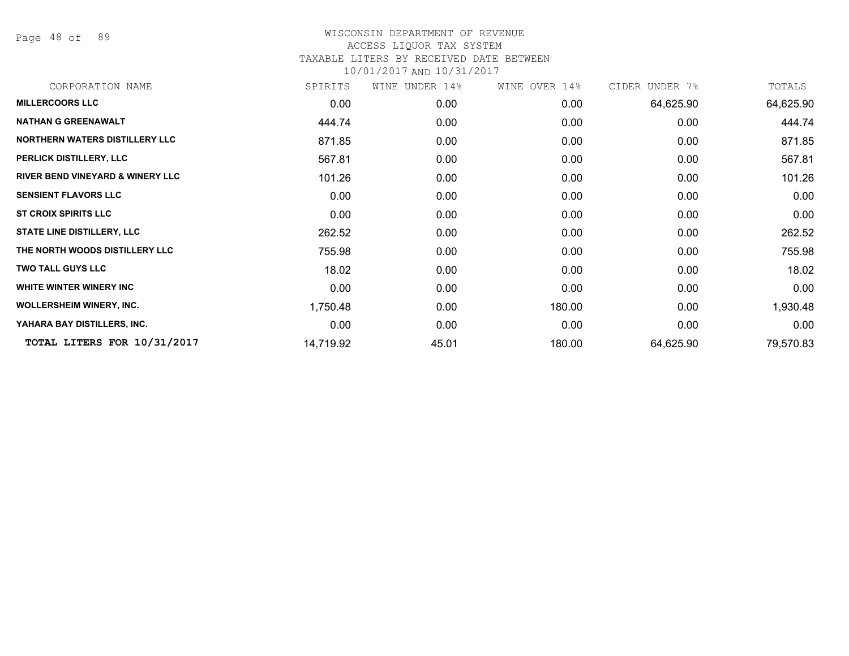Page 48 of 89

| CORPORATION NAME                            | SPIRITS   | WINE UNDER 14% | WINE OVER 14% | CIDER UNDER 7% | TOTALS    |
|---------------------------------------------|-----------|----------------|---------------|----------------|-----------|
| <b>MILLERCOORS LLC</b>                      | 0.00      | 0.00           | 0.00          | 64,625.90      | 64,625.90 |
| <b>NATHAN G GREENAWALT</b>                  | 444.74    | 0.00           | 0.00          | 0.00           | 444.74    |
| <b>NORTHERN WATERS DISTILLERY LLC</b>       | 871.85    | 0.00           | 0.00          | 0.00           | 871.85    |
| PERLICK DISTILLERY, LLC                     | 567.81    | 0.00           | 0.00          | 0.00           | 567.81    |
| <b>RIVER BEND VINEYARD &amp; WINERY LLC</b> | 101.26    | 0.00           | 0.00          | 0.00           | 101.26    |
| <b>SENSIENT FLAVORS LLC</b>                 | 0.00      | 0.00           | 0.00          | 0.00           | 0.00      |
| <b>ST CROIX SPIRITS LLC</b>                 | 0.00      | 0.00           | 0.00          | 0.00           | 0.00      |
| <b>STATE LINE DISTILLERY, LLC</b>           | 262.52    | 0.00           | 0.00          | 0.00           | 262.52    |
| THE NORTH WOODS DISTILLERY LLC              | 755.98    | 0.00           | 0.00          | 0.00           | 755.98    |
| <b>TWO TALL GUYS LLC</b>                    | 18.02     | 0.00           | 0.00          | 0.00           | 18.02     |
| WHITE WINTER WINERY INC                     | 0.00      | 0.00           | 0.00          | 0.00           | 0.00      |
| <b>WOLLERSHEIM WINERY, INC.</b>             | 1,750.48  | 0.00           | 180.00        | 0.00           | 1,930.48  |
| YAHARA BAY DISTILLERS, INC.                 | 0.00      | 0.00           | 0.00          | 0.00           | 0.00      |
| TOTAL LITERS FOR 10/31/2017                 | 14,719.92 | 45.01          | 180.00        | 64,625.90      | 79,570.83 |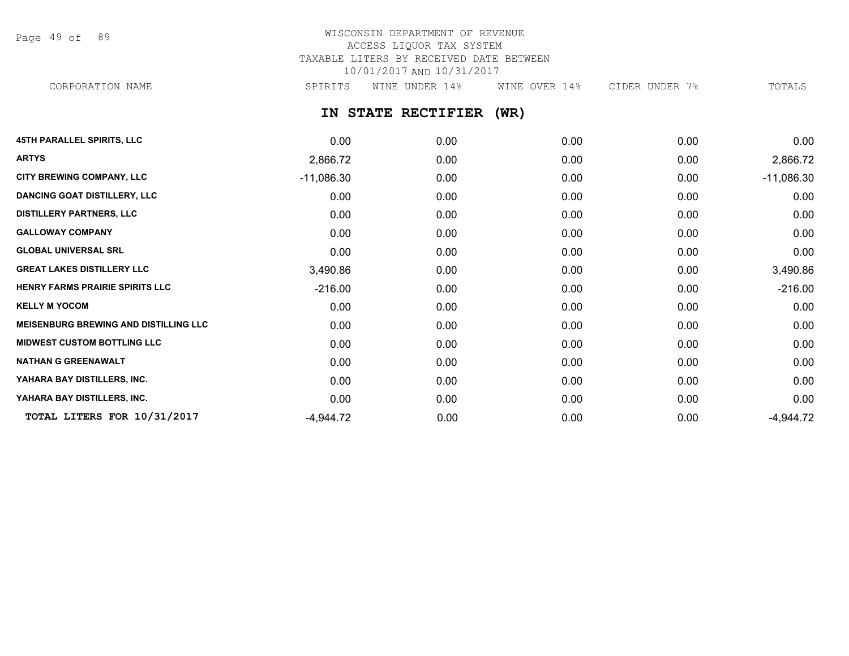Page 49 of 89

# WISCONSIN DEPARTMENT OF REVENUE ACCESS LIQUOR TAX SYSTEM TAXABLE LITERS BY RECEIVED DATE BETWEEN 10/01/2017 AND 10/31/2017

CORPORATION NAME SPIRITS WINE UNDER 14% WINE OVER 14% CIDER UNDER 7% TOTALS

**IN STATE RECTIFIER (WR)**

| <b>45TH PARALLEL SPIRITS, LLC</b>            | 0.00         | 0.00 | 0.00 | 0.00 | 0.00         |
|----------------------------------------------|--------------|------|------|------|--------------|
| <b>ARTYS</b>                                 | 2,866.72     | 0.00 | 0.00 | 0.00 | 2,866.72     |
| <b>CITY BREWING COMPANY, LLC</b>             | $-11,086.30$ | 0.00 | 0.00 | 0.00 | $-11,086.30$ |
| <b>DANCING GOAT DISTILLERY, LLC</b>          | 0.00         | 0.00 | 0.00 | 0.00 | 0.00         |
| <b>DISTILLERY PARTNERS, LLC</b>              | 0.00         | 0.00 | 0.00 | 0.00 | 0.00         |
| <b>GALLOWAY COMPANY</b>                      | 0.00         | 0.00 | 0.00 | 0.00 | 0.00         |
| <b>GLOBAL UNIVERSAL SRL</b>                  | 0.00         | 0.00 | 0.00 | 0.00 | 0.00         |
| <b>GREAT LAKES DISTILLERY LLC</b>            | 3,490.86     | 0.00 | 0.00 | 0.00 | 3,490.86     |
| HENRY FARMS PRAIRIE SPIRITS LLC              | $-216.00$    | 0.00 | 0.00 | 0.00 | $-216.00$    |
| <b>KELLY M YOCOM</b>                         | 0.00         | 0.00 | 0.00 | 0.00 | 0.00         |
| <b>MEISENBURG BREWING AND DISTILLING LLC</b> | 0.00         | 0.00 | 0.00 | 0.00 | 0.00         |
| <b>MIDWEST CUSTOM BOTTLING LLC</b>           | 0.00         | 0.00 | 0.00 | 0.00 | 0.00         |
| <b>NATHAN G GREENAWALT</b>                   | 0.00         | 0.00 | 0.00 | 0.00 | 0.00         |
| YAHARA BAY DISTILLERS, INC.                  | 0.00         | 0.00 | 0.00 | 0.00 | 0.00         |
| YAHARA BAY DISTILLERS, INC.                  | 0.00         | 0.00 | 0.00 | 0.00 | 0.00         |
| TOTAL LITERS FOR 10/31/2017                  | $-4,944.72$  | 0.00 | 0.00 | 0.00 | $-4,944.72$  |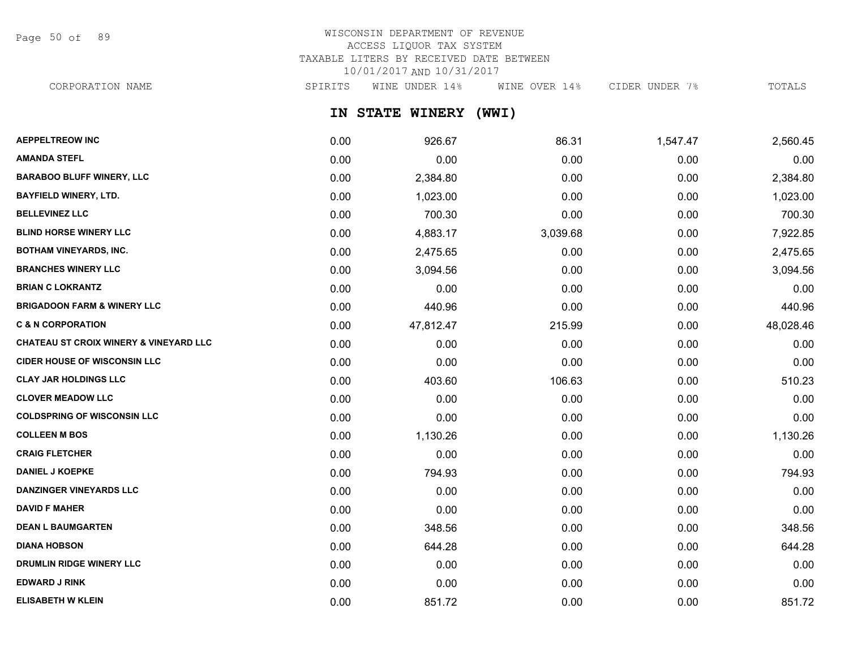Page 50 of 89

# WISCONSIN DEPARTMENT OF REVENUE ACCESS LIQUOR TAX SYSTEM TAXABLE LITERS BY RECEIVED DATE BETWEEN 10/01/2017 AND 10/31/2017

CORPORATION NAME SPIRITS WINE UNDER 14% WINE OVER 14% CIDER UNDER 7% TOTALS

**IN STATE WINERY (WWI)**

| <b>AEPPELTREOW INC</b>                            | 0.00 | 926.67    | 86.31    | 1,547.47 | 2,560.45  |
|---------------------------------------------------|------|-----------|----------|----------|-----------|
| <b>AMANDA STEFL</b>                               | 0.00 | 0.00      | 0.00     | 0.00     | 0.00      |
| <b>BARABOO BLUFF WINERY, LLC</b>                  | 0.00 | 2,384.80  | 0.00     | 0.00     | 2,384.80  |
| <b>BAYFIELD WINERY, LTD.</b>                      | 0.00 | 1,023.00  | 0.00     | 0.00     | 1,023.00  |
| <b>BELLEVINEZ LLC</b>                             | 0.00 | 700.30    | 0.00     | 0.00     | 700.30    |
| <b>BLIND HORSE WINERY LLC</b>                     | 0.00 | 4,883.17  | 3,039.68 | 0.00     | 7,922.85  |
| <b>BOTHAM VINEYARDS, INC.</b>                     | 0.00 | 2,475.65  | 0.00     | 0.00     | 2,475.65  |
| <b>BRANCHES WINERY LLC</b>                        | 0.00 | 3,094.56  | 0.00     | 0.00     | 3,094.56  |
| <b>BRIAN C LOKRANTZ</b>                           | 0.00 | 0.00      | 0.00     | 0.00     | 0.00      |
| <b>BRIGADOON FARM &amp; WINERY LLC</b>            | 0.00 | 440.96    | 0.00     | 0.00     | 440.96    |
| <b>C &amp; N CORPORATION</b>                      | 0.00 | 47,812.47 | 215.99   | 0.00     | 48,028.46 |
| <b>CHATEAU ST CROIX WINERY &amp; VINEYARD LLC</b> | 0.00 | 0.00      | 0.00     | 0.00     | 0.00      |
| <b>CIDER HOUSE OF WISCONSIN LLC</b>               | 0.00 | 0.00      | 0.00     | 0.00     | 0.00      |
| <b>CLAY JAR HOLDINGS LLC</b>                      | 0.00 | 403.60    | 106.63   | 0.00     | 510.23    |
| <b>CLOVER MEADOW LLC</b>                          | 0.00 | 0.00      | 0.00     | 0.00     | 0.00      |
| <b>COLDSPRING OF WISCONSIN LLC</b>                | 0.00 | 0.00      | 0.00     | 0.00     | 0.00      |
| <b>COLLEEN M BOS</b>                              | 0.00 | 1,130.26  | 0.00     | 0.00     | 1,130.26  |
| <b>CRAIG FLETCHER</b>                             | 0.00 | 0.00      | 0.00     | 0.00     | 0.00      |
| <b>DANIEL J KOEPKE</b>                            | 0.00 | 794.93    | 0.00     | 0.00     | 794.93    |
| DANZINGER VINEYARDS LLC                           | 0.00 | 0.00      | 0.00     | 0.00     | 0.00      |
| <b>DAVID F MAHER</b>                              | 0.00 | 0.00      | 0.00     | 0.00     | 0.00      |
| <b>DEAN L BAUMGARTEN</b>                          | 0.00 | 348.56    | 0.00     | 0.00     | 348.56    |
| <b>DIANA HOBSON</b>                               | 0.00 | 644.28    | 0.00     | 0.00     | 644.28    |
| DRUMLIN RIDGE WINERY LLC                          | 0.00 | 0.00      | 0.00     | 0.00     | 0.00      |
| <b>EDWARD J RINK</b>                              | 0.00 | 0.00      | 0.00     | 0.00     | 0.00      |
| <b>ELISABETH W KLEIN</b>                          | 0.00 | 851.72    | 0.00     | 0.00     | 851.72    |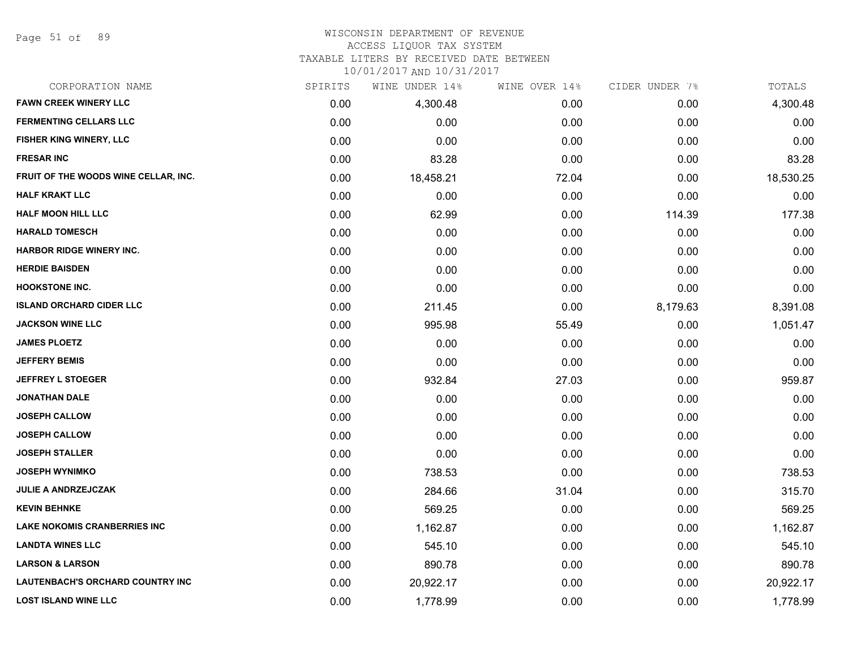Page 51 of 89

### WISCONSIN DEPARTMENT OF REVENUE

### ACCESS LIQUOR TAX SYSTEM

TAXABLE LITERS BY RECEIVED DATE BETWEEN

| CORPORATION NAME                     | SPIRITS | WINE UNDER 14% | WINE OVER 14% | CIDER UNDER 7% | TOTALS    |
|--------------------------------------|---------|----------------|---------------|----------------|-----------|
| <b>FAWN CREEK WINERY LLC</b>         | 0.00    | 4,300.48       | 0.00          | 0.00           | 4,300.48  |
| <b>FERMENTING CELLARS LLC</b>        | 0.00    | 0.00           | 0.00          | 0.00           | 0.00      |
| FISHER KING WINERY, LLC              | 0.00    | 0.00           | 0.00          | 0.00           | 0.00      |
| <b>FRESAR INC</b>                    | 0.00    | 83.28          | 0.00          | 0.00           | 83.28     |
| FRUIT OF THE WOODS WINE CELLAR, INC. | 0.00    | 18,458.21      | 72.04         | 0.00           | 18,530.25 |
| <b>HALF KRAKT LLC</b>                | 0.00    | 0.00           | 0.00          | 0.00           | 0.00      |
| <b>HALF MOON HILL LLC</b>            | 0.00    | 62.99          | 0.00          | 114.39         | 177.38    |
| <b>HARALD TOMESCH</b>                | 0.00    | 0.00           | 0.00          | 0.00           | 0.00      |
| <b>HARBOR RIDGE WINERY INC.</b>      | 0.00    | 0.00           | 0.00          | 0.00           | 0.00      |
| <b>HERDIE BAISDEN</b>                | 0.00    | 0.00           | 0.00          | 0.00           | 0.00      |
| <b>HOOKSTONE INC.</b>                | 0.00    | 0.00           | 0.00          | 0.00           | 0.00      |
| <b>ISLAND ORCHARD CIDER LLC</b>      | 0.00    | 211.45         | 0.00          | 8,179.63       | 8,391.08  |
| <b>JACKSON WINE LLC</b>              | 0.00    | 995.98         | 55.49         | 0.00           | 1,051.47  |
| <b>JAMES PLOETZ</b>                  | 0.00    | 0.00           | 0.00          | 0.00           | 0.00      |
| <b>JEFFERY BEMIS</b>                 | 0.00    | 0.00           | 0.00          | 0.00           | 0.00      |
| <b>JEFFREY L STOEGER</b>             | 0.00    | 932.84         | 27.03         | 0.00           | 959.87    |
| <b>JONATHAN DALE</b>                 | 0.00    | 0.00           | 0.00          | 0.00           | 0.00      |
| <b>JOSEPH CALLOW</b>                 | 0.00    | 0.00           | 0.00          | 0.00           | 0.00      |
| <b>JOSEPH CALLOW</b>                 | 0.00    | 0.00           | 0.00          | 0.00           | 0.00      |
| <b>JOSEPH STALLER</b>                | 0.00    | 0.00           | 0.00          | 0.00           | 0.00      |
| <b>JOSEPH WYNIMKO</b>                | 0.00    | 738.53         | 0.00          | 0.00           | 738.53    |
| <b>JULIE A ANDRZEJCZAK</b>           | 0.00    | 284.66         | 31.04         | 0.00           | 315.70    |
| <b>KEVIN BEHNKE</b>                  | 0.00    | 569.25         | 0.00          | 0.00           | 569.25    |
| <b>LAKE NOKOMIS CRANBERRIES INC</b>  | 0.00    | 1,162.87       | 0.00          | 0.00           | 1,162.87  |
| <b>LANDTA WINES LLC</b>              | 0.00    | 545.10         | 0.00          | 0.00           | 545.10    |
| <b>LARSON &amp; LARSON</b>           | 0.00    | 890.78         | 0.00          | 0.00           | 890.78    |
| LAUTENBACH'S ORCHARD COUNTRY INC     | 0.00    | 20,922.17      | 0.00          | 0.00           | 20,922.17 |
| <b>LOST ISLAND WINE LLC</b>          | 0.00    | 1,778.99       | 0.00          | 0.00           | 1,778.99  |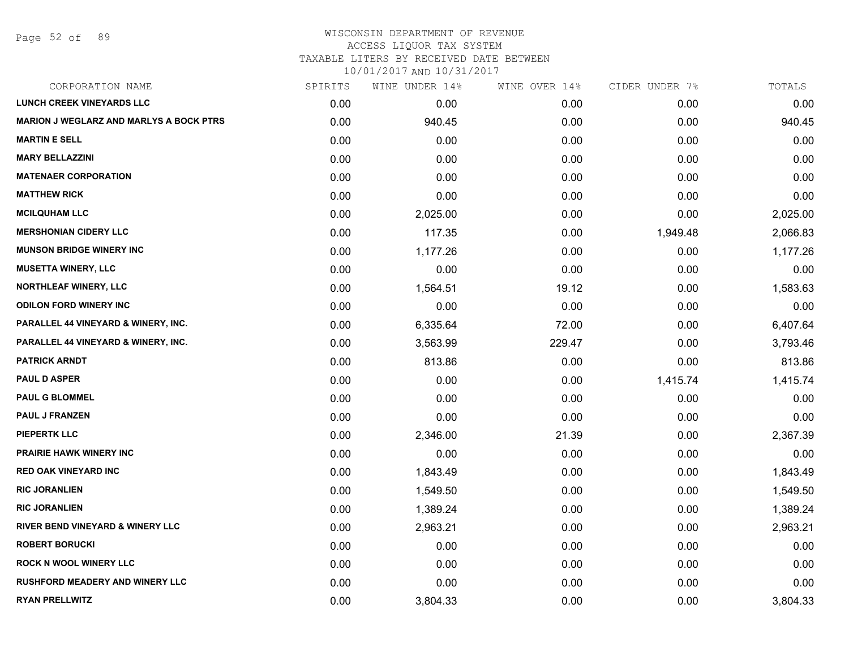### WISCONSIN DEPARTMENT OF REVENUE ACCESS LIQUOR TAX SYSTEM

TAXABLE LITERS BY RECEIVED DATE BETWEEN

| CORPORATION NAME                               | SPIRITS | WINE UNDER 14% | WINE OVER 14% | CIDER UNDER 7% | TOTALS   |
|------------------------------------------------|---------|----------------|---------------|----------------|----------|
| <b>LUNCH CREEK VINEYARDS LLC</b>               | 0.00    | 0.00           | 0.00          | 0.00           | 0.00     |
| <b>MARION J WEGLARZ AND MARLYS A BOCK PTRS</b> | 0.00    | 940.45         | 0.00          | 0.00           | 940.45   |
| <b>MARTIN E SELL</b>                           | 0.00    | 0.00           | 0.00          | 0.00           | 0.00     |
| <b>MARY BELLAZZINI</b>                         | 0.00    | 0.00           | 0.00          | 0.00           | 0.00     |
| <b>MATENAER CORPORATION</b>                    | 0.00    | 0.00           | 0.00          | 0.00           | 0.00     |
| <b>MATTHEW RICK</b>                            | 0.00    | 0.00           | 0.00          | 0.00           | 0.00     |
| <b>MCILQUHAM LLC</b>                           | 0.00    | 2,025.00       | 0.00          | 0.00           | 2,025.00 |
| <b>MERSHONIAN CIDERY LLC</b>                   | 0.00    | 117.35         | 0.00          | 1,949.48       | 2,066.83 |
| <b>MUNSON BRIDGE WINERY INC</b>                | 0.00    | 1,177.26       | 0.00          | 0.00           | 1,177.26 |
| <b>MUSETTA WINERY, LLC</b>                     | 0.00    | 0.00           | 0.00          | 0.00           | 0.00     |
| <b>NORTHLEAF WINERY, LLC</b>                   | 0.00    | 1,564.51       | 19.12         | 0.00           | 1,583.63 |
| <b>ODILON FORD WINERY INC</b>                  | 0.00    | 0.00           | 0.00          | 0.00           | 0.00     |
| PARALLEL 44 VINEYARD & WINERY, INC.            | 0.00    | 6,335.64       | 72.00         | 0.00           | 6,407.64 |
| PARALLEL 44 VINEYARD & WINERY, INC.            | 0.00    | 3,563.99       | 229.47        | 0.00           | 3,793.46 |
| <b>PATRICK ARNDT</b>                           | 0.00    | 813.86         | 0.00          | 0.00           | 813.86   |
| <b>PAUL D ASPER</b>                            | 0.00    | 0.00           | 0.00          | 1,415.74       | 1,415.74 |
| <b>PAUL G BLOMMEL</b>                          | 0.00    | 0.00           | 0.00          | 0.00           | 0.00     |
| <b>PAUL J FRANZEN</b>                          | 0.00    | 0.00           | 0.00          | 0.00           | 0.00     |
| <b>PIEPERTK LLC</b>                            | 0.00    | 2,346.00       | 21.39         | 0.00           | 2,367.39 |
| <b>PRAIRIE HAWK WINERY INC</b>                 | 0.00    | 0.00           | 0.00          | 0.00           | 0.00     |
| <b>RED OAK VINEYARD INC</b>                    | 0.00    | 1,843.49       | 0.00          | 0.00           | 1,843.49 |
| <b>RIC JORANLIEN</b>                           | 0.00    | 1,549.50       | 0.00          | 0.00           | 1,549.50 |
| <b>RIC JORANLIEN</b>                           | 0.00    | 1,389.24       | 0.00          | 0.00           | 1,389.24 |
| RIVER BEND VINEYARD & WINERY LLC               | 0.00    | 2,963.21       | 0.00          | 0.00           | 2,963.21 |
| <b>ROBERT BORUCKI</b>                          | 0.00    | 0.00           | 0.00          | 0.00           | 0.00     |
| <b>ROCK N WOOL WINERY LLC</b>                  | 0.00    | 0.00           | 0.00          | 0.00           | 0.00     |
| <b>RUSHFORD MEADERY AND WINERY LLC</b>         | 0.00    | 0.00           | 0.00          | 0.00           | 0.00     |
| <b>RYAN PRELLWITZ</b>                          | 0.00    | 3,804.33       | 0.00          | 0.00           | 3,804.33 |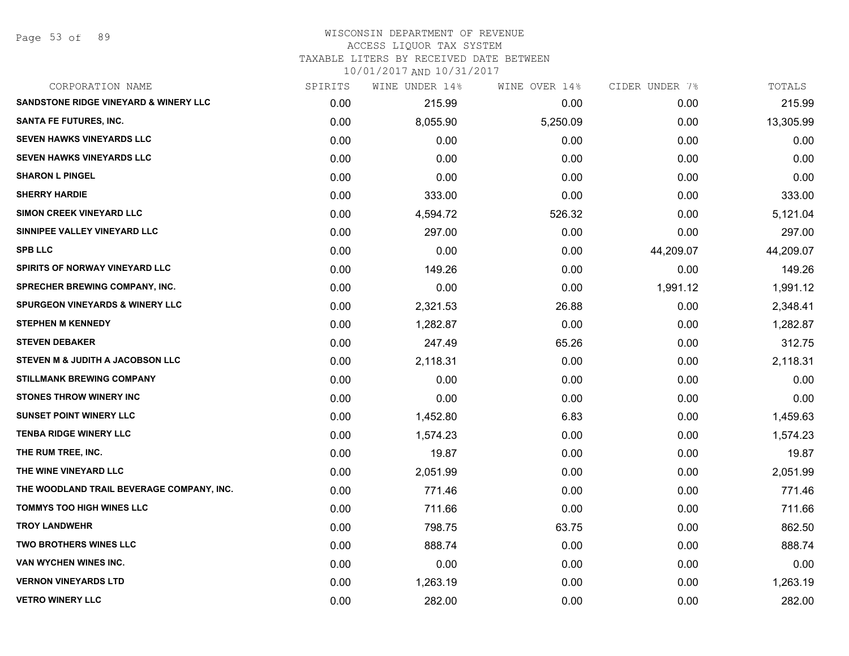Page 53 of 89

### WISCONSIN DEPARTMENT OF REVENUE ACCESS LIQUOR TAX SYSTEM

TAXABLE LITERS BY RECEIVED DATE BETWEEN

| CORPORATION NAME                                 | SPIRITS | WINE UNDER 14% | WINE OVER 14% | CIDER UNDER 7% | TOTALS    |
|--------------------------------------------------|---------|----------------|---------------|----------------|-----------|
| <b>SANDSTONE RIDGE VINEYARD &amp; WINERY LLC</b> | 0.00    | 215.99         | 0.00          | 0.00           | 215.99    |
| <b>SANTA FE FUTURES, INC.</b>                    | 0.00    | 8,055.90       | 5,250.09      | 0.00           | 13,305.99 |
| <b>SEVEN HAWKS VINEYARDS LLC</b>                 | 0.00    | 0.00           | 0.00          | 0.00           | 0.00      |
| SEVEN HAWKS VINEYARDS LLC                        | 0.00    | 0.00           | 0.00          | 0.00           | 0.00      |
| <b>SHARON L PINGEL</b>                           | 0.00    | 0.00           | 0.00          | 0.00           | 0.00      |
| <b>SHERRY HARDIE</b>                             | 0.00    | 333.00         | 0.00          | 0.00           | 333.00    |
| <b>SIMON CREEK VINEYARD LLC</b>                  | 0.00    | 4,594.72       | 526.32        | 0.00           | 5,121.04  |
| SINNIPEE VALLEY VINEYARD LLC                     | 0.00    | 297.00         | 0.00          | 0.00           | 297.00    |
| <b>SPB LLC</b>                                   | 0.00    | 0.00           | 0.00          | 44,209.07      | 44,209.07 |
| SPIRITS OF NORWAY VINEYARD LLC                   | 0.00    | 149.26         | 0.00          | 0.00           | 149.26    |
| <b>SPRECHER BREWING COMPANY, INC.</b>            | 0.00    | 0.00           | 0.00          | 1,991.12       | 1,991.12  |
| <b>SPURGEON VINEYARDS &amp; WINERY LLC</b>       | 0.00    | 2,321.53       | 26.88         | 0.00           | 2,348.41  |
| <b>STEPHEN M KENNEDY</b>                         | 0.00    | 1,282.87       | 0.00          | 0.00           | 1,282.87  |
| <b>STEVEN DEBAKER</b>                            | 0.00    | 247.49         | 65.26         | 0.00           | 312.75    |
| STEVEN M & JUDITH A JACOBSON LLC                 | 0.00    | 2,118.31       | 0.00          | 0.00           | 2,118.31  |
| <b>STILLMANK BREWING COMPANY</b>                 | 0.00    | 0.00           | 0.00          | 0.00           | 0.00      |
| <b>STONES THROW WINERY INC</b>                   | 0.00    | 0.00           | 0.00          | 0.00           | 0.00      |
| <b>SUNSET POINT WINERY LLC</b>                   | 0.00    | 1,452.80       | 6.83          | 0.00           | 1,459.63  |
| <b>TENBA RIDGE WINERY LLC</b>                    | 0.00    | 1,574.23       | 0.00          | 0.00           | 1,574.23  |
| THE RUM TREE, INC.                               | 0.00    | 19.87          | 0.00          | 0.00           | 19.87     |
| THE WINE VINEYARD LLC                            | 0.00    | 2,051.99       | 0.00          | 0.00           | 2,051.99  |
| THE WOODLAND TRAIL BEVERAGE COMPANY, INC.        | 0.00    | 771.46         | 0.00          | 0.00           | 771.46    |
| <b>TOMMYS TOO HIGH WINES LLC</b>                 | 0.00    | 711.66         | 0.00          | 0.00           | 711.66    |
| <b>TROY LANDWEHR</b>                             | 0.00    | 798.75         | 63.75         | 0.00           | 862.50    |
| <b>TWO BROTHERS WINES LLC</b>                    | 0.00    | 888.74         | 0.00          | 0.00           | 888.74    |
| VAN WYCHEN WINES INC.                            | 0.00    | 0.00           | 0.00          | 0.00           | 0.00      |
| <b>VERNON VINEYARDS LTD</b>                      | 0.00    | 1,263.19       | 0.00          | 0.00           | 1,263.19  |
| <b>VETRO WINERY LLC</b>                          | 0.00    | 282.00         | 0.00          | 0.00           | 282.00    |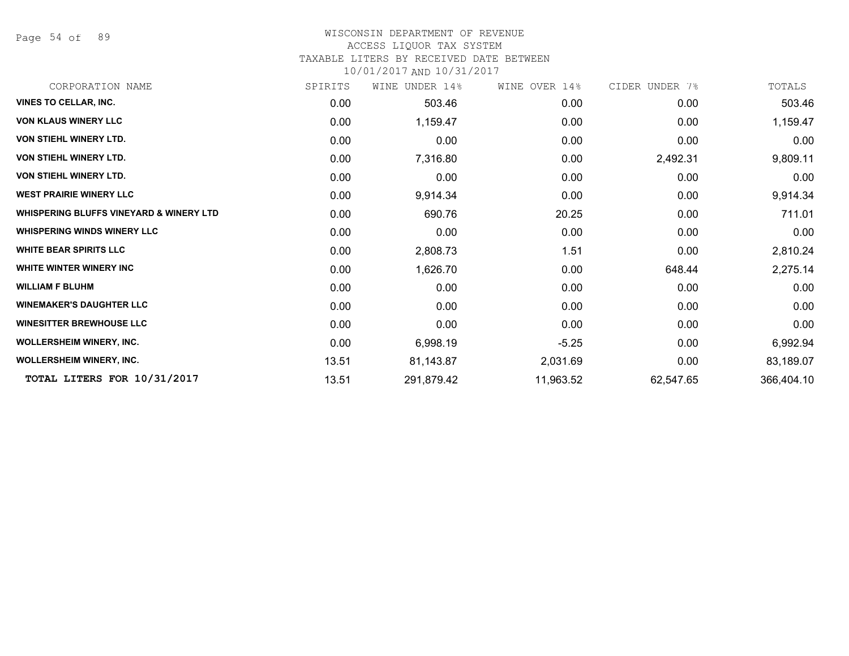Page 54 of 89

### WISCONSIN DEPARTMENT OF REVENUE

### ACCESS LIQUOR TAX SYSTEM

TAXABLE LITERS BY RECEIVED DATE BETWEEN

| CORPORATION NAME                                   | SPIRITS | UNDER 14%<br>WINE | WINE OVER 14% | CIDER UNDER 7% | TOTALS     |
|----------------------------------------------------|---------|-------------------|---------------|----------------|------------|
| <b>VINES TO CELLAR, INC.</b>                       | 0.00    | 503.46            | 0.00          | 0.00           | 503.46     |
| <b>VON KLAUS WINERY LLC</b>                        | 0.00    | 1,159.47          | 0.00          | 0.00           | 1,159.47   |
| <b>VON STIEHL WINERY LTD.</b>                      | 0.00    | 0.00              | 0.00          | 0.00           | 0.00       |
| <b>VON STIEHL WINERY LTD.</b>                      | 0.00    | 7,316.80          | 0.00          | 2,492.31       | 9,809.11   |
| <b>VON STIEHL WINERY LTD.</b>                      | 0.00    | 0.00              | 0.00          | 0.00           | 0.00       |
| <b>WEST PRAIRIE WINERY LLC</b>                     | 0.00    | 9,914.34          | 0.00          | 0.00           | 9,914.34   |
| <b>WHISPERING BLUFFS VINEYARD &amp; WINERY LTD</b> | 0.00    | 690.76            | 20.25         | 0.00           | 711.01     |
| <b>WHISPERING WINDS WINERY LLC</b>                 | 0.00    | 0.00              | 0.00          | 0.00           | 0.00       |
| <b>WHITE BEAR SPIRITS LLC</b>                      | 0.00    | 2,808.73          | 1.51          | 0.00           | 2,810.24   |
| <b>WHITE WINTER WINERY INC</b>                     | 0.00    | 1,626.70          | 0.00          | 648.44         | 2,275.14   |
| <b>WILLIAM F BLUHM</b>                             | 0.00    | 0.00              | 0.00          | 0.00           | 0.00       |
| <b>WINEMAKER'S DAUGHTER LLC</b>                    | 0.00    | 0.00              | 0.00          | 0.00           | 0.00       |
| <b>WINESITTER BREWHOUSE LLC</b>                    | 0.00    | 0.00              | 0.00          | 0.00           | 0.00       |
| <b>WOLLERSHEIM WINERY, INC.</b>                    | 0.00    | 6,998.19          | $-5.25$       | 0.00           | 6,992.94   |
| <b>WOLLERSHEIM WINERY, INC.</b>                    | 13.51   | 81,143.87         | 2,031.69      | 0.00           | 83,189.07  |
| TOTAL LITERS FOR 10/31/2017                        | 13.51   | 291,879.42        | 11,963.52     | 62,547.65      | 366,404.10 |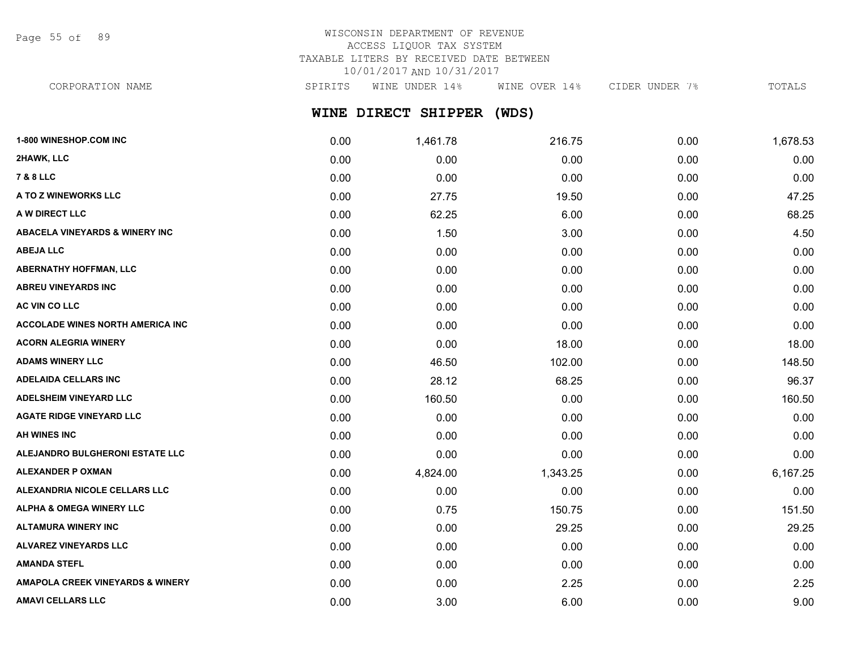Page 55 of 89

# WISCONSIN DEPARTMENT OF REVENUE ACCESS LIQUOR TAX SYSTEM TAXABLE LITERS BY RECEIVED DATE BETWEEN 10/01/2017 AND 10/31/2017

CORPORATION NAME SPIRITS WINE UNDER 14% WINE OVER 14% CIDER UNDER 7% TOTALS

# **WINE DIRECT SHIPPER (WDS)**

| 1-800 WINESHOP.COM INC                      | 0.00 | 1,461.78 | 216.75   | 0.00 | 1,678.53 |
|---------------------------------------------|------|----------|----------|------|----------|
| 2HAWK, LLC                                  | 0.00 | 0.00     | 0.00     | 0.00 | 0.00     |
| <b>7 &amp; 8 LLC</b>                        | 0.00 | 0.00     | 0.00     | 0.00 | 0.00     |
| A TO Z WINEWORKS LLC                        | 0.00 | 27.75    | 19.50    | 0.00 | 47.25    |
| A W DIRECT LLC                              | 0.00 | 62.25    | 6.00     | 0.00 | 68.25    |
| <b>ABACELA VINEYARDS &amp; WINERY INC</b>   | 0.00 | 1.50     | 3.00     | 0.00 | 4.50     |
| <b>ABEJA LLC</b>                            | 0.00 | 0.00     | 0.00     | 0.00 | 0.00     |
| <b>ABERNATHY HOFFMAN, LLC</b>               | 0.00 | 0.00     | 0.00     | 0.00 | 0.00     |
| <b>ABREU VINEYARDS INC</b>                  | 0.00 | 0.00     | 0.00     | 0.00 | 0.00     |
| AC VIN CO LLC                               | 0.00 | 0.00     | 0.00     | 0.00 | 0.00     |
| <b>ACCOLADE WINES NORTH AMERICA INC</b>     | 0.00 | 0.00     | 0.00     | 0.00 | 0.00     |
| <b>ACORN ALEGRIA WINERY</b>                 | 0.00 | 0.00     | 18.00    | 0.00 | 18.00    |
| <b>ADAMS WINERY LLC</b>                     | 0.00 | 46.50    | 102.00   | 0.00 | 148.50   |
| <b>ADELAIDA CELLARS INC</b>                 | 0.00 | 28.12    | 68.25    | 0.00 | 96.37    |
| <b>ADELSHEIM VINEYARD LLC</b>               | 0.00 | 160.50   | 0.00     | 0.00 | 160.50   |
| <b>AGATE RIDGE VINEYARD LLC</b>             | 0.00 | 0.00     | 0.00     | 0.00 | 0.00     |
| <b>AH WINES INC</b>                         | 0.00 | 0.00     | 0.00     | 0.00 | 0.00     |
| ALEJANDRO BULGHERONI ESTATE LLC             | 0.00 | 0.00     | 0.00     | 0.00 | 0.00     |
| <b>ALEXANDER P OXMAN</b>                    | 0.00 | 4,824.00 | 1,343.25 | 0.00 | 6,167.25 |
| ALEXANDRIA NICOLE CELLARS LLC               | 0.00 | 0.00     | 0.00     | 0.00 | 0.00     |
| <b>ALPHA &amp; OMEGA WINERY LLC</b>         | 0.00 | 0.75     | 150.75   | 0.00 | 151.50   |
| <b>ALTAMURA WINERY INC</b>                  | 0.00 | 0.00     | 29.25    | 0.00 | 29.25    |
| <b>ALVAREZ VINEYARDS LLC</b>                | 0.00 | 0.00     | 0.00     | 0.00 | 0.00     |
| <b>AMANDA STEFL</b>                         | 0.00 | 0.00     | 0.00     | 0.00 | 0.00     |
| <b>AMAPOLA CREEK VINEYARDS &amp; WINERY</b> | 0.00 | 0.00     | 2.25     | 0.00 | 2.25     |
| <b>AMAVI CELLARS LLC</b>                    | 0.00 | 3.00     | 6.00     | 0.00 | 9.00     |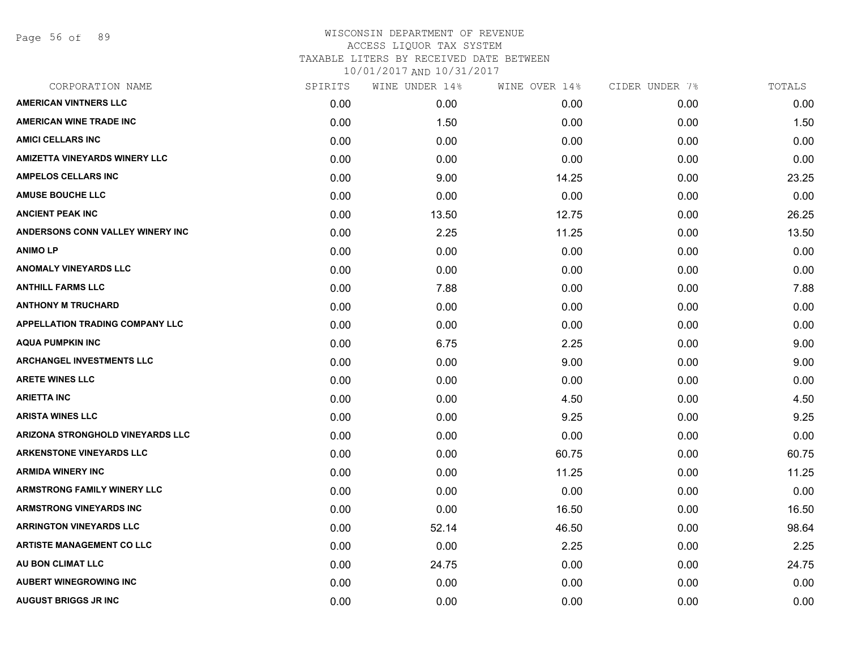Page 56 of 89

| CORPORATION NAME                        | SPIRITS | WINE UNDER 14% | WINE OVER 14% | CIDER UNDER 7% | TOTALS |
|-----------------------------------------|---------|----------------|---------------|----------------|--------|
| <b>AMERICAN VINTNERS LLC</b>            | 0.00    | 0.00           | 0.00          | 0.00           | 0.00   |
| <b>AMERICAN WINE TRADE INC</b>          | 0.00    | 1.50           | 0.00          | 0.00           | 1.50   |
| <b>AMICI CELLARS INC</b>                | 0.00    | 0.00           | 0.00          | 0.00           | 0.00   |
| <b>AMIZETTA VINEYARDS WINERY LLC</b>    | 0.00    | 0.00           | 0.00          | 0.00           | 0.00   |
| <b>AMPELOS CELLARS INC</b>              | 0.00    | 9.00           | 14.25         | 0.00           | 23.25  |
| <b>AMUSE BOUCHE LLC</b>                 | 0.00    | 0.00           | 0.00          | 0.00           | 0.00   |
| <b>ANCIENT PEAK INC</b>                 | 0.00    | 13.50          | 12.75         | 0.00           | 26.25  |
| <b>ANDERSONS CONN VALLEY WINERY INC</b> | 0.00    | 2.25           | 11.25         | 0.00           | 13.50  |
| <b>ANIMO LP</b>                         | 0.00    | 0.00           | 0.00          | 0.00           | 0.00   |
| <b>ANOMALY VINEYARDS LLC</b>            | 0.00    | 0.00           | 0.00          | 0.00           | 0.00   |
| <b>ANTHILL FARMS LLC</b>                | 0.00    | 7.88           | 0.00          | 0.00           | 7.88   |
| <b>ANTHONY M TRUCHARD</b>               | 0.00    | 0.00           | 0.00          | 0.00           | 0.00   |
| <b>APPELLATION TRADING COMPANY LLC</b>  | 0.00    | 0.00           | 0.00          | 0.00           | 0.00   |
| <b>AQUA PUMPKIN INC</b>                 | 0.00    | 6.75           | 2.25          | 0.00           | 9.00   |
| <b>ARCHANGEL INVESTMENTS LLC</b>        | 0.00    | 0.00           | 9.00          | 0.00           | 9.00   |
| <b>ARETE WINES LLC</b>                  | 0.00    | 0.00           | 0.00          | 0.00           | 0.00   |
| <b>ARIETTA INC</b>                      | 0.00    | 0.00           | 4.50          | 0.00           | 4.50   |
| <b>ARISTA WINES LLC</b>                 | 0.00    | 0.00           | 9.25          | 0.00           | 9.25   |
| ARIZONA STRONGHOLD VINEYARDS LLC        | 0.00    | 0.00           | 0.00          | 0.00           | 0.00   |
| <b>ARKENSTONE VINEYARDS LLC</b>         | 0.00    | 0.00           | 60.75         | 0.00           | 60.75  |
| <b>ARMIDA WINERY INC</b>                | 0.00    | 0.00           | 11.25         | 0.00           | 11.25  |
| <b>ARMSTRONG FAMILY WINERY LLC</b>      | 0.00    | 0.00           | 0.00          | 0.00           | 0.00   |
| <b>ARMSTRONG VINEYARDS INC</b>          | 0.00    | 0.00           | 16.50         | 0.00           | 16.50  |
| <b>ARRINGTON VINEYARDS LLC</b>          | 0.00    | 52.14          | 46.50         | 0.00           | 98.64  |
| <b>ARTISTE MANAGEMENT CO LLC</b>        | 0.00    | 0.00           | 2.25          | 0.00           | 2.25   |
| AU BON CLIMAT LLC                       | 0.00    | 24.75          | 0.00          | 0.00           | 24.75  |
| <b>AUBERT WINEGROWING INC</b>           | 0.00    | 0.00           | 0.00          | 0.00           | 0.00   |
| <b>AUGUST BRIGGS JR INC</b>             | 0.00    | 0.00           | 0.00          | 0.00           | 0.00   |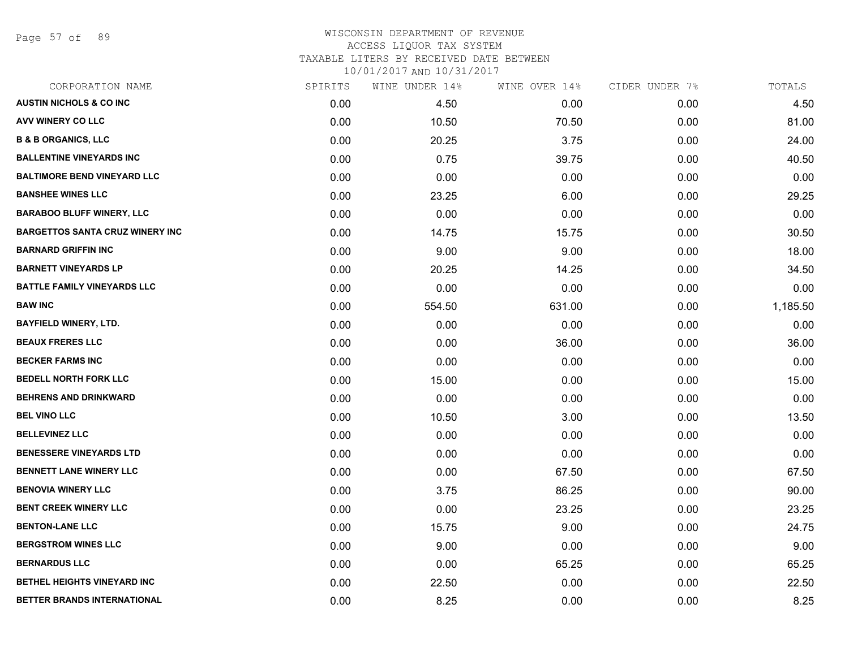Page 57 of 89

### WISCONSIN DEPARTMENT OF REVENUE ACCESS LIQUOR TAX SYSTEM TAXABLE LITERS BY RECEIVED DATE BETWEEN

| CORPORATION NAME                       | SPIRITS | WINE UNDER 14% | WINE OVER 14% | CIDER UNDER 7% | TOTALS   |
|----------------------------------------|---------|----------------|---------------|----------------|----------|
| <b>AUSTIN NICHOLS &amp; CO INC</b>     | 0.00    | 4.50           | 0.00          | 0.00           | 4.50     |
| <b>AVV WINERY CO LLC</b>               | 0.00    | 10.50          | 70.50         | 0.00           | 81.00    |
| <b>B &amp; B ORGANICS, LLC</b>         | 0.00    | 20.25          | 3.75          | 0.00           | 24.00    |
| <b>BALLENTINE VINEYARDS INC</b>        | 0.00    | 0.75           | 39.75         | 0.00           | 40.50    |
| <b>BALTIMORE BEND VINEYARD LLC</b>     | 0.00    | 0.00           | 0.00          | 0.00           | 0.00     |
| <b>BANSHEE WINES LLC</b>               | 0.00    | 23.25          | 6.00          | 0.00           | 29.25    |
| <b>BARABOO BLUFF WINERY, LLC</b>       | 0.00    | 0.00           | 0.00          | 0.00           | 0.00     |
| <b>BARGETTOS SANTA CRUZ WINERY INC</b> | 0.00    | 14.75          | 15.75         | 0.00           | 30.50    |
| <b>BARNARD GRIFFIN INC</b>             | 0.00    | 9.00           | 9.00          | 0.00           | 18.00    |
| <b>BARNETT VINEYARDS LP</b>            | 0.00    | 20.25          | 14.25         | 0.00           | 34.50    |
| <b>BATTLE FAMILY VINEYARDS LLC</b>     | 0.00    | 0.00           | 0.00          | 0.00           | 0.00     |
| <b>BAW INC</b>                         | 0.00    | 554.50         | 631.00        | 0.00           | 1,185.50 |
| <b>BAYFIELD WINERY, LTD.</b>           | 0.00    | 0.00           | 0.00          | 0.00           | 0.00     |
| <b>BEAUX FRERES LLC</b>                | 0.00    | 0.00           | 36.00         | 0.00           | 36.00    |
| <b>BECKER FARMS INC</b>                | 0.00    | 0.00           | 0.00          | 0.00           | 0.00     |
| <b>BEDELL NORTH FORK LLC</b>           | 0.00    | 15.00          | 0.00          | 0.00           | 15.00    |
| <b>BEHRENS AND DRINKWARD</b>           | 0.00    | 0.00           | 0.00          | 0.00           | 0.00     |
| <b>BEL VINO LLC</b>                    | 0.00    | 10.50          | 3.00          | 0.00           | 13.50    |
| <b>BELLEVINEZ LLC</b>                  | 0.00    | 0.00           | 0.00          | 0.00           | 0.00     |
| <b>BENESSERE VINEYARDS LTD</b>         | 0.00    | 0.00           | 0.00          | 0.00           | 0.00     |
| <b>BENNETT LANE WINERY LLC</b>         | 0.00    | 0.00           | 67.50         | 0.00           | 67.50    |
| <b>BENOVIA WINERY LLC</b>              | 0.00    | 3.75           | 86.25         | 0.00           | 90.00    |
| <b>BENT CREEK WINERY LLC</b>           | 0.00    | 0.00           | 23.25         | 0.00           | 23.25    |
| <b>BENTON-LANE LLC</b>                 | 0.00    | 15.75          | 9.00          | 0.00           | 24.75    |
| <b>BERGSTROM WINES LLC</b>             | 0.00    | 9.00           | 0.00          | 0.00           | 9.00     |
| <b>BERNARDUS LLC</b>                   | 0.00    | 0.00           | 65.25         | 0.00           | 65.25    |
| <b>BETHEL HEIGHTS VINEYARD INC</b>     | 0.00    | 22.50          | 0.00          | 0.00           | 22.50    |
| BETTER BRANDS INTERNATIONAL            | 0.00    | 8.25           | 0.00          | 0.00           | 8.25     |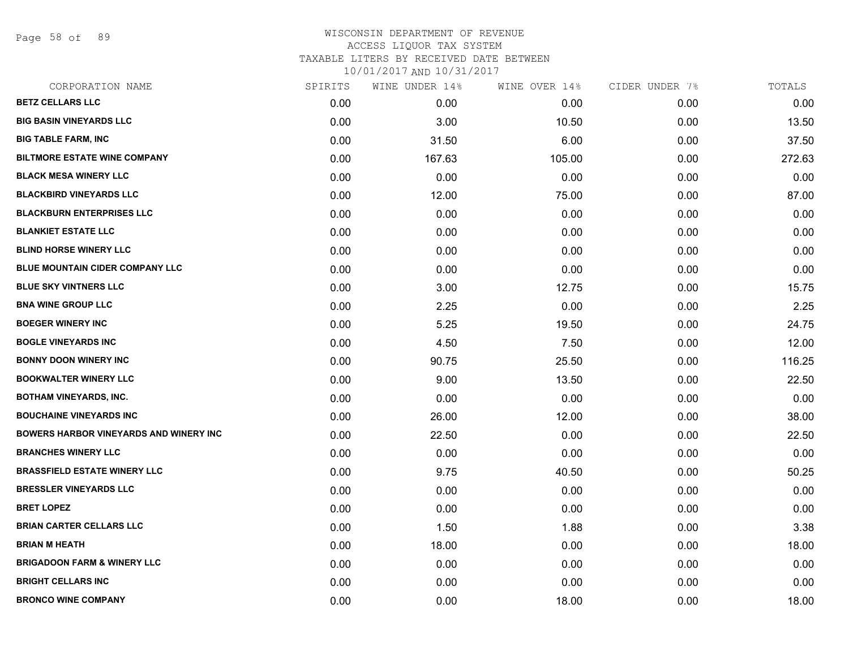Page 58 of 89

| CORPORATION NAME                              | SPIRITS | WINE UNDER 14% | WINE OVER 14% | CIDER UNDER 7% | TOTALS |
|-----------------------------------------------|---------|----------------|---------------|----------------|--------|
| <b>BETZ CELLARS LLC</b>                       | 0.00    | 0.00           | 0.00          | 0.00           | 0.00   |
| <b>BIG BASIN VINEYARDS LLC</b>                | 0.00    | 3.00           | 10.50         | 0.00           | 13.50  |
| <b>BIG TABLE FARM, INC</b>                    | 0.00    | 31.50          | 6.00          | 0.00           | 37.50  |
| <b>BILTMORE ESTATE WINE COMPANY</b>           | 0.00    | 167.63         | 105.00        | 0.00           | 272.63 |
| <b>BLACK MESA WINERY LLC</b>                  | 0.00    | 0.00           | 0.00          | 0.00           | 0.00   |
| <b>BLACKBIRD VINEYARDS LLC</b>                | 0.00    | 12.00          | 75.00         | 0.00           | 87.00  |
| <b>BLACKBURN ENTERPRISES LLC</b>              | 0.00    | 0.00           | 0.00          | 0.00           | 0.00   |
| <b>BLANKIET ESTATE LLC</b>                    | 0.00    | 0.00           | 0.00          | 0.00           | 0.00   |
| <b>BLIND HORSE WINERY LLC</b>                 | 0.00    | 0.00           | 0.00          | 0.00           | 0.00   |
| BLUE MOUNTAIN CIDER COMPANY LLC               | 0.00    | 0.00           | 0.00          | 0.00           | 0.00   |
| <b>BLUE SKY VINTNERS LLC</b>                  | 0.00    | 3.00           | 12.75         | 0.00           | 15.75  |
| <b>BNA WINE GROUP LLC</b>                     | 0.00    | 2.25           | 0.00          | 0.00           | 2.25   |
| <b>BOEGER WINERY INC</b>                      | 0.00    | 5.25           | 19.50         | 0.00           | 24.75  |
| <b>BOGLE VINEYARDS INC</b>                    | 0.00    | 4.50           | 7.50          | 0.00           | 12.00  |
| <b>BONNY DOON WINERY INC</b>                  | 0.00    | 90.75          | 25.50         | 0.00           | 116.25 |
| <b>BOOKWALTER WINERY LLC</b>                  | 0.00    | 9.00           | 13.50         | 0.00           | 22.50  |
| <b>BOTHAM VINEYARDS, INC.</b>                 | 0.00    | 0.00           | 0.00          | 0.00           | 0.00   |
| <b>BOUCHAINE VINEYARDS INC</b>                | 0.00    | 26.00          | 12.00         | 0.00           | 38.00  |
| <b>BOWERS HARBOR VINEYARDS AND WINERY INC</b> | 0.00    | 22.50          | 0.00          | 0.00           | 22.50  |
| <b>BRANCHES WINERY LLC</b>                    | 0.00    | 0.00           | 0.00          | 0.00           | 0.00   |
| <b>BRASSFIELD ESTATE WINERY LLC</b>           | 0.00    | 9.75           | 40.50         | 0.00           | 50.25  |
| <b>BRESSLER VINEYARDS LLC</b>                 | 0.00    | 0.00           | 0.00          | 0.00           | 0.00   |
| <b>BRET LOPEZ</b>                             | 0.00    | 0.00           | 0.00          | 0.00           | 0.00   |
| <b>BRIAN CARTER CELLARS LLC</b>               | 0.00    | 1.50           | 1.88          | 0.00           | 3.38   |
| <b>BRIAN M HEATH</b>                          | 0.00    | 18.00          | 0.00          | 0.00           | 18.00  |
| <b>BRIGADOON FARM &amp; WINERY LLC</b>        | 0.00    | 0.00           | 0.00          | 0.00           | 0.00   |
| <b>BRIGHT CELLARS INC</b>                     | 0.00    | 0.00           | 0.00          | 0.00           | 0.00   |
| <b>BRONCO WINE COMPANY</b>                    | 0.00    | 0.00           | 18.00         | 0.00           | 18.00  |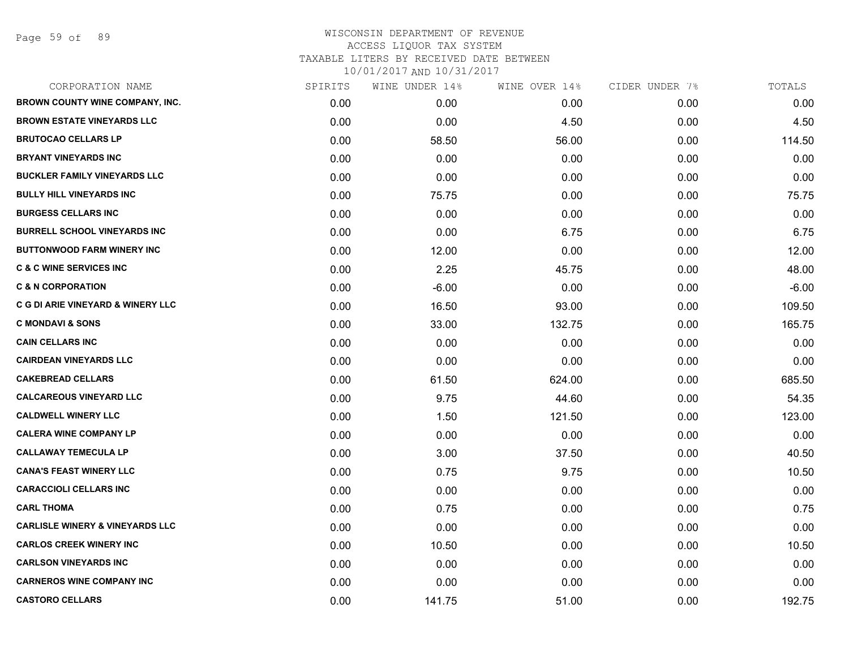Page 59 of 89

| CORPORATION NAME                           | SPIRITS | WINE UNDER 14% | WINE OVER 14% | CIDER UNDER 7% | TOTALS  |
|--------------------------------------------|---------|----------------|---------------|----------------|---------|
| BROWN COUNTY WINE COMPANY, INC.            | 0.00    | 0.00           | 0.00          | 0.00           | 0.00    |
| <b>BROWN ESTATE VINEYARDS LLC</b>          | 0.00    | 0.00           | 4.50          | 0.00           | 4.50    |
| <b>BRUTOCAO CELLARS LP</b>                 | 0.00    | 58.50          | 56.00         | 0.00           | 114.50  |
| <b>BRYANT VINEYARDS INC</b>                | 0.00    | 0.00           | 0.00          | 0.00           | 0.00    |
| <b>BUCKLER FAMILY VINEYARDS LLC</b>        | 0.00    | 0.00           | 0.00          | 0.00           | 0.00    |
| <b>BULLY HILL VINEYARDS INC</b>            | 0.00    | 75.75          | 0.00          | 0.00           | 75.75   |
| <b>BURGESS CELLARS INC</b>                 | 0.00    | 0.00           | 0.00          | 0.00           | 0.00    |
| <b>BURRELL SCHOOL VINEYARDS INC</b>        | 0.00    | 0.00           | 6.75          | 0.00           | 6.75    |
| <b>BUTTONWOOD FARM WINERY INC</b>          | 0.00    | 12.00          | 0.00          | 0.00           | 12.00   |
| <b>C &amp; C WINE SERVICES INC</b>         | 0.00    | 2.25           | 45.75         | 0.00           | 48.00   |
| <b>C &amp; N CORPORATION</b>               | 0.00    | $-6.00$        | 0.00          | 0.00           | $-6.00$ |
| C G DI ARIE VINEYARD & WINERY LLC          | 0.00    | 16.50          | 93.00         | 0.00           | 109.50  |
| <b>C MONDAVI &amp; SONS</b>                | 0.00    | 33.00          | 132.75        | 0.00           | 165.75  |
| <b>CAIN CELLARS INC</b>                    | 0.00    | 0.00           | 0.00          | 0.00           | 0.00    |
| <b>CAIRDEAN VINEYARDS LLC</b>              | 0.00    | 0.00           | 0.00          | 0.00           | 0.00    |
| <b>CAKEBREAD CELLARS</b>                   | 0.00    | 61.50          | 624.00        | 0.00           | 685.50  |
| <b>CALCAREOUS VINEYARD LLC</b>             | 0.00    | 9.75           | 44.60         | 0.00           | 54.35   |
| <b>CALDWELL WINERY LLC</b>                 | 0.00    | 1.50           | 121.50        | 0.00           | 123.00  |
| <b>CALERA WINE COMPANY LP</b>              | 0.00    | 0.00           | 0.00          | 0.00           | 0.00    |
| <b>CALLAWAY TEMECULA LP</b>                | 0.00    | 3.00           | 37.50         | 0.00           | 40.50   |
| <b>CANA'S FEAST WINERY LLC</b>             | 0.00    | 0.75           | 9.75          | 0.00           | 10.50   |
| <b>CARACCIOLI CELLARS INC</b>              | 0.00    | 0.00           | 0.00          | 0.00           | 0.00    |
| <b>CARL THOMA</b>                          | 0.00    | 0.75           | 0.00          | 0.00           | 0.75    |
| <b>CARLISLE WINERY &amp; VINEYARDS LLC</b> | 0.00    | 0.00           | 0.00          | 0.00           | 0.00    |
| <b>CARLOS CREEK WINERY INC</b>             | 0.00    | 10.50          | 0.00          | 0.00           | 10.50   |
| <b>CARLSON VINEYARDS INC</b>               | 0.00    | 0.00           | 0.00          | 0.00           | 0.00    |
| <b>CARNEROS WINE COMPANY INC</b>           | 0.00    | 0.00           | 0.00          | 0.00           | 0.00    |
| <b>CASTORO CELLARS</b>                     | 0.00    | 141.75         | 51.00         | 0.00           | 192.75  |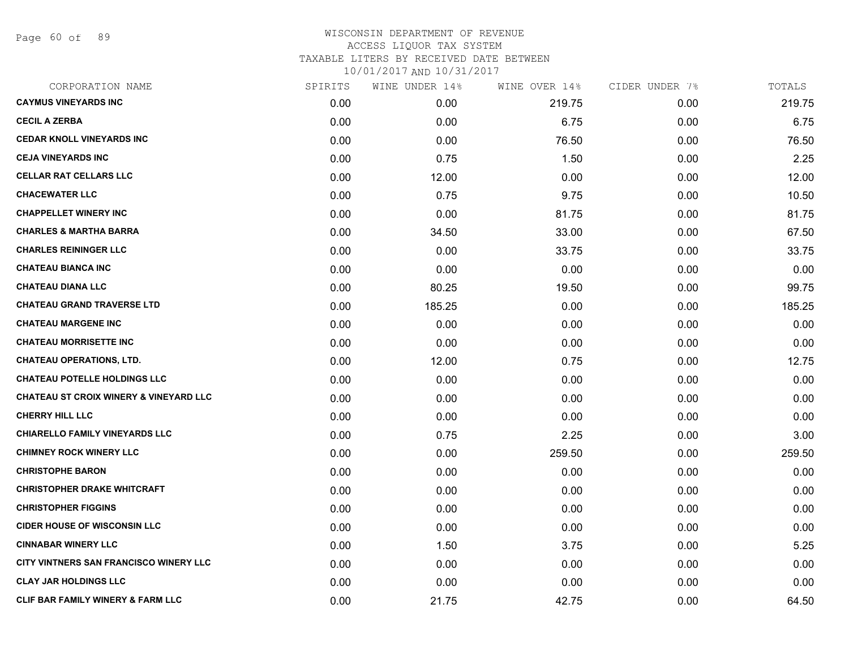Page 60 of 89

| CORPORATION NAME                                  | SPIRITS | WINE UNDER 14% | WINE OVER 14% | CIDER UNDER 7% | TOTALS |
|---------------------------------------------------|---------|----------------|---------------|----------------|--------|
| <b>CAYMUS VINEYARDS INC</b>                       | 0.00    | 0.00           | 219.75        | 0.00           | 219.75 |
| <b>CECIL A ZERBA</b>                              | 0.00    | 0.00           | 6.75          | 0.00           | 6.75   |
| <b>CEDAR KNOLL VINEYARDS INC</b>                  | 0.00    | 0.00           | 76.50         | 0.00           | 76.50  |
| <b>CEJA VINEYARDS INC</b>                         | 0.00    | 0.75           | 1.50          | 0.00           | 2.25   |
| <b>CELLAR RAT CELLARS LLC</b>                     | 0.00    | 12.00          | 0.00          | 0.00           | 12.00  |
| <b>CHACEWATER LLC</b>                             | 0.00    | 0.75           | 9.75          | 0.00           | 10.50  |
| <b>CHAPPELLET WINERY INC</b>                      | 0.00    | 0.00           | 81.75         | 0.00           | 81.75  |
| <b>CHARLES &amp; MARTHA BARRA</b>                 | 0.00    | 34.50          | 33.00         | 0.00           | 67.50  |
| <b>CHARLES REININGER LLC</b>                      | 0.00    | 0.00           | 33.75         | 0.00           | 33.75  |
| <b>CHATEAU BIANCA INC</b>                         | 0.00    | 0.00           | 0.00          | 0.00           | 0.00   |
| <b>CHATEAU DIANA LLC</b>                          | 0.00    | 80.25          | 19.50         | 0.00           | 99.75  |
| <b>CHATEAU GRAND TRAVERSE LTD</b>                 | 0.00    | 185.25         | 0.00          | 0.00           | 185.25 |
| <b>CHATEAU MARGENE INC</b>                        | 0.00    | 0.00           | 0.00          | 0.00           | 0.00   |
| <b>CHATEAU MORRISETTE INC</b>                     | 0.00    | 0.00           | 0.00          | 0.00           | 0.00   |
| <b>CHATEAU OPERATIONS, LTD.</b>                   | 0.00    | 12.00          | 0.75          | 0.00           | 12.75  |
| <b>CHATEAU POTELLE HOLDINGS LLC</b>               | 0.00    | 0.00           | 0.00          | 0.00           | 0.00   |
| <b>CHATEAU ST CROIX WINERY &amp; VINEYARD LLC</b> | 0.00    | 0.00           | 0.00          | 0.00           | 0.00   |
| <b>CHERRY HILL LLC</b>                            | 0.00    | 0.00           | 0.00          | 0.00           | 0.00   |
| <b>CHIARELLO FAMILY VINEYARDS LLC</b>             | 0.00    | 0.75           | 2.25          | 0.00           | 3.00   |
| <b>CHIMNEY ROCK WINERY LLC</b>                    | 0.00    | 0.00           | 259.50        | 0.00           | 259.50 |
| <b>CHRISTOPHE BARON</b>                           | 0.00    | 0.00           | 0.00          | 0.00           | 0.00   |
| <b>CHRISTOPHER DRAKE WHITCRAFT</b>                | 0.00    | 0.00           | 0.00          | 0.00           | 0.00   |
| <b>CHRISTOPHER FIGGINS</b>                        | 0.00    | 0.00           | 0.00          | 0.00           | 0.00   |
| <b>CIDER HOUSE OF WISCONSIN LLC</b>               | 0.00    | 0.00           | 0.00          | 0.00           | 0.00   |
| <b>CINNABAR WINERY LLC</b>                        | 0.00    | 1.50           | 3.75          | 0.00           | 5.25   |
| CITY VINTNERS SAN FRANCISCO WINERY LLC            | 0.00    | 0.00           | 0.00          | 0.00           | 0.00   |
| <b>CLAY JAR HOLDINGS LLC</b>                      | 0.00    | 0.00           | 0.00          | 0.00           | 0.00   |
| <b>CLIF BAR FAMILY WINERY &amp; FARM LLC</b>      | 0.00    | 21.75          | 42.75         | 0.00           | 64.50  |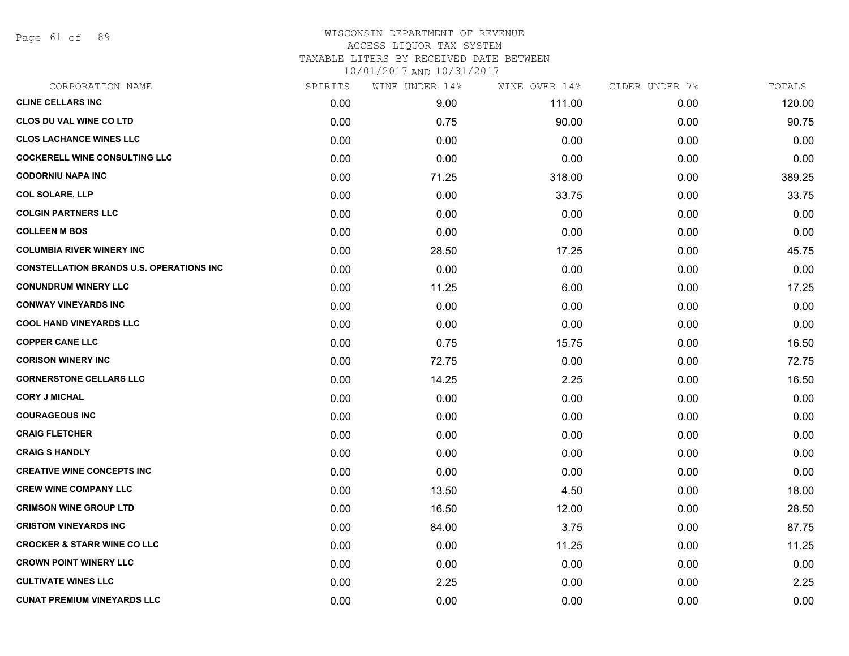Page 61 of 89

## WISCONSIN DEPARTMENT OF REVENUE ACCESS LIQUOR TAX SYSTEM TAXABLE LITERS BY RECEIVED DATE BETWEEN

| CORPORATION NAME                                | SPIRITS | WINE UNDER 14% | WINE OVER 14% | CIDER UNDER 7% | TOTALS |
|-------------------------------------------------|---------|----------------|---------------|----------------|--------|
| <b>CLINE CELLARS INC</b>                        | 0.00    | 9.00           | 111.00        | 0.00           | 120.00 |
| <b>CLOS DU VAL WINE CO LTD</b>                  | 0.00    | 0.75           | 90.00         | 0.00           | 90.75  |
| <b>CLOS LACHANCE WINES LLC</b>                  | 0.00    | 0.00           | 0.00          | 0.00           | 0.00   |
| <b>COCKERELL WINE CONSULTING LLC</b>            | 0.00    | 0.00           | 0.00          | 0.00           | 0.00   |
| <b>CODORNIU NAPA INC</b>                        | 0.00    | 71.25          | 318.00        | 0.00           | 389.25 |
| <b>COL SOLARE, LLP</b>                          | 0.00    | 0.00           | 33.75         | 0.00           | 33.75  |
| <b>COLGIN PARTNERS LLC</b>                      | 0.00    | 0.00           | 0.00          | 0.00           | 0.00   |
| <b>COLLEEN M BOS</b>                            | 0.00    | 0.00           | 0.00          | 0.00           | 0.00   |
| <b>COLUMBIA RIVER WINERY INC</b>                | 0.00    | 28.50          | 17.25         | 0.00           | 45.75  |
| <b>CONSTELLATION BRANDS U.S. OPERATIONS INC</b> | 0.00    | 0.00           | 0.00          | 0.00           | 0.00   |
| <b>CONUNDRUM WINERY LLC</b>                     | 0.00    | 11.25          | 6.00          | 0.00           | 17.25  |
| <b>CONWAY VINEYARDS INC</b>                     | 0.00    | 0.00           | 0.00          | 0.00           | 0.00   |
| <b>COOL HAND VINEYARDS LLC</b>                  | 0.00    | 0.00           | 0.00          | 0.00           | 0.00   |
| <b>COPPER CANE LLC</b>                          | 0.00    | 0.75           | 15.75         | 0.00           | 16.50  |
| <b>CORISON WINERY INC</b>                       | 0.00    | 72.75          | 0.00          | 0.00           | 72.75  |
| <b>CORNERSTONE CELLARS LLC</b>                  | 0.00    | 14.25          | 2.25          | 0.00           | 16.50  |
| <b>CORY J MICHAL</b>                            | 0.00    | 0.00           | 0.00          | 0.00           | 0.00   |
| <b>COURAGEOUS INC</b>                           | 0.00    | 0.00           | 0.00          | 0.00           | 0.00   |
| <b>CRAIG FLETCHER</b>                           | 0.00    | 0.00           | 0.00          | 0.00           | 0.00   |
| <b>CRAIG S HANDLY</b>                           | 0.00    | 0.00           | 0.00          | 0.00           | 0.00   |
| <b>CREATIVE WINE CONCEPTS INC</b>               | 0.00    | 0.00           | 0.00          | 0.00           | 0.00   |
| <b>CREW WINE COMPANY LLC</b>                    | 0.00    | 13.50          | 4.50          | 0.00           | 18.00  |
| <b>CRIMSON WINE GROUP LTD</b>                   | 0.00    | 16.50          | 12.00         | 0.00           | 28.50  |
| <b>CRISTOM VINEYARDS INC</b>                    | 0.00    | 84.00          | 3.75          | 0.00           | 87.75  |
| <b>CROCKER &amp; STARR WINE CO LLC</b>          | 0.00    | 0.00           | 11.25         | 0.00           | 11.25  |
| <b>CROWN POINT WINERY LLC</b>                   | 0.00    | 0.00           | 0.00          | 0.00           | 0.00   |
| <b>CULTIVATE WINES LLC</b>                      | 0.00    | 2.25           | 0.00          | 0.00           | 2.25   |
| <b>CUNAT PREMIUM VINEYARDS LLC</b>              | 0.00    | 0.00           | 0.00          | 0.00           | 0.00   |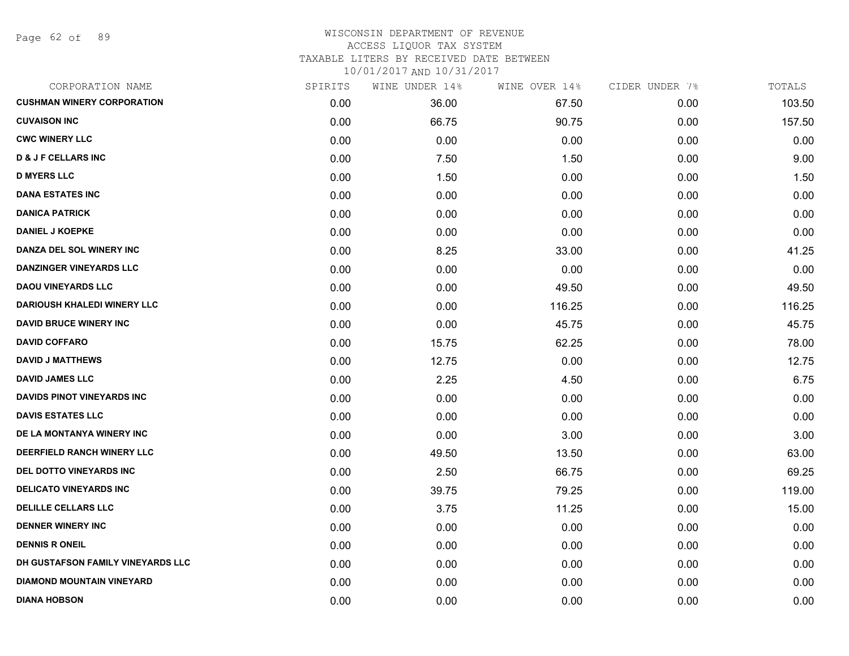Page 62 of 89

## WISCONSIN DEPARTMENT OF REVENUE ACCESS LIQUOR TAX SYSTEM TAXABLE LITERS BY RECEIVED DATE BETWEEN

| CORPORATION NAME                   | SPIRITS | WINE UNDER 14% | WINE OVER 14% | CIDER UNDER 7% | TOTALS |
|------------------------------------|---------|----------------|---------------|----------------|--------|
| <b>CUSHMAN WINERY CORPORATION</b>  | 0.00    | 36.00          | 67.50         | 0.00           | 103.50 |
| <b>CUVAISON INC</b>                | 0.00    | 66.75          | 90.75         | 0.00           | 157.50 |
| <b>CWC WINERY LLC</b>              | 0.00    | 0.00           | 0.00          | 0.00           | 0.00   |
| <b>D &amp; J F CELLARS INC</b>     | 0.00    | 7.50           | 1.50          | 0.00           | 9.00   |
| <b>D MYERS LLC</b>                 | 0.00    | 1.50           | 0.00          | 0.00           | 1.50   |
| <b>DANA ESTATES INC</b>            | 0.00    | 0.00           | 0.00          | 0.00           | 0.00   |
| <b>DANICA PATRICK</b>              | 0.00    | 0.00           | 0.00          | 0.00           | 0.00   |
| <b>DANIEL J KOEPKE</b>             | 0.00    | 0.00           | 0.00          | 0.00           | 0.00   |
| DANZA DEL SOL WINERY INC           | 0.00    | 8.25           | 33.00         | 0.00           | 41.25  |
| <b>DANZINGER VINEYARDS LLC</b>     | 0.00    | 0.00           | 0.00          | 0.00           | 0.00   |
| <b>DAOU VINEYARDS LLC</b>          | 0.00    | 0.00           | 49.50         | 0.00           | 49.50  |
| <b>DARIOUSH KHALEDI WINERY LLC</b> | 0.00    | 0.00           | 116.25        | 0.00           | 116.25 |
| <b>DAVID BRUCE WINERY INC</b>      | 0.00    | 0.00           | 45.75         | 0.00           | 45.75  |
| <b>DAVID COFFARO</b>               | 0.00    | 15.75          | 62.25         | 0.00           | 78.00  |
| <b>DAVID J MATTHEWS</b>            | 0.00    | 12.75          | 0.00          | 0.00           | 12.75  |
| <b>DAVID JAMES LLC</b>             | 0.00    | 2.25           | 4.50          | 0.00           | 6.75   |
| <b>DAVIDS PINOT VINEYARDS INC</b>  | 0.00    | 0.00           | 0.00          | 0.00           | 0.00   |
| <b>DAVIS ESTATES LLC</b>           | 0.00    | 0.00           | 0.00          | 0.00           | 0.00   |
| DE LA MONTANYA WINERY INC          | 0.00    | 0.00           | 3.00          | 0.00           | 3.00   |
| DEERFIELD RANCH WINERY LLC         | 0.00    | 49.50          | 13.50         | 0.00           | 63.00  |
| DEL DOTTO VINEYARDS INC            | 0.00    | 2.50           | 66.75         | 0.00           | 69.25  |
| <b>DELICATO VINEYARDS INC</b>      | 0.00    | 39.75          | 79.25         | 0.00           | 119.00 |
| <b>DELILLE CELLARS LLC</b>         | 0.00    | 3.75           | 11.25         | 0.00           | 15.00  |
| <b>DENNER WINERY INC</b>           | 0.00    | 0.00           | 0.00          | 0.00           | 0.00   |
| <b>DENNIS R ONEIL</b>              | 0.00    | 0.00           | 0.00          | 0.00           | 0.00   |
| DH GUSTAFSON FAMILY VINEYARDS LLC  | 0.00    | 0.00           | 0.00          | 0.00           | 0.00   |
| <b>DIAMOND MOUNTAIN VINEYARD</b>   | 0.00    | 0.00           | 0.00          | 0.00           | 0.00   |
| <b>DIANA HOBSON</b>                | 0.00    | 0.00           | 0.00          | 0.00           | 0.00   |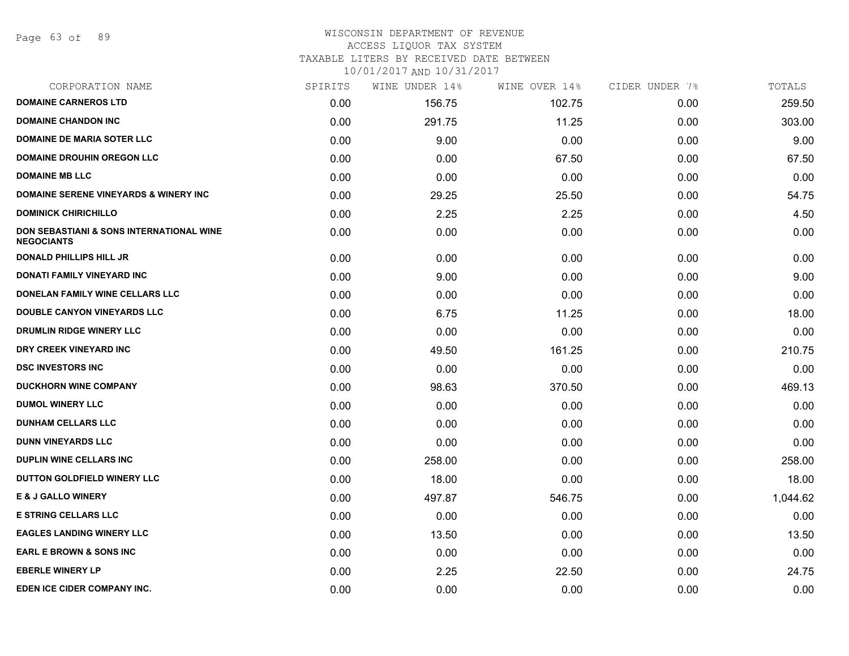Page 63 of 89

# WISCONSIN DEPARTMENT OF REVENUE

## ACCESS LIQUOR TAX SYSTEM

TAXABLE LITERS BY RECEIVED DATE BETWEEN

| CORPORATION NAME                                                         | SPIRITS | WINE UNDER 14% | WINE OVER 14% | CIDER UNDER 7% | TOTALS   |
|--------------------------------------------------------------------------|---------|----------------|---------------|----------------|----------|
| <b>DOMAINE CARNEROS LTD</b>                                              | 0.00    | 156.75         | 102.75        | 0.00           | 259.50   |
| <b>DOMAINE CHANDON INC</b>                                               | 0.00    | 291.75         | 11.25         | 0.00           | 303.00   |
| <b>DOMAINE DE MARIA SOTER LLC</b>                                        | 0.00    | 9.00           | 0.00          | 0.00           | 9.00     |
| <b>DOMAINE DROUHIN OREGON LLC</b>                                        | 0.00    | 0.00           | 67.50         | 0.00           | 67.50    |
| <b>DOMAINE MB LLC</b>                                                    | 0.00    | 0.00           | 0.00          | 0.00           | 0.00     |
| <b>DOMAINE SERENE VINEYARDS &amp; WINERY INC</b>                         | 0.00    | 29.25          | 25.50         | 0.00           | 54.75    |
| <b>DOMINICK CHIRICHILLO</b>                                              | 0.00    | 2.25           | 2.25          | 0.00           | 4.50     |
| <b>DON SEBASTIANI &amp; SONS INTERNATIONAL WINE</b><br><b>NEGOCIANTS</b> | 0.00    | 0.00           | 0.00          | 0.00           | 0.00     |
| <b>DONALD PHILLIPS HILL JR</b>                                           | 0.00    | 0.00           | 0.00          | 0.00           | 0.00     |
| DONATI FAMILY VINEYARD INC                                               | 0.00    | 9.00           | 0.00          | 0.00           | 9.00     |
| DONELAN FAMILY WINE CELLARS LLC                                          | 0.00    | 0.00           | 0.00          | 0.00           | 0.00     |
| <b>DOUBLE CANYON VINEYARDS LLC</b>                                       | 0.00    | 6.75           | 11.25         | 0.00           | 18.00    |
| DRUMLIN RIDGE WINERY LLC                                                 | 0.00    | 0.00           | 0.00          | 0.00           | 0.00     |
| DRY CREEK VINEYARD INC                                                   | 0.00    | 49.50          | 161.25        | 0.00           | 210.75   |
| <b>DSC INVESTORS INC.</b>                                                | 0.00    | 0.00           | 0.00          | 0.00           | 0.00     |
| <b>DUCKHORN WINE COMPANY</b>                                             | 0.00    | 98.63          | 370.50        | 0.00           | 469.13   |
| <b>DUMOL WINERY LLC</b>                                                  | 0.00    | 0.00           | 0.00          | 0.00           | 0.00     |
| <b>DUNHAM CELLARS LLC</b>                                                | 0.00    | 0.00           | 0.00          | 0.00           | 0.00     |
| <b>DUNN VINEYARDS LLC</b>                                                | 0.00    | 0.00           | 0.00          | 0.00           | 0.00     |
| <b>DUPLIN WINE CELLARS INC</b>                                           | 0.00    | 258.00         | 0.00          | 0.00           | 258.00   |
| DUTTON GOLDFIELD WINERY LLC                                              | 0.00    | 18.00          | 0.00          | 0.00           | 18.00    |
| <b>E &amp; J GALLO WINERY</b>                                            | 0.00    | 497.87         | 546.75        | 0.00           | 1,044.62 |
| <b>E STRING CELLARS LLC</b>                                              | 0.00    | 0.00           | 0.00          | 0.00           | 0.00     |
| <b>EAGLES LANDING WINERY LLC</b>                                         | 0.00    | 13.50          | 0.00          | 0.00           | 13.50    |
| <b>EARL E BROWN &amp; SONS INC</b>                                       | 0.00    | 0.00           | 0.00          | 0.00           | 0.00     |
| <b>EBERLE WINERY LP</b>                                                  | 0.00    | 2.25           | 22.50         | 0.00           | 24.75    |
| EDEN ICE CIDER COMPANY INC.                                              | 0.00    | 0.00           | 0.00          | 0.00           | 0.00     |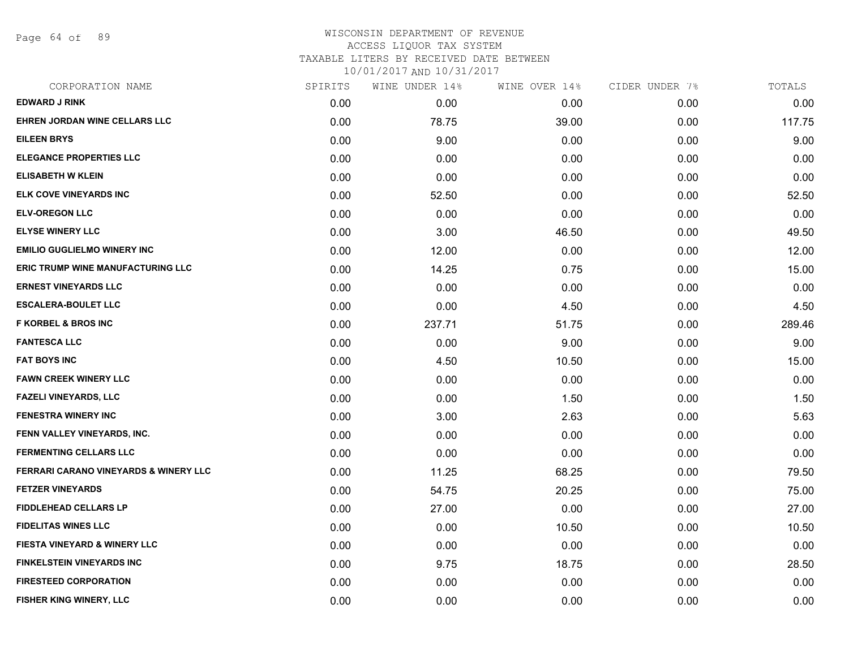Page 64 of 89

# WISCONSIN DEPARTMENT OF REVENUE ACCESS LIQUOR TAX SYSTEM TAXABLE LITERS BY RECEIVED DATE BETWEEN

| CORPORATION NAME                                 | SPIRITS | WINE UNDER 14% | WINE OVER 14% | CIDER UNDER 7% | TOTALS |
|--------------------------------------------------|---------|----------------|---------------|----------------|--------|
| <b>EDWARD J RINK</b>                             | 0.00    | 0.00           | 0.00          | 0.00           | 0.00   |
| EHREN JORDAN WINE CELLARS LLC                    | 0.00    | 78.75          | 39.00         | 0.00           | 117.75 |
| <b>EILEEN BRYS</b>                               | 0.00    | 9.00           | 0.00          | 0.00           | 9.00   |
| ELEGANCE PROPERTIES LLC                          | 0.00    | 0.00           | 0.00          | 0.00           | 0.00   |
| <b>ELISABETH W KLEIN</b>                         | 0.00    | 0.00           | 0.00          | 0.00           | 0.00   |
| ELK COVE VINEYARDS INC                           | 0.00    | 52.50          | 0.00          | 0.00           | 52.50  |
| <b>ELV-OREGON LLC</b>                            | 0.00    | 0.00           | 0.00          | 0.00           | 0.00   |
| <b>ELYSE WINERY LLC</b>                          | 0.00    | 3.00           | 46.50         | 0.00           | 49.50  |
| <b>EMILIO GUGLIELMO WINERY INC</b>               | 0.00    | 12.00          | 0.00          | 0.00           | 12.00  |
| ERIC TRUMP WINE MANUFACTURING LLC                | 0.00    | 14.25          | 0.75          | 0.00           | 15.00  |
| <b>ERNEST VINEYARDS LLC</b>                      | 0.00    | 0.00           | 0.00          | 0.00           | 0.00   |
| <b>ESCALERA-BOULET LLC</b>                       | 0.00    | 0.00           | 4.50          | 0.00           | 4.50   |
| <b>F KORBEL &amp; BROS INC</b>                   | 0.00    | 237.71         | 51.75         | 0.00           | 289.46 |
| <b>FANTESCA LLC</b>                              | 0.00    | 0.00           | 9.00          | 0.00           | 9.00   |
| <b>FAT BOYS INC</b>                              | 0.00    | 4.50           | 10.50         | 0.00           | 15.00  |
| <b>FAWN CREEK WINERY LLC</b>                     | 0.00    | 0.00           | 0.00          | 0.00           | 0.00   |
| <b>FAZELI VINEYARDS, LLC</b>                     | 0.00    | 0.00           | 1.50          | 0.00           | 1.50   |
| <b>FENESTRA WINERY INC</b>                       | 0.00    | 3.00           | 2.63          | 0.00           | 5.63   |
| FENN VALLEY VINEYARDS, INC.                      | 0.00    | 0.00           | 0.00          | 0.00           | 0.00   |
| <b>FERMENTING CELLARS LLC</b>                    | 0.00    | 0.00           | 0.00          | 0.00           | 0.00   |
| <b>FERRARI CARANO VINEYARDS &amp; WINERY LLC</b> | 0.00    | 11.25          | 68.25         | 0.00           | 79.50  |
| <b>FETZER VINEYARDS</b>                          | 0.00    | 54.75          | 20.25         | 0.00           | 75.00  |
| FIDDLEHEAD CELLARS LP                            | 0.00    | 27.00          | 0.00          | 0.00           | 27.00  |
| <b>FIDELITAS WINES LLC</b>                       | 0.00    | 0.00           | 10.50         | 0.00           | 10.50  |
| <b>FIESTA VINEYARD &amp; WINERY LLC</b>          | 0.00    | 0.00           | 0.00          | 0.00           | 0.00   |
| <b>FINKELSTEIN VINEYARDS INC</b>                 | 0.00    | 9.75           | 18.75         | 0.00           | 28.50  |
| <b>FIRESTEED CORPORATION</b>                     | 0.00    | 0.00           | 0.00          | 0.00           | 0.00   |
| FISHER KING WINERY, LLC                          | 0.00    | 0.00           | 0.00          | 0.00           | 0.00   |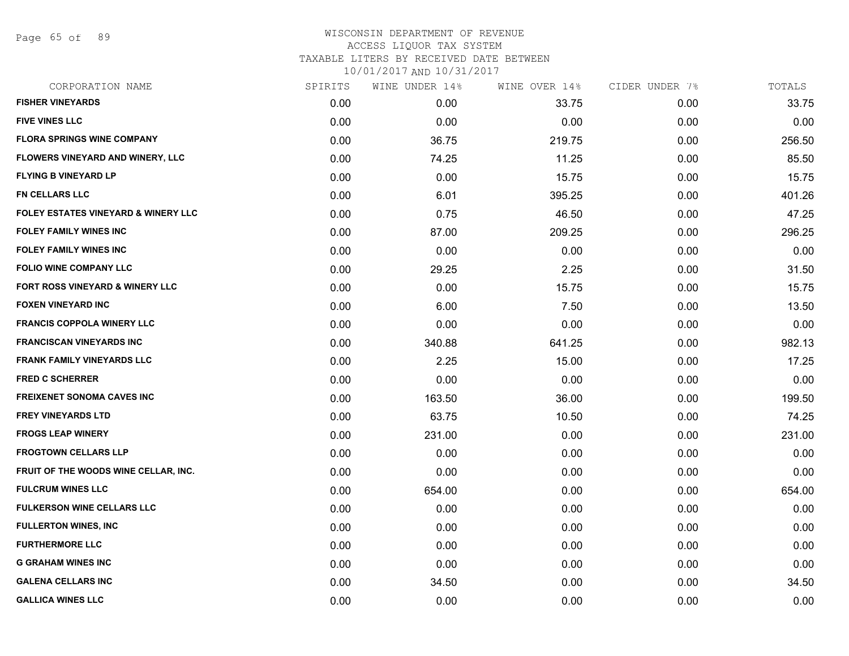Page 65 of 89

| CORPORATION NAME                               | SPIRITS | WINE UNDER 14% | WINE OVER 14% | CIDER UNDER 7% | TOTALS |
|------------------------------------------------|---------|----------------|---------------|----------------|--------|
| <b>FISHER VINEYARDS</b>                        | 0.00    | 0.00           | 33.75         | 0.00           | 33.75  |
| <b>FIVE VINES LLC</b>                          | 0.00    | 0.00           | 0.00          | 0.00           | 0.00   |
| <b>FLORA SPRINGS WINE COMPANY</b>              | 0.00    | 36.75          | 219.75        | 0.00           | 256.50 |
| <b>FLOWERS VINEYARD AND WINERY, LLC</b>        | 0.00    | 74.25          | 11.25         | 0.00           | 85.50  |
| <b>FLYING B VINEYARD LP</b>                    | 0.00    | 0.00           | 15.75         | 0.00           | 15.75  |
| <b>FN CELLARS LLC</b>                          | 0.00    | 6.01           | 395.25        | 0.00           | 401.26 |
| <b>FOLEY ESTATES VINEYARD &amp; WINERY LLC</b> | 0.00    | 0.75           | 46.50         | 0.00           | 47.25  |
| <b>FOLEY FAMILY WINES INC</b>                  | 0.00    | 87.00          | 209.25        | 0.00           | 296.25 |
| <b>FOLEY FAMILY WINES INC</b>                  | 0.00    | 0.00           | 0.00          | 0.00           | 0.00   |
| <b>FOLIO WINE COMPANY LLC</b>                  | 0.00    | 29.25          | 2.25          | 0.00           | 31.50  |
| FORT ROSS VINEYARD & WINERY LLC                | 0.00    | 0.00           | 15.75         | 0.00           | 15.75  |
| <b>FOXEN VINEYARD INC</b>                      | 0.00    | 6.00           | 7.50          | 0.00           | 13.50  |
| <b>FRANCIS COPPOLA WINERY LLC</b>              | 0.00    | 0.00           | 0.00          | 0.00           | 0.00   |
| <b>FRANCISCAN VINEYARDS INC</b>                | 0.00    | 340.88         | 641.25        | 0.00           | 982.13 |
| <b>FRANK FAMILY VINEYARDS LLC</b>              | 0.00    | 2.25           | 15.00         | 0.00           | 17.25  |
| <b>FRED C SCHERRER</b>                         | 0.00    | 0.00           | 0.00          | 0.00           | 0.00   |
| <b>FREIXENET SONOMA CAVES INC</b>              | 0.00    | 163.50         | 36.00         | 0.00           | 199.50 |
| <b>FREY VINEYARDS LTD</b>                      | 0.00    | 63.75          | 10.50         | 0.00           | 74.25  |
| <b>FROGS LEAP WINERY</b>                       | 0.00    | 231.00         | 0.00          | 0.00           | 231.00 |
| <b>FROGTOWN CELLARS LLP</b>                    | 0.00    | 0.00           | 0.00          | 0.00           | 0.00   |
| FRUIT OF THE WOODS WINE CELLAR, INC.           | 0.00    | 0.00           | 0.00          | 0.00           | 0.00   |
| <b>FULCRUM WINES LLC</b>                       | 0.00    | 654.00         | 0.00          | 0.00           | 654.00 |
| <b>FULKERSON WINE CELLARS LLC</b>              | 0.00    | 0.00           | 0.00          | 0.00           | 0.00   |
| <b>FULLERTON WINES, INC</b>                    | 0.00    | 0.00           | 0.00          | 0.00           | 0.00   |
| <b>FURTHERMORE LLC</b>                         | 0.00    | 0.00           | 0.00          | 0.00           | 0.00   |
| <b>G GRAHAM WINES INC</b>                      | 0.00    | 0.00           | 0.00          | 0.00           | 0.00   |
| <b>GALENA CELLARS INC</b>                      | 0.00    | 34.50          | 0.00          | 0.00           | 34.50  |
| <b>GALLICA WINES LLC</b>                       | 0.00    | 0.00           | 0.00          | 0.00           | 0.00   |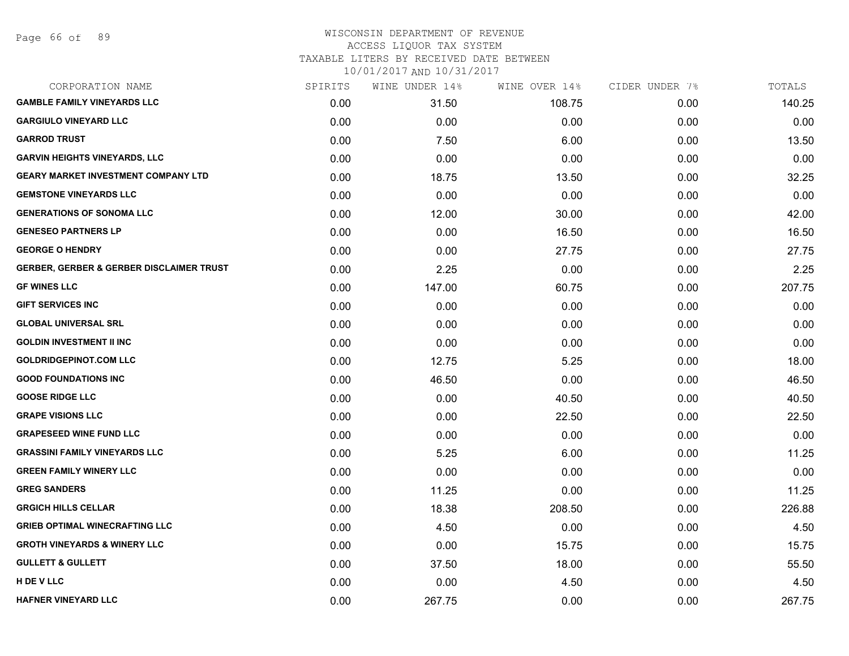## WISCONSIN DEPARTMENT OF REVENUE ACCESS LIQUOR TAX SYSTEM

TAXABLE LITERS BY RECEIVED DATE BETWEEN

| CORPORATION NAME                                    | SPIRITS | WINE UNDER 14% | WINE OVER 14% | CIDER UNDER 7% | TOTALS |
|-----------------------------------------------------|---------|----------------|---------------|----------------|--------|
| <b>GAMBLE FAMILY VINEYARDS LLC</b>                  | 0.00    | 31.50          | 108.75        | 0.00           | 140.25 |
| <b>GARGIULO VINEYARD LLC</b>                        | 0.00    | 0.00           | 0.00          | 0.00           | 0.00   |
| <b>GARROD TRUST</b>                                 | 0.00    | 7.50           | 6.00          | 0.00           | 13.50  |
| <b>GARVIN HEIGHTS VINEYARDS, LLC</b>                | 0.00    | 0.00           | 0.00          | 0.00           | 0.00   |
| <b>GEARY MARKET INVESTMENT COMPANY LTD</b>          | 0.00    | 18.75          | 13.50         | 0.00           | 32.25  |
| <b>GEMSTONE VINEYARDS LLC</b>                       | 0.00    | 0.00           | 0.00          | 0.00           | 0.00   |
| <b>GENERATIONS OF SONOMA LLC</b>                    | 0.00    | 12.00          | 30.00         | 0.00           | 42.00  |
| <b>GENESEO PARTNERS LP</b>                          | 0.00    | 0.00           | 16.50         | 0.00           | 16.50  |
| <b>GEORGE O HENDRY</b>                              | 0.00    | 0.00           | 27.75         | 0.00           | 27.75  |
| <b>GERBER, GERBER &amp; GERBER DISCLAIMER TRUST</b> | 0.00    | 2.25           | 0.00          | 0.00           | 2.25   |
| <b>GF WINES LLC</b>                                 | 0.00    | 147.00         | 60.75         | 0.00           | 207.75 |
| <b>GIFT SERVICES INC</b>                            | 0.00    | 0.00           | 0.00          | 0.00           | 0.00   |
| <b>GLOBAL UNIVERSAL SRL</b>                         | 0.00    | 0.00           | 0.00          | 0.00           | 0.00   |
| <b>GOLDIN INVESTMENT II INC</b>                     | 0.00    | 0.00           | 0.00          | 0.00           | 0.00   |
| <b>GOLDRIDGEPINOT.COM LLC</b>                       | 0.00    | 12.75          | 5.25          | 0.00           | 18.00  |
| <b>GOOD FOUNDATIONS INC</b>                         | 0.00    | 46.50          | 0.00          | 0.00           | 46.50  |
| <b>GOOSE RIDGE LLC</b>                              | 0.00    | 0.00           | 40.50         | 0.00           | 40.50  |
| <b>GRAPE VISIONS LLC</b>                            | 0.00    | 0.00           | 22.50         | 0.00           | 22.50  |
| <b>GRAPESEED WINE FUND LLC</b>                      | 0.00    | 0.00           | 0.00          | 0.00           | 0.00   |
| <b>GRASSINI FAMILY VINEYARDS LLC</b>                | 0.00    | 5.25           | 6.00          | 0.00           | 11.25  |
| <b>GREEN FAMILY WINERY LLC</b>                      | 0.00    | 0.00           | 0.00          | 0.00           | 0.00   |
| <b>GREG SANDERS</b>                                 | 0.00    | 11.25          | 0.00          | 0.00           | 11.25  |
| <b>GRGICH HILLS CELLAR</b>                          | 0.00    | 18.38          | 208.50        | 0.00           | 226.88 |
| <b>GRIEB OPTIMAL WINECRAFTING LLC</b>               | 0.00    | 4.50           | 0.00          | 0.00           | 4.50   |
| <b>GROTH VINEYARDS &amp; WINERY LLC</b>             | 0.00    | 0.00           | 15.75         | 0.00           | 15.75  |
| <b>GULLETT &amp; GULLETT</b>                        | 0.00    | 37.50          | 18.00         | 0.00           | 55.50  |
| H DE V LLC                                          | 0.00    | 0.00           | 4.50          | 0.00           | 4.50   |
| <b>HAFNER VINEYARD LLC</b>                          | 0.00    | 267.75         | 0.00          | 0.00           | 267.75 |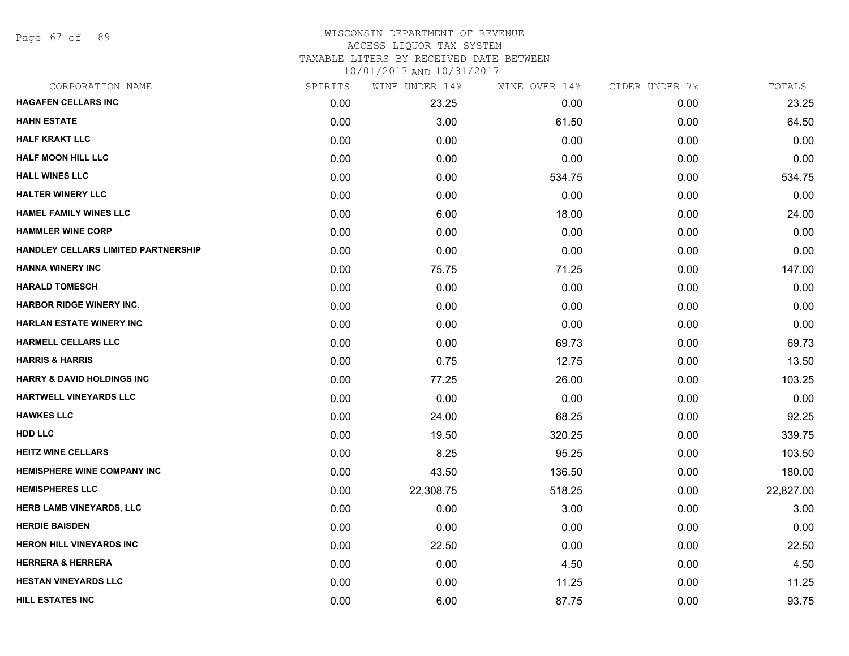Page 67 of 89

### WISCONSIN DEPARTMENT OF REVENUE ACCESS LIQUOR TAX SYSTEM

TAXABLE LITERS BY RECEIVED DATE BETWEEN

| CORPORATION NAME                           | SPIRITS | WINE UNDER 14% | WINE OVER 14% | CIDER UNDER 7% | TOTALS    |
|--------------------------------------------|---------|----------------|---------------|----------------|-----------|
| <b>HAGAFEN CELLARS INC</b>                 | 0.00    | 23.25          | 0.00          | 0.00           | 23.25     |
| <b>HAHN ESTATE</b>                         | 0.00    | 3.00           | 61.50         | 0.00           | 64.50     |
| <b>HALF KRAKT LLC</b>                      | 0.00    | 0.00           | 0.00          | 0.00           | 0.00      |
| <b>HALF MOON HILL LLC</b>                  | 0.00    | 0.00           | 0.00          | 0.00           | 0.00      |
| <b>HALL WINES LLC</b>                      | 0.00    | 0.00           | 534.75        | 0.00           | 534.75    |
| <b>HALTER WINERY LLC</b>                   | 0.00    | 0.00           | 0.00          | 0.00           | 0.00      |
| <b>HAMEL FAMILY WINES LLC</b>              | 0.00    | 6.00           | 18.00         | 0.00           | 24.00     |
| <b>HAMMLER WINE CORP</b>                   | 0.00    | 0.00           | 0.00          | 0.00           | 0.00      |
| <b>HANDLEY CELLARS LIMITED PARTNERSHIP</b> | 0.00    | 0.00           | 0.00          | 0.00           | 0.00      |
| <b>HANNA WINERY INC</b>                    | 0.00    | 75.75          | 71.25         | 0.00           | 147.00    |
| <b>HARALD TOMESCH</b>                      | 0.00    | 0.00           | 0.00          | 0.00           | 0.00      |
| <b>HARBOR RIDGE WINERY INC.</b>            | 0.00    | 0.00           | 0.00          | 0.00           | 0.00      |
| <b>HARLAN ESTATE WINERY INC</b>            | 0.00    | 0.00           | 0.00          | 0.00           | 0.00      |
| <b>HARMELL CELLARS LLC</b>                 | 0.00    | 0.00           | 69.73         | 0.00           | 69.73     |
| <b>HARRIS &amp; HARRIS</b>                 | 0.00    | 0.75           | 12.75         | 0.00           | 13.50     |
| <b>HARRY &amp; DAVID HOLDINGS INC</b>      | 0.00    | 77.25          | 26.00         | 0.00           | 103.25    |
| HARTWELL VINEYARDS LLC                     | 0.00    | 0.00           | 0.00          | 0.00           | 0.00      |
| <b>HAWKES LLC</b>                          | 0.00    | 24.00          | 68.25         | 0.00           | 92.25     |
| <b>HDD LLC</b>                             | 0.00    | 19.50          | 320.25        | 0.00           | 339.75    |
| <b>HEITZ WINE CELLARS</b>                  | 0.00    | 8.25           | 95.25         | 0.00           | 103.50    |
| <b>HEMISPHERE WINE COMPANY INC</b>         | 0.00    | 43.50          | 136.50        | 0.00           | 180.00    |
| <b>HEMISPHERES LLC</b>                     | 0.00    | 22,308.75      | 518.25        | 0.00           | 22,827.00 |
| <b>HERB LAMB VINEYARDS, LLC</b>            | 0.00    | 0.00           | 3.00          | 0.00           | 3.00      |
| <b>HERDIE BAISDEN</b>                      | 0.00    | 0.00           | 0.00          | 0.00           | 0.00      |
| <b>HERON HILL VINEYARDS INC</b>            | 0.00    | 22.50          | 0.00          | 0.00           | 22.50     |
| <b>HERRERA &amp; HERRERA</b>               | 0.00    | 0.00           | 4.50          | 0.00           | 4.50      |
| <b>HESTAN VINEYARDS LLC</b>                | 0.00    | 0.00           | 11.25         | 0.00           | 11.25     |
| <b>HILL ESTATES INC</b>                    | 0.00    | 6.00           | 87.75         | 0.00           | 93.75     |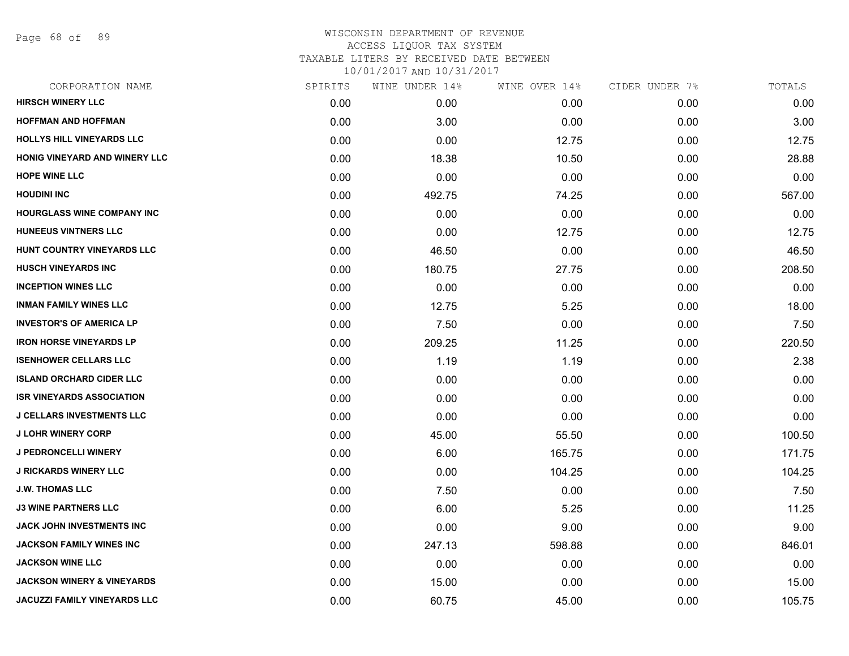Page 68 of 89

## WISCONSIN DEPARTMENT OF REVENUE ACCESS LIQUOR TAX SYSTEM TAXABLE LITERS BY RECEIVED DATE BETWEEN

| CORPORATION NAME                      | SPIRITS | WINE UNDER 14% | WINE OVER 14% | CIDER UNDER 7% | TOTALS |
|---------------------------------------|---------|----------------|---------------|----------------|--------|
| <b>HIRSCH WINERY LLC</b>              | 0.00    | 0.00           | 0.00          | 0.00           | 0.00   |
| <b>HOFFMAN AND HOFFMAN</b>            | 0.00    | 3.00           | 0.00          | 0.00           | 3.00   |
| HOLLYS HILL VINEYARDS LLC             | 0.00    | 0.00           | 12.75         | 0.00           | 12.75  |
| HONIG VINEYARD AND WINERY LLC         | 0.00    | 18.38          | 10.50         | 0.00           | 28.88  |
| <b>HOPE WINE LLC</b>                  | 0.00    | 0.00           | 0.00          | 0.00           | 0.00   |
| <b>HOUDINI INC</b>                    | 0.00    | 492.75         | 74.25         | 0.00           | 567.00 |
| <b>HOURGLASS WINE COMPANY INC</b>     | 0.00    | 0.00           | 0.00          | 0.00           | 0.00   |
| <b>HUNEEUS VINTNERS LLC</b>           | 0.00    | 0.00           | 12.75         | 0.00           | 12.75  |
| HUNT COUNTRY VINEYARDS LLC            | 0.00    | 46.50          | 0.00          | 0.00           | 46.50  |
| <b>HUSCH VINEYARDS INC</b>            | 0.00    | 180.75         | 27.75         | 0.00           | 208.50 |
| <b>INCEPTION WINES LLC</b>            | 0.00    | 0.00           | 0.00          | 0.00           | 0.00   |
| <b>INMAN FAMILY WINES LLC</b>         | 0.00    | 12.75          | 5.25          | 0.00           | 18.00  |
| <b>INVESTOR'S OF AMERICA LP</b>       | 0.00    | 7.50           | 0.00          | 0.00           | 7.50   |
| <b>IRON HORSE VINEYARDS LP</b>        | 0.00    | 209.25         | 11.25         | 0.00           | 220.50 |
| <b>ISENHOWER CELLARS LLC</b>          | 0.00    | 1.19           | 1.19          | 0.00           | 2.38   |
| <b>ISLAND ORCHARD CIDER LLC</b>       | 0.00    | 0.00           | 0.00          | 0.00           | 0.00   |
| <b>ISR VINEYARDS ASSOCIATION</b>      | 0.00    | 0.00           | 0.00          | 0.00           | 0.00   |
| <b>J CELLARS INVESTMENTS LLC</b>      | 0.00    | 0.00           | 0.00          | 0.00           | 0.00   |
| <b>J LOHR WINERY CORP</b>             | 0.00    | 45.00          | 55.50         | 0.00           | 100.50 |
| <b>J PEDRONCELLI WINERY</b>           | 0.00    | 6.00           | 165.75        | 0.00           | 171.75 |
| <b>J RICKARDS WINERY LLC</b>          | 0.00    | 0.00           | 104.25        | 0.00           | 104.25 |
| <b>J.W. THOMAS LLC</b>                | 0.00    | 7.50           | 0.00          | 0.00           | 7.50   |
| <b>J3 WINE PARTNERS LLC</b>           | 0.00    | 6.00           | 5.25          | 0.00           | 11.25  |
| <b>JACK JOHN INVESTMENTS INC</b>      | 0.00    | 0.00           | 9.00          | 0.00           | 9.00   |
| <b>JACKSON FAMILY WINES INC</b>       | 0.00    | 247.13         | 598.88        | 0.00           | 846.01 |
| <b>JACKSON WINE LLC</b>               | 0.00    | 0.00           | 0.00          | 0.00           | 0.00   |
| <b>JACKSON WINERY &amp; VINEYARDS</b> | 0.00    | 15.00          | 0.00          | 0.00           | 15.00  |
| JACUZZI FAMILY VINEYARDS LLC          | 0.00    | 60.75          | 45.00         | 0.00           | 105.75 |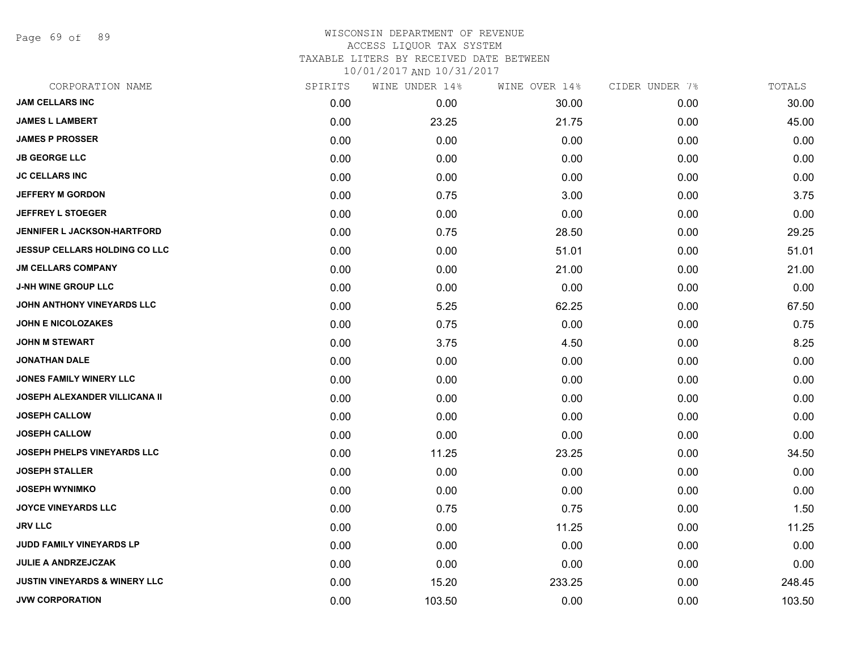Page 69 of 89

## WISCONSIN DEPARTMENT OF REVENUE ACCESS LIQUOR TAX SYSTEM TAXABLE LITERS BY RECEIVED DATE BETWEEN

| CORPORATION NAME                     | SPIRITS | WINE UNDER 14% | WINE OVER 14% | CIDER UNDER 7% | TOTALS |
|--------------------------------------|---------|----------------|---------------|----------------|--------|
| <b>JAM CELLARS INC</b>               | 0.00    | 0.00           | 30.00         | 0.00           | 30.00  |
| <b>JAMES L LAMBERT</b>               | 0.00    | 23.25          | 21.75         | 0.00           | 45.00  |
| <b>JAMES P PROSSER</b>               | 0.00    | 0.00           | 0.00          | 0.00           | 0.00   |
| <b>JB GEORGE LLC</b>                 | 0.00    | 0.00           | 0.00          | 0.00           | 0.00   |
| <b>JC CELLARS INC</b>                | 0.00    | 0.00           | 0.00          | 0.00           | 0.00   |
| <b>JEFFERY M GORDON</b>              | 0.00    | 0.75           | 3.00          | 0.00           | 3.75   |
| <b>JEFFREY L STOEGER</b>             | 0.00    | 0.00           | 0.00          | 0.00           | 0.00   |
| <b>JENNIFER L JACKSON-HARTFORD</b>   | 0.00    | 0.75           | 28.50         | 0.00           | 29.25  |
| <b>JESSUP CELLARS HOLDING CO LLC</b> | 0.00    | 0.00           | 51.01         | 0.00           | 51.01  |
| <b>JM CELLARS COMPANY</b>            | 0.00    | 0.00           | 21.00         | 0.00           | 21.00  |
| <b>J-NH WINE GROUP LLC</b>           | 0.00    | 0.00           | 0.00          | 0.00           | 0.00   |
| JOHN ANTHONY VINEYARDS LLC           | 0.00    | 5.25           | 62.25         | 0.00           | 67.50  |
| <b>JOHN E NICOLOZAKES</b>            | 0.00    | 0.75           | 0.00          | 0.00           | 0.75   |
| JOHN M STEWART                       | 0.00    | 3.75           | 4.50          | 0.00           | 8.25   |
| <b>JONATHAN DALE</b>                 | 0.00    | 0.00           | 0.00          | 0.00           | 0.00   |
| JONES FAMILY WINERY LLC              | 0.00    | 0.00           | 0.00          | 0.00           | 0.00   |
| <b>JOSEPH ALEXANDER VILLICANA II</b> | 0.00    | 0.00           | 0.00          | 0.00           | 0.00   |
| <b>JOSEPH CALLOW</b>                 | 0.00    | 0.00           | 0.00          | 0.00           | 0.00   |
| <b>JOSEPH CALLOW</b>                 | 0.00    | 0.00           | 0.00          | 0.00           | 0.00   |
| <b>JOSEPH PHELPS VINEYARDS LLC</b>   | 0.00    | 11.25          | 23.25         | 0.00           | 34.50  |
| <b>JOSEPH STALLER</b>                | 0.00    | 0.00           | 0.00          | 0.00           | 0.00   |
| <b>JOSEPH WYNIMKO</b>                | 0.00    | 0.00           | 0.00          | 0.00           | 0.00   |
| <b>JOYCE VINEYARDS LLC</b>           | 0.00    | 0.75           | 0.75          | 0.00           | 1.50   |
| <b>JRV LLC</b>                       | 0.00    | 0.00           | 11.25         | 0.00           | 11.25  |
| <b>JUDD FAMILY VINEYARDS LP</b>      | 0.00    | 0.00           | 0.00          | 0.00           | 0.00   |
| <b>JULIE A ANDRZEJCZAK</b>           | 0.00    | 0.00           | 0.00          | 0.00           | 0.00   |
| JUSTIN VINEYARDS & WINERY LLC        | 0.00    | 15.20          | 233.25        | 0.00           | 248.45 |
| <b>JVW CORPORATION</b>               | 0.00    | 103.50         | 0.00          | 0.00           | 103.50 |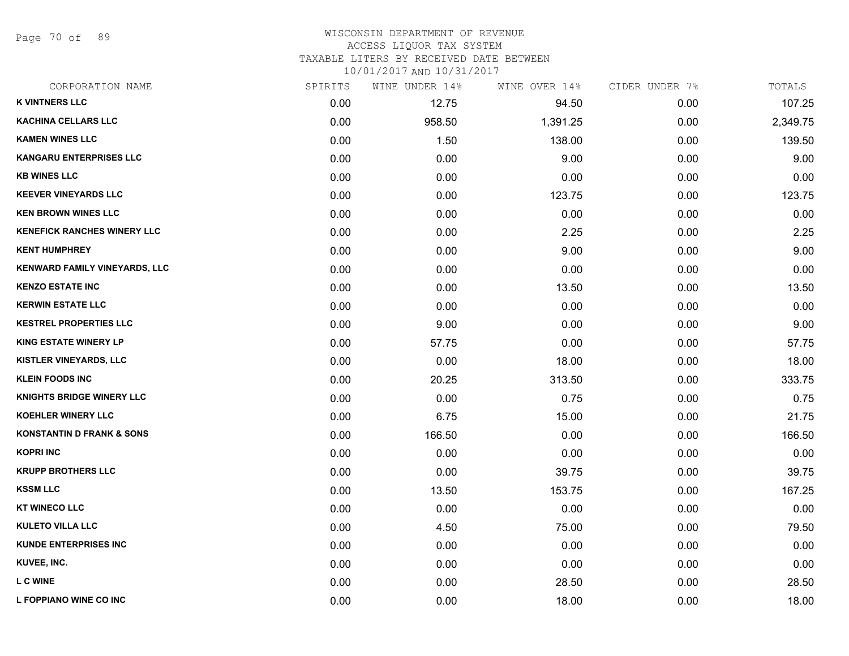Page 70 of 89

### WISCONSIN DEPARTMENT OF REVENUE ACCESS LIQUOR TAX SYSTEM

TAXABLE LITERS BY RECEIVED DATE BETWEEN

| CORPORATION NAME                     | SPIRITS | WINE UNDER 14% | WINE OVER 14% | CIDER UNDER 7% | TOTALS   |
|--------------------------------------|---------|----------------|---------------|----------------|----------|
| <b>K VINTNERS LLC</b>                | 0.00    | 12.75          | 94.50         | 0.00           | 107.25   |
| <b>KACHINA CELLARS LLC</b>           | 0.00    | 958.50         | 1,391.25      | 0.00           | 2,349.75 |
| <b>KAMEN WINES LLC</b>               | 0.00    | 1.50           | 138.00        | 0.00           | 139.50   |
| <b>KANGARU ENTERPRISES LLC</b>       | 0.00    | 0.00           | 9.00          | 0.00           | 9.00     |
| <b>KB WINES LLC</b>                  | 0.00    | 0.00           | 0.00          | 0.00           | 0.00     |
| <b>KEEVER VINEYARDS LLC</b>          | 0.00    | 0.00           | 123.75        | 0.00           | 123.75   |
| <b>KEN BROWN WINES LLC</b>           | 0.00    | 0.00           | 0.00          | 0.00           | 0.00     |
| <b>KENEFICK RANCHES WINERY LLC</b>   | 0.00    | 0.00           | 2.25          | 0.00           | 2.25     |
| <b>KENT HUMPHREY</b>                 | 0.00    | 0.00           | 9.00          | 0.00           | 9.00     |
| KENWARD FAMILY VINEYARDS, LLC        | 0.00    | 0.00           | 0.00          | 0.00           | 0.00     |
| <b>KENZO ESTATE INC</b>              | 0.00    | 0.00           | 13.50         | 0.00           | 13.50    |
| <b>KERWIN ESTATE LLC</b>             | 0.00    | 0.00           | 0.00          | 0.00           | 0.00     |
| <b>KESTREL PROPERTIES LLC</b>        | 0.00    | 9.00           | 0.00          | 0.00           | 9.00     |
| <b>KING ESTATE WINERY LP</b>         | 0.00    | 57.75          | 0.00          | 0.00           | 57.75    |
| KISTLER VINEYARDS, LLC               | 0.00    | 0.00           | 18.00         | 0.00           | 18.00    |
| <b>KLEIN FOODS INC</b>               | 0.00    | 20.25          | 313.50        | 0.00           | 333.75   |
| <b>KNIGHTS BRIDGE WINERY LLC</b>     | 0.00    | 0.00           | 0.75          | 0.00           | 0.75     |
| <b>KOEHLER WINERY LLC</b>            | 0.00    | 6.75           | 15.00         | 0.00           | 21.75    |
| <b>KONSTANTIN D FRANK &amp; SONS</b> | 0.00    | 166.50         | 0.00          | 0.00           | 166.50   |
| <b>KOPRI INC</b>                     | 0.00    | 0.00           | 0.00          | 0.00           | 0.00     |
| <b>KRUPP BROTHERS LLC</b>            | 0.00    | 0.00           | 39.75         | 0.00           | 39.75    |
| <b>KSSM LLC</b>                      | 0.00    | 13.50          | 153.75        | 0.00           | 167.25   |
| <b>KT WINECO LLC</b>                 | 0.00    | 0.00           | 0.00          | 0.00           | 0.00     |
| <b>KULETO VILLA LLC</b>              | 0.00    | 4.50           | 75.00         | 0.00           | 79.50    |
| <b>KUNDE ENTERPRISES INC</b>         | 0.00    | 0.00           | 0.00          | 0.00           | 0.00     |
| KUVEE, INC.                          | 0.00    | 0.00           | 0.00          | 0.00           | 0.00     |
| <b>LCWINE</b>                        | 0.00    | 0.00           | 28.50         | 0.00           | 28.50    |
| L FOPPIANO WINE CO INC               | 0.00    | 0.00           | 18.00         | 0.00           | 18.00    |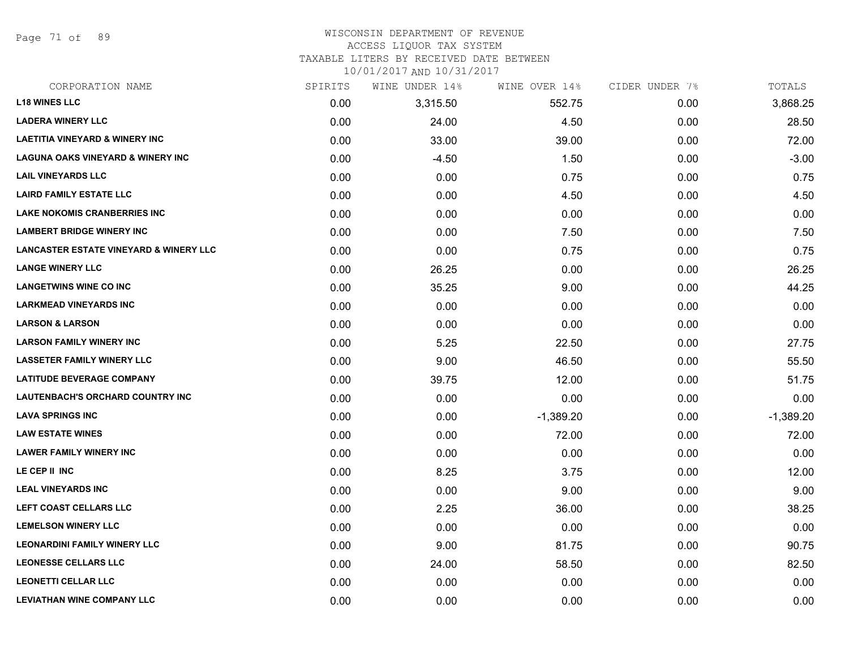Page 71 of 89

### WISCONSIN DEPARTMENT OF REVENUE ACCESS LIQUOR TAX SYSTEM

TAXABLE LITERS BY RECEIVED DATE BETWEEN

| CORPORATION NAME                                  | SPIRITS | WINE UNDER 14% | WINE OVER 14% | CIDER UNDER 7% | TOTALS      |
|---------------------------------------------------|---------|----------------|---------------|----------------|-------------|
| <b>L18 WINES LLC</b>                              | 0.00    | 3,315.50       | 552.75        | 0.00           | 3,868.25    |
| <b>LADERA WINERY LLC</b>                          | 0.00    | 24.00          | 4.50          | 0.00           | 28.50       |
| <b>LAETITIA VINEYARD &amp; WINERY INC</b>         | 0.00    | 33.00          | 39.00         | 0.00           | 72.00       |
| <b>LAGUNA OAKS VINEYARD &amp; WINERY INC</b>      | 0.00    | $-4.50$        | 1.50          | 0.00           | $-3.00$     |
| <b>LAIL VINEYARDS LLC</b>                         | 0.00    | 0.00           | 0.75          | 0.00           | 0.75        |
| <b>LAIRD FAMILY ESTATE LLC</b>                    | 0.00    | 0.00           | 4.50          | 0.00           | 4.50        |
| <b>LAKE NOKOMIS CRANBERRIES INC</b>               | 0.00    | 0.00           | 0.00          | 0.00           | 0.00        |
| <b>LAMBERT BRIDGE WINERY INC</b>                  | 0.00    | 0.00           | 7.50          | 0.00           | 7.50        |
| <b>LANCASTER ESTATE VINEYARD &amp; WINERY LLC</b> | 0.00    | 0.00           | 0.75          | 0.00           | 0.75        |
| <b>LANGE WINERY LLC</b>                           | 0.00    | 26.25          | 0.00          | 0.00           | 26.25       |
| <b>LANGETWINS WINE CO INC</b>                     | 0.00    | 35.25          | 9.00          | 0.00           | 44.25       |
| <b>LARKMEAD VINEYARDS INC</b>                     | 0.00    | 0.00           | 0.00          | 0.00           | 0.00        |
| <b>LARSON &amp; LARSON</b>                        | 0.00    | 0.00           | 0.00          | 0.00           | 0.00        |
| <b>LARSON FAMILY WINERY INC</b>                   | 0.00    | 5.25           | 22.50         | 0.00           | 27.75       |
| <b>LASSETER FAMILY WINERY LLC</b>                 | 0.00    | 9.00           | 46.50         | 0.00           | 55.50       |
| <b>LATITUDE BEVERAGE COMPANY</b>                  | 0.00    | 39.75          | 12.00         | 0.00           | 51.75       |
| LAUTENBACH'S ORCHARD COUNTRY INC                  | 0.00    | 0.00           | 0.00          | 0.00           | 0.00        |
| <b>LAVA SPRINGS INC</b>                           | 0.00    | 0.00           | $-1,389.20$   | 0.00           | $-1,389.20$ |
| <b>LAW ESTATE WINES</b>                           | 0.00    | 0.00           | 72.00         | 0.00           | 72.00       |
| <b>LAWER FAMILY WINERY INC</b>                    | 0.00    | 0.00           | 0.00          | 0.00           | 0.00        |
| LE CEP II INC                                     | 0.00    | 8.25           | 3.75          | 0.00           | 12.00       |
| <b>LEAL VINEYARDS INC</b>                         | 0.00    | 0.00           | 9.00          | 0.00           | 9.00        |
| LEFT COAST CELLARS LLC                            | 0.00    | 2.25           | 36.00         | 0.00           | 38.25       |
| <b>LEMELSON WINERY LLC</b>                        | 0.00    | 0.00           | 0.00          | 0.00           | 0.00        |
| <b>LEONARDINI FAMILY WINERY LLC</b>               | 0.00    | 9.00           | 81.75         | 0.00           | 90.75       |
| <b>LEONESSE CELLARS LLC</b>                       | 0.00    | 24.00          | 58.50         | 0.00           | 82.50       |
| <b>LEONETTI CELLAR LLC</b>                        | 0.00    | 0.00           | 0.00          | 0.00           | 0.00        |
| <b>LEVIATHAN WINE COMPANY LLC</b>                 | 0.00    | 0.00           | 0.00          | 0.00           | 0.00        |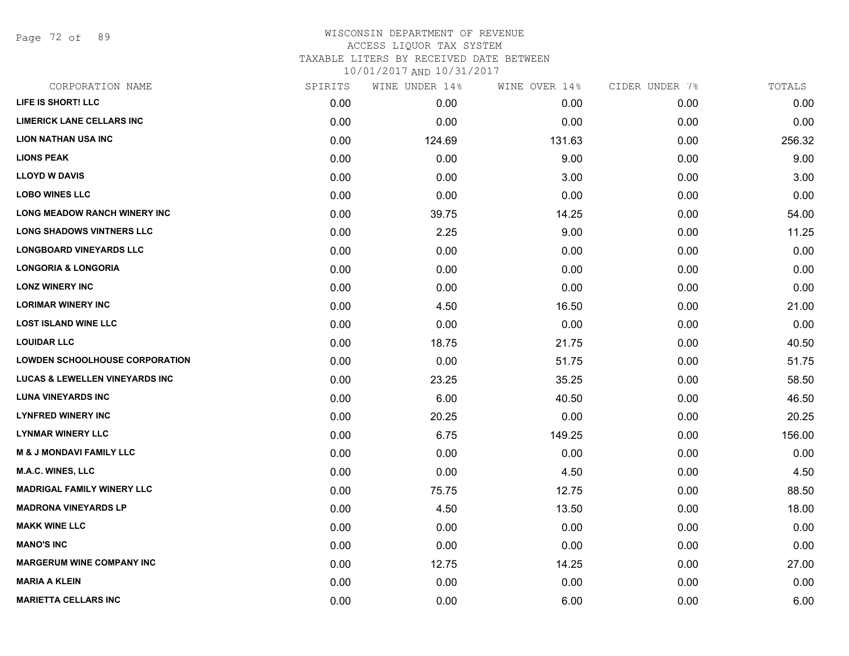Page 72 of 89

| CORPORATION NAME                          | SPIRITS | WINE UNDER 14% | WINE OVER 14% | CIDER UNDER 7% | TOTALS |
|-------------------------------------------|---------|----------------|---------------|----------------|--------|
| LIFE IS SHORT! LLC                        | 0.00    | 0.00           | 0.00          | 0.00           | 0.00   |
| <b>LIMERICK LANE CELLARS INC</b>          | 0.00    | 0.00           | 0.00          | 0.00           | 0.00   |
| <b>LION NATHAN USA INC</b>                | 0.00    | 124.69         | 131.63        | 0.00           | 256.32 |
| <b>LIONS PEAK</b>                         | 0.00    | 0.00           | 9.00          | 0.00           | 9.00   |
| <b>LLOYD W DAVIS</b>                      | 0.00    | 0.00           | 3.00          | 0.00           | 3.00   |
| <b>LOBO WINES LLC</b>                     | 0.00    | 0.00           | 0.00          | 0.00           | 0.00   |
| <b>LONG MEADOW RANCH WINERY INC</b>       | 0.00    | 39.75          | 14.25         | 0.00           | 54.00  |
| <b>LONG SHADOWS VINTNERS LLC</b>          | 0.00    | 2.25           | 9.00          | 0.00           | 11.25  |
| <b>LONGBOARD VINEYARDS LLC</b>            | 0.00    | 0.00           | 0.00          | 0.00           | 0.00   |
| <b>LONGORIA &amp; LONGORIA</b>            | 0.00    | 0.00           | 0.00          | 0.00           | 0.00   |
| <b>LONZ WINERY INC</b>                    | 0.00    | 0.00           | 0.00          | 0.00           | 0.00   |
| <b>LORIMAR WINERY INC</b>                 | 0.00    | 4.50           | 16.50         | 0.00           | 21.00  |
| <b>LOST ISLAND WINE LLC</b>               | 0.00    | 0.00           | 0.00          | 0.00           | 0.00   |
| <b>LOUIDAR LLC</b>                        | 0.00    | 18.75          | 21.75         | 0.00           | 40.50  |
| <b>LOWDEN SCHOOLHOUSE CORPORATION</b>     | 0.00    | 0.00           | 51.75         | 0.00           | 51.75  |
| <b>LUCAS &amp; LEWELLEN VINEYARDS INC</b> | 0.00    | 23.25          | 35.25         | 0.00           | 58.50  |
| <b>LUNA VINEYARDS INC</b>                 | 0.00    | 6.00           | 40.50         | 0.00           | 46.50  |
| <b>LYNFRED WINERY INC</b>                 | 0.00    | 20.25          | 0.00          | 0.00           | 20.25  |
| <b>LYNMAR WINERY LLC</b>                  | 0.00    | 6.75           | 149.25        | 0.00           | 156.00 |
| <b>M &amp; J MONDAVI FAMILY LLC</b>       | 0.00    | 0.00           | 0.00          | 0.00           | 0.00   |
| <b>M.A.C. WINES, LLC</b>                  | 0.00    | 0.00           | 4.50          | 0.00           | 4.50   |
| <b>MADRIGAL FAMILY WINERY LLC</b>         | 0.00    | 75.75          | 12.75         | 0.00           | 88.50  |
| <b>MADRONA VINEYARDS LP</b>               | 0.00    | 4.50           | 13.50         | 0.00           | 18.00  |
| <b>MAKK WINE LLC</b>                      | 0.00    | 0.00           | 0.00          | 0.00           | 0.00   |
| <b>MANO'S INC</b>                         | 0.00    | 0.00           | 0.00          | 0.00           | 0.00   |
| <b>MARGERUM WINE COMPANY INC</b>          | 0.00    | 12.75          | 14.25         | 0.00           | 27.00  |
| <b>MARIA A KLEIN</b>                      | 0.00    | 0.00           | 0.00          | 0.00           | 0.00   |
| <b>MARIETTA CELLARS INC</b>               | 0.00    | 0.00           | 6.00          | 0.00           | 6.00   |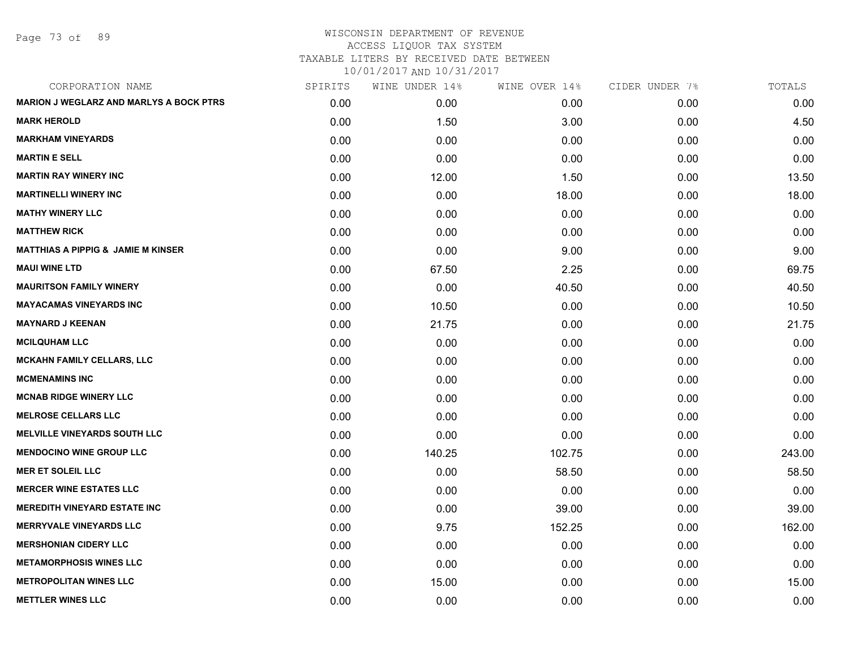Page 73 of 89

| CORPORATION NAME                               | SPIRITS | WINE UNDER 14% | WINE OVER 14% | CIDER UNDER 7% | TOTALS |
|------------------------------------------------|---------|----------------|---------------|----------------|--------|
| <b>MARION J WEGLARZ AND MARLYS A BOCK PTRS</b> | 0.00    | 0.00           | 0.00          | 0.00           | 0.00   |
| <b>MARK HEROLD</b>                             | 0.00    | 1.50           | 3.00          | 0.00           | 4.50   |
| <b>MARKHAM VINEYARDS</b>                       | 0.00    | 0.00           | 0.00          | 0.00           | 0.00   |
| <b>MARTIN E SELL</b>                           | 0.00    | 0.00           | 0.00          | 0.00           | 0.00   |
| <b>MARTIN RAY WINERY INC</b>                   | 0.00    | 12.00          | 1.50          | 0.00           | 13.50  |
| <b>MARTINELLI WINERY INC</b>                   | 0.00    | 0.00           | 18.00         | 0.00           | 18.00  |
| <b>MATHY WINERY LLC</b>                        | 0.00    | 0.00           | 0.00          | 0.00           | 0.00   |
| <b>MATTHEW RICK</b>                            | 0.00    | 0.00           | 0.00          | 0.00           | 0.00   |
| <b>MATTHIAS A PIPPIG &amp; JAMIE M KINSER</b>  | 0.00    | 0.00           | 9.00          | 0.00           | 9.00   |
| <b>MAUI WINE LTD</b>                           | 0.00    | 67.50          | 2.25          | 0.00           | 69.75  |
| <b>MAURITSON FAMILY WINERY</b>                 | 0.00    | 0.00           | 40.50         | 0.00           | 40.50  |
| <b>MAYACAMAS VINEYARDS INC</b>                 | 0.00    | 10.50          | 0.00          | 0.00           | 10.50  |
| <b>MAYNARD J KEENAN</b>                        | 0.00    | 21.75          | 0.00          | 0.00           | 21.75  |
| <b>MCILQUHAM LLC</b>                           | 0.00    | 0.00           | 0.00          | 0.00           | 0.00   |
| <b>MCKAHN FAMILY CELLARS, LLC</b>              | 0.00    | 0.00           | 0.00          | 0.00           | 0.00   |
| <b>MCMENAMINS INC</b>                          | 0.00    | 0.00           | 0.00          | 0.00           | 0.00   |
| <b>MCNAB RIDGE WINERY LLC</b>                  | 0.00    | 0.00           | 0.00          | 0.00           | 0.00   |
| <b>MELROSE CELLARS LLC</b>                     | 0.00    | 0.00           | 0.00          | 0.00           | 0.00   |
| <b>MELVILLE VINEYARDS SOUTH LLC</b>            | 0.00    | 0.00           | 0.00          | 0.00           | 0.00   |
| <b>MENDOCINO WINE GROUP LLC</b>                | 0.00    | 140.25         | 102.75        | 0.00           | 243.00 |
| <b>MER ET SOLEIL LLC</b>                       | 0.00    | 0.00           | 58.50         | 0.00           | 58.50  |
| <b>MERCER WINE ESTATES LLC</b>                 | 0.00    | 0.00           | 0.00          | 0.00           | 0.00   |
| <b>MEREDITH VINEYARD ESTATE INC</b>            | 0.00    | 0.00           | 39.00         | 0.00           | 39.00  |
| <b>MERRYVALE VINEYARDS LLC</b>                 | 0.00    | 9.75           | 152.25        | 0.00           | 162.00 |
| <b>MERSHONIAN CIDERY LLC</b>                   | 0.00    | 0.00           | 0.00          | 0.00           | 0.00   |
| <b>METAMORPHOSIS WINES LLC</b>                 | 0.00    | 0.00           | 0.00          | 0.00           | 0.00   |
| <b>METROPOLITAN WINES LLC</b>                  | 0.00    | 15.00          | 0.00          | 0.00           | 15.00  |
| <b>METTLER WINES LLC</b>                       | 0.00    | 0.00           | 0.00          | 0.00           | 0.00   |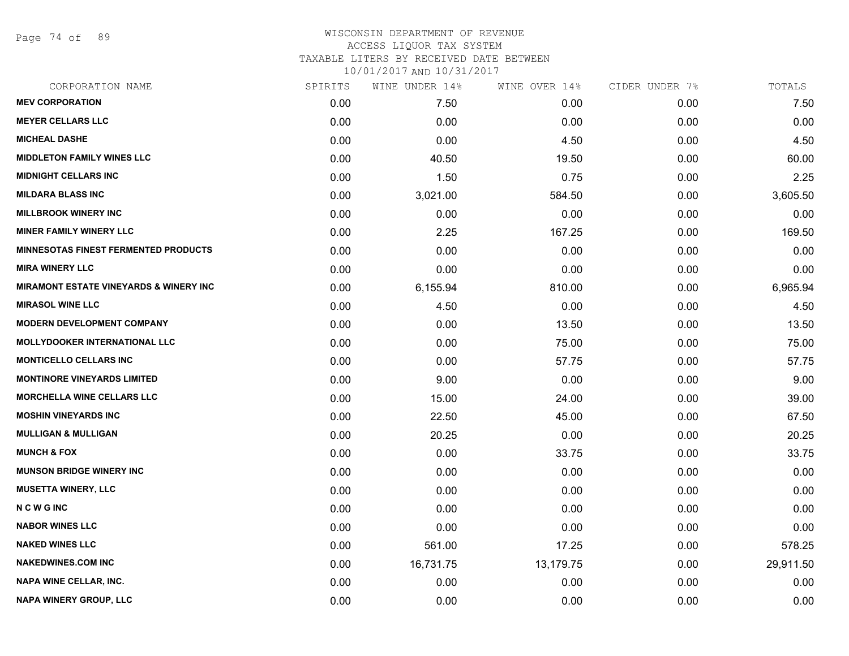Page 74 of 89

#### WISCONSIN DEPARTMENT OF REVENUE ACCESS LIQUOR TAX SYSTEM TAXABLE LITERS BY RECEIVED DATE BETWEEN

| CORPORATION NAME                                  | SPIRITS | WINE UNDER 14% | WINE OVER 14% | CIDER UNDER 7% | TOTALS    |
|---------------------------------------------------|---------|----------------|---------------|----------------|-----------|
| <b>MEV CORPORATION</b>                            | 0.00    | 7.50           | 0.00          | 0.00           | 7.50      |
| <b>MEYER CELLARS LLC</b>                          | 0.00    | 0.00           | 0.00          | 0.00           | 0.00      |
| <b>MICHEAL DASHE</b>                              | 0.00    | 0.00           | 4.50          | 0.00           | 4.50      |
| <b>MIDDLETON FAMILY WINES LLC</b>                 | 0.00    | 40.50          | 19.50         | 0.00           | 60.00     |
| <b>MIDNIGHT CELLARS INC</b>                       | 0.00    | 1.50           | 0.75          | 0.00           | 2.25      |
| <b>MILDARA BLASS INC</b>                          | 0.00    | 3,021.00       | 584.50        | 0.00           | 3,605.50  |
| <b>MILLBROOK WINERY INC</b>                       | 0.00    | 0.00           | 0.00          | 0.00           | 0.00      |
| <b>MINER FAMILY WINERY LLC</b>                    | 0.00    | 2.25           | 167.25        | 0.00           | 169.50    |
| <b>MINNESOTAS FINEST FERMENTED PRODUCTS</b>       | 0.00    | 0.00           | 0.00          | 0.00           | 0.00      |
| <b>MIRA WINERY LLC</b>                            | 0.00    | 0.00           | 0.00          | 0.00           | 0.00      |
| <b>MIRAMONT ESTATE VINEYARDS &amp; WINERY INC</b> | 0.00    | 6,155.94       | 810.00        | 0.00           | 6,965.94  |
| <b>MIRASOL WINE LLC</b>                           | 0.00    | 4.50           | 0.00          | 0.00           | 4.50      |
| <b>MODERN DEVELOPMENT COMPANY</b>                 | 0.00    | 0.00           | 13.50         | 0.00           | 13.50     |
| <b>MOLLYDOOKER INTERNATIONAL LLC</b>              | 0.00    | 0.00           | 75.00         | 0.00           | 75.00     |
| <b>MONTICELLO CELLARS INC</b>                     | 0.00    | 0.00           | 57.75         | 0.00           | 57.75     |
| <b>MONTINORE VINEYARDS LIMITED</b>                | 0.00    | 9.00           | 0.00          | 0.00           | 9.00      |
| <b>MORCHELLA WINE CELLARS LLC</b>                 | 0.00    | 15.00          | 24.00         | 0.00           | 39.00     |
| <b>MOSHIN VINEYARDS INC</b>                       | 0.00    | 22.50          | 45.00         | 0.00           | 67.50     |
| <b>MULLIGAN &amp; MULLIGAN</b>                    | 0.00    | 20.25          | 0.00          | 0.00           | 20.25     |
| <b>MUNCH &amp; FOX</b>                            | 0.00    | 0.00           | 33.75         | 0.00           | 33.75     |
| <b>MUNSON BRIDGE WINERY INC</b>                   | 0.00    | 0.00           | 0.00          | 0.00           | 0.00      |
| <b>MUSETTA WINERY, LLC</b>                        | 0.00    | 0.00           | 0.00          | 0.00           | 0.00      |
| <b>NCWGINC</b>                                    | 0.00    | 0.00           | 0.00          | 0.00           | 0.00      |
| <b>NABOR WINES LLC</b>                            | 0.00    | 0.00           | 0.00          | 0.00           | 0.00      |
| <b>NAKED WINES LLC</b>                            | 0.00    | 561.00         | 17.25         | 0.00           | 578.25    |
| <b>NAKEDWINES.COM INC</b>                         | 0.00    | 16,731.75      | 13,179.75     | 0.00           | 29,911.50 |
| <b>NAPA WINE CELLAR, INC.</b>                     | 0.00    | 0.00           | 0.00          | 0.00           | 0.00      |
| NAPA WINERY GROUP, LLC                            | 0.00    | 0.00           | 0.00          | 0.00           | 0.00      |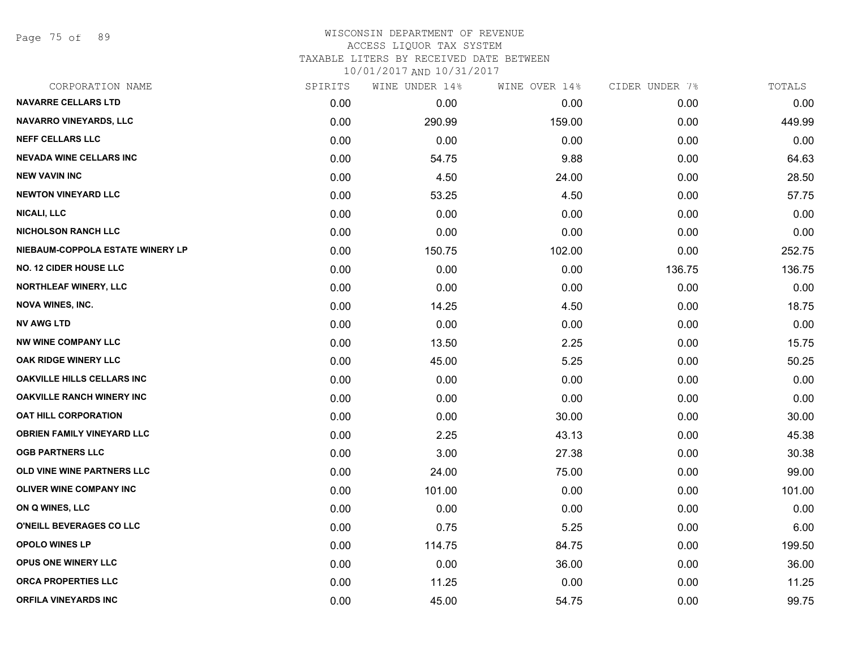Page 75 of 89

#### WISCONSIN DEPARTMENT OF REVENUE ACCESS LIQUOR TAX SYSTEM

TAXABLE LITERS BY RECEIVED DATE BETWEEN

| CORPORATION NAME                  | SPIRITS | WINE UNDER 14% | WINE OVER 14% | CIDER UNDER 7% | TOTALS |
|-----------------------------------|---------|----------------|---------------|----------------|--------|
| <b>NAVARRE CELLARS LTD</b>        | 0.00    | 0.00           | 0.00          | 0.00           | 0.00   |
| <b>NAVARRO VINEYARDS, LLC</b>     | 0.00    | 290.99         | 159.00        | 0.00           | 449.99 |
| <b>NEFF CELLARS LLC</b>           | 0.00    | 0.00           | 0.00          | 0.00           | 0.00   |
| <b>NEVADA WINE CELLARS INC</b>    | 0.00    | 54.75          | 9.88          | 0.00           | 64.63  |
| <b>NEW VAVIN INC</b>              | 0.00    | 4.50           | 24.00         | 0.00           | 28.50  |
| <b>NEWTON VINEYARD LLC</b>        | 0.00    | 53.25          | 4.50          | 0.00           | 57.75  |
| <b>NICALI, LLC</b>                | 0.00    | 0.00           | 0.00          | 0.00           | 0.00   |
| <b>NICHOLSON RANCH LLC</b>        | 0.00    | 0.00           | 0.00          | 0.00           | 0.00   |
| NIEBAUM-COPPOLA ESTATE WINERY LP  | 0.00    | 150.75         | 102.00        | 0.00           | 252.75 |
| <b>NO. 12 CIDER HOUSE LLC</b>     | 0.00    | 0.00           | 0.00          | 136.75         | 136.75 |
| NORTHLEAF WINERY, LLC             | 0.00    | 0.00           | 0.00          | 0.00           | 0.00   |
| <b>NOVA WINES, INC.</b>           | 0.00    | 14.25          | 4.50          | 0.00           | 18.75  |
| <b>NV AWG LTD</b>                 | 0.00    | 0.00           | 0.00          | 0.00           | 0.00   |
| <b>NW WINE COMPANY LLC</b>        | 0.00    | 13.50          | 2.25          | 0.00           | 15.75  |
| OAK RIDGE WINERY LLC              | 0.00    | 45.00          | 5.25          | 0.00           | 50.25  |
| <b>OAKVILLE HILLS CELLARS INC</b> | 0.00    | 0.00           | 0.00          | 0.00           | 0.00   |
| <b>OAKVILLE RANCH WINERY INC</b>  | 0.00    | 0.00           | 0.00          | 0.00           | 0.00   |
| <b>OAT HILL CORPORATION</b>       | 0.00    | 0.00           | 30.00         | 0.00           | 30.00  |
| <b>OBRIEN FAMILY VINEYARD LLC</b> | 0.00    | 2.25           | 43.13         | 0.00           | 45.38  |
| <b>OGB PARTNERS LLC</b>           | 0.00    | 3.00           | 27.38         | 0.00           | 30.38  |
| <b>OLD VINE WINE PARTNERS LLC</b> | 0.00    | 24.00          | 75.00         | 0.00           | 99.00  |
| OLIVER WINE COMPANY INC           | 0.00    | 101.00         | 0.00          | 0.00           | 101.00 |
| ON Q WINES, LLC                   | 0.00    | 0.00           | 0.00          | 0.00           | 0.00   |
| <b>O'NEILL BEVERAGES CO LLC</b>   | 0.00    | 0.75           | 5.25          | 0.00           | 6.00   |
| <b>OPOLO WINES LP</b>             | 0.00    | 114.75         | 84.75         | 0.00           | 199.50 |
| <b>OPUS ONE WINERY LLC</b>        | 0.00    | 0.00           | 36.00         | 0.00           | 36.00  |
| <b>ORCA PROPERTIES LLC</b>        | 0.00    | 11.25          | 0.00          | 0.00           | 11.25  |
| <b>ORFILA VINEYARDS INC</b>       | 0.00    | 45.00          | 54.75         | 0.00           | 99.75  |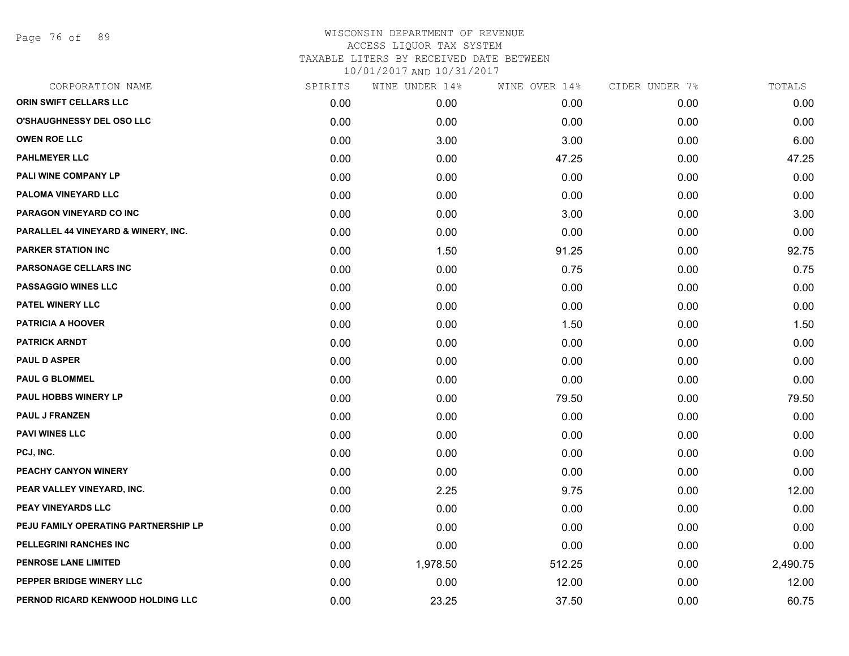Page 76 of 89

| CORPORATION NAME                     | SPIRITS | WINE UNDER 14% | WINE OVER 14% | CIDER UNDER 7% | TOTALS   |
|--------------------------------------|---------|----------------|---------------|----------------|----------|
| ORIN SWIFT CELLARS LLC               | 0.00    | 0.00           | 0.00          | 0.00           | 0.00     |
| <b>O'SHAUGHNESSY DEL OSO LLC</b>     | 0.00    | 0.00           | 0.00          | 0.00           | 0.00     |
| <b>OWEN ROE LLC</b>                  | 0.00    | 3.00           | 3.00          | 0.00           | 6.00     |
| <b>PAHLMEYER LLC</b>                 | 0.00    | 0.00           | 47.25         | 0.00           | 47.25    |
| PALI WINE COMPANY LP                 | 0.00    | 0.00           | 0.00          | 0.00           | 0.00     |
| PALOMA VINEYARD LLC                  | 0.00    | 0.00           | 0.00          | 0.00           | 0.00     |
| PARAGON VINEYARD CO INC              | 0.00    | 0.00           | 3.00          | 0.00           | 3.00     |
| PARALLEL 44 VINEYARD & WINERY, INC.  | 0.00    | 0.00           | 0.00          | 0.00           | 0.00     |
| <b>PARKER STATION INC</b>            | 0.00    | 1.50           | 91.25         | 0.00           | 92.75    |
| PARSONAGE CELLARS INC                | 0.00    | 0.00           | 0.75          | 0.00           | 0.75     |
| <b>PASSAGGIO WINES LLC</b>           | 0.00    | 0.00           | 0.00          | 0.00           | 0.00     |
| <b>PATEL WINERY LLC</b>              | 0.00    | 0.00           | 0.00          | 0.00           | 0.00     |
| PATRICIA A HOOVER                    | 0.00    | 0.00           | 1.50          | 0.00           | 1.50     |
| <b>PATRICK ARNDT</b>                 | 0.00    | 0.00           | 0.00          | 0.00           | 0.00     |
| <b>PAUL D ASPER</b>                  | 0.00    | 0.00           | 0.00          | 0.00           | 0.00     |
| <b>PAUL G BLOMMEL</b>                | 0.00    | 0.00           | 0.00          | 0.00           | 0.00     |
| PAUL HOBBS WINERY LP                 | 0.00    | 0.00           | 79.50         | 0.00           | 79.50    |
| <b>PAUL J FRANZEN</b>                | 0.00    | 0.00           | 0.00          | 0.00           | 0.00     |
| <b>PAVI WINES LLC</b>                | 0.00    | 0.00           | 0.00          | 0.00           | 0.00     |
| PCJ, INC.                            | 0.00    | 0.00           | 0.00          | 0.00           | 0.00     |
| PEACHY CANYON WINERY                 | 0.00    | 0.00           | 0.00          | 0.00           | 0.00     |
| PEAR VALLEY VINEYARD, INC.           | 0.00    | 2.25           | 9.75          | 0.00           | 12.00    |
| PEAY VINEYARDS LLC                   | 0.00    | 0.00           | 0.00          | 0.00           | 0.00     |
| PEJU FAMILY OPERATING PARTNERSHIP LP | 0.00    | 0.00           | 0.00          | 0.00           | 0.00     |
| PELLEGRINI RANCHES INC               | 0.00    | 0.00           | 0.00          | 0.00           | 0.00     |
| PENROSE LANE LIMITED                 | 0.00    | 1,978.50       | 512.25        | 0.00           | 2,490.75 |
| PEPPER BRIDGE WINERY LLC             | 0.00    | 0.00           | 12.00         | 0.00           | 12.00    |
| PERNOD RICARD KENWOOD HOLDING LLC    | 0.00    | 23.25          | 37.50         | 0.00           | 60.75    |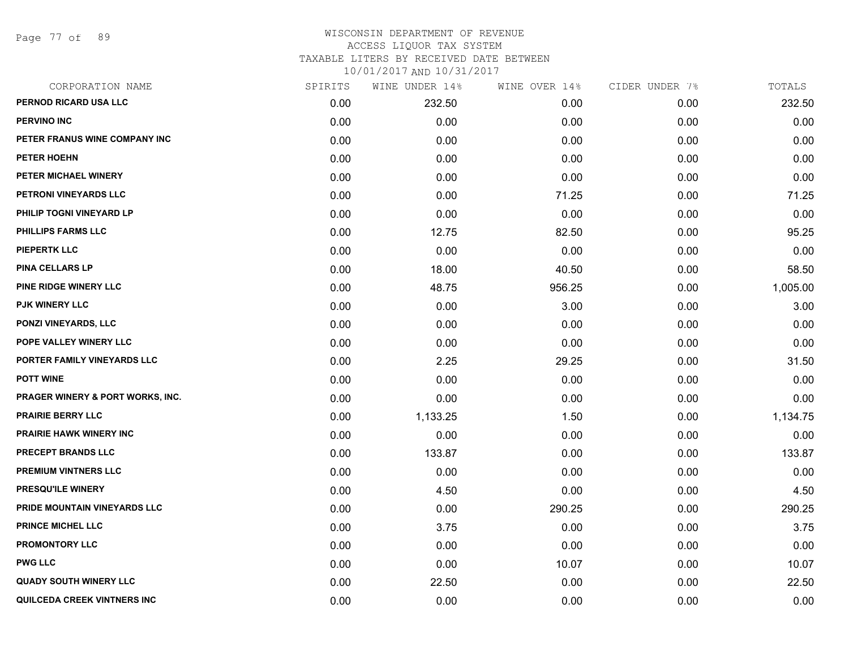Page 77 of 89

| CORPORATION NAME                            | SPIRITS | WINE UNDER 14% | WINE OVER 14% | CIDER UNDER 7% | TOTALS   |
|---------------------------------------------|---------|----------------|---------------|----------------|----------|
| PERNOD RICARD USA LLC                       | 0.00    | 232.50         | 0.00          | 0.00           | 232.50   |
| <b>PERVINO INC</b>                          | 0.00    | 0.00           | 0.00          | 0.00           | 0.00     |
| PETER FRANUS WINE COMPANY INC               | 0.00    | 0.00           | 0.00          | 0.00           | 0.00     |
| PETER HOEHN                                 | 0.00    | 0.00           | 0.00          | 0.00           | 0.00     |
| PETER MICHAEL WINERY                        | 0.00    | 0.00           | 0.00          | 0.00           | 0.00     |
| PETRONI VINEYARDS LLC                       | 0.00    | 0.00           | 71.25         | 0.00           | 71.25    |
| PHILIP TOGNI VINEYARD LP                    | 0.00    | 0.00           | 0.00          | 0.00           | 0.00     |
| <b>PHILLIPS FARMS LLC</b>                   | 0.00    | 12.75          | 82.50         | 0.00           | 95.25    |
| <b>PIEPERTK LLC</b>                         | 0.00    | 0.00           | 0.00          | 0.00           | 0.00     |
| <b>PINA CELLARS LP</b>                      | 0.00    | 18.00          | 40.50         | 0.00           | 58.50    |
| PINE RIDGE WINERY LLC                       | 0.00    | 48.75          | 956.25        | 0.00           | 1,005.00 |
| <b>PJK WINERY LLC</b>                       | 0.00    | 0.00           | 3.00          | 0.00           | 3.00     |
| <b>PONZI VINEYARDS, LLC</b>                 | 0.00    | 0.00           | 0.00          | 0.00           | 0.00     |
| POPE VALLEY WINERY LLC                      | 0.00    | 0.00           | 0.00          | 0.00           | 0.00     |
| PORTER FAMILY VINEYARDS LLC                 | 0.00    | 2.25           | 29.25         | 0.00           | 31.50    |
| <b>POTT WINE</b>                            | 0.00    | 0.00           | 0.00          | 0.00           | 0.00     |
| <b>PRAGER WINERY &amp; PORT WORKS, INC.</b> | 0.00    | 0.00           | 0.00          | 0.00           | 0.00     |
| <b>PRAIRIE BERRY LLC</b>                    | 0.00    | 1,133.25       | 1.50          | 0.00           | 1,134.75 |
| <b>PRAIRIE HAWK WINERY INC</b>              | 0.00    | 0.00           | 0.00          | 0.00           | 0.00     |
| PRECEPT BRANDS LLC                          | 0.00    | 133.87         | 0.00          | 0.00           | 133.87   |
| <b>PREMIUM VINTNERS LLC</b>                 | 0.00    | 0.00           | 0.00          | 0.00           | 0.00     |
| <b>PRESQU'ILE WINERY</b>                    | 0.00    | 4.50           | 0.00          | 0.00           | 4.50     |
| PRIDE MOUNTAIN VINEYARDS LLC                | 0.00    | 0.00           | 290.25        | 0.00           | 290.25   |
| <b>PRINCE MICHEL LLC</b>                    | 0.00    | 3.75           | 0.00          | 0.00           | 3.75     |
| <b>PROMONTORY LLC</b>                       | 0.00    | 0.00           | 0.00          | 0.00           | 0.00     |
| <b>PWG LLC</b>                              | 0.00    | 0.00           | 10.07         | 0.00           | 10.07    |
| <b>QUADY SOUTH WINERY LLC</b>               | 0.00    | 22.50          | 0.00          | 0.00           | 22.50    |
| <b>QUILCEDA CREEK VINTNERS INC</b>          | 0.00    | 0.00           | 0.00          | 0.00           | 0.00     |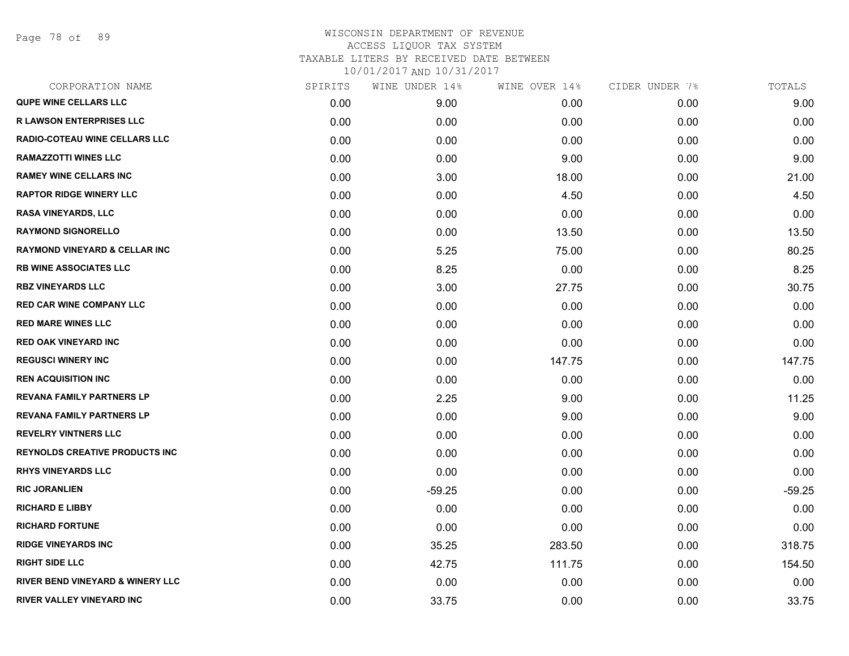Page 78 of 89

| CORPORATION NAME                            | SPIRITS | WINE UNDER 14% | WINE OVER 14% | CIDER UNDER 7% | TOTALS   |
|---------------------------------------------|---------|----------------|---------------|----------------|----------|
| <b>QUPE WINE CELLARS LLC</b>                | 0.00    | 9.00           | 0.00          | 0.00           | 9.00     |
| <b>R LAWSON ENTERPRISES LLC</b>             | 0.00    | 0.00           | 0.00          | 0.00           | 0.00     |
| RADIO-COTEAU WINE CELLARS LLC               | 0.00    | 0.00           | 0.00          | 0.00           | 0.00     |
| <b>RAMAZZOTTI WINES LLC</b>                 | 0.00    | 0.00           | 9.00          | 0.00           | 9.00     |
| <b>RAMEY WINE CELLARS INC</b>               | 0.00    | 3.00           | 18.00         | 0.00           | 21.00    |
| <b>RAPTOR RIDGE WINERY LLC</b>              | 0.00    | 0.00           | 4.50          | 0.00           | 4.50     |
| <b>RASA VINEYARDS, LLC</b>                  | 0.00    | 0.00           | 0.00          | 0.00           | 0.00     |
| <b>RAYMOND SIGNORELLO</b>                   | 0.00    | 0.00           | 13.50         | 0.00           | 13.50    |
| <b>RAYMOND VINEYARD &amp; CELLAR INC</b>    | 0.00    | 5.25           | 75.00         | 0.00           | 80.25    |
| <b>RB WINE ASSOCIATES LLC</b>               | 0.00    | 8.25           | 0.00          | 0.00           | 8.25     |
| <b>RBZ VINEYARDS LLC</b>                    | 0.00    | 3.00           | 27.75         | 0.00           | 30.75    |
| <b>RED CAR WINE COMPANY LLC</b>             | 0.00    | 0.00           | 0.00          | 0.00           | 0.00     |
| <b>RED MARE WINES LLC</b>                   | 0.00    | 0.00           | 0.00          | 0.00           | 0.00     |
| <b>RED OAK VINEYARD INC</b>                 | 0.00    | 0.00           | 0.00          | 0.00           | 0.00     |
| <b>REGUSCI WINERY INC</b>                   | 0.00    | 0.00           | 147.75        | 0.00           | 147.75   |
| <b>REN ACQUISITION INC</b>                  | 0.00    | 0.00           | 0.00          | 0.00           | 0.00     |
| <b>REVANA FAMILY PARTNERS LP</b>            | 0.00    | 2.25           | 9.00          | 0.00           | 11.25    |
| <b>REVANA FAMILY PARTNERS LP</b>            | 0.00    | 0.00           | 9.00          | 0.00           | 9.00     |
| <b>REVELRY VINTNERS LLC</b>                 | 0.00    | 0.00           | 0.00          | 0.00           | 0.00     |
| <b>REYNOLDS CREATIVE PRODUCTS INC</b>       | 0.00    | 0.00           | 0.00          | 0.00           | 0.00     |
| <b>RHYS VINEYARDS LLC</b>                   | 0.00    | 0.00           | 0.00          | 0.00           | 0.00     |
| <b>RIC JORANLIEN</b>                        | 0.00    | $-59.25$       | 0.00          | 0.00           | $-59.25$ |
| <b>RICHARD E LIBBY</b>                      | 0.00    | 0.00           | 0.00          | 0.00           | 0.00     |
| <b>RICHARD FORTUNE</b>                      | 0.00    | 0.00           | 0.00          | 0.00           | 0.00     |
| <b>RIDGE VINEYARDS INC</b>                  | 0.00    | 35.25          | 283.50        | 0.00           | 318.75   |
| <b>RIGHT SIDE LLC</b>                       | 0.00    | 42.75          | 111.75        | 0.00           | 154.50   |
| <b>RIVER BEND VINEYARD &amp; WINERY LLC</b> | 0.00    | 0.00           | 0.00          | 0.00           | 0.00     |
| RIVER VALLEY VINEYARD INC                   | 0.00    | 33.75          | 0.00          | 0.00           | 33.75    |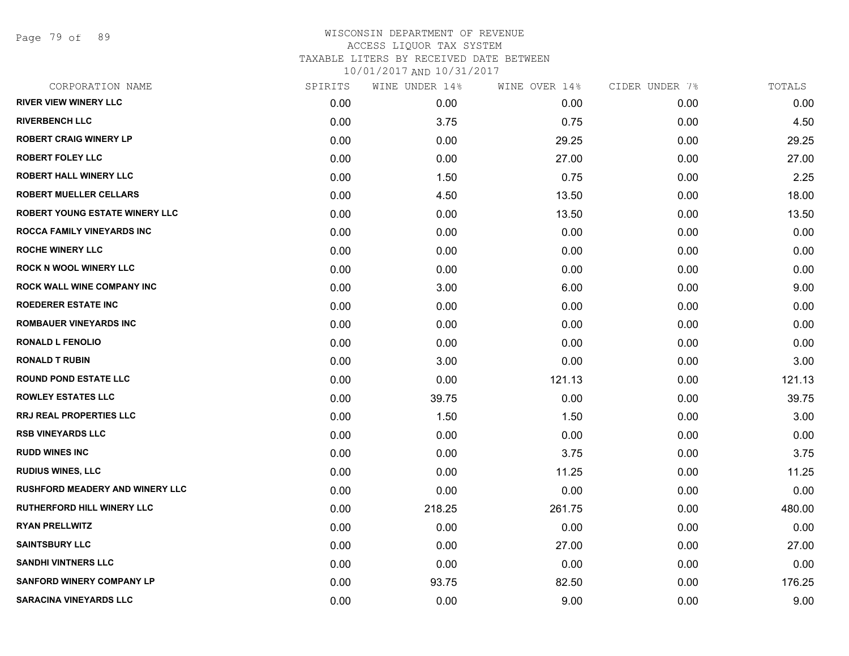Page 79 of 89

| CORPORATION NAME                       | SPIRITS | WINE UNDER 14% | WINE OVER 14% | CIDER UNDER 7% | TOTALS |
|----------------------------------------|---------|----------------|---------------|----------------|--------|
| <b>RIVER VIEW WINERY LLC</b>           | 0.00    | 0.00           | 0.00          | 0.00           | 0.00   |
| <b>RIVERBENCH LLC</b>                  | 0.00    | 3.75           | 0.75          | 0.00           | 4.50   |
| <b>ROBERT CRAIG WINERY LP</b>          | 0.00    | 0.00           | 29.25         | 0.00           | 29.25  |
| <b>ROBERT FOLEY LLC</b>                | 0.00    | 0.00           | 27.00         | 0.00           | 27.00  |
| <b>ROBERT HALL WINERY LLC</b>          | 0.00    | 1.50           | 0.75          | 0.00           | 2.25   |
| <b>ROBERT MUELLER CELLARS</b>          | 0.00    | 4.50           | 13.50         | 0.00           | 18.00  |
| <b>ROBERT YOUNG ESTATE WINERY LLC</b>  | 0.00    | 0.00           | 13.50         | 0.00           | 13.50  |
| <b>ROCCA FAMILY VINEYARDS INC</b>      | 0.00    | 0.00           | 0.00          | 0.00           | 0.00   |
| <b>ROCHE WINERY LLC</b>                | 0.00    | 0.00           | 0.00          | 0.00           | 0.00   |
| <b>ROCK N WOOL WINERY LLC</b>          | 0.00    | 0.00           | 0.00          | 0.00           | 0.00   |
| <b>ROCK WALL WINE COMPANY INC</b>      | 0.00    | 3.00           | 6.00          | 0.00           | 9.00   |
| <b>ROEDERER ESTATE INC</b>             | 0.00    | 0.00           | 0.00          | 0.00           | 0.00   |
| <b>ROMBAUER VINEYARDS INC</b>          | 0.00    | 0.00           | 0.00          | 0.00           | 0.00   |
| <b>RONALD L FENOLIO</b>                | 0.00    | 0.00           | 0.00          | 0.00           | 0.00   |
| <b>RONALD T RUBIN</b>                  | 0.00    | 3.00           | 0.00          | 0.00           | 3.00   |
| <b>ROUND POND ESTATE LLC</b>           | 0.00    | 0.00           | 121.13        | 0.00           | 121.13 |
| <b>ROWLEY ESTATES LLC</b>              | 0.00    | 39.75          | 0.00          | 0.00           | 39.75  |
| <b>RRJ REAL PROPERTIES LLC</b>         | 0.00    | 1.50           | 1.50          | 0.00           | 3.00   |
| <b>RSB VINEYARDS LLC</b>               | 0.00    | 0.00           | 0.00          | 0.00           | 0.00   |
| <b>RUDD WINES INC</b>                  | 0.00    | 0.00           | 3.75          | 0.00           | 3.75   |
| <b>RUDIUS WINES, LLC</b>               | 0.00    | 0.00           | 11.25         | 0.00           | 11.25  |
| <b>RUSHFORD MEADERY AND WINERY LLC</b> | 0.00    | 0.00           | 0.00          | 0.00           | 0.00   |
| <b>RUTHERFORD HILL WINERY LLC</b>      | 0.00    | 218.25         | 261.75        | 0.00           | 480.00 |
| <b>RYAN PRELLWITZ</b>                  | 0.00    | 0.00           | 0.00          | 0.00           | 0.00   |
| <b>SAINTSBURY LLC</b>                  | 0.00    | 0.00           | 27.00         | 0.00           | 27.00  |
| <b>SANDHI VINTNERS LLC</b>             | 0.00    | 0.00           | 0.00          | 0.00           | 0.00   |
| <b>SANFORD WINERY COMPANY LP</b>       | 0.00    | 93.75          | 82.50         | 0.00           | 176.25 |
| <b>SARACINA VINEYARDS LLC</b>          | 0.00    | 0.00           | 9.00          | 0.00           | 9.00   |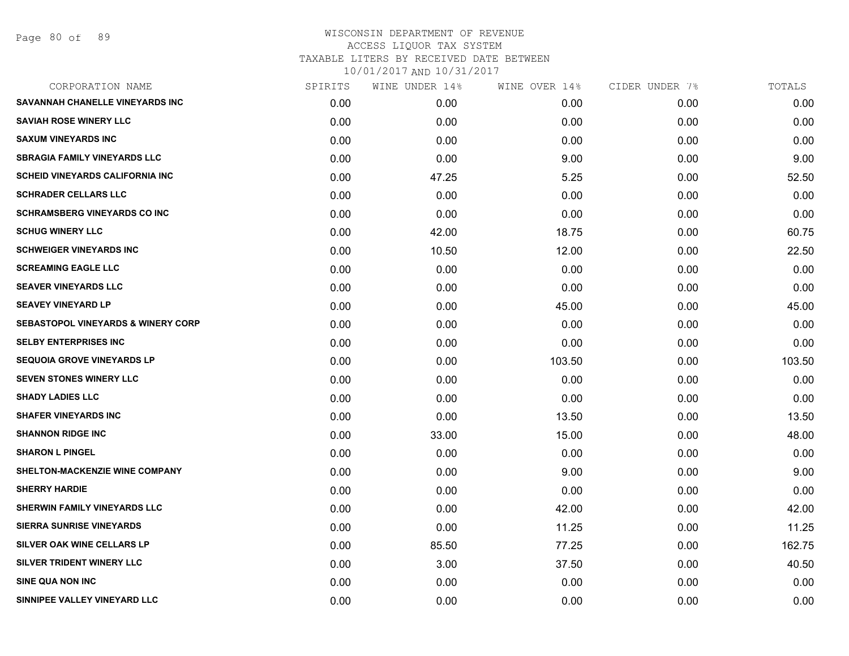| CORPORATION NAME                              | SPIRITS | WINE UNDER 14% | WINE OVER 14% | CIDER UNDER 7% | TOTALS |
|-----------------------------------------------|---------|----------------|---------------|----------------|--------|
| SAVANNAH CHANELLE VINEYARDS INC               | 0.00    | 0.00           | 0.00          | 0.00           | 0.00   |
| <b>SAVIAH ROSE WINERY LLC</b>                 | 0.00    | 0.00           | 0.00          | 0.00           | 0.00   |
| <b>SAXUM VINEYARDS INC</b>                    | 0.00    | 0.00           | 0.00          | 0.00           | 0.00   |
| <b>SBRAGIA FAMILY VINEYARDS LLC</b>           | 0.00    | 0.00           | 9.00          | 0.00           | 9.00   |
| <b>SCHEID VINEYARDS CALIFORNIA INC</b>        | 0.00    | 47.25          | 5.25          | 0.00           | 52.50  |
| <b>SCHRADER CELLARS LLC</b>                   | 0.00    | 0.00           | 0.00          | 0.00           | 0.00   |
| <b>SCHRAMSBERG VINEYARDS CO INC</b>           | 0.00    | 0.00           | 0.00          | 0.00           | 0.00   |
| <b>SCHUG WINERY LLC</b>                       | 0.00    | 42.00          | 18.75         | 0.00           | 60.75  |
| <b>SCHWEIGER VINEYARDS INC</b>                | 0.00    | 10.50          | 12.00         | 0.00           | 22.50  |
| <b>SCREAMING EAGLE LLC</b>                    | 0.00    | 0.00           | 0.00          | 0.00           | 0.00   |
| <b>SEAVER VINEYARDS LLC</b>                   | 0.00    | 0.00           | 0.00          | 0.00           | 0.00   |
| <b>SEAVEY VINEYARD LP</b>                     | 0.00    | 0.00           | 45.00         | 0.00           | 45.00  |
| <b>SEBASTOPOL VINEYARDS &amp; WINERY CORP</b> | 0.00    | 0.00           | 0.00          | 0.00           | 0.00   |
| <b>SELBY ENTERPRISES INC</b>                  | 0.00    | 0.00           | 0.00          | 0.00           | 0.00   |
| <b>SEQUOIA GROVE VINEYARDS LP</b>             | 0.00    | 0.00           | 103.50        | 0.00           | 103.50 |
| <b>SEVEN STONES WINERY LLC</b>                | 0.00    | 0.00           | 0.00          | 0.00           | 0.00   |
| <b>SHADY LADIES LLC</b>                       | 0.00    | 0.00           | 0.00          | 0.00           | 0.00   |
| <b>SHAFER VINEYARDS INC</b>                   | 0.00    | 0.00           | 13.50         | 0.00           | 13.50  |
| <b>SHANNON RIDGE INC</b>                      | 0.00    | 33.00          | 15.00         | 0.00           | 48.00  |
| <b>SHARON L PINGEL</b>                        | 0.00    | 0.00           | 0.00          | 0.00           | 0.00   |
| SHELTON-MACKENZIE WINE COMPANY                | 0.00    | 0.00           | 9.00          | 0.00           | 9.00   |
| <b>SHERRY HARDIE</b>                          | 0.00    | 0.00           | 0.00          | 0.00           | 0.00   |
| SHERWIN FAMILY VINEYARDS LLC                  | 0.00    | 0.00           | 42.00         | 0.00           | 42.00  |
| <b>SIERRA SUNRISE VINEYARDS</b>               | 0.00    | 0.00           | 11.25         | 0.00           | 11.25  |
| SILVER OAK WINE CELLARS LP                    | 0.00    | 85.50          | 77.25         | 0.00           | 162.75 |
| SILVER TRIDENT WINERY LLC                     | 0.00    | 3.00           | 37.50         | 0.00           | 40.50  |
| <b>SINE QUA NON INC</b>                       | 0.00    | 0.00           | 0.00          | 0.00           | 0.00   |
| SINNIPEE VALLEY VINEYARD LLC                  | 0.00    | 0.00           | 0.00          | 0.00           | 0.00   |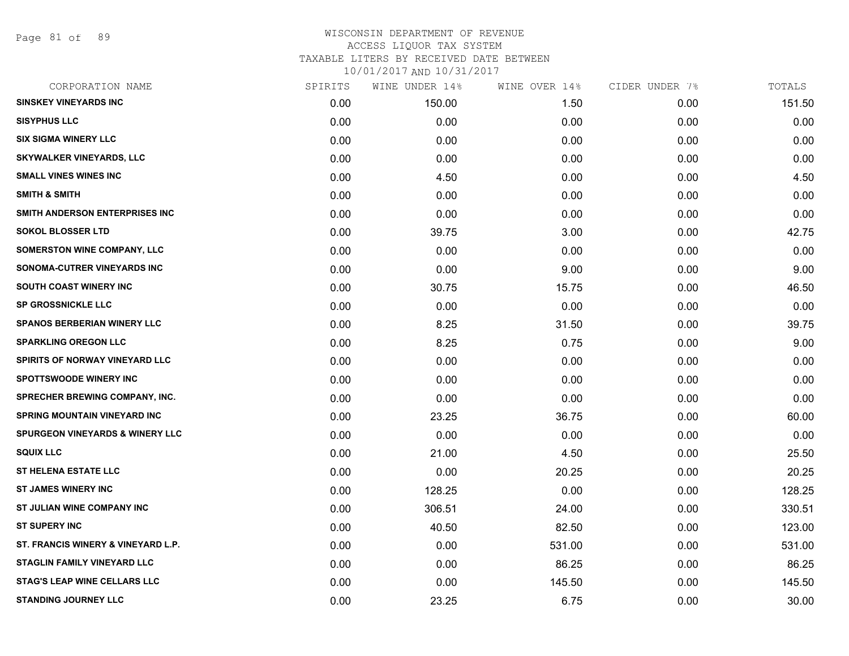Page 81 of 89

| CORPORATION NAME                           | SPIRITS | WINE UNDER 14% | WINE OVER 14% | CIDER UNDER 7% | TOTALS |
|--------------------------------------------|---------|----------------|---------------|----------------|--------|
| <b>SINSKEY VINEYARDS INC</b>               | 0.00    | 150.00         | 1.50          | 0.00           | 151.50 |
| <b>SISYPHUS LLC</b>                        | 0.00    | 0.00           | 0.00          | 0.00           | 0.00   |
| <b>SIX SIGMA WINERY LLC</b>                | 0.00    | 0.00           | 0.00          | 0.00           | 0.00   |
| <b>SKYWALKER VINEYARDS, LLC</b>            | 0.00    | 0.00           | 0.00          | 0.00           | 0.00   |
| <b>SMALL VINES WINES INC</b>               | 0.00    | 4.50           | 0.00          | 0.00           | 4.50   |
| <b>SMITH &amp; SMITH</b>                   | 0.00    | 0.00           | 0.00          | 0.00           | 0.00   |
| SMITH ANDERSON ENTERPRISES INC             | 0.00    | 0.00           | 0.00          | 0.00           | 0.00   |
| <b>SOKOL BLOSSER LTD</b>                   | 0.00    | 39.75          | 3.00          | 0.00           | 42.75  |
| <b>SOMERSTON WINE COMPANY, LLC</b>         | 0.00    | 0.00           | 0.00          | 0.00           | 0.00   |
| SONOMA-CUTRER VINEYARDS INC                | 0.00    | 0.00           | 9.00          | 0.00           | 9.00   |
| <b>SOUTH COAST WINERY INC</b>              | 0.00    | 30.75          | 15.75         | 0.00           | 46.50  |
| <b>SP GROSSNICKLE LLC</b>                  | 0.00    | 0.00           | 0.00          | 0.00           | 0.00   |
| <b>SPANOS BERBERIAN WINERY LLC</b>         | 0.00    | 8.25           | 31.50         | 0.00           | 39.75  |
| <b>SPARKLING OREGON LLC</b>                | 0.00    | 8.25           | 0.75          | 0.00           | 9.00   |
| SPIRITS OF NORWAY VINEYARD LLC             | 0.00    | 0.00           | 0.00          | 0.00           | 0.00   |
| <b>SPOTTSWOODE WINERY INC</b>              | 0.00    | 0.00           | 0.00          | 0.00           | 0.00   |
| <b>SPRECHER BREWING COMPANY, INC.</b>      | 0.00    | 0.00           | 0.00          | 0.00           | 0.00   |
| <b>SPRING MOUNTAIN VINEYARD INC</b>        | 0.00    | 23.25          | 36.75         | 0.00           | 60.00  |
| <b>SPURGEON VINEYARDS &amp; WINERY LLC</b> | 0.00    | 0.00           | 0.00          | 0.00           | 0.00   |
| <b>SQUIX LLC</b>                           | 0.00    | 21.00          | 4.50          | 0.00           | 25.50  |
| <b>ST HELENA ESTATE LLC</b>                | 0.00    | 0.00           | 20.25         | 0.00           | 20.25  |
| <b>ST JAMES WINERY INC</b>                 | 0.00    | 128.25         | 0.00          | 0.00           | 128.25 |
| ST JULIAN WINE COMPANY INC                 | 0.00    | 306.51         | 24.00         | 0.00           | 330.51 |
| <b>ST SUPERY INC</b>                       | 0.00    | 40.50          | 82.50         | 0.00           | 123.00 |
| ST. FRANCIS WINERY & VINEYARD L.P.         | 0.00    | 0.00           | 531.00        | 0.00           | 531.00 |
| <b>STAGLIN FAMILY VINEYARD LLC</b>         | 0.00    | 0.00           | 86.25         | 0.00           | 86.25  |
| <b>STAG'S LEAP WINE CELLARS LLC</b>        | 0.00    | 0.00           | 145.50        | 0.00           | 145.50 |
| <b>STANDING JOURNEY LLC</b>                | 0.00    | 23.25          | 6.75          | 0.00           | 30.00  |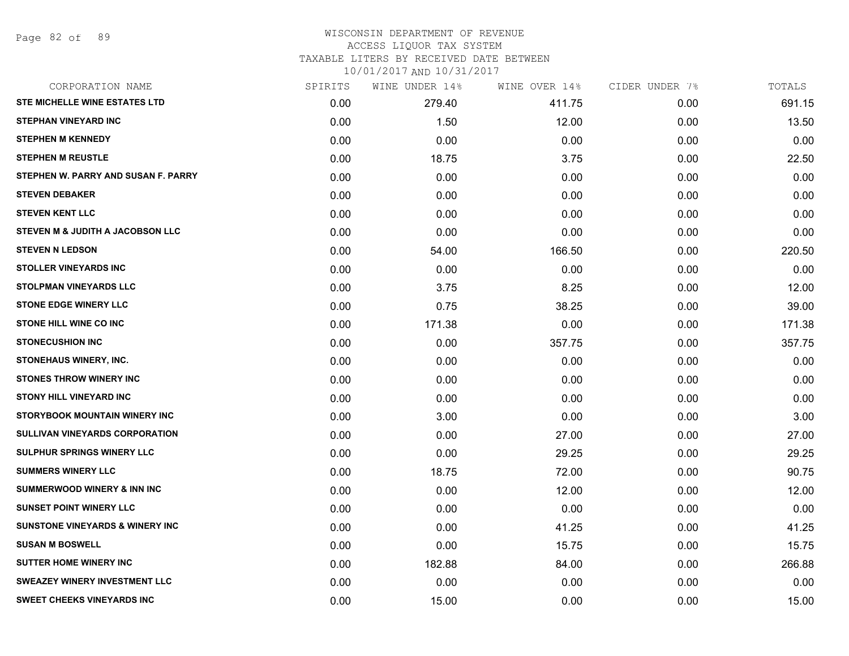Page 82 of 89

#### WISCONSIN DEPARTMENT OF REVENUE ACCESS LIQUOR TAX SYSTEM

### TAXABLE LITERS BY RECEIVED DATE BETWEEN

| CORPORATION NAME                           | SPIRITS | WINE UNDER 14% | WINE OVER 14% | CIDER UNDER 7% | TOTALS |
|--------------------------------------------|---------|----------------|---------------|----------------|--------|
| <b>STE MICHELLE WINE ESTATES LTD</b>       | 0.00    | 279.40         | 411.75        | 0.00           | 691.15 |
| <b>STEPHAN VINEYARD INC</b>                | 0.00    | 1.50           | 12.00         | 0.00           | 13.50  |
| <b>STEPHEN M KENNEDY</b>                   | 0.00    | 0.00           | 0.00          | 0.00           | 0.00   |
| <b>STEPHEN M REUSTLE</b>                   | 0.00    | 18.75          | 3.75          | 0.00           | 22.50  |
| STEPHEN W. PARRY AND SUSAN F. PARRY        | 0.00    | 0.00           | 0.00          | 0.00           | 0.00   |
| <b>STEVEN DEBAKER</b>                      | 0.00    | 0.00           | 0.00          | 0.00           | 0.00   |
| <b>STEVEN KENT LLC</b>                     | 0.00    | 0.00           | 0.00          | 0.00           | 0.00   |
| STEVEN M & JUDITH A JACOBSON LLC           | 0.00    | 0.00           | 0.00          | 0.00           | 0.00   |
| <b>STEVEN N LEDSON</b>                     | 0.00    | 54.00          | 166.50        | 0.00           | 220.50 |
| <b>STOLLER VINEYARDS INC</b>               | 0.00    | 0.00           | 0.00          | 0.00           | 0.00   |
| <b>STOLPMAN VINEYARDS LLC</b>              | 0.00    | 3.75           | 8.25          | 0.00           | 12.00  |
| <b>STONE EDGE WINERY LLC</b>               | 0.00    | 0.75           | 38.25         | 0.00           | 39.00  |
| <b>STONE HILL WINE CO INC</b>              | 0.00    | 171.38         | 0.00          | 0.00           | 171.38 |
| <b>STONECUSHION INC</b>                    | 0.00    | 0.00           | 357.75        | 0.00           | 357.75 |
| <b>STONEHAUS WINERY, INC.</b>              | 0.00    | 0.00           | 0.00          | 0.00           | 0.00   |
| <b>STONES THROW WINERY INC</b>             | 0.00    | 0.00           | 0.00          | 0.00           | 0.00   |
| <b>STONY HILL VINEYARD INC</b>             | 0.00    | 0.00           | 0.00          | 0.00           | 0.00   |
| STORYBOOK MOUNTAIN WINERY INC              | 0.00    | 3.00           | 0.00          | 0.00           | 3.00   |
| <b>SULLIVAN VINEYARDS CORPORATION</b>      | 0.00    | 0.00           | 27.00         | 0.00           | 27.00  |
| <b>SULPHUR SPRINGS WINERY LLC</b>          | 0.00    | 0.00           | 29.25         | 0.00           | 29.25  |
| <b>SUMMERS WINERY LLC</b>                  | 0.00    | 18.75          | 72.00         | 0.00           | 90.75  |
| <b>SUMMERWOOD WINERY &amp; INN INC</b>     | 0.00    | 0.00           | 12.00         | 0.00           | 12.00  |
| <b>SUNSET POINT WINERY LLC</b>             | 0.00    | 0.00           | 0.00          | 0.00           | 0.00   |
| <b>SUNSTONE VINEYARDS &amp; WINERY INC</b> | 0.00    | 0.00           | 41.25         | 0.00           | 41.25  |
| <b>SUSAN M BOSWELL</b>                     | 0.00    | 0.00           | 15.75         | 0.00           | 15.75  |
| <b>SUTTER HOME WINERY INC</b>              | 0.00    | 182.88         | 84.00         | 0.00           | 266.88 |
| <b>SWEAZEY WINERY INVESTMENT LLC</b>       | 0.00    | 0.00           | 0.00          | 0.00           | 0.00   |
| <b>SWEET CHEEKS VINEYARDS INC</b>          | 0.00    | 15.00          | 0.00          | 0.00           | 15.00  |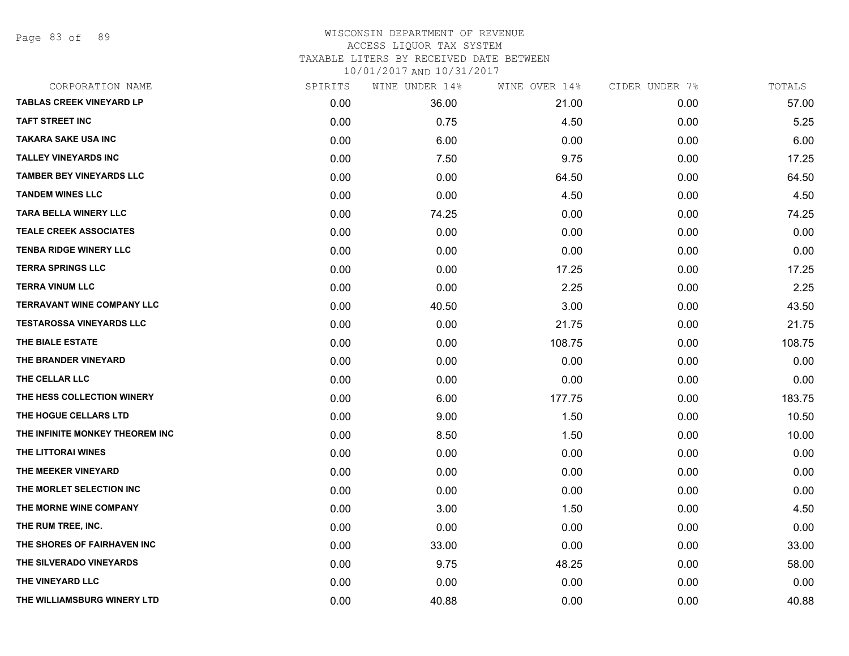Page 83 of 89

### WISCONSIN DEPARTMENT OF REVENUE ACCESS LIQUOR TAX SYSTEM TAXABLE LITERS BY RECEIVED DATE BETWEEN

| CORPORATION NAME                  | SPIRITS | WINE UNDER 14% | WINE OVER 14% | CIDER UNDER 7% | TOTALS |
|-----------------------------------|---------|----------------|---------------|----------------|--------|
| <b>TABLAS CREEK VINEYARD LP</b>   | 0.00    | 36.00          | 21.00         | 0.00           | 57.00  |
| <b>TAFT STREET INC</b>            | 0.00    | 0.75           | 4.50          | 0.00           | 5.25   |
| <b>TAKARA SAKE USA INC</b>        | 0.00    | 6.00           | 0.00          | 0.00           | 6.00   |
| <b>TALLEY VINEYARDS INC</b>       | 0.00    | 7.50           | 9.75          | 0.00           | 17.25  |
| <b>TAMBER BEY VINEYARDS LLC</b>   | 0.00    | 0.00           | 64.50         | 0.00           | 64.50  |
| <b>TANDEM WINES LLC</b>           | 0.00    | 0.00           | 4.50          | 0.00           | 4.50   |
| <b>TARA BELLA WINERY LLC</b>      | 0.00    | 74.25          | 0.00          | 0.00           | 74.25  |
| <b>TEALE CREEK ASSOCIATES</b>     | 0.00    | 0.00           | 0.00          | 0.00           | 0.00   |
| <b>TENBA RIDGE WINERY LLC</b>     | 0.00    | 0.00           | 0.00          | 0.00           | 0.00   |
| <b>TERRA SPRINGS LLC</b>          | 0.00    | 0.00           | 17.25         | 0.00           | 17.25  |
| <b>TERRA VINUM LLC</b>            | 0.00    | 0.00           | 2.25          | 0.00           | 2.25   |
| <b>TERRAVANT WINE COMPANY LLC</b> | 0.00    | 40.50          | 3.00          | 0.00           | 43.50  |
| <b>TESTAROSSA VINEYARDS LLC</b>   | 0.00    | 0.00           | 21.75         | 0.00           | 21.75  |
| THE BIALE ESTATE                  | 0.00    | 0.00           | 108.75        | 0.00           | 108.75 |
| THE BRANDER VINEYARD              | 0.00    | 0.00           | 0.00          | 0.00           | 0.00   |
| THE CELLAR LLC                    | 0.00    | 0.00           | 0.00          | 0.00           | 0.00   |
| THE HESS COLLECTION WINERY        | 0.00    | 6.00           | 177.75        | 0.00           | 183.75 |
| THE HOGUE CELLARS LTD             | 0.00    | 9.00           | 1.50          | 0.00           | 10.50  |
| THE INFINITE MONKEY THEOREM INC   | 0.00    | 8.50           | 1.50          | 0.00           | 10.00  |
| THE LITTORAI WINES                | 0.00    | 0.00           | 0.00          | 0.00           | 0.00   |
| THE MEEKER VINEYARD               | 0.00    | 0.00           | 0.00          | 0.00           | 0.00   |
| THE MORLET SELECTION INC          | 0.00    | 0.00           | 0.00          | 0.00           | 0.00   |
| THE MORNE WINE COMPANY            | 0.00    | 3.00           | 1.50          | 0.00           | 4.50   |
| THE RUM TREE, INC.                | 0.00    | 0.00           | 0.00          | 0.00           | 0.00   |
| THE SHORES OF FAIRHAVEN INC       | 0.00    | 33.00          | 0.00          | 0.00           | 33.00  |
| THE SILVERADO VINEYARDS           | 0.00    | 9.75           | 48.25         | 0.00           | 58.00  |
| THE VINEYARD LLC                  | 0.00    | 0.00           | 0.00          | 0.00           | 0.00   |
| THE WILLIAMSBURG WINERY LTD       | 0.00    | 40.88          | 0.00          | 0.00           | 40.88  |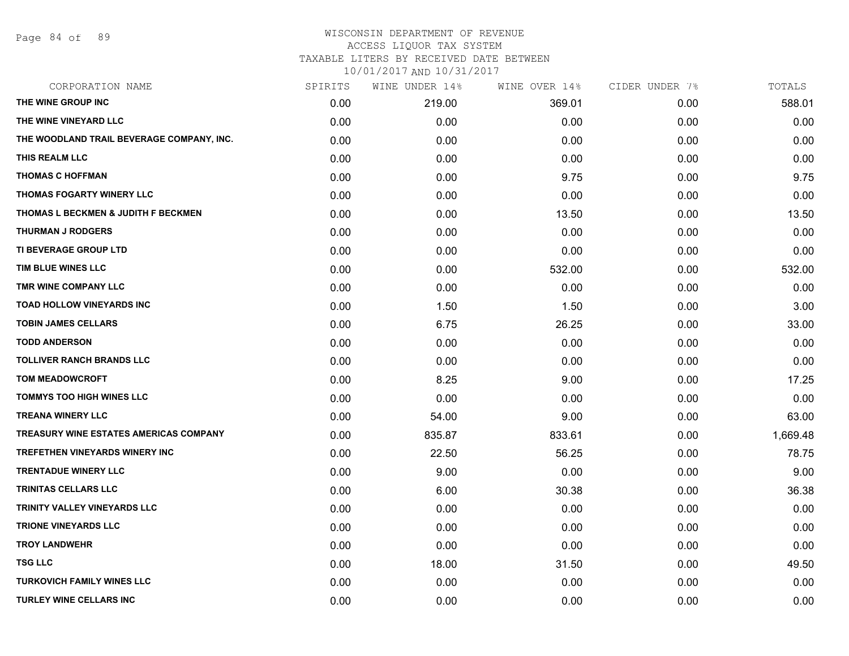Page 84 of 89

## WISCONSIN DEPARTMENT OF REVENUE

# ACCESS LIQUOR TAX SYSTEM

TAXABLE LITERS BY RECEIVED DATE BETWEEN

| CORPORATION NAME                          | SPIRITS | WINE UNDER 14% | WINE OVER 14% | CIDER UNDER 7% | TOTALS   |
|-------------------------------------------|---------|----------------|---------------|----------------|----------|
| THE WINE GROUP INC                        | 0.00    | 219.00         | 369.01        | 0.00           | 588.01   |
| THE WINE VINEYARD LLC                     | 0.00    | 0.00           | 0.00          | 0.00           | 0.00     |
| THE WOODLAND TRAIL BEVERAGE COMPANY, INC. | 0.00    | 0.00           | 0.00          | 0.00           | 0.00     |
| THIS REALM LLC                            | 0.00    | 0.00           | 0.00          | 0.00           | 0.00     |
| <b>THOMAS C HOFFMAN</b>                   | 0.00    | 0.00           | 9.75          | 0.00           | 9.75     |
| THOMAS FOGARTY WINERY LLC                 | 0.00    | 0.00           | 0.00          | 0.00           | 0.00     |
| THOMAS L BECKMEN & JUDITH F BECKMEN       | 0.00    | 0.00           | 13.50         | 0.00           | 13.50    |
| <b>THURMAN J RODGERS</b>                  | 0.00    | 0.00           | 0.00          | 0.00           | 0.00     |
| TI BEVERAGE GROUP LTD                     | 0.00    | 0.00           | 0.00          | 0.00           | 0.00     |
| TIM BLUE WINES LLC                        | 0.00    | 0.00           | 532.00        | 0.00           | 532.00   |
| TMR WINE COMPANY LLC                      | 0.00    | 0.00           | 0.00          | 0.00           | 0.00     |
| TOAD HOLLOW VINEYARDS INC                 | 0.00    | 1.50           | 1.50          | 0.00           | 3.00     |
| <b>TOBIN JAMES CELLARS</b>                | 0.00    | 6.75           | 26.25         | 0.00           | 33.00    |
| <b>TODD ANDERSON</b>                      | 0.00    | 0.00           | 0.00          | 0.00           | 0.00     |
| <b>TOLLIVER RANCH BRANDS LLC</b>          | 0.00    | 0.00           | 0.00          | 0.00           | 0.00     |
| <b>TOM MEADOWCROFT</b>                    | 0.00    | 8.25           | 9.00          | 0.00           | 17.25    |
| <b>TOMMYS TOO HIGH WINES LLC</b>          | 0.00    | 0.00           | 0.00          | 0.00           | 0.00     |
| <b>TREANA WINERY LLC</b>                  | 0.00    | 54.00          | 9.00          | 0.00           | 63.00    |
| TREASURY WINE ESTATES AMERICAS COMPANY    | 0.00    | 835.87         | 833.61        | 0.00           | 1,669.48 |
| TREFETHEN VINEYARDS WINERY INC            | 0.00    | 22.50          | 56.25         | 0.00           | 78.75    |
| <b>TRENTADUE WINERY LLC</b>               | 0.00    | 9.00           | 0.00          | 0.00           | 9.00     |
| <b>TRINITAS CELLARS LLC</b>               | 0.00    | 6.00           | 30.38         | 0.00           | 36.38    |
| TRINITY VALLEY VINEYARDS LLC              | 0.00    | 0.00           | 0.00          | 0.00           | 0.00     |
| <b>TRIONE VINEYARDS LLC</b>               | 0.00    | 0.00           | 0.00          | 0.00           | 0.00     |
| <b>TROY LANDWEHR</b>                      | 0.00    | 0.00           | 0.00          | 0.00           | 0.00     |
| <b>TSG LLC</b>                            | 0.00    | 18.00          | 31.50         | 0.00           | 49.50    |
| <b>TURKOVICH FAMILY WINES LLC</b>         | 0.00    | 0.00           | 0.00          | 0.00           | 0.00     |
| <b>TURLEY WINE CELLARS INC</b>            | 0.00    | 0.00           | 0.00          | 0.00           | 0.00     |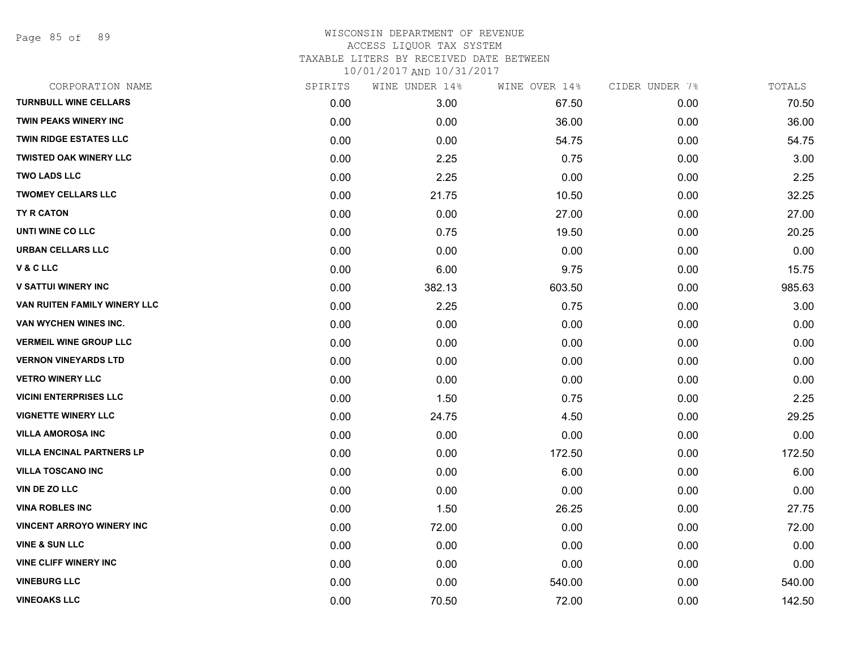Page 85 of 89

| CORPORATION NAME                 | SPIRITS | WINE UNDER 14% | WINE OVER 14% | CIDER UNDER 7% | TOTALS |
|----------------------------------|---------|----------------|---------------|----------------|--------|
| <b>TURNBULL WINE CELLARS</b>     | 0.00    | 3.00           | 67.50         | 0.00           | 70.50  |
| <b>TWIN PEAKS WINERY INC</b>     | 0.00    | 0.00           | 36.00         | 0.00           | 36.00  |
| <b>TWIN RIDGE ESTATES LLC</b>    | 0.00    | 0.00           | 54.75         | 0.00           | 54.75  |
| <b>TWISTED OAK WINERY LLC</b>    | 0.00    | 2.25           | 0.75          | 0.00           | 3.00   |
| <b>TWO LADS LLC</b>              | 0.00    | 2.25           | 0.00          | 0.00           | 2.25   |
| <b>TWOMEY CELLARS LLC</b>        | 0.00    | 21.75          | 10.50         | 0.00           | 32.25  |
| <b>TY R CATON</b>                | 0.00    | 0.00           | 27.00         | 0.00           | 27.00  |
| UNTI WINE CO LLC                 | 0.00    | 0.75           | 19.50         | 0.00           | 20.25  |
| <b>URBAN CELLARS LLC</b>         | 0.00    | 0.00           | 0.00          | 0.00           | 0.00   |
| <b>V&amp;CLLC</b>                | 0.00    | 6.00           | 9.75          | 0.00           | 15.75  |
| <b>V SATTUI WINERY INC</b>       | 0.00    | 382.13         | 603.50        | 0.00           | 985.63 |
| VAN RUITEN FAMILY WINERY LLC     | 0.00    | 2.25           | 0.75          | 0.00           | 3.00   |
| VAN WYCHEN WINES INC.            | 0.00    | 0.00           | 0.00          | 0.00           | 0.00   |
| <b>VERMEIL WINE GROUP LLC</b>    | 0.00    | 0.00           | 0.00          | 0.00           | 0.00   |
| <b>VERNON VINEYARDS LTD</b>      | 0.00    | 0.00           | 0.00          | 0.00           | 0.00   |
| <b>VETRO WINERY LLC</b>          | 0.00    | 0.00           | 0.00          | 0.00           | 0.00   |
| <b>VICINI ENTERPRISES LLC</b>    | 0.00    | 1.50           | 0.75          | 0.00           | 2.25   |
| <b>VIGNETTE WINERY LLC</b>       | 0.00    | 24.75          | 4.50          | 0.00           | 29.25  |
| <b>VILLA AMOROSA INC</b>         | 0.00    | 0.00           | 0.00          | 0.00           | 0.00   |
| <b>VILLA ENCINAL PARTNERS LP</b> | 0.00    | 0.00           | 172.50        | 0.00           | 172.50 |
| <b>VILLA TOSCANO INC</b>         | 0.00    | 0.00           | 6.00          | 0.00           | 6.00   |
| <b>VIN DE ZO LLC</b>             | 0.00    | 0.00           | 0.00          | 0.00           | 0.00   |
| <b>VINA ROBLES INC</b>           | 0.00    | 1.50           | 26.25         | 0.00           | 27.75  |
| <b>VINCENT ARROYO WINERY INC</b> | 0.00    | 72.00          | 0.00          | 0.00           | 72.00  |
| <b>VINE &amp; SUN LLC</b>        | 0.00    | 0.00           | 0.00          | 0.00           | 0.00   |
| <b>VINE CLIFF WINERY INC</b>     | 0.00    | 0.00           | 0.00          | 0.00           | 0.00   |
| <b>VINEBURG LLC</b>              | 0.00    | 0.00           | 540.00        | 0.00           | 540.00 |
| <b>VINEOAKS LLC</b>              | 0.00    | 70.50          | 72.00         | 0.00           | 142.50 |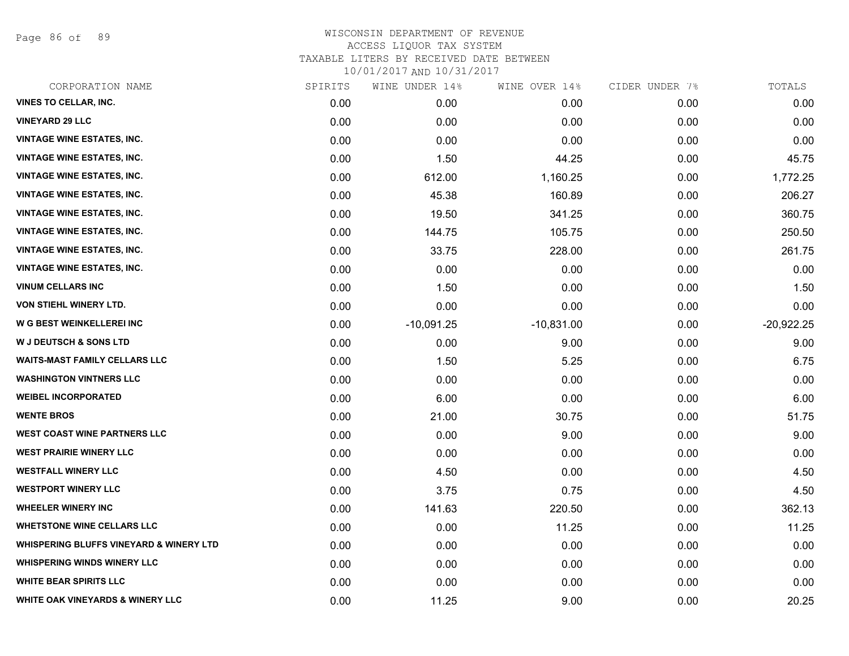Page 86 of 89

| CORPORATION NAME                                   | SPIRITS | WINE UNDER 14% | WINE OVER 14% | CIDER UNDER 7% | TOTALS       |
|----------------------------------------------------|---------|----------------|---------------|----------------|--------------|
| <b>VINES TO CELLAR, INC.</b>                       | 0.00    | 0.00           | 0.00          | 0.00           | 0.00         |
| <b>VINEYARD 29 LLC</b>                             | 0.00    | 0.00           | 0.00          | 0.00           | 0.00         |
| VINTAGE WINE ESTATES, INC.                         | 0.00    | 0.00           | 0.00          | 0.00           | 0.00         |
| <b>VINTAGE WINE ESTATES, INC.</b>                  | 0.00    | 1.50           | 44.25         | 0.00           | 45.75        |
| <b>VINTAGE WINE ESTATES, INC.</b>                  | 0.00    | 612.00         | 1,160.25      | 0.00           | 1,772.25     |
| <b>VINTAGE WINE ESTATES, INC.</b>                  | 0.00    | 45.38          | 160.89        | 0.00           | 206.27       |
| <b>VINTAGE WINE ESTATES, INC.</b>                  | 0.00    | 19.50          | 341.25        | 0.00           | 360.75       |
| <b>VINTAGE WINE ESTATES, INC.</b>                  | 0.00    | 144.75         | 105.75        | 0.00           | 250.50       |
| <b>VINTAGE WINE ESTATES, INC.</b>                  | 0.00    | 33.75          | 228.00        | 0.00           | 261.75       |
| <b>VINTAGE WINE ESTATES, INC.</b>                  | 0.00    | 0.00           | 0.00          | 0.00           | 0.00         |
| <b>VINUM CELLARS INC</b>                           | 0.00    | 1.50           | 0.00          | 0.00           | 1.50         |
| VON STIEHL WINERY LTD.                             | 0.00    | 0.00           | 0.00          | 0.00           | 0.00         |
| W G BEST WEINKELLEREI INC                          | 0.00    | $-10,091.25$   | $-10,831.00$  | 0.00           | $-20,922.25$ |
| <b>W J DEUTSCH &amp; SONS LTD</b>                  | 0.00    | 0.00           | 9.00          | 0.00           | 9.00         |
| <b>WAITS-MAST FAMILY CELLARS LLC</b>               | 0.00    | 1.50           | 5.25          | 0.00           | 6.75         |
| <b>WASHINGTON VINTNERS LLC</b>                     | 0.00    | 0.00           | 0.00          | 0.00           | 0.00         |
| <b>WEIBEL INCORPORATED</b>                         | 0.00    | 6.00           | 0.00          | 0.00           | 6.00         |
| <b>WENTE BROS</b>                                  | 0.00    | 21.00          | 30.75         | 0.00           | 51.75        |
| <b>WEST COAST WINE PARTNERS LLC</b>                | 0.00    | 0.00           | 9.00          | 0.00           | 9.00         |
| <b>WEST PRAIRIE WINERY LLC</b>                     | 0.00    | 0.00           | 0.00          | 0.00           | 0.00         |
| <b>WESTFALL WINERY LLC</b>                         | 0.00    | 4.50           | 0.00          | 0.00           | 4.50         |
| <b>WESTPORT WINERY LLC</b>                         | 0.00    | 3.75           | 0.75          | 0.00           | 4.50         |
| <b>WHEELER WINERY INC</b>                          | 0.00    | 141.63         | 220.50        | 0.00           | 362.13       |
| <b>WHETSTONE WINE CELLARS LLC</b>                  | 0.00    | 0.00           | 11.25         | 0.00           | 11.25        |
| <b>WHISPERING BLUFFS VINEYARD &amp; WINERY LTD</b> | 0.00    | 0.00           | 0.00          | 0.00           | 0.00         |
| <b>WHISPERING WINDS WINERY LLC</b>                 | 0.00    | 0.00           | 0.00          | 0.00           | 0.00         |
| <b>WHITE BEAR SPIRITS LLC</b>                      | 0.00    | 0.00           | 0.00          | 0.00           | 0.00         |
| <b>WHITE OAK VINEYARDS &amp; WINERY LLC</b>        | 0.00    | 11.25          | 9.00          | 0.00           | 20.25        |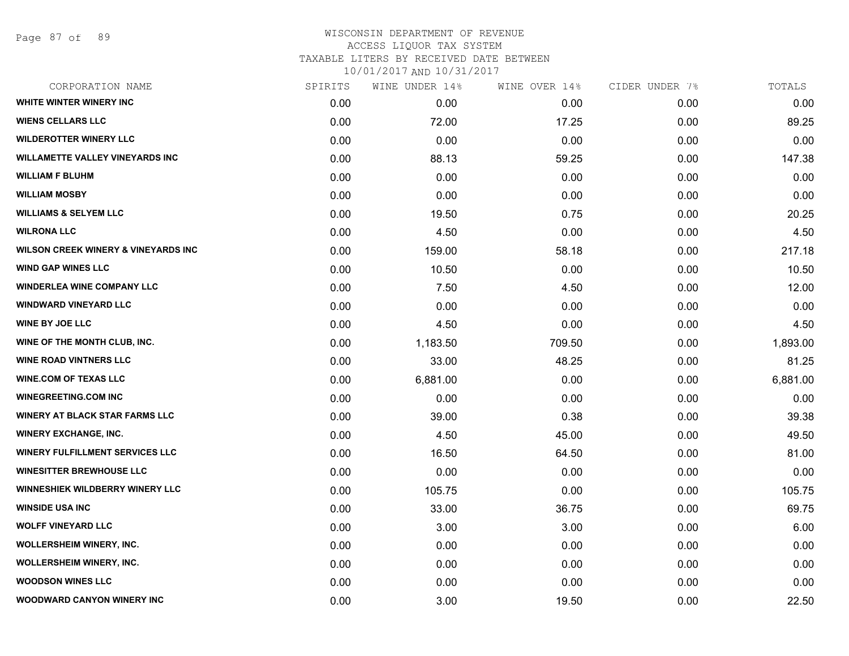### WISCONSIN DEPARTMENT OF REVENUE ACCESS LIQUOR TAX SYSTEM TAXABLE LITERS BY RECEIVED DATE BETWEEN

| CORPORATION NAME                               | SPIRITS | WINE UNDER 14% | WINE OVER 14% | CIDER UNDER 7% | TOTALS   |
|------------------------------------------------|---------|----------------|---------------|----------------|----------|
| WHITE WINTER WINERY INC                        | 0.00    | 0.00           | 0.00          | 0.00           | 0.00     |
| <b>WIENS CELLARS LLC</b>                       | 0.00    | 72.00          | 17.25         | 0.00           | 89.25    |
| <b>WILDEROTTER WINERY LLC</b>                  | 0.00    | 0.00           | 0.00          | 0.00           | 0.00     |
| <b>WILLAMETTE VALLEY VINEYARDS INC</b>         | 0.00    | 88.13          | 59.25         | 0.00           | 147.38   |
| <b>WILLIAM F BLUHM</b>                         | 0.00    | 0.00           | 0.00          | 0.00           | 0.00     |
| <b>WILLIAM MOSBY</b>                           | 0.00    | 0.00           | 0.00          | 0.00           | 0.00     |
| <b>WILLIAMS &amp; SELYEM LLC</b>               | 0.00    | 19.50          | 0.75          | 0.00           | 20.25    |
| <b>WILRONA LLC</b>                             | 0.00    | 4.50           | 0.00          | 0.00           | 4.50     |
| <b>WILSON CREEK WINERY &amp; VINEYARDS INC</b> | 0.00    | 159.00         | 58.18         | 0.00           | 217.18   |
| <b>WIND GAP WINES LLC</b>                      | 0.00    | 10.50          | 0.00          | 0.00           | 10.50    |
| <b>WINDERLEA WINE COMPANY LLC</b>              | 0.00    | 7.50           | 4.50          | 0.00           | 12.00    |
| <b>WINDWARD VINEYARD LLC</b>                   | 0.00    | 0.00           | 0.00          | 0.00           | 0.00     |
| <b>WINE BY JOE LLC</b>                         | 0.00    | 4.50           | 0.00          | 0.00           | 4.50     |
| WINE OF THE MONTH CLUB, INC.                   | 0.00    | 1,183.50       | 709.50        | 0.00           | 1,893.00 |
| <b>WINE ROAD VINTNERS LLC</b>                  | 0.00    | 33.00          | 48.25         | 0.00           | 81.25    |
| <b>WINE.COM OF TEXAS LLC</b>                   | 0.00    | 6,881.00       | 0.00          | 0.00           | 6,881.00 |
| <b>WINEGREETING.COM INC</b>                    | 0.00    | 0.00           | 0.00          | 0.00           | 0.00     |
| <b>WINERY AT BLACK STAR FARMS LLC</b>          | 0.00    | 39.00          | 0.38          | 0.00           | 39.38    |
| <b>WINERY EXCHANGE, INC.</b>                   | 0.00    | 4.50           | 45.00         | 0.00           | 49.50    |
| <b>WINERY FULFILLMENT SERVICES LLC</b>         | 0.00    | 16.50          | 64.50         | 0.00           | 81.00    |
| <b>WINESITTER BREWHOUSE LLC</b>                | 0.00    | 0.00           | 0.00          | 0.00           | 0.00     |
| <b>WINNESHIEK WILDBERRY WINERY LLC</b>         | 0.00    | 105.75         | 0.00          | 0.00           | 105.75   |
| <b>WINSIDE USA INC</b>                         | 0.00    | 33.00          | 36.75         | 0.00           | 69.75    |
| <b>WOLFF VINEYARD LLC</b>                      | 0.00    | 3.00           | 3.00          | 0.00           | 6.00     |
| <b>WOLLERSHEIM WINERY, INC.</b>                | 0.00    | 0.00           | 0.00          | 0.00           | 0.00     |
| <b>WOLLERSHEIM WINERY, INC.</b>                | 0.00    | 0.00           | 0.00          | 0.00           | 0.00     |
| <b>WOODSON WINES LLC</b>                       | 0.00    | 0.00           | 0.00          | 0.00           | 0.00     |
| <b>WOODWARD CANYON WINERY INC</b>              | 0.00    | 3.00           | 19.50         | 0.00           | 22.50    |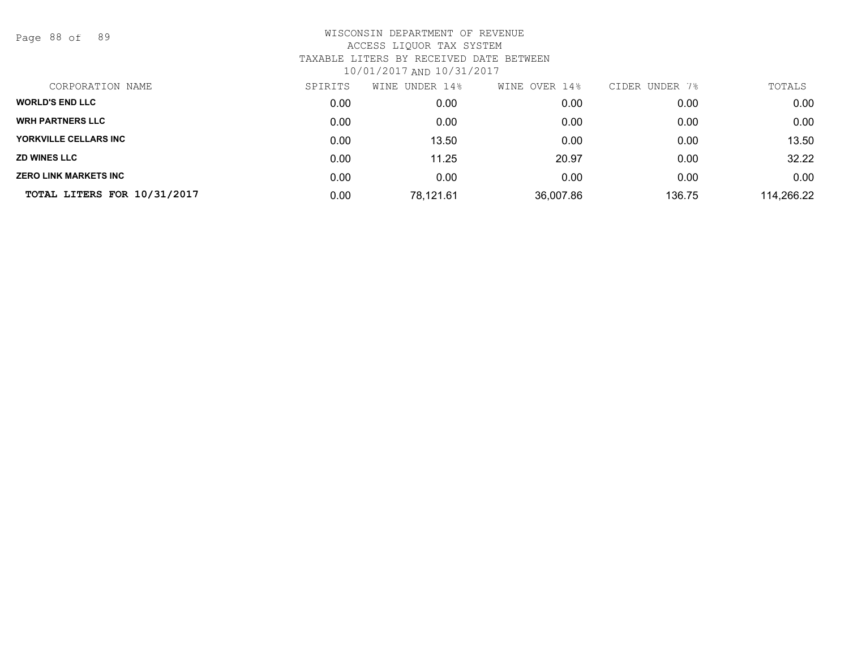Page 88 of 89

| CORPORATION NAME             | SPIRITS | UNDER 14%<br>WINE | WINE OVER 14% | CIDER UNDER 7% | TOTALS     |
|------------------------------|---------|-------------------|---------------|----------------|------------|
| <b>WORLD'S END LLC</b>       | 0.00    | 0.00              | 0.00          | 0.00           | 0.00       |
| <b>WRH PARTNERS LLC</b>      | 0.00    | 0.00              | 0.00          | 0.00           | 0.00       |
| YORKVILLE CELLARS INC        | 0.00    | 13.50             | 0.00          | 0.00           | 13.50      |
| <b>ZD WINES LLC</b>          | 0.00    | 11.25             | 20.97         | 0.00           | 32.22      |
| <b>ZERO LINK MARKETS INC</b> | 0.00    | 0.00              | 0.00          | 0.00           | 0.00       |
| TOTAL LITERS FOR 10/31/2017  | 0.00    | 78,121.61         | 36,007.86     | 136.75         | 114,266.22 |